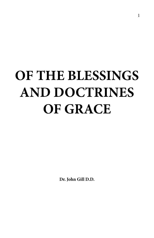# **OF THE BLESSINGS AND DOCTRINES OF GRACE**

**Dr. John Gill D.D.**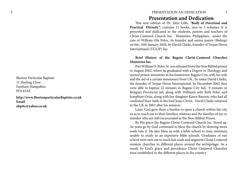Bierton Particular Baptists 11 Hayling Close Fareham Hampshire PO143AE

**http://www.BiertonparticularBaptists.co.uk Email [nbpttc@yahoo.co.uk](http://nbpttc@yahoo.co.uk)**

# 2 PRESENTATION AN DEDICATION

## **Presentation and Dedication**

This new edition of Dr. John Gills, ''**Body of Doctrinal and**  Practical Divinity", contains 11 books, now in 5 volumes. It is presented and dedicated to the students, pastors and teachers of Christ-Centered Church Inc. Ministries, Philippines, under the care of William Ola Poloc, its founder and senior pastor (Bishop) on the, 16th January 2020, by David Clarke, founder of Trojan Horse International (TULIP) Inc.

### **Brief History of the Baguio Christ-Centered Churches Ministries lnc.**

Pstr William O. Poloc Sr. was released from the New Bilibid prison in August 2002, where he graduated with a Degree in Theology, and started prison ministries in his hometown Baguio City, with his wife and the aid of a certain missionary from UK , by name David Clarke, the founder of Trojan Horse International. In December 2002 they were able to baptize 22 inmates in Baguio City Jail, 9 inmates in Benguet Provincial jail, along with William's wife Beth Poloc and Josephine Ortis, along with her daughter Karen Basoon, who had all confessed their faith in the lord Jesus Christ. David Clarke returned to the UK in 2003 after his mission.

Later, God gave them a burden to open a church within the city so as to reach out to their families, relatives and the families of my co inmates who are still incarcerated at the New Bilibid Prison.

By His grace the Baguio Christ-Centered Church Inc. Stood up. As years go by God continued to bless the church by drawing more souls into it. He also bless us with a bible school to train ministers unable to study in an expensive bible schools. Graduates of our school were sent out to reach lost souls and augment Christ Centered mission churches to different places around the archipelago. As a result, by God's grace and providence Christ Centered Churches were established to the different places in the country.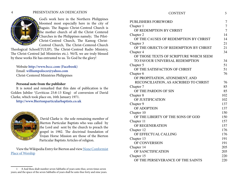#### 4 PRESENTATION AN DEDICATION CONTENT 5



God's work here in the Northern Philippines bloomed most especially here in the city of Baguio. The Baguio Christ-Centred Church is the mother church of all the Christ Centered Churches in the Philippines namely; The Pilot-Christ-Centred Church, The Kamog Christ-Centred Church, The Christ-Centered-Church

Theological School(TULIP), The Christ-Centred Radio Ministry, The Christ-Centred Jail Ministries etc.). We'll, we are truly blessed by these works He has entrusted to us. To God be the glory!

Website **[http://www.bccc.com \(Facebook\)](http://www.bccc.com (Facebook))** Email: **[williampolocsr@yahoo.com](Email: williampolocsr@yahoo.com)** Christ-Centered Ministries Philippines

#### **Personal note from the publisher**

It is noted and remarked that this date of publication is the Golden Jubilee <sup>1</sup>(Leviticus 25:8-13 King) of conversion of David Clarke, which took place on, 16th January 1971.

**<http://www.Biertonparticularbaptists.co.uk>**



David Clarke is the sole remaining member of Bierton Particular Baptists who was called by the Lord and sent by the church to preach the gospel in 1982. The doctrinal foundation of Trojan Horse Mission are those of the Bierton Particular Baptists Articles of religion.

View the Wikipedia Entry for Bierton and view [None Conformist](https://en.wikipedia.org/wiki/Bierton#Bierton_Particular_Baptists_non-conformist_place_of_worship) [Place of Worship](https://en.wikipedia.org/wiki/Bierton#Bierton_Particular_Baptists_non-conformist_place_of_worship)

| <b>PUBLISHERS FOREWORD</b>             | 7              |
|----------------------------------------|----------------|
| Chapter 1                              | $\overline{7}$ |
| OF REDEMPTION BY CHRIST                | $\overline{7}$ |
| Chapter 2                              | 14             |
| OF THE CAUSES OF REDEMPTION BY CHRIST  | 14             |
| Chapter 3                              | 21             |
| OF THE OBJECTS OF REDEMPTION BY CHRIST | 21             |
| Chapter 4                              | 34             |
| OF THOSE TEXTS OF SCRIPTURE WHICH SEEM |                |
| TO FAVOUR UNIVERSAL REDEMPTION         | 34             |
| Chapter 5                              | 51             |
| OF THE SATISFACTION OF CHRIST          | 51             |
| Chapter 6                              | 76             |
| OF PROPITIATION, ATONEMENT, AND        |                |
| RECONCILIATION, AS ASCRIBED TO CHRIST  | 76             |
| Chapter 7                              | 85             |
| OF THE PARDON OF SIN                   | 85             |
| Chapter 8                              | 102            |
| OF JUSTIFICATION                       | 102            |
| Chapter 9                              | 137            |
| <b>OF ADOPTION</b>                     | 137            |
| Chapter 10                             | 150            |
| OF THE LIBERTY OF THE SONS OF GOD      | 150            |
| Chapter 11                             | 157            |
| OF REGENERATION                        | 157            |
| Chapter 12                             | 176            |
| OF EFFECTUAL CALLING                   | 176            |
| Chapter 13                             | 191            |
| OF CONVERSION                          | 191            |
| Chapter 14                             | 205            |
| OF SANCTIFICATION                      | 205            |
| Chapter 15                             | 220            |
| OF THE PERSEVERANCE OF THE SAINTS      | 220            |

<sup>1</sup> 8 And thou shalt number seven Sabbaths of years unto thee, seven times seven years; and the space of the seven Sabbaths of years shall be unto thee forty and nine years.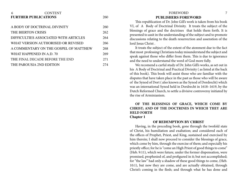# <span id="page-3-0"></span>6 CONTENT 6 CONTENT 5 CONTENT 5 CONTENT 5 CONTENT 5 CONTENT 5 CONTENT 5 CONTENT 5 CONTENT 5 CONTENT 5 CONTENT **[FURTHER PUBLICATIONS](#page-130-0)** 260 [A BODY OF DOCTRINAL DIVINITY](#page-130-0) 260 [THE BIERTON CRISIS](#page-131-0) 262 [DIFFICULTIES ASSOCIATED WITH ARTICLES 264](#page-132-0) [WHAT VERSION AUTHORISED OR REVISED](#page-133-0) 266 [A COMMENTARY ON THE GOSPEL OF MATTHEW 268](#page-134-0) [WHAT HAPPENED IN A.D. 70](#page-134-0) 269 THE [FINAL DECADE BEFORE THE END](#page-135-0) 271

| THE PAROUSIA 2ND EDITION |  |
|--------------------------|--|

# **PUBLISHERS FOREWORD**

This republication of Dr. John Gill's work is taken from his book VI, of A Body of Doctrinal Divinity. It treats the subject of the blessings of grace and the doctrines that holds them forth. It is presented to assit in the understanding of the subject and to promote discussions relating to the death resurrection and assenstion of the lord Jesus Christ.

It treats the subject of the extent of the atonment due to the fact that most professing Christians today misunderstand the subject and speak against those who differ from them. This is due to ignorance and the need to understamd the word of God more fully.

We recomend a carful study of Dr. John Gill's works, as set out in his A Body of Doctrinal and Practical Divinity ( as listed at the back of this book). This book will assist those who are familiar with the disputes that have taken place in the past as those who will be aware of the Synod of Dort ( also known as the Synod of Dordrecht) which was an international Synod held in Dordrecht in 1618–1619, by the Dutch Reformed Church, to settle a divisive controversy initiated by the rise of Arminianism.

### **OF THE BLESSINGS OF GRACE, WHICH COME BY CHRIST; AND OF THE DOCTRINES IN WHICH THEY ARE HELD FORTH Chapter 1**

### **OF REDEMPTION BY CHRIST**

Having, in the preceding book, gone through the twofold state of Christ, his humiliation and exaltation; and considered each of the offices of Prophet, Priest, and King, sustained and exercised by him therein; I shall now proceed to consider the blessings of grace, which come by him, through the exercise of them; and especially his priestly office; for he is "come an High Priest of good things to come" (Heb. 9:11), which were future, under the former dispensation, were promised, prophesied of, and prefigured in it; but not accomplished; for "the law" had only a shadow of these good things to come, (Heb. 10:1), but now they are come, and are actually obtained, through Christ's coming in the flesh; and through what he has done and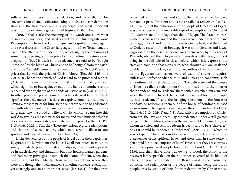suffered in it; as redemption, satisfaction, and reconciliation for sin, remission of sin, justification, adoption, &c. and as redemption stands in the first place; and is a principal and most important blessing and doctrine of grace, I shall begin with that. And,

*First,* I shall settle the meaning of the word; and show what it supposes, includes, and is designed by it. Our English word Redemption, is from the Latin tongue, and signifies, buying again; and several words in the Greek language, of the New Testament, are used in the affair of our Redemption, which signify the obtaining of something by paying a proper price for it; sometimes the simple verb ayopaco, to "buy", is used: so the redeemed are said to be "bought unto God" by the blood of Christ; and to be "bought" from the earth; and to be "bought" from among men; and to be "bought" with a price; that is, with the price of Christ's blood, (Rev. 5:9; 14:3, 4; 1 Cor. 6:20), hence the church of God is said to be purchased with it, (Acts 20:28). Sometimes the compound word eqxyopatco, is used; which signifies, to buy again, or out of the hands of another; as the redeemed are bought out of the hands of justice; as in (Gal. 3:13; 4:5). In other places auxpogw, is used, or others derived from it; which signifies, the deliverance of a slave, or captive, from his thraldom, by paying a ransom price for him: so the saints are said to be redeemed, not with silver or gold, the usual price paid for a ransom; but with a far greater one, the blood and life of Christ, which he came into this world to give, as a ransom price for many; and even himself, which is ccvxiauxpov, an answerable, adequate, and full price for them (1 Pet. 1:18; Matt. 20:28; 1 Tim. 2:6). There are various typical redemptions, and that are of a civil nature, which may serve to illustrate our spiritual and eternal redemption by Christ. As,

**l.** The deliverances of the people of Israel out of their captivities, Egyptian and Babylonian; the latter I shall not much insist upon; since, though the Jews were exiles in Babylon, they did not appear to be in much slavery and thraldom; but built houses, planted gardens, and had many privileges; insomuch that some of them, when they might have had their liberty, chose rather to continue where they were; and though their deliverance is sometimes called a redemption, yet sparingly, and in an improper sense (Jer. 15:21), for they were redeemed without money; and Cyrus, their deliverer, neither gave nor took a price for them; and is never called a redeemer; (see Isa. 14:13; 52:3). But the deliverance of the people of Israel out of Egypt, was a very special and remarkable type of redemption by Christ, out of a worse state of bondage than that of Egypt. The Israelites were made to serve with rigor, and their lives were made bitter with hard bondage, in brick and mortar, and service in the field; and they cried to God, by reason of their bondage, it was so intolerable; and it was aggravated by the taskmasters set over them; who, by the order of Pharaoh, obliged them to provide themselves with straw, and yet bring in the full tale of brick as before: which fitly expresses the state and condition that men are in; who, through sin, are weak and unable to fullfill the law; yet is it as regardless of want of strength, as the Egyptian taskmasters were of want of straw: it requires sinless and perfect obedience to it; and curses and condemns such as continue not in all things to do it. The deliverance of the people of Israel, is called a redemption; God promised to rid them out of their bondage, and to "redeem" them with a stretched out arm; and when they were delivered, he is said to have led forth the people he had "redeemed": and the bringing them out of the house of bondage, or redeeming them out of the house of bondmen, is used as an argument to engage them to regard the commandments of God (Ex. 6:6; 15:13; 20:9; Deut. 7:8). And which redemption by Christ, from sin, the law, and death, lay the redeemed under a still greater obligation to do; Moses, who was the instrument God raised up, and whom he called and sent to redeem Israel, is said to be a "deliverer", or as it should be rendered, a "redeemer" (Acts 7:35), in which he was a type of Christ, whom God raised up, called, and sent to be a Redeemer of his spiritual Israel: and there was, in some sense, a price paid for the redemption of literal Israel; since they are expressly said to be a purchased people, bought by the Lord (Ex. 15:16; Deut. 32:6), and their deliverance was owing to blood, the blood of the passover lamb, sprinkled on their door posts; typical of the blood of Christ, the price of our redemption. Besides, as it has been observed by some, the redemption of the people of Israel, being the Lord's people, was by virtue of their future redemption by Christ; whose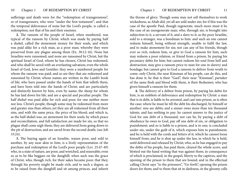sufferings and death were for the "redemption of transgressions", or of transgressors, who were "under the first testament"; and that the temporal deliverance of none but the Lord's people, is called a redemption, not that of his and their enemies.

**2.** The ransom of the people of Israel, when numbered, was typical of the ransom by Christ; which was made by paying half a shekel, called the atonement money for their souls, and which was paid alike for a rich man, as a poor man; whereby they were preserved from any plague among them (Ex. 30:12-16). None but Israelites were ransomed; and none are ransomed by Christ, but the spiritual Israel of God, whom he has chosen, Christ has redeemed, and who shall be saved with an everlasting salvation; even the whole Israel of God, Jews and Gentiles: they were a numbered people for whom the ransom was paid; and so are they that are redeemed and ransomed by Christ; whose names are written in the Lamb's book of life; who have passed under the hands of him that telleth them, and have been told into the hands of Christ; and are particularly and distinctly known by him, even by name; the sheep for whom he has laid down his life; and are a special and peculiar people. The half shekel was paid alike for rich and poor, for one neither more nor less. Christ's people, though some may be redeemed from more and greater sins than others; yet they are all redeemed from all their sins, and with the same price, the price of his blood; and which is, as the half shekel was, an atonement for their souls; by which peace and reconciliation, and full satisfaction are made for sin, so that no plague shall come nigh them; they are delivered from going down to the pit of destruction; and are saved from the second death; (see Job 33:24).

**3.** The buying again of an Israelite, waxen poor, and sold to another, by any near akin to him; is a lively representation of the purchase and redemption of the Lord's poor people (Lev. 25:47-49) who, in a state of nature, are poor, and wretched, and miserable; even so as to be like beggars on the dunghill; when such was the grace of Christ, who, though rich, for their sakes became poor, that they, through his poverty might be made rich; and to such a degree, as to be raised from the dunghill and sit among princes, and inherit

the throne of glory. Though some may not sell themselves to work wickedness, as Ahab did, yet all are sold under sin; for if this was the case of the apostle Paul, though regenerate, much more must it be the case of an unregenerate man; who, through sin, is brought into subjection to it, a servant of it, and a slave to it; as the poor Israelite, sold to a stranger, was a bondman to him: and such an one cannot redeem himself, being without strength, unable to fulfil the law, and to make atonement for sin; nor can any of his friends, though ever so rich, redeem him, or give to God a ransom for him; such may redeem a poor relation, or friend from a prison, by paying his pecuniary debts for him; but cannot redeem his soul from hell and destruction; may give a ransom price to man for one in slavery and bondage; but cannot give to God a ransom to deliver from wrath to come: only Christ, the near Kinsman of his people, can do this, and has done it; he that is their "Gaol", their near "Kinsman", partaker of the same flesh and blood with them, is their Redeemer, who has given himself a ransom for them.

**4.** The delivery of a debtor from prison, by paying his debts for him, is an emblem of deliverance and redemption by Christ: a man that is in debt, is liable to be arrested, and cast into prison, as is often the case; where he must lie till the debt his discharged, by himself or another: sins are debts; and a sinner owes more than ten thousand talents, and has nothing to pay; he cannot answer to the justice of God for one debt of a thousand; nor can he, by paying a debt of obedience he owes to God, pay off one debt of sin, or obligation to punishment; and so is liable to a prison, and is in one; is concluded under sin, under the guilt of it, which exposes him to punishment; and he is held with the cords and fetters of it; which he cannot loose himself from; and he is shut up under the law, in which he is held, until delivered and released by Christ; who, as he has engaged to pay the debts of his people, has paid them, cleared the whole score, and blotted out the hand writing that was against them; in consequence of which is proclaimed, in the gospel, liberty to the captives, and the opening of the prison to them that are bound; and in the effectual calling Christ says "to the prisoners", "Go forth", opening the prison doors for them; and to them that sit in darkness, in the gloomy cells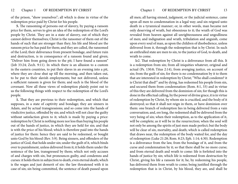of the prison, "show yourselves"; all which is done in virtue of the redemption price paid by Christ for his people.

**5.** The ransoming of persons out of slavery, by paying a ransom price for them, serves to give an idea of the redemption of the Lord's people by Christ. They are in a state of slavery, out of which they cannot deliver themselves; Christ is the ransomer of them out of the hands of such that are stronger than they; his life and blood are the ransom price he has paid for them; and they are called, the ransomed of the Lord; their deliverance from present bondage, and future ruin and destruction, is in consequence of a ransom found and given; "Deliver him from going down to the pit; I have found a ransom" (Job 33:24; Zech. 9:11). In which there is an allusion to a custom in the eastern countries, to put their slaves in an evening into a pit, where they are close shut up till the morning, and then taken out, to be put to their slavish employments; but not delivered, unless a sufficient ransom is given for them; and such is the blood of the covenant. Now all these views of redemption plainly point out to us the following things with respect to the redemption of the Lord's people.

**1.** That they are previous to their redemption, and which that supposes, in a state of captivity and bondage; they are sinners in Adam, and by actual transgressions; and so come into the hands of vindictive justice, offended by sin; and which will not clear the guilty without satisfaction given to it; which is made by paying a price: redemption by Christ is nothing more nor less than buying his people out of the hands of justice, in which they are held for sin; and that is with the price of his blood; which is therefore paid into the hands of justice for them: hence they are said to be redeemed, or bought unto God by his blood (Rev. 5:9). Being sinners, and offenders of the justice of God, that holds under sin; under the guilt of it, which binds over to punishment, unless delivered from it; it holds them under the sentence of the law, transgressed by them; which not only accuses of and charges with sin, but pronounces guilty, and condemns and curses: it holds them in subjection to death, even eternal death; which is the wages and just demerit of sin: the law threatened with it in case of sin; sin being committed, the sentence of death passed upon

all men; all having sinned, judgment, or the judicial sentence, came upon all men to condemnation in a legal way; and sin reigned unto death in a tyrannical manner; or, in other words, man became not only deserving of wrath, but obnoxious to it; the wrath of God was revealed from heaven against all unrighteousness and ungodliness of men; and indignation and wrath, tribulation and anguish, come upon every soul of man, as upon the children of disobedience, unless delivered from it, through the redemption that is by Christ. In such an enthralled state are men to sin, to the justice of God, to death, and wrath to come.

Ie2. That redemption by Christ is a deliverance from all this. It is a redemption from sin; from all iniquities whatever, original and actual (Ps. 130:8; Titus 2:14), from avenging justice, on account of sin; from the guilt of sin; for there is no condemnation by it to them that are interested in redemption by Christ; "Who shall condemn? it is Christ that died!" and by dying, has redeemed his people from sin, and secured them from condemnation (Rom. 8:1, 33) and in virtue of this they are delivered from the dominion of sin; for though this is done in the effectual calling, by the power of divine grace, it is in virtue of redemption by Christ, by whom sin is crucified, and the body of it destroyed; so that it shall not reign in them, or have dominion over them: one branch of redemption lies in being delivered from a vain conversation; and, ere long, the redeemed shall be delivered from the very being of sin; when their redemption, as to the application of it, will be complete; as it will be in the resurrection; when the soul will not only be among the spirits of just men made perfect; but the body will be clear of sin, mortality, and death; which is called redemption that draws near, the redemption of the body waited for, and the day of redemption (Luke 21:28; Rom. 8:23; Eph. 1:14; 4:30). Redemption is a deliverance from the law, from the bondage of it, and from the curse and condemnation by it; so that there shall be no more curse; and from eternal death and wrath to come: life is forfeited into the hands of justice by sin; which life is redeemed from destruction by Christ, giving his life a ransom for it; he, by redeeming his people, has delivered them from wrath to come; being justified through the redemption that is in Christ, by his blood, they are, and shall be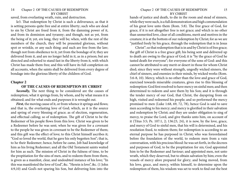<span id="page-7-0"></span>saved, from everlasting wrath, ruin, and destruction.

Ie3. That redemption by Christ is such a deliverance, as that it is setting persons quite free and at entire liberty; such who are dead to sin by Christ are freed from it, from the damning power of it, and from its dominion and tyranny; and though, not as yet, from the being of it; yet, ere long, they will be; when, with the rest of the members of the church, they will be presented glorious, without spot or wrinkle, or any such thing: and such are free from the law; though not from obedience to it, yet from the bondage of it; they are delivered from it, and are no longer held in it, as in a prison; but are directed and exhorted to stand fast in the liberty from it, with which Christ has made them free; and this will have its full completion on all accounts, when the saints shall be delivered from every degree of bondage into the glorious liberty of the children of God.

#### **Chapter 2**

#### **OF THE CAUSES OF REDEMPTION BY CHRIST**

*Secondly,* The next thing to be considered are the causes of redemption; what it springs from, by whom, and by what means it is obtained; and for what ends and purposes it is wrought out.

*First*, the moving cause of it, or from whence it springs and flows; and that is, the everlasting love of God; which, as it is the source and spring of every blessing of grace; as of election, regeneration, and effectual calling; so of redemption. The gift of Christ to be the Redeemer of his people flows from this love. Christ was given to be a Redeemer before he was sent; when he was given for a covenant to the people he was given in covenant to be the Redeemer of them; and this gift was the effect of love; to this Christ himself ascribes it; "God so loved the world, that he gave his only begotten Son"; that is, to he their Redeemer; hence, before he came, Job had knowledge of him as his living Redeemer; and all the Old Testament saints waited for him as such. The mission of Christ in the fulness of time, to be the propitiation for the sins of men, and to redeem them from them, is given as a manifest, clear, and undoubted instance of his love; "In this was manifested the love of God", &c. "Herein is love", &c. (1 John 4:9,10) and God's not sparing his Son, but delivering him into the

#### Chapter 2 OF THE CAUSES OF REDEMPTION 15 BY CHRIST

hands of justice and death, to die in the room and stead of sinners, while they were such, is a full demonstration and high commendation of his great love unto them (Rom. 5:8). The free grace of God, for grace, if it is not altogether free is not grace; and which is no other than unmerited love, clear of all conditions, merit and motives in the creature; it is at the bottom of our redemption by Christ; for as we are "justified freely by his grace, through the redemption that is in Jesus

Christ"; so that redemption that is in and by Christ is of free grace; the gift of Christ is a free grace gift; his being sent and delivered up to death are owing to the grace of God; it is "by the grace of God he tasted death for everyone"; for everyone of the sons of God: and this cannot be attributed to any merit or desert in those for whom Christ died; since they were without strength, ungodly wicked sinners, the chief of sinners, and enemies in their minds, by wicked works (Rom. 5:6-8, 10). Mercy, which is no other than the love and grace of God, exercised towards miserable creatures, gives rise to this blessing of redemption: God first resolved to have mercy on sinful men; and then determined to redeem and save them by his Son; and it is through the tender mercy of our God, that Christ, the dayspring from on high, visited and redeemed his people; and so performed the mercy promised to men (Luke 1:68, 69, 72, 78), hence God is said to save men according to his mercy; and mercy is glorified in their salvation and redemption by Christ; and they are under obligation to sing of mercy, to praise the Lord, and give thanks unto him, on account of it (Titus 3:5; Ps. 107:1, 2; 136:23, 24), it is now, by the love, grace, and mercy of God to sinful men, that his will is determined, and his resolution fixed, to redeem them; for redemption is according to an eternal purpose he has purposed in Christ; who was foreordained before the foundation of the world, to redeem men from a vain conversation, with his precious blood: he was set forth, in the decrees and purposes of God, to be the propitiation for sin; God appointed him to be the Redeemer and Saviour; and appointed men, not unto wrath, which they deserved, but to obtain salvation by him; even the vessels of mercy afore prepared for glory; and being moved, from his love, grace, and mercy, within himself, to determine upon the redemption of them, his wisdom was set to work to find out the best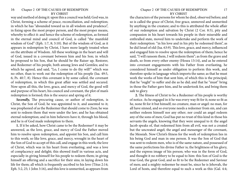way and method of doing it: upon this a council was held; God was, in Christ, forming a scheme of peace, reconciliation, and redemption; in which he has "abounded toward us in all wisdom and prudence", in fixing upon the most proper person, and the most proper means, whereby to effect it: and hence the scheme of redemption, as formed in the eternal mind and council of God, is called "the manifold wisdom of God" (Eph. 1:7, 8; 3:10). But of the wisdom of God, as it appears in redemption by Christ, I have more largely treated when on the attribute of Wisdom. All these workings in the heart and will of God, issued in a covenant between him and his Son; in which he proposed to his Son, that he should be the Raiser up, Restorer, and Redeemer of his people, both among Jews and Gentiles; and to which he agreed, and said, "Lo, I come to do thy will!" which was no other, than to work out the redemption of his people (Isa. 49:5, 6; Ps. 40:7, 8). Hence this covenant is by some called, the covenant of redemption, in which this great affair was settled and secured. Now upon all this, the love, grace, and mercy of God, the good will and purpose of his heart, his council and covenant, the plot of man's redemption is formed; this is the source and spring of it.

*Secondly,* The procuring cause, or author of redemption, is Christ, the Son of God; he was appointed to it, and assented to it; was prophesied of as the Redeemer that should come to Zion; he was sent to redeem them that were under the law; and he has obtained eternal redemption; and in him believers have it, through his blood, and he is of God made redemption to them.

**1.** If it be asked, how Christ came to be the Redeemer? it may be answered, as the love, grace, and mercy of God the Father moved him to resolve upon redemption, and appoint his Son, and call him to this work; so like love, grace, and mercy, wrought in the heart of the Son of God to accept of this call, and engage in this work; the love of Christ, which was in his heart from everlasting, and was a love of complacency and delight; this showed itself in various acts, and especially in giving himself for his people to redeem them; in giving himself an offering and a sacrifice for their sins; in laying down his life for them; all which is frequently ascribed to his love (Titus 2:14; Eph. 5:2, 25; 1 John 3:16), and this love is unmerited, as appears from

#### Chapter 2 OF THE CAUSES OF REDEMPTION 17 BY CHRIST

the characters of the persons for whom he died, observed before; and so is called the grace of Christ, free grace, unmoved and unmerited by anything in the creature; and to this is attributed the whole affair of our redemption and salvation by Christ (2 Cor. 8:5), pity and compassion in his heart towards his people in their miserable and enthralled state, moved him to undertake and perform the work of their redemption: "in his love and in his pity he redeemed them", as he did Israel of old (Isa. 63:9). This love, grace, and mercy, influenced and engaged him to resolve upon the redemption of them; hence he said, "I will ransom them, I will redeem them"; as from the grave and death, so from every other enemy (Hosea 13:14), and as he entered into covenant engagements with his Father from everlasting, he considered himself as under obligation to perform this work, and therefore spoke in language which imports the same; as that he must work the works of him that sent him, of which this is the principal; that he "ought" to suffer and die as he did; and that he "must" bring in those the Father gave him, and he undertook for, and bring them safe to glory.

**2.** The fitness of Christ to be a Redeemer of his people is worthy of notice. As he engaged in it he was every way fit for it; none so fit as he, none fit for it but himself; no creature, man or angel: no man, for all have sinned, and so everyone needs a redeemer from sin, and can neither redeem himself nor any other; nor could an angel redeem any of the sons of men; God has put no trust of this kind in those his servants the angels, knowing that they were unequal to it: the angel Jacob speaks of, that redeemed him from all evil, was not a created but the uncreated angel; the angel and messenger of the covenant, the Messiah. Now Christ's fitness for the work of redemption lies in his being God and man in one person. It was the Son of God that was sent to redeem men, who is of the same nature, and possessed of the same perfections his divine Father is; the brightness of his glory, and the express image of his person; who was in the form of God, and thought it no robbery to be equal to him: this Son of God is the true God, the great God, and so fit to be the Redeemer and Saviour of men; and a mighty redeemer he must be, since he is Jehovah, the Lord of hosts, and therefore equal to such a work as this (Gal. 4:4;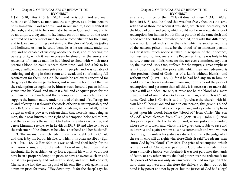1 John 5:20; Titus 2:13; Jer. 50:34), and he is both God and man; he is the child born, as man, and the son given, as a divine person; he is Immanuel, God with us, God in our nature, God manifest in the flesh, and so fit to be a mediator between God and man; and to be an umpire, a daysman to lay hands on both; and to do the work required of a redeemer of men, to make reconciliation for their sins, and to take care of things pertaining to the glory of God, his justice and holiness. As man he could bemade, as he was made, under the law, and so capable of yielding obedience to it, and of bearing the penalty of it; which it was necessary he should, as the surety and redeemer of men; as man, he had blood to shed, with which most precious blood he could redeem them unto God; had a life to lay down, a sufficient ransom price for his people, and was capable of suffering and dying in their room and stead, and so of making full satisfaction for them. As God, he would be zealously concerned for the glory of the divine perfections, and secure the honour of them in the redemption wrought out by him; as such, he could put an infinite virtue into his blood, and make it a full and adequate price for the purchase of his church, and the redemption of it; as such, he could support the human nature under the load of sin and of sufferings for it, and of carrying it through the work, otherwise insupportable; and as both God and man he had a right to redeem; as Lord of all, he had a right as well as power to redeem them that were his; and being, as man, their near kinsman, the right of redemption belonged to him, and therefore bears the name of Gaol which signifies a redeemer, and a near kinsman; see the law in Leviticus 25:47-49 and who so fit to be the redeemer of the church as he who is her head and her husband?

**3.** The means by which redemption is wrought out by Christ; and that is by his blood, his life, to which it is often ascribed (Eph. 1:7; 1 Pet. 1:18, 19; Rev. 5:9), this was shed, and shed freely, for the remission of sins, and for the redemption of men; had it been shed involuntarily, by accident, or by force, against his will, it would not have been a proper redemption price, or have answered such an end; but it was purposely and voluntarily shed, and with full consent; Christ, as he had the full disposal of his own life, freely gave his life a ransom price for many; "Hay down my life for the sheep", says he,

#### Chapter 2 OF THE CAUSES OF REDEMPTION 19 BY CHRIST

as a ransom price for them; "I lay it down of myself" (Matt. 20:28; John 10:15,18), and the blood that was thus freely shed was the same with that of those for whom it was shed, which was necessary; not the blood of bulls and goats, which could not be an adequate price of redemption, but human blood; Christ partook of the same flesh and blood with the children for whom he died; only with this difference, it was not tainted with sin as theirs is; which is another requisite of the ransom price; it must be the blood of an innocent person, as Christ was: much notice is taken in scripture of the innocence, holiness, and righteousness of the Redeemer; that he was holy in his nature, blameless in life, knew no sin, nor ever committed any; that he, the just and Holy One, suffered for the unjust; a great emphasis is put upon this, that the price with which men are redeemed is "the precious blood of Christ, as of a Lamb without blemish and without spot" (1 Pet. 1:18,19), for if he had had any sin in him, he could not have been a redeemer from sin, nor his blood the price of redemption: and yet more than all this, it is necessary to make this price a full and adequate one, it must not be the blood of a mere creature, but of one that is God as well as man, and such is Christ; hence God, who is Christ, is said to "purchase the church with his own blood"; being God and man in one person, this gave his blood a sufficient virtue to make such a purchase; and a peculiar emphasis is put upon his blood, being the "blood of" Jesus Christ "the Son of God", which cleanses from all sin (Acts 20:28; 1 John 1:7). Now this price is paid into the hands of God, whose justice is offended, whose law is broken, and who is the lawgiver, that is able to save and to destroy; and against whom all sin is committed: and who will not clear the guilty unless his justice is satisfied; for he is the judge of all the earth, who will do right; wherefore Christ is said "to redeem" men "unto God by his blood" (Rev. 5:9). The price of redemption, which is the blood of Christ, was paid unto God, whereby redemption from vindictive justice was obtained; it was not paid into the hands of Satan, or any other enemy that had power over the redeemed; for the power of Satan was only an usurpation; he had no legal right to hold them captives; and therefore the delivery of them out of his hand is by power and not by price: but the justice of God had a legal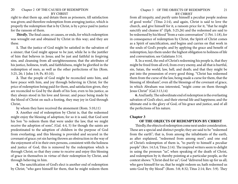<span id="page-10-0"></span>right to shut them up, and detain them as prisoners, till satisfaction was given; and therefore redemption from avenging justice, which is properly the redemption that is by Christ, is by a price paid to justice for the ransom of them.

*Thirdly*, The final cause, or causes, or ends, for which redemption was wrought out and obtained by Christ in this way; and they are these.

**1.** That the justice of God might be satisfied in the salvation of a sinner; that God might appear to be just, while he is the justifier of him that believes in Jesus; and be just and faithful in forgiving sins, and cleansing from all unrighteousness; that the attributes of his justice, holiness, truth, and faithfulness, might be glorified in the redemption of men, as well as the other perfections of his (Rom. 3:25, 26; 1 John 1:9; Ps. 85:10).

**2.** That the people of God might be reconciled unto him, and have peace with him, and joy through believing in Christ; for the price of redemption being paid for them, and satisfaction given, they are reconciled to God by the death of his Son; even to his justice, as they always stood in his love and favour; and peace being made by the blood of Christ on such a footing, they may joy in God through Christ,

by whom they have received the atonement (Rom. 5:10,11)

**3.** Another end of redemption by Christ is, that the redeemed might enjoy the blessing of adoption; for so it is said, that God sent his Son "to redeem them that were under the law, that we might receive the adoption of sons", (Gal. 4:4, 5) for though the saints are predestinated to the adoption of children in the purpose of God from everlasting; and this blessing is provided and secured in the covenant of grace; yet sin having thrown an obstruction in the way of the enjoyment of it in their own persons, consistent with the holiness and justice of God, this is removed by the redemption which is through Christ; so that they come to receive and enjoy this blessing of grace in themselves in virtue of their redemption by Christ, and through believing in him.

**4.** The sanctification of God's elect is another end of redemption by Christ; "who gave himself for them, that he might redeem them from all iniquity, and purify unto himself a peculiar people zealous of good works" (Titus 2:14), and again, Christ is said to love the church, and give himself for it, a ransom price for it, "that he might sanctify and cleanse it" (Eph. 5:25,26) and the redeemed are said to be redeemed by his blood "from a vain conversation" (1 Pet. 1:18), for in consequence of redemption by Christ, the Spirit of Christ comes as a Spirit of sanctification, and begins and carries on that work in the souls of God's people; and by applying the grace and benefit of redemption, lays them under the highest obligation to holiness of life and conversation; see Galatians 3:14.

**5.** In a word, the end of Christ's redeeming his people is, that they might be freed from all evil, from every enemy, and all that is hurtful, sin, Satan, the world, law, hell, and death; and that they might be put into the possession of every good thing. "Christ has redeemed them from the curse of the law, being made a curse for them, that the blessing of Abraham", even all the blessings of the covenant of grace, in which Abraham was interested, "might come on them through Jesus Christ" (Gal.3:13,14)

**6.** And lastly, The subordinate end of redemption is the everlasting salvation of God's elect, and their eternal life and happiness; and the ultimate end is the glory of God, of his grace and justice, and of all the perfections of his nature.

#### **Chapter 3**

### **OF THE OBJECTS OF REDEMPTION BY CHRIST**

Thirdly, the objects of redemption come next under consideration. These are a special and distinct people; they are said to be "redeemed from the earth"; that is, from among the inhabitants of the earth, as after explained, "redeemed from among men"; and one end of Christ's redemption of them is, "to purify to himself a peculiar people" (Rev. 14:3,4; Titus 2:14). The inspired writers seem to delight in using the pronoun "us", when speaking of the death of Christ, and redemption by it; thereby pointing at a particular people, as the context shows: "Christ died for us"; God "delivered him up for us all; who gave himself for us, that he might redeem us; hath redeemed us unto God by thy blood" (Rom. 5:8; 8:32; Titus 2:14; Rev. 5:9). They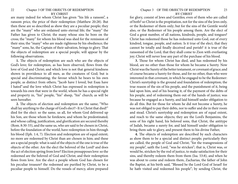are many indeed for whom Christ has given "his life a ransom", a ransom price, the price of their redemption (Matthew 20:28). But then these are so described as show they are a peculiar people; they are the "many" who are ordained unto eternal life; the "many" the Father has given to Christ; the many whose sins he bore on the cross; the "many" for whom his blood was shed for the remission of their sins; the "many" who are made righteous by his obedience; the "many" sons, he, the Captain of their salvation, brings to glory. That the objects of redemption are a special people, will appear by the following observations.

**1.** The objects of redemption are such who are the objects of God's love; for redemption, as has been observed, flows from the love of God and Christ; and which love is not that general kindness shown in providence to all men, as the creatures of God; but is special and discriminating; the favour which he bears to his own people, as distinct from others; "Jacob have I loved, but Esau have I hated":and the love which Christ has expressed in redemption is towards his own that were in the world, whom he has a special right and property in, "his" people, "his" sheep, "his" church; as will be seen hereafter.

**2.** The objects of election and redemption are the same; "Who shall lay anything to the charge of God's elect?~It is Christ that died!" died for the elect: so the same, us all, for whom God delivered up his Son, are those whom he foreknew, and whom he predestinated; and whose calling, justification, and glorification are secured thereby (Rom. 8:30-33), and the same us, who are said to be chosen in Christ, before the foundation of the world, have redemption in him through his blood (Eph. 1:4, 7). Election and redemption are of equal extent; no more are redeemed by Christ than are chosen in him; and these are a special people: what is said of the objects of the one is true of the objects of the other. Are the elect the beloved of the Lord? and does the act of election spring from love? Election presupposes love: so the redeemed are the beloved of God and Christ; and their redemption flows from love. Are the elect a people whom God has chosen for his peculiar treasure? the redeemed are purified by Christ, to be a peculiar people to himself. Do the vessels of mercy, afore prepared

for glory, consist of Jews and Gentiles; even of them who are called of both? so Christ is the propitiation, not for the sins of the Jews only, or the Redeemer of them only; but for the sins of the Gentile world also, or the Redeemer of his people among them. Are the elect of God a great number, of all nations, kindreds, people, and tongues? Christ has redeemed those he has redeemed unto God, out of every kindred, tongue, people, and nation. Is it true of the elect, that they cannot be totally and finally deceived and perish? it is true of the ransomed of the Lord, that they shall come to Zion with everlasting joy; Christ will never lose any part of the purchase of his blood.

**3.** Those for whom Christ has died, and has redeemed by his blood, are no other than those for whom he became a Surety. Now Christ was the Surety of the better testament, or covenant of grace; and of course became a Surety for those, and for no other, than who were interested in that covenant, in which he engaged to be the Redeemer: Christ's suretyship is the ground and foundation of redemption; the true reason of the sin of his people, and the punishment of it, being laid upon him, and of his bearing it; of the payment of the debts of his people, and of redeeming them out of the hands of justice; was because he engaged as a Surety, and laid himself under obligation to do all this. But for those for whom he did not become a Surety, he was not obliged to pay their debts, nor to suffer and die in their room and stead. Christ's suretyship and redemption are of equal extent, and reach to the same objects; they are the Lord's Benjamins, the sons of his right hand, his beloved sons, that Christ, the antitype of Judah, became a surety for, and laid himself under obligation to bring them safe to glory, and present them to his divine Father,

**4.** The objects of redemption are described by such characters as show them to be a special and distinct people; particularly they are called, the people of God and Christ; "for the transgressions of my people", saith the Lord, "was he stricken"; that is, Christ was, or would be, stricken by the rod of justice, to make satisfaction for their sins, and thereby redeem them from them (Isa. 53:8), and when he was about to come and redeem them, Zacharias, the father of John the Baptist, at his birth said, "Blessed be the Lord God of Israel! for he hath visited and redeemed his people"; by sending Christ, the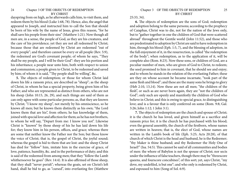dayspring from on high, as he afterwards calls him, to visit them, and redeem them by his blood (Luke 1:68, 78). Hence, also, the angel that appeared to Joseph, and instructed him to call the Son that should be born of his wife by the name of Jesus, gives this reason, "for he shall save his people from their sins" (Matthew 1:21). Now though all men are, in a sense, the people of God, as they are his creatures, and the care of his providence; yet they are not all redeemed by Christ; because those that are redeemed by Christ are redeemed "out of every people"; and therefore cannot be every or all people (Rev. 5:9), the redeemed are God's covenant people; of whom he says, "They shall be my people, and I will be their God": they are his portion and his inheritance; a people near unto him, both with respect to union and communion; a people given to Christ, to be redeemed and saved by him; of whom it is said, "Thy people shall be willing", &c.

**5.** The objects of redemption; or those for whom Christ laid down his life a ransom price, are described as "sheep"; as the sheep of Christ, in whom he has a special property, being given him of his Father; and who are represented as distinct from others, who are not his sheep (John 10:15, 26, 29), and such things are said of them as can only agree with some particular persons; as, that they are known by Christ; "I know my sheep", not merely by his omniscience, so he knows all men; but he knows them distinctly as his own; "the Lord knows them that are his", from others; he has knowledge of them, joined with special love and affection for them; as he has not brothers, to whom he will say, "Depart from me: I know you not". Likewise Christ is "known" by those sheep of his he has laid down his life for; they know him in his person, offices, and grace; whereas there are some that neither know the Father nor the Son; but those know the voice of Christ; that is, the gospel of Christ, the joyful sound; whereas the gospel is hid to them that are lost: and the sheep Christ has died for "follow" him, imitate him in the exercise of grace, of love, patience, humility, &c. and in the performance of duty; and this is said of the redeemed from among men; that they "follow the Lamb whithersoever he goes" (Rev. 14:4). It is also affirmed of those sheep, that they shall "never perish"; whereas the goats, set on Christ's left hand, shall he bid to go, as "cursed", into everlasting fire (Matthew

#### 25:33, 34).

**6.** The objects of redemption are the sons of God; redemption and adoption belong to the same persons; according to the prophecy of Caiaphas, Christ was to die, not for the nation of the Jews only, but to "gather together in one the children of God that were scattered abroad" throughout the Gentile world (John 11:52), and those who are predestinated to adoption by Christ are said to have redemption in him, through his blood (Eph. 1:5, 7), and the blessing of adoption, in the full enjoyment of it, in the resurrection, is called "the redemption of the body"; when redemption, as to the application of it, will be complete also (Rom. 8:23). Now these sons, or children of God, are a peculiar number of men, who are given of God to Christ, to redeem; the seed promised to him in covenant, that he should see and enjoy; and to whom he stands in the relation of the everlasting Father; these are they on whose account he became incarnate, "took part of the same flesh and blood"; and these are the many sons he brings to glory (Heb 2:10, 13,14). Now these are not all men; "the children of the flesh", or such as are never born again, they are "not the children of God"; only such are openly and manifestly the children of God who believe in Christ; and this is owing to special grace, to distinguishing love; and is a favour that is only conferred on some (Rom. 9:8; Gal. 3:26; John 1:12; 1 John 3:1).

**7.** The objects of redemption are the church and spouse of Christ; it is the church he has loved, and given himself as a sacrifice and ransom price for; it is the church he has purchased with his blood; even the general assembly, the church of the firstborn, whose names are written in heaven; that is, the elect of God, whose names are written in the Lamb's book of life (Eph. 5:25; Acts 20:28), of that church of which Christ is the head and husband, he is the Redeemer; "thy Maker is thine husband; and thy Redeemer the Holy One of Israel!" (Isa. 54:5). This cannot be said of all communities and bodies of men: the whore of Babylon is not the spouse of Christ; nor sects under the influence of false teachers, though there may be "threescore queens, and fourscore concubines", of this sort; yet, says Christ, "my dove, my undefiled, is but one"; and who only is redeemed by Christ, and espoused to him (Song of Sol. 6:9).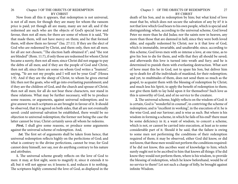#### 26 Chapter 3 OF THE OBJECTS OF REDEMPTION BY CHRIST

Now from all this it appears, that redemption is not universal, is not of all men; for though they are many for whom the ransom price is paid; yet though all are many, many are not all; and if the redeemed are such who are the objects of God's special love and favour, then not all men; for there are some of whom it is said, "He that made them, will not have mercy on them; and he that formed them, will show them no favour" (Isa. 27:11). If they are the elect of God who are redeemed by Christ, and them only, then not all men; for all are not chosen; "The election hath obtained it"; and "the rest are blinded" (Rom. 11:7), if only those are redeemed for whom Christ became a surety, then not all men; since Christ did not engage to pay the debts of all men; and if they are the people of God and Christ, then not all; since there are some on whom God writes a "loammi", saying, "Ye are not my people; and I will not be your God" (Hosea 1:9). And if they are the sheep of Christ, to whom he gives eternal life; then not the goats, who will go into everlasting punishment; and if they are the children of God, and the church and spouse of Christ; then not all men; for all do not bear these characters, nor stand in these relations. What may be further necessary, will be to produce some reasons, or arguments, against universal redemption; and to give answer to such scriptures as are brought in favour of it. It should be observed, that it is agreed on both sides, that all are not eventually saved: could universal salvation be established, there would be no objection to universal redemption; the former not being the case the latter cannot be true; Christ certainly saves all whom he redeems.

*First,* I shall give some reasons, or produce some arguments against the universal scheme of redemption. And,

 *1st.* The first set of arguments shall be taken from hence, that universal redemption reflects highly on the perfections of God; and what is contrary to the divine perfections, cannot be true; for God cannot deny himself, nor say, nor do anything contrary to his nature and attributes.

**1.** The universal scheme greatly reflects on the love of God to men: it may, at first sight, seem to magnify it, since it extends it to all; but it will not appear so; it lessens it, and reduces it to nothing. The scriptures highly commend the love of God, as displayed in the

#### Chapter 3 OF THE OBJECTS OF REDEMPTION 27 BY CHRIST

death of his Son, and in redemption by him; but what kind of love must that be, which does not secure the salvation of any by it? it is not that love which God bears to his own people, which is special and distinguishing; when, according to the universal scheme, God loved Peter no more than he did Judas; nor the saints now in heaven, any more than those that are damned in hell; since they were both loved alike, and equally redeemed by Christ; nor is it that love of God, which is immutable, invariable, and unalterable; since, according to this scheme, God loves men with so intense a love, at one time, as to give his Son to die for them, and wills that they all should be saved; and afterwards this love is turned into wrath and fury; and he is determined to punish them with everlasting destruction. What sort of hove must this be in God, not to spare his Son, but deliver him up to death for all the individuals of mankind, for their redemption; and yet, to multitudes of them, does not send them so much as the gospel, to acquaint them with the blessing of redemption by Christ; and much less his Spirit, to apply the benefit of redemption to them; nor give them faith to lay hold upon it for themselves? Such love as this is unworthy of God, and of no service to the creature.

**2.** The universal scheme, highly reflects on the wisdom of God: it is certain, God is "wonderful in counsel", in contriving the scheme of redemption; and is "excellent in working", in the execution of it: he is the wise God, and our Saviour; and is wise as such. But where is his wisdom in forming a scheme, in which he fails of his end? there must be some deficiency in it; a want of wisdom, to concert a scheme, which is not, or cannot be carried into execution, at least as to some considerable part of it. Should it be said, that the failure is owing to some men not performing the conditions of their redemption required of them; it may be observed, either God did know, or did not know, that these men would not perform the conditions required: if he did not know, this ascribes want of knowledge to him; which surely ought not to be ascribed to him that knows all things: if he did know they would not perform them, where is his wisdom, to provide the blessing of redemption, which he knew beforehand, would be of no service to them? Let not such a charge of folly, be brought against infinite Wisdom.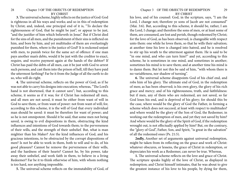**3.** The universal scheme, highly reflects on the justice of God: God is righteous in all his ways and works; and so in this of redemption by Christ; and, indeed, one principal end of it is, "To declare the righteousness of God, that he might be just", or appear to be just, "and the justifier of him which believeth in Jesus". But if Christ died for the sins of all men, and the punishment of their sins is inflicted on him, and bore by him, and yet multitudes of them are everlastingly punished for them, where is the justice of God? It is reckoned unjust with men, to punish twice for the same act of offence: if one man pays another man's debts, would it be just with the creditor to exact, require, and receive payment again at the hands of the debtor? If Christ has paid the debts of all men, can it be just with God to arrest such persons, and cast them into the prison of hell, till they have paid the uttermost farthing? Far be it from the Judge of all the earth to do so, who will do right.

**4.** The universal scheme, reflects on the power of God; as if he was not able to carry his designs into execution; whereas, "The Lord's hand is not shortened, that it cannot save"; but, according to this scheme, it seems as if it was; for if Christ has redeemed all men, and all men are not saved, it must be either from want of will in God to save them, or from want of power: not from want of will; for, according to this scheme, it is the will of God that every individual man should be saved: it must be therefore for want of power; and so he is not omnipotent. Should it be said, that some men not being saved, is owing to evil dispositions in them, obstructing the kind influences and intentions of God towards them; to the perverseness of their wills, and the strength of their unbelief. But, what is man mightier than his Maker? Are the kind influences of God, and his gracious intentions, to be obstructed by the corrupt dispositions of men? Is not be able to work in them, both to will and to do, of his good pleasure? Cannot he remove the perverseness of their wills, and the hardness of their hearts? Cannot he, by his power, take away their unbelief, and work faith in them, to believe in a living Redeemer? Far be it to think otherwise of him, with whom nothing is too hard, nor anything impossible.

**5.** The universal scheme reflects on the immutability of God, of

#### Chapter 3 OF THE OBJECTS OF REDEMPTION 29 BY CHRIST

his love, and of his counsel: God, in the scripture, says, "I am the Lord, I change not; therefore ye sons of Jacob are not consumed" (Mai. 3:6). But, according to this scheme, it should be, rather, I am the Lord, I change; and therefore the sons of men, or at least some of them, are consumed, are lost and perish, though redeemed by Christ; for the love of God, as has been observed, is changeable with respect unto them: one while he loves them, so that he wills their salvation; at another time his love is changed into hatred, and he is resolved to stir up his wrath to the uttermost against them. He is said to be "in one mind, and who can turn him?" and yet, according to this scheme, he is sometimes in one mind, and sometimes in another; sometimes his mind is to save them; and at another time his mind is to damn them. But let not this be said of him, "with whom there is no variableness, nor shadow of turning".

**6.** The universal scheme disappoints God of his chief end, and robs him of his glory. The ultimate end of God, in the redemption of men; as has been observed; is his own glory, the glory of his rich grace and mercy; and of his righteousness, truth, and faithfulness: but if men, any of them who are redeemed, are not saved, so far God loses his end, and is deprived of his glory; for should this be the case, where would be the glory of God the Father, in forming a scheme which does not succeed, at least with respect to multitudes? and where would be the glory of the Son of God, the Redeemer, in working out the redemption of men, and yet they not saved by him? And where would be the glory of the Spirit of God, if the redemption wrought out, is not effectually applied by him? But, on the contrary, the "glory of God", Father, Son, and Spirit, "is great in the salvation" of all the redeemed ones (Ps. 21:5).

**2ndly,** Another set of arguments against universal redemption, might be taken from its reflecting on the grace and work of Christ: whatever obscures, or lessens, the grace of Christ in redemption, or depreciates his work as a Redeemer, can never be true. Whereas,

**1.** The universal scheme reflects on the love and grace of Christ. The scripture speaks highly of the love of Christ, as displayed in redemption; and Christ himself intimates, that he was about to give the greatest instance of his love to his people, by dying for them,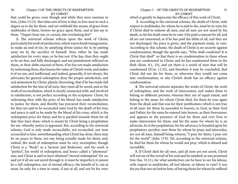that could be given; even though and while they were enemies to him, (John 15:13). But what sort of love is that, to love men to such a degree as to die for them, and yet withhold the means of grace from multitudes of them, bestow no grace upon them, and at last say to them, "Depart from me, ye cursed, into everlasting fire!"

**2.** The universal scheme reflects upon the work of Christ; particularly his work of satisfaction, which was to finish transgression, to make an end of sin, by satisfying divine justice for it; by putting away sin by the sacrifice of himself. Now, either he has made satisfaction for every man, or he has not: if he has, then they ought to be set free, and fully discharged, and not punishment inflicted on them, or their debts exacted of them: if he has not made satisfaction by redeeming them, this lessens the value of Christ's work, and makes it of no use, and ineffectual; and indeed, generally, if not always, the advocates for general redemption deny the proper satisfaction, and real atonement by Christ; plainly discerning, that if he has made full satisfaction for the sins of all men, they must all be saved; and so the work of reconciliation, which is closely connected with, and involved in satisfaction, is not perfect according to the scriptures: Christ, by redeeming then with the price of his blood, has made satisfaction to justice for them, and thereby has procured their reconciliation; for they are said to be reconciled unto God by the death of his Son; and peace is said to be made by the blood of his cross, which is the redemption price for them; and he is pacified towards them for all that they have done; which is meant by Christ being a propitiation for sin, whereby justice is appeased. But, according to the universal scheme, God is only made reconcilable, not reconciled, nor men reconciled to him: notwithstanding what Christ has done, there may be no peace to them, not any being actually made for them; and, indeed, the work of redemption must be very incomplete; though Christ is a "Rock", as a Saviour and Redeemer, and his work is "perfect", his world of redemption; and hence called a "plenteous" one; and Christ is said to have obtained "eternal redemption" for us; and yet if all are not saved through it, it must be imperfect; it cannot be a full redemption, nor of eternal efficacy; the benefit of it, can at most, be only for a time to some, if any at all, and not be for ever;

#### Chapter 3 OF THE OBJECTS OF REDEMPTION 31 BY CHRIST

which is greatly to depreciate the efficacy of this work of Christ.

**3.** According to the universal scheme, the death of Christ, with respect to multitudes, for whom he is said to die, must be in vain; for if Christ died to redeem all men, and all men are not saved by his death, so far his death must be in vain: if he paid a ransom for all, and all are not ransomed; or if he has paid the debts of all, and they are not discharged, the price is given, and the payment made, in vain. According to this scheme, the death of Christ is no security against condemnation; though the apostle says, "Who shall condemn? It is Christ that died!" so that there is no condemnation to them whose sins are condemned in Christ; and he has condemned them in the flesh (Rom. 8:1, 33), and yet there is a world of men that will be condemned (ICor. 11:32), and therefore it may be concluded, that Christ did not die for them, or otherwise they would not come into condemnation; or else Christ's death has no efficacy against condemnation.

**4.** The universal scheme separates the works of Christ, the work of redemption, and the work of intercession; and makes them to belong to different persons; whereas they are of equal extent, and belong to the same; for whom Christ died, for them he rose again from the dead; and that was for their justification; which is not true of all men: for those he ascended to heaven, to God, as their God and Father, for the same he entered into heaven, as their forerunner, and appears in the presence of God for them and ever lives to make intercession for them; and for the same for whom he is an advocate, he is the propitiation; for his advocacy is founded upon his propitiatory sacrifice: now those for whom he prays and intercedes, are not all men, himself being witness; "I pray for them; I pray not for the world" (John 17:9). Yet, according to the universal scheme, he died for them for whom he would not pray; which is absurd and incredible.

**5.** If Christ died for all men, and all men are not saved, Christ will not see of the travail of his soul and be satisfied; as was promised him (Isa. 53:11), for what satisfaction can he have to see his labour, with respect to multitudes, all lost labour, or labour in vain? it was the joy that was set before him, of having those for whom he suffered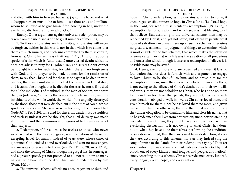#### 32 Chapter 3 OF THE OBJECTS OF REDEMPTION BY CHRIST

and died, with him in heaven: but what joy can he have, and what a disappointment must it be to him, to see thousands and millions whom he so loved as to give himself for, howling in hell, under the everlasting displeasure and wrath of God?

*Thirdly,* Other arguments against universal redemption, may be taken from the uselessness of it to great numbers of men. As,

**1.** To those whose sins are irremissible; whose sins will never be forgiven, neither in this world, nor in that which is to come: that there are such sinners, and such sins committed by them, is certain, from what Christ himself says (Matthew 12:31, 32), and the apostle speaks of a sin which is "unto death", unto eternal death; which he does not advise to pray for (1 John 5:16), and surely Christ cannot be thought to die for such sins, for which there is no forgiveness with God, and no prayer to be made by men for the remission of them; to say that Christ died for those, is to say that he died in vain: besides, there were multitudes in hell at the time when Christ died; and it cannot be thought that he died for those, as he must, if he died for all the individuals of mankind; as the men of Sodom, who were then, as Jude says, "suffering the vengeance of eternal fire"; and the inhabitants of the whole world, the world of the ungodly, destroyed by the flood; those that were disobedient in the times of Noah; whose spirits, as the apostle Peter says, were, in his time, in the prison of hell (Jude 5:7; 1 Pet. 3:20), if he died for these, his death must be fruitless and useless; unless it can be thought, that a jail delivery was made at his death, and the dominions and regions of hell were cleared of their subjects.

**2.** Redemption, if for all, must be useless to those who never were favored with the means of grace; as all the nations of the world, excepting Israel, for many hundred of years were; whose times of ignorance God winked at and overlooked, and sent no messengers, nor messages of grace unto them; (see Ps. 147:19, 20; Acts 17:30), and since the coming of Christ, though the gospel has, in some ages, had a greater spread, yet not preached to all; nor is it now, to many nations, who have never heard of Christ, and of redemption by him (Rom. 10:14).

**3.** The universal scheme affords no encouragement to faith and

#### Chapter 3 OF THE OBJECTS OF REDEMPTION 33 BY CHRIST

hope in Christ: redemption, as it ascertains salvation to some, it encourages sensible sinners to hope in Christ for it; "Let Israel hope in the Lord, for with him is plenteous redemption" (Ps 130:7), a redemption full of salvation; and which secures that blessing to all that believe. But, according to the universal scheme, men may be redeemed by Christ, and yet not saved, but eternally perish: what hope of salvation can a man have upon such a scheme? it requires no great discernment, nor judgment of things, to determine, which is most eligible of the two schemes, that which makes the salvation of some certain; or that which leaves the salvation of all precarious and uncertain; which, though it asserts a redemption of all; yet it is possible none may be saved.

**4.** Hence, even to those who are redeemed and saved, it lays no foundation for, nor does it furnish with any argument to engage to love Christ, to be thankful to him, and to praise him for the redemption of them; since the difference between them and others, is not owing to the efficacy of Christ's death, but to their own wills and works; they are not beholden to Christ, who has done no more for them than for those that perish; they are not, from any such consideration, obliged to walk in love, as Christ has loved them, and given himself for them; since he has loved them no more, and given himself for them no otherwise, than for them that are lost; nor are they under obligation to be thankful to him, and bless his name, that he has redeemed their lives from destruction; since, notwithstanding his redemption of them, they might have been destroyed with an everlasting destruction; it is not owing to what Christ has done, but to what they have done themselves, performing the conditions of salvation required, that they are saved from destruction, if ever they are, according to this scheme: nor can they indeed sing the song of praise to the Lamb, for their redemption; saying, "Thou art worthy~for thou wast slain, and hast redeemed us to God by that blood, out of every kindred, and tongue, and people, and nation!" since, according to this scheme, Christ has redeemed every kindred, every tongue, every people, and every nation.

#### **Chapter 4**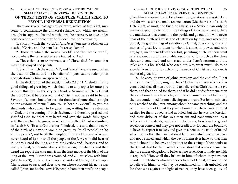### <span id="page-17-0"></span>34 Chapter 4 OF THOSE TEXTS OF SCRIPTURE WHICH SEEM TO FAVOUR UNIVERSAL REDEMPTION **OF THOSE TEXTS OF SCRIPTURE WHICH SEEM TO FAVOUR UNIVERSAL REDEMPTION**

There are several passages of scripture, which, at first sight, may seem to countenance the universal scheme; and which are usually brought in support of it; and which it will be necessary to take under consideration: and these may be divided into "three" classes,

**1.** Such in which the words"all",and"every"one,are used,when the death of Christ, and the benefits of it are spoken of.

**2.** Those in which the words "world", and the "whole world", occur, where the same subjects are treated of. And,

**3.** Those that seem to intimate, as if Christ died for some that may be destroyed and perish.

**1.** Such in which the words "all", and "every" one, are used; when the death of Christ, and the benefits of it, particularly redemption and salvation by him, are spoken of. As,

**l.** The declaration of the angel, in Luke 2:10, 11. "Behold, I bring good tidings of great joy, which shall be to all people; for unto you is born this day, in the city of David, a Saviour, which is Christ the Lord". Let it be observed, that Christ is not here said to be the Saviour of all men; but to be born for the sake of some, that he might be the Saviour of them; "Unto You is born a Saviour"; to you the shepherds, who appear to be good men, waiting for the salvation of God, and the coming of their Saviour, and therefore praised and glorified God for what they heard and saw; the words fully agree with the prophetic language, in which the birth of Christ is signified, in Isaiah 9:6. "To us a Child is born": indeed, it is said, that the news of the birth of a Saviour, would be great joy "to all people", or "to all the people"; not to all the people of the world, many of whom never heard of it; nor to all the people of the Jews, who did hear of it; not to Herod the king, and to the Scribes and Pharisees, and to many, at least, of the inhabitants of Jerusalem; for when he and they heard the report the wise men from the East made, of the birth of the king of the Jews, "Herod was troubled, and all Jerusalem with him" (Matthew 2:3), but to all the people of God and Christ; to the people Christ came to save, and does save; on whose account his name was called "Jesus, for he shall save HIS people from their sins"; the people

### Chapter 4 OF THOSE TEXTS OF SCRIPTURE WHICH 35 SEEM TO FAVOUR UNIVERSAL REDEMPTION

given him in covenant, and for whose transgressions he was stricken, and for whose sins he made reconciliation (Matthew 1:21; Isa. 53:8; Heb. 2:17), at most, the birth of Christ, as a Saviour, can only be matter of great joy to whom the tidings of it come; whereas, there are multitudes that come into the world, and go out of it, who never hear of the birth of Christ, and of salvation by him; and where the gospel, the good tidings of salvation by Christ, does come, it is only matter of great joy to them to whom it comes in power, and who are, by it, made sensible of their lost, perishing estate, of their want of a Saviour, and of the suitableness of salvation; such as the three thousand convinced and converted under Peter's sermon; and the jailer and his household, who cried out, sirs, what must I do to be saved? To such, and to such only, the news of Christ as a Saviour, is matter of great joy.

**2.** The account given of John's ministry, and the end of it; "That all men, through him, might believe" (John 1:7), from whence it is concluded, that all men are bound to believe that Christ came to save them, and that he died for them; and if he did not die for them, then they are bound to believe a lie; and if condemned for not believing, they are condemned for not believing an untruth. But John's ministry only reached to the Jews, among whom he came preaching; and the report he made of Christ they were bound to believe, was, not that he died for them; as yet he had not died; but that he was the Messiah: and their disbelief of this was their sin and condemnation: as it is the sin of the deists, and of all unbelievers, to whom the gospel revelation comes; and they give not credit to it; for such are bound to believe the report it makes, and give an assent to the truth of it; and which is no other than an historical faith, and which men may have and not be saved; and which the devils themselves have: so that men may be bound to believe, and yet not to the saving of their souls; or that Christ died for them. As is the revelation that is made to men, so they are under obligation to believe; if no revelation is made, no faith is required; "How shall they believe in him, of whom they have not heard?" The Indians who have never heard of Christ, are not bound to believe in him; nor will they be condemned for their unbelief; but for their sins against the light of nature, they have been guilty of;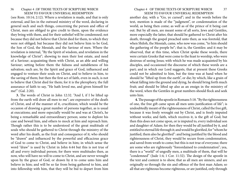(see Rom. 10:14; 2:12). Where a revelation is made, and that is only external, and lies in the outward ministry of the word, declaring in general such and such things, concerning the person and office of Christ, men are obliged to give credit to them, upon the evidence they bring with them, and for their unbelief will be condemned; not because they did not believe that Christ died for them, to which they were not obliged; but because they did not believe him to be God, the Son of God, the Messiah, and the Saviour of men. Where the revelation is internal, "By the Spirit of wisdom, and revelation in the knowledge of Christ"; showing to men their lost estate, and need of a Saviour; acquainting them with Christ, as an able and willing Saviour; setting before them the fulness and suitableness of his salvation; such are, by the Spirit and grace of God, influenced and engaged to venture their souls on Christ, and to believe in him, to the saving of them; but then the first act of faith, even in such, is not to believe that Christ died for them; for it is the plerophory, the full assurance of faith to say, "He hath loved me, and given himself for me!" (Gal. 2:20).

**3.** The words of Christ in John 12:32. "And I, if I be lifted up from the earth will draw all men to me"; are expressive of the death of Christ, and of the manner of it, crucifixion; which would be the occasion of drawing a great number of persons together, as is usual at executions; and more especially would be and was at Christ's, he being a remarkable and extraordinary person; some to deplore his case and bewail him, and others to mock at him and reproach him. Though rather this is to be understood of the great multitude of souls who should be gathered to Christ through the ministry of the word after his death, as the fruit and consequence of it; who should be "drawn" and influenced by the powerful and efficacious grace of God to come to Christ, and believe in him; in which sense the word "draw" is used by Christ in John 6:44 but this is not true of all and every individual person; for there were multitudes then, as now, who will have no will to come to Christ, and are never wrought upon by the grace of God, or drawn by it to come unto him and believe in him; and will be so far from being gathered to him, and into fellowship with him, that they will be bid to depart from him

#### Chapter 4 OF THOSE TEXTS OF SCRIPTURE WHICH 37 SEEM TO FAVOUR UNIVERSAL REDEMPTION

another day, with a "Go, ye cursed"; and in the words before the text, mention is made of the "judgment", or condemnation of the world, as being then come; as well as of the prince of it being cast out. But by all men, are meant some of all sorts, Jews and Gentiles, more especially the latter, that should be gathered to Christ after his death, through the gospel preached unto then; as was foretold, that when Shiloh, the Messiah, came, who now was come, "to him should the gathering of the people be"; that is, the Gentiles: and it may be observed, that at this time, when Christ spoke these words, there were certain Greeks that were come to the feast to worship, who were desirous of seeing Jesus; with which he was made acquainted by his disciples, and occasioned the discourse of which these words are a part; and in which our Lord suggests, that at present these Greeks could not be admitted to him, but the time was at hand when he should be "lifted up from the earth", or die; by which, like a grain of wheat falling into the ground and dying, he should bring forth much fruit; and should be lifted up also as an ensign in the ministry of the word, when the Gentiles in great numbers should flock and seek unto him.

**4.** The passage of the apostle in Romans 5:18. "By the righteousness of one, the free gift came upon all men unto justification of life"; is undoubtedly meant of the righteousness of Christ, called the free gift, because it was freely wrought out by Christ, and is freely imputed without works; and faith, which receives it, is the gift of God; but then this does not come upon, or is imputed to, every individual son and daughter of Adam; for then they would be all justified by it, and entitled to eternal life through it; and would be glorified, for "whom he justified, them also he glorified": and being justified by the blood and righteousness of Christ, they would be secure from condemnation, and saved from wrath to come; but this is not true of everyone; there are some who are righteously "foreordained to condemnation"; yea, there is a "world" of ungodly men, a multitude of them, that will he "condemned" (Jude 1:4; 1 Cor. 11:32). The design of the apostle in the text and context is to show, that as all men are sinners, and are originally so through the sin and offence of the first man Adam; so all that are righteous become righteous, or are justified, only through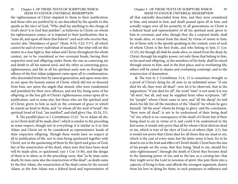the righteousness of Christ imputed to them to their justification; and those who are justified by it, are described by the apostle in this epistle as the elect of God; "Who shall lay anything to the charge of God's elect? it is God that justifies"; as believers in Christ, on whom his righteousness comes, or is imputed to their justification; that is, "unto all, and upon all them that believe"; and such who receive that, receive also "abundance of grace" (Rom. 8:33; 3:22; 5:17), all which cannot be said of every individual of mankind. But what will set this matter in a clear light is, that Adam and Christ, throughout the whole context, are to be considered as two covenant heads, having their respective seed and offspring under them; the one as conveying sin and death to all his natural seed, and the other as conveying grace, righteousness, and life to all his spiritual seed; now as through the offence of the first Adam judgment came upon all to condemnation, who descended from him by natural generation, and upon none else; as not upon the human nature of Christ, which did not so descend from him; nor upon the angels that sinned, who were condemned and punished for their own offences, and not his, being none of his offspring; so the free gift of Christ's righteousness comes upon all to justification, and to none else, but those who are the spiritual seed of Christ; given to him as such in the covenant of grace in which he stands an head to them; and "in whom all the seed of Israel", the spiritual Israel of God, "are justified", and shall glory (Isa. 45:24, 25).

**5.** The parallel place in 1 Corinthians 15:22. "As in Adam all die, so in Christ shall all be made alive"; which is similar to the preceding in some respect, though not in everything; it is similar to it in that Adam and Christ are to be considered as representative heads of their respective offspring. Though these words have no respect at all to justification of life, nor to men being quickened together with Christ, nor to the quickening of them by the Spirit and grace of God; but of the resurrection of the dead, when men that have been dead will be made alive, or quickened; (see 1 Cor 15:36), and the design of them is to show, as in the preceding verse, that "as by man came death, by man came also the resurrection of the dead"; as death came by the first Adam, the resurrection of the dead comes by the second Adam; as the first Adam was a federal head and representative of

#### Chapter 4 OF THOSE TEXTS OF SCRIPTURE WHICH 39 SEEM TO FAVOUR UNIVERSAL REDEMPTION

all that naturally descended from him, and they were considered in him, and sinned in him, and death passed upon all in him, and actually reigns over all his posterity in all generations; so Christ is a federal head and representative of all his spiritual seed, given to him in covenant, and who, though they die a corporal death, shall be made alive, or raised from the dead, by virtue of union to him; for of those only is the apostle speaking in the context, even of such of whom Christ is the first fruits, and who belong to him (1 Cor. 15:23), for though all shah be made alive, or raised from the dead, by Christ, through his mighty power; yet only those that belong to him, as his seed and offspring, or the members of his body, shall be raised through union to him, and in the first place, and to everlasting life; others will be raised to shame and everlasting contempt, and to the resurrection of damnation.

**6.** The text in 2 Corinthians 5:14, 15 is sometimes brought as a proof of Christ's dying for all men in an unlimited sense; "if one died for all, then were all dead": now let it be observed, that in the supposition "if one died for all", the word "men" is not used; it is not "all men", but all, and may be supplied from other scriptures, "all" his "people", whom Christ came to save; and "all the sheep", he laid down his life for; all the members of the "church" for whom he gave himself; "all the sons" whom he brings to glory: and the conclusion, "then were all dead", is not to be understood of their being dead "in" sin, which is no consequence of the death of Christ; but of their being dead to sin in virtue of it; and could it be understood in the first sense, it would only prove that all for whom Christ died are dead in sin, which is true of the elect of God as of others (Eph. 2:1), but it would not prove that Christ died for all those that are dead in sin, which is the case of every man; but the latter sense is best, for to be dead to sin is the fruit and effect of Christ's death; Christ bore the sins of his people on the cross, that they being "dead to sin, should live unto righteousness"; through the death of Christ they become dead to the damning power of sin; and to the law, as a cursing law; that they might serve the Lord in newness of spirit: this puts them into a capacity of living to him, and affords the strongest argument, drawn from his love in dying for them, to such purposes; to influence and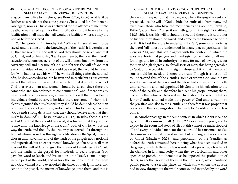engage them to live to his glory; (see Rom. 6:2, 6; 7:4, 6). And let it be further observed; that the same persons Christ died for, for them he rose again; now as Christ was delivered for the offences of men unto death, he was raised again for their justification; and if he rose for the justification of all men, then all would be justified; whereas they are not, as before observed.

**7.** The words in 1 Timothy 2:4. "Who will have all men to be saved, and to come unto the knowledge of the truth". It is certain that all that are saved, it is the will of God they should be saved, and that by Christ, and by him only; "I will save them by the Lord their God"; salvation of whomsoever, is not of the will of men, but flows from the sovereign will and pleasure of God; and if it was the will of God that every individual of mankind should be saved, they would be saved; for "who hath resisted his will?" he works all things after the counsel of it; he does according to it in heaven and in earth; but as it is certain in fact that all are not saved, it is as certain that it is not the will of God that every man and woman should be saved; since there are some who are "foreordained to condemnation"; and if there are any he appoints to condemnation, it cannot be his will that the selfsame individuals should be saved; besides, there are some of whom it is clearly signified that it is his will they should be damned; as the man of sin and the son of perdition, Antichrist and his followers; to whom "God sends strong delusions, that they should believe a lie, that they might be damned" (2 Thessalonians 2:11, 12). Besides, those it is the will of God that they should be saved, it is his will that they should "come unto the knowledge of the truth"; both of Christ, who is the way, the truth, and the life, the true way to eternal life; through the faith of whom, as well as through sanctification of the Spirit, men are chosen unto salvation; and of the truth of the gospel; not a notional and superficial, but an experimental knowledge of it; now to all men it is not the will of God to give the means of knowledge, of Christ, and the truths of the gospel: for hundreds of years together God gave his word to Jacob, and his statutes unto Israel, a small people in one part of the world; and as for other nations, they knew them not; God winked at and overlooked the times of their ignorance, and sent not the gospel, the means of knowledge, unto them; and this is

#### Chapter 4 OF THOSE TEXTS OF SCRIPTURE WHICH 41 SEEM TO FAVOUR UNIVERSAL REDEMPTION

the case of many nations at this day; yea, where the gospel is sent and preached, it is the will of God to hide the truths of it from many, and even from those who have the most penetrating abilities; "even so, Father", says Christ, "for so it seemeth good in thy sight" (Matthew 11:25, 26), it was his will it should be so, and therefore it could not be his will they should be saved, and come to the knowledge of the truth. It is best therefore to understand by "all", some of all sorts, as the word "all" must be understood in many places, particularly in Genesis 7:14, and this sense agrees with the context, in which the apostle exhorts that prayers and thanksgivings be made for all men, for kings, and for all in authority; not only for men of low degree, but for men of high degree also; for all sorts of men; this being agreeable to God, and acceptable in his sight; whose will it is that men of all sons should be saved, and know the truth. Though it is best of all to understand this of the Gentiles, some of whom God would have saved as well as of the Jews; and therefore had chosen some of both unto salvation; and had appointed his Son to be his salvation to the ends of the earth; and therefore had sent his gospel among them, declaring that whoever believed in Christ should be saved, whether Jew or Gentile; and had made it the power of God unto salvation to the Jew first, and also to the Gentile; and therefore it was proper that prayers and thanksgivings should be made for Gentiles in every class of life.

**8.** Another passage in the same context, in which Christ is said to "give himself a ransom for all" (1 Tim. 2:6), or a ransom price, avxiA/ uxpov, in the room and stead of all; but this cannot be understood of all and every individual man; for then all would be ransomed, or else the ransom price must be paid in vain; but of many, as it is expressed by Christ (Matthew 20:28), and particularly of the Gentiles, as before; the truth contained herein being what has been testified in the gospel, of which the apostle was ordained a preacher, a teacher of the Gentiles in faith and verity, when the Jews forbid him and other apostles to preach unto them; but as he opposed this prohibition of theirs, so another notion of theirs in the next verse, which confined public prayer to a certain place; all which show whom the apostle had in view throughout the whole context, and intended by the word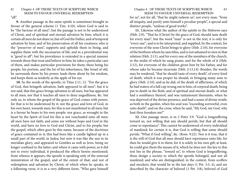**9.** Another passage in the same epistle is sometimes brought in favour of the general scheme (1 Tim. 4:10), where God is said to be "the Saviour of all men"; but the passage is not to be understood of Christ, and of spiritual and eternal salvation by him; which it is certain all men do not share in; but of God the Father, and of temporal salvation by him; and of his preservation of all his creatures; who is the "preserver of men", supports and upholds them in being, and supplies them with the necessaries of life; and in a providential way is "good to all"; but his providence is extended in a special manner towards those that trust and believe in him; he takes a particular care of them, and makes particular provisions for them; these being his people, his portion, and the lot of his inheritance, like Israel of old, he surrounds them by his power, leads them about by his wisdom, and keeps them as tenderly as the apple of his eye.

**10.** So the words of the apostle, in Titus 2:11, 12. "For the grace of God, that bringeth salvation, hath appeared to all men": but it is not said, that this grace brings salvation to all men, but has appeared to all men; nor that it teaches all men to deny ungodliness, &c. but only us, to whom the gospel of the grace of God comes with power; for that is to be understood by it; not the grace and love of God, in his own heart, towards men; for this is not manifested to all men; but is a favour he bears to his own people: nor grace, as wrought in the heart by the Spirit of God for this is not vouchsafed unto all men; all men have not faith; and some are without hope and God in the world, and have no love to God and Christ, and to his people; but the gospel, which often goes by this name, because of the doctrines of grace contained in it; this had been like a candle lighted up in a small part of the world, in Judea; but now it was like the sun in its meridian glory, and appeared to Gentiles as well as Jews, being no longer confined to the latter; and where it came with power, as it did not to every individual, it produced the effects herein mentioned; from whence it appears, the apostle is speaking only of the external ministration of the gospel, and of the extent of that; and not of redemption and salvation by Christ; of which when he speaks, in a following verse, it is in a very different form; "Who gave himself

#### Chapter 4 OF THOSE TEXTS OF SCRIPTURE WHICH 43 SEEM TO FAVOUR UNIVERSAL REDEMPTION

for us", not for all, "that he might redeem us", not every man, "from all iniquity, and purify unto himself a peculiar people", a special and distinct people, "zealous of good works".

**11.** Likewise what the author of the epistle to the Hebrews says (Heb. 2:9), "That he (Christ) by the grace of God, should taste death for every man"; but the word "man" is not in the text; it is only for "every one"; and is to be interpreted, and supplied, by the context, for everyone of the sons Christ brings to glory (Heb. 2:10), for everyone of the brethren whom he sanctifies, and is not ashamed to own in that relation (Heb. 2:11), and for every one of the members of the church, in the midst of which he sung praise, and for the whole of it (Heb. 2:12), for everyone of the children given him by his Father, and for whose sake he became incarnate (Heb. 2:13,14). Besides, the words may be rendered, "that he should taste of every death", of every kind of death, which it was proper he should, in bringing many sons to glory (Heb. 2:10), and as he did; of the death of afflictions, of which he had waters of a full cup wrung out to him; of corporal death, being put to death in the flesh; and of spiritual and eternal death, or what had a semblance thereof, and was tantamount thereunto, when he was deprived of the divine presence, and had a sense of divine wrath; as both in the garden, when his soul was "exceeding sorrowful, even unto death"; and on the cross, when he said, "My God, my God, why hast thou forsaken me!"

**12**. One passage more, is in 2 Peter 3:9. "God is longsuffering toward us, not willing that any should perish; but that all should come to repentance". This cannot be understood of every individual of mankind; for certain it is, that God is willing that some should perish; "What if God willing", &c. (Rom. 9:22). Nor is it true, that it is the will of God that all men should have repentance unto life; for then he would give it to them; for it is solely in his own gift; at least, he could give them the means of it, which he does not: the key to this text lies in the phrase, "toward us", to whom God is longsuffering; these design a society to which the apostle belonged, and not all mankind; and who are distinguished, in the context, from scoffers and mockers, that would be in the last days (1 Pet. 3:3, 4), and are described by the character of beloved (1 Pet. 3:8), beloved of God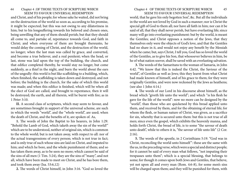and Christ, and of his people; for whose sake he waited, did not bring on the destruction of the world so soon as, according to his promise, it might be expected; but this was not owing to any dilatoriness in him; but to his longsuffering towards his beloved and chosen ones, being unwilling that any of them should perish; but that they should all come to, and partake of, repentance towards God, and faith in Christ; and when everyone of them are brought thereunto, he would delay the coming of Christ, and the destruction of the world, no longer; when the last man was called by grace, and converted, and become a true believer, and a real penitent; when the head, or last, stone was laid upon the top of the building, the church, and that edifice completed thereby, he would stay no longer, but come suddenly, as a thief in the night, and burn the world about the ears of the ungodly: this world is but like scaffolding to a building, which, when finished, the scaffolding is taken down and destroyed, and not before; the building is the church, for the sake of which this world was made; and when this edifice is finished, which will be when all the elect of God are called, and brought to repentance, then it will be destroyed; the earth, and all therein, will be burnt with fire; as in 1 Peter 3:10.

**II.** A second class of scriptures, which may seem to favour, and are sometimes brought in support of the universal scheme, are such in which the words "world", and the "whole world", are used; when the death of Christ, and the benefits of it, are spoken of. As,

**1.** The words of John the Baptist to his hearers, in John 1:29. "Behold the Lamb of God, which taketh away the sin of the world!" which are to be understood, neither of original sin, which is common to the whole world; but is not taken away, with respect to all: nor of the actual transgressions of every person; which is not true in fact; and is only true of such whose sins are laid on Christ, and imputed to him; and which he bore, and the whole punishment of them; and so has taken them away, as to be seen no more; which cannot be said of the sins of all men (1 Tim. 5:24), they are the sins of "many", and not all, which have been made to meet on Christ, and he has bore them, and took them away (Isa. 53:6,12)

**2.** The words of Christ himself, in John 3:16. "God so loved the

#### Chapter 4 OF THOSE TEXTS OF SCRIPTURE WHICH 45 SEEM TO FAVOUR UNIVERSAL REDEMPTION

world, that he gave his only begotten Son", &c. But all the individuals in the world are not loved by God in such a manner; nor is Christ the special gift of God to them all; nor have all faith in him; nor can it be said of all, that they shall never perish, but have everlasting life; since many will go into everlasting punishment: but by the world, is meant the Gentiles; and Christ opposes a notion of the Jews, that they themselves only were the objects of God's love, and that the Gentiles had no share in it, and would not enjoy any benefit by the Messiah when he came; but, says Christ, I tell you, God has so loved the world of the Gentiles, as to give his Son, that whosoever believes in him, be he of what nation soever, shall be saved with an everlasting salvation.

**3.** The words of the Samaritans to the woman of Samaria, in John 4:42. "We know that this is indeed the Christ, the Saviour of the world", of Gentiles as well as Jews; this they learnt from what Christ had made known of himself, and of his grace to them; for they were originally Gentiles, and were now reckoned by the Jews as heathens; (see also 1 John 4:14.)

**4.** The words of our Lord in his discourse about himself, as the bread which "giveth life unto the world"; and which "is his flesh he gave for the life of the world": now no more can be designed by the "world", than those who are quickened by this bread applied unto them, and received by them, and for the obtaining of eternal life; for whom the flesh, or human nature of Christ, was given, as a sacrifice for sin, whereby that is secured unto them: but this is not true of all men; since even the gospel, which exhibits the heavenly manna, and holds forth Christ, the bread of life, is to some "the savour of death unto death", while to others it is, "the savour of life unto life" (2 Cor. 2:16).

**5.** The words of the apostle, in 2 Corinthians 5:19. "God was in Christ, reconciling the world unto himself ": these are the same with the us, in the preceding verse, which were a special and distinct people; for it cannot be said of every man what follows, "not imputing their trespasses unto them"; which is a special blessing, that belongs to some; for though it comes upon both Jews and Gentiles, that believe, yet not upon all and every man (Rom. 4:6-8), for some men's sins will be charged upon them; and they will be punished for them, with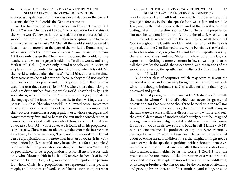46 Chapter 4 OF THOSE TEXTS OF SCRIPTURE WHICH SEEM TO FAVOUR UNIVERSAL REDEMPTION an everlasting destruction; by various circumstances in the context it seems, that by the "world" the Gentiles are meant.

**6.** The famous, and well known text, in this controversy, is 1 John 2:2 where Christ is said to be, "the propitiation for the sins of the whole world". Now let it be observed, that these phrases, "all the world", and "the whole world", are often in scripture to be taken in a limited sense; as in Luke 2:1 "that all the world should be taxed"; it can mean no more than that part of the world the Roman empire, which was under the dominion of Caesar Augustus: and in Romans 1:8 it can only design the Christians throughout the world, not the heathens; and when the gospel is said to be "in all the world, and bring forth fruit" (Col. 1:6), it can only intend true believers in Christ, in all places, in whom only it brings forth fruit; and when it is said, "all the world wondered after the beast" (Rev. 13:3), at that same time, there were saints he made war with, because they would not worship him: and so in other places; and in this epistle of John, the phrase is used in a restrained sense (1 John 5:19), where those that belong to God, are distinguished from the whole world, described by lying in wickedness, which they do not. And as John was a Jew, he spake in the language of the Jews, who frequently, in their writings, use the phrase 31V \$has "the whole world", in a limited sense: sometimes it only signifies a large number of people; sometimes a majority of their doctors; sometimes a congregation; or a whole synagogue; and sometimes very few: and so here in the text under consideration, it cannot be understood of all men; only of those for whom Christ is an advocate (1 John 5:1), whose advocacy is founded on his propitiatory sacrifice; now Christ is not an advocate, or does not make intercession for all men; for he himself says, "I pray not for the world": and Christ can be a propitiation for no more than he is an advocate; if he was a propitiation for all, he would surely be an advocate for all; and plead on their behalf his propitiatory sacrifice; but Christ was "set forth", or preordained, to be "a propitiation", not for all men; but for such only, who, "through faith in his blood", receive the benefit of it, and rejoice in it (Rom. 3:25; 5:11), moreover, in this epistle, the persons for whom Christ is a propitiation, are represented as a peculiar people, and the objects of God's special love (1 John 4:10), but what

### Chapter 4 OF THOSE TEXTS OF SCRIPTURE WHICH 47 SEEM TO FAVOUR UNIVERSAL REDEMPTION

may be observed, and will lead more clearly into the sense of the passage before us, is, that the apostle John was a Jew, and wrote to Jews; and in the text speaks of them, and of the Gentiles, as to be distinguished; and therefore says of Christ, "he is" the propitiation "for our sins; and not for ours only", for the sins of us Jews only; "but for the sins of the whole world"; of the Gentiles also, of all the elect of God throughout the Gentile world: in which a notion of the Jews is opposed, that the Gentiles would receive no benefit by the Messiah, as has been observed, on John 3:16 and here the apostle takes up the sentiment of his Lord and Master, in whose bosom he lay, and expresses it. Nothing is more common in Jewish writings, than to call the Gentiles the world, the whole world, and the nations of the world; as they are by the apostle Paul, in distinction from the Jews

(Rom. 11:12,15)

3. Another class of scriptures, which may seem to favour the universal scheme, and are usually brought in support of it, are such which it is thought, intimate that Christ died for some that may be destroyed and perish.

**1.** The first passage is in Romans 14:15. "Destroy not him with thy meat for whom Christ died": which can never design eternal destruction; for that cannot be thought to be neither in the will nor power of men; could it be supposed, that it was in the will of any, or that any were of such a malicious disposition, as to wish for, and seek the eternal damnation of another; which surely cannot be imagined among men professing religion; yet it could never be in their power; for none but God can destroy soul and body in hell (Matthew 10:28), nor can one instance be produced, of any that were eventually destroyed for whom Christ died; nor can such destruction be brought about by eating meat, of indifferent use, that might, or might not be eaten, of which the apostle is speaking, neither through themselves nor others eating it: for that can never affect the eternal state of men, which makes a man neither better nor worse (1 Cor. 8:8). But the passage is to be understood of the destruction of a weak brother's peace and comfort, through the imprudent use of things indifferent, by a stronger brother; who thereby may be the occasion of offending and grieving his brother, and of his stumbling and falling, so as to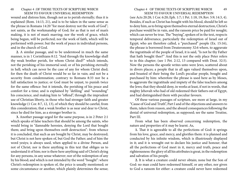wound and distress him, though not as to perish eternally; thus it is explained (Rom. 14:13, 21), and is to be taken in the same sense as the phrase in Romans 14:20 "for meat destroy not the work of God"; not saints, as the workmanship of God; for as that is not of man's making, it is not of man's marring; nor the work of grace, which being begun, will be perfected; nor the work of faith, which will be performed with power; but the work of peace in individual persons, and in the church of God.

**2.** A similar passage, and to be understood in much the same manner, is in 1 Corinthians 8:12. "And through thy knowledge shall thy weak brother perish, for whom Christ died?" which intends, not the perishing of his immortal soul; or of his perishing eternally in hell; which can never be the case of any for whom Christ died; for then the death of Christ would be so far in vain; and not be a security from condemnation; contrary to Romans 8:33 nor be a full satisfaction to justice; or God must be unjust, to punish twice for the same offence: but it intends, the perishing of his peace and comfort for a time; and is explained by "defiling" and "wounding" his conscience, and making him to "offend", through the imprudent use of Christian liberty, in those who had stronger faith and greater knowledge (1 Cor. 8:7, 12, 13), of which they should be careful, from this consideration; that a weak brother is as near and dear to Christ, since he died for him, as a stronger brother is.

**3.** Another passage urged for the same purpose, is in 2 Peter 2:1 which speaks of false teachers that should be among the saints, who would bring in "damnable heresies, denying the Lord that bought them; and bring upon themselves swift destruction": from whence it is concluded, that such as are bought by Christ, may be destroyed; but Christ is not here spoken of, but God the Father; and of him the word yesiys; is always used, when applied to a divine Person, and not of Christ; nor is there anything in this text that obliges us to understand it of him; nor is there here anything said of Christ's dying for any persons, in any sense whatever; nor of the redemption of any by his blood; and which is not intended by the word "bought": where Christ's redemption is spoken of, the price is usually mentioned; or some circumstance or another, which plainly determines the sense;

### Chapter 4 OF THOSE TEXTS OF SCRIPTURE WHICH 49 SEEM TO FAVOUR UNIVERSAL REDEMPTION

(see Acts 20:28; 1 Cor. 6:20; Eph. 1:7; 1 Pet. 1:18, 19; Rev. 5:9; 14:3, 4). Besides, if such as Christ has bought with his blood, should be left so to deny him, as to bring upon themselves eternal destruction, Christ's purchase would be in vain, and the ransom price be paid for nought; which can never be true. The "buying", spoken of in the text, respects temporal deliverance, particularly the redemption of Israel out of Egypt; who are therefore called, a "purchased" people (Ex. 15:16), the phrase is borrowed from Deuteronomy 32:6 where, to aggravate the ingratitude of the people of Israel, it is said, "Is not he thy Father that hath bought thee?" And this is not the only place Peter refers to in this chapter; (see 1 Pet. 2:12, 13 compared with Deut. 32:5). Now the persons the apostle writes unto were Jews, scattered about in divers places; a people that in all ages valued themselves upon, and boasted of their being the Lord's peculiar people, bought and purchased by him: wherefore the phrase is used here as by Moses, to aggravate the ingratitude and impiety of the false teachers among the Jews; that they should deny, in works at least, if not in words, that mighty Jehovah who had of old redeemed their fathers out of Egypt, and had distinguished them with peculiar favours.

Of these various passages of scripture, see more at large, in my "Cause of God and Truth", Part I and of the objections and answers to them, taken from reason, and the absurd consequences following the denial of universal redemption, as supposed; see the same Treatise, Part III.

From what has been observed concerning redemption, the nature and properties of it may be learnt. As,

**1.** That it is agreeable to all the perfections of God: it springs from his love, grace, and mercy, and glorifies them: it is planned and conducted by his infinite wisdom, which is illustriously displayed in it; and it is wrought out to declare his justice and honour; that all the perfections of God meet in it, mercy and truth, peace and righteousness: the glory of all his attributes is great, in the redemption and salvation of his people.

**2.** It is what a creature could never obtain; none but the Son of God: no man could have redeemed himself, or any other, nor given to God a ransom for either: a creature could never have redeemed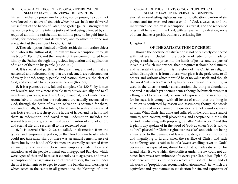<span id="page-25-0"></span>himself, neither by power nor by price; not by power, he could not have loosed the fetters of sin, with which he was held; nor delivered himself out of the hands of Satan, the gaoler [jailer], stronger than he: nor by price; for the infinite justice of God being offended by sin, required an infinite satisfaction, an infinite price to be paid into its hands, for redemption and deliverance; and to which no price was adequate, but the precious blood of Christ.

**3.** The redemption obtained by Christ resides in him, as the subject of it, who is the author of it; "In him we have redemption, through his blood" (Eph. 1:7), and the benefits of it are communicated from him by the Father, through his gracious imputation and application of it, and of them to his people (1 Cor. 1:30).

**4.** It is special and particular; they are many, and not all that are ransomed and redeemed; they that are redeemed, are redeemed out of every kindred, tongue, people, and nation; they are the elect of God, and sheep of Christ; a peculiar people (Rev. 5:9).

**5.** It is a plenteous one, full and complete (Ps. 130:7), by it men are brought, not into a mere salvable state; but are actually, and to all intents and purposes, saved by it; God, through it, is not made merely reconcilable to them; but the redeemed are actually reconciled to God, through the death of his Son. Salvation is obtained for them, not conditionally, but absolutely; Christ came to seek and save what was lost; even the lost sheep of the house of Israel; and he has found them in redemption, and saved them. Redemption includes the several blessings of grace; as justification, pardon of sin, adoption, and eternal life; and secures all to the redeemed ones.

**6.** It is eternal (Heb. 9:12), so called, in distinction from the typical and temporary expiation, by the blood of slain beasts, which could not take away sin; but there was an annual remembrance of them; but by the blood of Christ men are eternally redeemed from all iniquity: and in distinction from temporary redemption and salvation: as of the people of Israel out of Egypt and Babylon; which were types of this; and because it extends, as to ages past, and was a redemption of transgressions and of transgressors, that were under the first testament; so to ages to come; the benefits and blessings of which reach to the saints in all generations: the blessings of it are

eternal; an everlasting righteousness for justification; pardon of sin is once and for ever; and once a child of God, always so, and the inheritance secured by it: redemption is eternal; and the redeemed ones shall be saved in the Lord, with an everlasting salvation; none of them shall ever perish, but have everlasting life.

#### **Chapter 5**

#### **OF THE SATISFACTION OF CHRIST**

Though the doctrine of satisfaction is not only closely connected with, but even included in, the doctrine of redemption, made by paying a satisfactory price into the hands of justice, and is a part of it; yet it is of such importance, that it requires it should be distinctly and separately treated of: it is the glory of the Christian religion, which distinguishes it from others; what gives it the preference to all others, and without which it would be of no value itself: and though the word "satisfaction" is not syllabically expressed in scripture, as used in the doctrine under consideration, the thing is abundantly declared in it; which yet Socinus denies; though he himself owns, that a thing is not to be rejected, because not expressly found in scripture; for he says, it is enough with all lovers of truth, that the thing in question is confirmed by reason and testimony; though the words which are used in explaining the question are not found expressly written. What Christ has done and suffered, in the room and stead of sinners, with content, well pleasedness, and acceptance in the sight of God, is what may, with propriety, be called "satisfaction;" and this is plentifully spoken of in the word of God; as when God is said to be "well pleased for Christ's righteousness sake," and with it, it being answerable to the demands of law and justice; and is an honoring and magnifying of it; and when the sacrifice of Christ, and such his sufferings are, is said to be of a "sweet smelling savor to God;" because it has expiated sin, atoned for it; that is, made satisfaction for it, and taken it away; which the sacrifices under the law could not do; hence here was a remembrance of it every year (Isa. 42:21; Eph 5:2), and there are terms and phrases which are used of Christ, and of his work; as "propitiation, reconciliation, atonement," &c. which are equivalent and synonymous to satisfaction for sin, and expressive of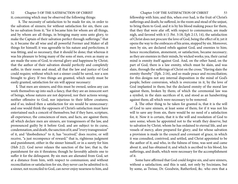52 Chapter 5-OF THE SATISFACTION OF CHRIST Chapter 5-OF THE SATISFACTION OF CHRIST 53 it; concerning which may be observed the following things:

 **1.** The necessity of satisfaction to be made for sin, in order to the salvation of sinners; for without satisfaction for sin, there can be no salvation from it; "for it became him for whom are all things, and by whom are all things, in bringing many sons unto glory, to make the Captain of their salvation perfect through sufferings;" that is, it became the all wise and all powerful Former and Maker of all things for himself; it was agreeable to his nature and perfections; it was fitting, and so necessary, that it should be done; that whereas it was his pleasure to bring many of the sons of men, even as many as are made the sons of God, to eternal glory and happiness by Christ; that the author of their salvation should perfectly and completely suffer, in their room and stead, all that the law and justice of God could require; without which not a sinner could be saved, nor a son brought to glory. If two things are granted, which surely must be easily granted, satisfaction for sin will appear necessary:

**l.** That men are sinners; and this must be owned, unless any can work themselves up into such a fancy, that they are an innocent sort of beings, whose natures are not depraved, nor their actions wrong; neither offensive to God, nor injurious to their fellow creatures; and if so, indeed then a satisfaction for sin would be unnecessary: and one would think the opposers of Christ's satisfaction must have entertained such a conceit of themselves; but if they have, scripture, all experience, the consciences of men, and facts, are against them; all which declare men are sinners, are transgressors of the law, and pronounced guilty by it before God; and are subject to its curse, condemnation, and death, the sanction of it; and "every transgression" of it, and "disobedience" to it, has "received," does receive, or will receive, "a just recompence of reward;" that is, righteous judgment and punishment, either in the sinner himself, or in a surety for him (Heb 2:2). God never relaxes the sanction of the law; that is, the punishment for sin it threatens; though he favorably admits one to suffer it for the delinquent. By sin men are alienated from God, set at a distance from him, with respect to communion; and without reconciliation or satisfaction for sin, they never can be admitted to it; a sinner, not reconciled to God, can never enjoy nearness to him, and

fellowship with him; and this, when ever had, is the fruit of Christ's sufferings and death; he suffered, in the room and stead of the unjust, to bring them to God; and it is by his blood making peace for them, that they that were afar off, with respect to communion, are made nigh, and favored with it (1 Pet. 3:18; Eph 2:13, 14), the satisfaction of Christ does not procure the love of God, being the effect of it; yet it opens the way to the embraces of his arms, stopped by sin. Moreover, men by sin, are declared rebels against God, and enemies to him; hence reconciliation, atonement, or satisfaction, became necessary; as they are enemies in their minds, by wicked works; yea, their carnal mind is enmity itself against God. And, on the other hand, on the part of God, there is a law enmity, which must be slain, and was slain, through the sufferings of Christ on the cross; "Having slain the enmity thereby" (Eph. 2:16), and so made peace and reconciliation; for this designs not any internal disposition in the mind of God's people, before conversion, which is overcome in it, by the love of God implanted in them; but the declared enmity of the moral law against them, broken by them; of which the ceremonial law was a symbol, in the slain sacrifices of it, and stood as an handwriting against them; all which were necessary to be removed.

**2.** The other thing to be taken for granted is, that it is the will of God to save sinners, at least some of them; for if it was not his will to save any from sin, there would be no need of a satisfaction for, it. Now it is certain, that it is the will and resolution of God to save some; whom he appointed not to the wrath they deserve, but to salvation by Christ; whom he has ordained to eternal life, and are vessels of mercy, afore prepared for glory; and for whose salvation a provision is made in the council and covenant of grace, in which it was consulted, contrived, and settled, and Christ appointed to be the author of it; and who, in the fulness of time, was sent and came about it, and has obtained it; and which is ascribed to his blood, his sufferings, and death, which were necessary for the accomplishment of it.

Some have affirmed that God could forgive sin, and save sinners, without a satisfaction; and this is said, not only by Socinians, but by some, as Twisse, Dr. Goodwin, Rutherford, &c. who own that a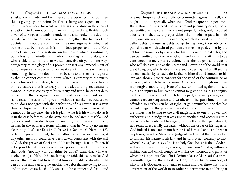satisfaction is made, and the fitness and expedience of it: but then this is giving up the point; for if it is fitting and expedient to be done, it is necessary; for whatever is fitting to be done in the affair of salvation, God cannot but do it, or will it to be done. Besides, such a way of talking, as it tends to undermine and weaken the doctrine of satisfaction; so to encourage and strengthen the hands of the Socinians, the opposers of it; much the same arguments being used by the one as by the other. It is not indeed proper to limit the Holy One of Israel, or lay a restraint on his power, which is unlimited, boundless, and infinite; with whom nothing is impossible, and who is able to do more than we can conceive of; yet it is no ways derogatory to the glory of his power, nor is it any impeachment of it, nor argues any imperfection or weakness in him, to say there are some things he cannot do; for not to be able to do them is his glory; as that he cannot commit iniquity, which is contrary to the purity and holiness of his nature; he cannot do an act of injustice to any of his creatures, that is contrary to his justice and righteousness; he cannot lie, that is contrary to his veracity and truth; he cannot deny himself, for that is against his nature and perfections; and for the same reason he cannot forgive sin without a satisfaction, because so to do, does not agree with the perfections of his nature. It is a vain thing to dispute about the power of God; what he can do, or what he cannot do, in any case where it is plain, what it is his will to do, as it is in the case before us; at the same time he declared himself a God gracious and merciful, forgiving iniquity, transgression, and sin; he has, in the strongest terms, affirmed, that he "will by no means clear the guilty;" (see Ex 34:6, 7; Jer 30:11; Nahum 1:3; Num. 14:18), or let him go unpunished; that is, without a satisfaction. Besides, if any other method could have been taken, consistent with the will of God, the prayer of Christ would have brought it out; "Father, if it be possible, let this cup of suffering death pass from me:" and then adds, "not my will, but thine be done!" what that will was, is obvious; (see Heb. 10:5-10). It may be said, this is to make God weaker than man, and to represent him as not able to do what man can do; one man can forgive another the debts that are owing to him; and in some cases he should, and is to be commended for it; and

one may forgive another an offence committed against himself, and ought to do it; especially when the offender expresses repentance. But it should be observed, that sins are not pecuniary debts, and to be remitted as they are: they are not properly debts, only so called allusively: if they were proper debts, they might be paid in their kind, one sin by committing another, which is absurd; but they are called debts, because as debts oblige to payment, these oblige to punishment; which debt of punishment must be paid, either by the debtor, the sinner, or by a surety for him; sins are criminal debts, and can be remitted no other way. God, therefore, in this affair, is to be considered not merely as a creditor, but as the Judge of all the earth, who will do right; and as the Rector and Governor of the world; that great Lawgiver, who is able to save and to destroy; who will secure his own authority as such, do justice to himself, and honour to his law, and show a proper concern for the good of the community, or universe, of which he is the moral Governor. So though one man may forgive another a private offence, committed against himself, as it is an injury to him, yet he cannot forgive one, as it is an injury to the commonwealth, of which he is a part; a private person, as he cannot execute vengeance and wrath, or inflict punishment on an offender; so neither can he, of right, let go unpunished one that has offended against the peace and good of the commonwealth; these are things that belong to the civil magistrate, to one in power and authority: and a judge that acts under another, and according to a law which he is obliged to regard, can neither inflict punishment, nor remit it, especially the latter, without the order of his superior. God indeed is not trader another; he is of himself, and can do what he pleases; he is the Maker and Judge of the law, but then he is a law to himself; his nature is his law, and he cannot act contrary to that; wherefore, as Joshua says, "he is an holy God; he is a jealous God; he will not forgive your transgressions, nor your sins;" that is, without a satisfaction; and which comports with his own honour and glory; of which he is a jealous God. Sin is "crimen laesae Majestatis;" a crime committed against the majesty of God; it disturbs the universe, of which he is Governor, and tends to shake and overthrow his moral government of the world; to introduce atheism into it, and bring it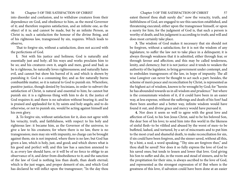into disorder and confusion, and to withdraw creatures from their dependence on God, and obedience to him, as the moral Governor of it; and therefore requires satisfaction, and an infinite one, as the object of it is; and cannot be made, but by an infinite Person, as Christ is; such a satisfaction the honour of the divine Being, and of his righteous law, transgressed by sin, requires. Which leads to observe,

That to forgive sin, without a satisfaction, does not accord with the perfections of God.

**l.** Not with his justice and holiness; God is naturally and essentially just and holy; all his ways and works proclaim him to be so; and his creatures own it, angels and men, good and bad; as he is righteous, he naturally loves righteousness; and naturally hates evil, and cannot but show his barred of it; and which is shown by punishing it. God is a consuming fire; and as fire naturally burns combustible matter, so it is natural to God to punish sin. Wherefore, punitive justice, though denied by Socinians, in order to subvert the satisfaction of Christ, is natural and essential to him; he cannot but punish sin: it is a righteous thing with him to do it; the justice of God requires it; and there is no salvation without bearing it; and he is praised and applauded for it, by saints and holy angels; and to do otherwise, or not to punish sin, would be acting against himself and his own glory.

**2.** To forgive sin, without satisfaction for it, does not agree with his veracity, truth, and faithfulness, with respect to his holy and righteous law: it became him, as the Governor of the universe, to give a law to his creatures; for where there is no law, there is no transgression; men may sin with impunity, no charge can be brought against them; sin is not imputed, where there is no law; but God has given a law, which is holy, just, and good; and which shows what is his good and perfect will; and this law has a sanction annexed to it, as every law should have, or it will be of no force to oblige to an observance of it, and deter from disobedience to it; and the sanction of the law of God is nothing less than death, than death eternal; which is the just wages, and proper demerit of sin, and which God has declared he will inflict upon the transgressor; "In the day thou

eatest thereof thou shalt surely die:" now the veracity, truth, and faithfulness of God, are engaged to see this sanction established, and threatening executed; either upon the transgressor himself, or upon a surety for him; for the judgment of God is, that such a person is worthy of death; and his judgment is according to truth; and will and does most certainly take place.

**3.** The wisdom of God makes it necessary that sin should not be forgiven, without a satisfaction; for it is not the wisdom of any legislature, to suffer the law not to take place in a delinquent; it is always through weakness that it is admitted, either through fear, or through favour and affection; and this may be called tenderness, lenity, and clemency; but it is not justice: and it tends to weaken the authority of the legislator, to bring government under contempt, and to embolden transgressors of the law, in hope of impunity. The all wise Lawgiver can never be thought to act such a part: besides, the scheme of men's peace and reconciliation by Christ, is represented as the highest act of wisdom, known to be wrought by God; for "herein he has abounded towards us in all wisdom and prudence:" but where is the consummate wisdom of it, if it could have been in an easier way, at less expense, without the sufferings and death of his Son? had there been another and a better way, infinite wisdom would have found it out, and divine grace and mercy would have pursued it.

**4.** Nor does it seem so well to agree with the great love and affection of God, to his Son Jesus Christ, said to be his beloved Son, the dear Son of his love; to send him into this world in the likeness of sinful flesh~to be vilified and abused by the worst of men~to be buffeted, lashed, and tortured, by a set of miscreants and to put him to the most cruel and shameful death, to make reconciliation for sin, if sin could have been forgiven, and the sinner saved, without all this, by a hint, a nod, a word speaking; "Thy sins are forgiven thee," and thou shall be saved! Nor does it so fully express the love of God to his saved ones; but tends to lessen and lower that love. God giving his Son to suffer and die, in the room and stead of sinners, and to be the propitiation for their sins, is always ascribed to the love of God, and represented as the strongest expression of it! But where is the greatness of this love, if salvation could have been done at an easier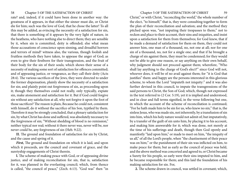rate? and, indeed, if it could have been done in another way: the greatness of it appears, in that either the sinner must die, or Christ die for him; such was the love of God, that he chose the latter! To all this may be added, as evincing the necessity of a satisfaction for sin, that there is something of it appears by the very light of nature, in the heathens, who have nothing else to direct them; they are sensible by it, when sin is committed, deity is offended; else what mean those accusations of conscience upon sinning, and dreadful horrors and terrors of mind? witness also, the various, though foolish and fruitless methods they have taken, to appease the anger of God; as even to give their firstborn for their transgression, and the fruit of their body for the sin of their souls; which shows their sense of a necessity of making some sort of satisfaction for offences committed; and of appeasing justice, or vengeance, as they call their deity (Acts 28:4). The various sacrifices of the Jews, they were directed to under the former dispensation, plainly show the necessity of a satisfaction for sin; and plainly point out forgiveness of sin, as proceeding upon it; though they themselves could not really, only typically, expiate sin, make atonement and satisfaction for it. But if God could forgive sin without any satisfaction at all, why not forgive it upon the foot of those sacrifices? The reason is plain, Because he could not, consistent with himself, do it without the sacrifice of his Son, typified by them. Therefore it may be strongly concluded, that a plenary satisfaction for sin, by what Christ has done and suffered, was absolutely necessary to the forgiveness of sin; "Without shedding of blood is no remission," neither typical nor real; without it there never was, never will be, nor never could be, any forgiveness of sin (Heb. 9:22).

**II.** The ground and foundation of satisfaction for sin by Christ, and the cause and spring of it.

*First,* The ground and foundation on which it is laid, and upon which it proceeds, are the council and covenant of grace, and the suretyship engagements of Christ therein.

**l.** The scheme of making peace with God, or of appeasing divine justice, and of making reconciliation for sin, that is, satisfaction for it, was planned in the everlasting council; which, from thence is called, "the council of peace," (Zech. 6:13). "God was" then "in

Christ," or with Christ, "reconciling the world," the whole number of the elect, "to himself;" that is, they were consulting together to form the plan of their reconciliation and salvation; and the method they pitched upon was, "not imputing their trespasses to them;" not to reckon and place to their account, their sins and iniquities, and insist upon a satisfaction for them from themselves; for God knew, that if he made a demand of satisfaction for them on them, they could not answer him, one man of a thousand, no, not one at all; nor for one sin of a thousand, no, not for a single one; and that if he brought a charge of sin against them, they must be condemned; for they would not be able to give one reason, or say anything on their own behalf, why judgment should not proceed against them; wherefore, "Who shall lay anything to the charge of God's elect?" since God will not, whoever does, it will be of no avail against them; for "it is God that justifies" them: and happy are the persons interested in this glorious scheme, to whom the Lord "imputeth not iniquity:" and it was also further devised in this council, to impute the transgressions of the said persons to Christ, the Son of God; which, though not expressed in the text referred to (2 Cor. 5:19), yet it is implied and understood, and in clear and full terms signified, in the verse following but one, in which the account of the scheme of reconciliation is continued; "For he hath made him to be sin for us, who knew no sin;" that is, the sinless Jesus, who was made sin, not inherently, by a transfusion of sin into him, which his holy nature would not admit of; but imputatively, by a transfer of the guilt of sin unto him, by placing it to his account, and making him answerable for it; which was done, not merely at the time of his sufferings and death, though then God openly and manifestly "laid upon him," or made to meet on him, "the iniquity of us all," of all the Lord's people, when "the chastisement of their peace was on him;" or the punishment of their sin was inflicted on him, to make peace for them; but as early as the council of peace was held, and the above method was concerted and agreed to, or Christ became a Surety for his people, so early were their sins imputed to him, and he became responsible for them; and this laid the foundation of his making satisfaction for sin. For,

**2.** The scheme drawn in council, was settled in covenant; which,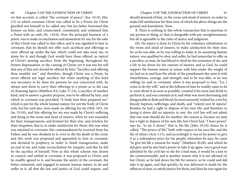on that account, is called "the covenant of peace," (Isa. 54:10; Mai. 2:5) in which covenant Christ was called to be a Priest; for Christ glorified not himself to be called one; but his father bestowed this honour on him, and consecrated, constituted, and ordained him a Priest with an oath (Ps. 110:4). Now the principal business of a priest, was to make reconciliation and atonement for sin; for the sake of this Christ was called to this office; and it was signified to him in covenant, that he should not offer such sacrifices and offerings as were offered up under the law, which could not take away sin, or atone for it; and though God would have these offered, as typical of Christ's atoning sacrifice, from the beginning, throughout the former dispensation, to the coming of Christ; yet it was not his will that any of this sort should be offered by him; "Sacrifice and offering thou wouldst not:" and therefore, though Christ was a Priest, he never offered any legal sacrifice; but when anything of this kind was necessary to be done for persons he was concerned with, he always sent them to carry their offerings to a priest; as in the case of cleansing lepers (Matthew 8:4; Luke 17:14), a sacrifice of another kind, and to answer a greater purpose, was to be offered by him, and which in covenant was provided; "A body hast thou prepared me," which is put for the whole human nature; for not the body of Christ only, but his soul also, were made an offering for sin (Heb. 10:5, 10; Isa. 53:10), and this offering for sin was made by Christ's suffering and dying in the room and stead of sinners, when he was wounded for their transgressions, and bruised for their sins, and stricken for their iniquities; that is, to make satisfaction for them; this was what was enjoined in covenant; this commandment he received from his Father, and he was obedient to it, even to die the death of the cross; and this work was proposed and appointed to him in covenant, and declared in prophecy, in order to finish transgression, make an end of sin, and make reconciliation for iniquity; and this he did by the sacrifice of himself. Now as this whole scheme was drawn in council, and settled in covenant, it was proposed to Christ, and he readily agreed to it, and became the surety of the covenant, the better testament; and engaged to assume human nature, to do and suffer in it, all that the law and justice of God could require, and

should demand of him, in the room and stead of sinners, in order to make full satisfaction for their sins, of which the above things are the ground and foundation. Now,

**3.** There is nothing in this whole transaction that is injurious to any person or thing, or that is chargeable with any unrighteousness; but all is agreeable to the rules of justice and judgment.

**(1).** No injury is done to Christ by his voluntary substitution in the room and stead of sinners, to make satisfaction for their sins; for as he was able, so he was willing to make it; he assuming human nature, was qualified to obey and suffer, he had somewhat to offer as a sacrifice; as man, he had blood to shed for the remission of sin, and a life to lay down for the ransom of sinners; and as God, he could support the human nature in union with him under the weight of sin laid on it; and bear the whole of the punishment due unto it with cheerfulness, courage, and strength: and as he was able, so he was willing; he said in covenant, when it was proposed to him, "Lo, I come to do thy will;" and at the fullness of time he readily came to do it, went about it as soon as possible, counted it his meat and drink to perform it, and was constant at it; and what was most distressing and disagreeable to flesh and blood, he most earnestly wished for, even his bloody baptism, sufferings, and death; and "volenti non fit injuria". Besides, he had a right to dispose of his own life; and therefore in laying it down did no injustice to any: the civil law will not admit that one man should die for another; the reason is, because no man has a right to dispose of his own life; but Christ had, "I have power," says he, "to lay it down;" that is, his life (John 10:18), hence he is called, "The prince of life," both with respect to his own life, and the life of others (Acts 3:15), and accordingly it was in his power to give it as a redemption price for his people; wherefore he says, he came "to give his life a ransom for many" (Matthew 20:28), and which he did give; and he also had a power to take it up again: was a good man admitted by the civil law to die for a bad man, it would be a loss to the commonwealth, and is another reason why it is not allowed of; but Christ, as he laid down his life for sinners, so he could and did take it up again, and that quickly; he was delivered to death for the offences of men, to satisfy justice for them; and then he rose again for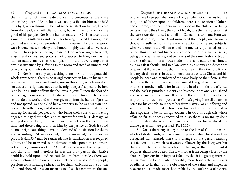the justification of them; he died once, and continued a little while under the power of death, but it was not possible for him to be held long by it; when through it he had made satisfaction for sin, he rose from the dead, and will die no more, but will live for ever for the good of his people. Nor is the human nature of Christ a loser but a gainer by his sufferings and death; for having finished his work, he is glorified with the glory promised him in covenant before the world was; is crowned with glory and honour, highly exalted above every creature, has a place at the right hand of God, where angels have not; angels, authorities, and powers, being subject to him; nor has the human nature any reason to complain, nor did it ever complain of any loss sustained by suffering in the room and stead of sinners, and by working out their salvation.

**(2).** Nor is there any unjust thing done by God throughout this whole transaction; there is no unrighteousness in him, in his nature, nor in any of his ways and works; nor in this affair, which was done "to declare his righteousness, that he might be just," appear to be just, "and be the justifier of him that believes in Jesus;" upon the foot of a perfect righteousness, and full satisfaction made for sin. The person sent to do this work, and who was given up into the hands of justice, and not spared, was one God had a property in, he was his own Son, his only begotten Son; and it was with his own consent he delivered him up for all his people; and who being their surety, and having engaged to pay their debts, and to answer for any hurt, damage, or wrong done by them; and having voluntarily taken their sins upon him, and these being found on him by the justice of God; it could be no unrighteous thing to make a demand of satisfaction for them; and accordingly "it was exacted, and he answered," as the former part of Isaiah 53:7 may be rendered; that is, satisfaction was required of him, and he answered to the demand made upon him; and where is the unrighteousness of this? Christ's name was in the obligation, and that only; and therefore he was the only person that justice could lay hold upon, and get satisfaction from: besides, there was a conjunction, an union, a relation between Christ and his people, previous to his making satisfaction for them; which lay at the bottom of it, and showed a reason for it; as in all such cases where the sins

of one have been punished on another; as when God has visited the iniquities of fathers upon the children, there is the relation of fathers and children; and the fathers are punished in the children, as being parts of them; thus Ham, the son of Noah, was the transgressor, but the curse was denounced and fell on Canaan his son, and Ham was punished in him; when David numbered the people, and so many thousands suffered for it, here was a relation of king and subjects, who were one in a civil sense, and the one were punished for the other. Thus Christ and his people are one, both in a natural sense, being of the same nature, and partakers of the same flesh and blood; and so satisfaction for sin was made in the same nature that sinned, as it was fit it should; and in a law sense, as a surety and debtor are one, so that if one pay the debt it is the same as if the other did it; and in a mystical sense, as head and members are one, as Christ and his people be head and members of the same body, so that if one suffer, the rest suffer with it; nor is it any unjust thing, if one part of the body sins another suffers for it; as, if the head commits the offence, and the back is punished: Christ and his people are one, as husband and wife are, who are one flesh; and therefore there can be no impropriety, much less injustice, in Christ's giving himself a ransom price for his church, to redeem her from slavery; or an offering and sacrifice for her, to make atonement for her transgressions: and as there appears to be no unrighteousness in God through this whole affair, so far as he was concerned in it, so there is no injury done him through a satisfaction being made by another; for hereby all the divine perfections are glorified (Ps. 85:10).

**(3).** Nor is there any injury done to the law of God; it has the whole of its demands, no part remaining unsatisfied; for it is neither abrogated nor relaxed; there is a change of the person making satisfaction to it, which is favorably allowed by the lawgiver; but there is no change of the sanction of the law, of the punishment it requires; that is not abated. The law is so far from being a loser by the change of persons in giving it satisfaction, that it is a great gainer; the law is magnified and made honorable; more honorable by Christ's obedience to it, than by the obedience of the saints and angels in heaven; and is made more honorable by the sufferings of Christ,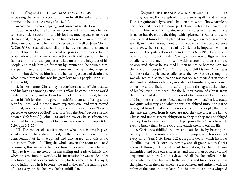in bearing the penal sanction of it, than by all the sufferings of the damned in hell to all eternity (Isa. 42:21).

*Secondly,* The causes, spring, and source of satisfaction.

**1.** So far as God the Father was concerned in it, he may be said to be an efficient cause of it, and his love the moving cause; he was at the first of it, he began it, made the first motion, set it in motion; "All things are of God, who hath reconciled us to himself by Jesus Christ" (2 Cor. 5:18), he called a council upon it, he contrived the scheme of it, he set forth Christ in his eternal purposes and decrees to be the propitiation for sin, to make satisfaction for it; and he sent him in the fullness of time for that purpose; he laid on him the iniquities of his people, and made him sin for them by imputation; he bruised him, and put him to grief, and made his soul an offering for sin; he spared him not, but delivered him into the hands of justice and death; and what moved him to this, was his great love to his people (John 3:16; 1 John 4:10).

**2.** In like manner Christ may be considered as an efficient cause, and his love as a moving cause in this affair; he came into the world to die for sinners, and redeem them to God by his blood; he laid down his life for them; he gave himself for them an offering and a sacrifice unto God, a propitiatory, expiatory one; and what moved him to it, was his great love to them, and kindness for them; "Hereby perceive we the love of God," that is, of God the Son, "because he laid down his life for us" (1 John 3:16), and the love of Christ is frequently premised to his giving himself to die in the room of his people (Gal. 2:20; Eph 5:2, 25).

III. The matter of satisfaction, or what that is which gives satisfaction to the justice of God; so that a sinner upon it, or in consideration of it, is acquitted and discharged; and this is no other than Christ's fulfilling the whole law, in the room and stead of sinners; this was what he undertook in covenant; hence he said, "Thy law is within my heart;" he was willing and ready to fulfil it; and when he came into the world, by his incarnation he was made under it voluntarily, and became subject to it, for he came not to destroy it, but to fulfil it; and he is become "the end of the law," the fulfilling end of it, to everyone that believes: he has fulfilled it,

**1.** By obeying the precepts of it, and answering all that it requires. Does it require an holy nature? it has it in him, who is "holy, harmless, and undefiled;" does it require perfect and sinless obedience? it is found in him, who did no sin, never transgressed the law in one instance, but always did the things which pleased his Father; and who has declared himself "well pleased for his righteousness sake," and with it; and that as wrought out for his people by his active obedience to the law, which is so approved of by God, that he imputes it without works for the justification of them (Rom. 4:6; 5:19). Nor is it any objection to this doctrine that Christ, as man, was obliged to yield obedience to the law for himself, which is true; but then it should be observed, that as he assumed human nature, or became man, for the sake of his people, "to us," or for us, "a child is born;" so it was for their sake he yielded obedience to the law. Besides, though he was obliged to it as man, yet he was not obliged to yield it in such a state and condition as he did; in a state of humiliation, in a course of sorrow and affliction, in a suffering state throughout the whole of his life, even unto death; for the human nature of Christ, from the moment of its union to the Son of God, was entitled to glory and happiness; so that its obedience to the law in such a low estate was quite voluntary, and what he was not obliged unto: nor is it to be argued from Christ's yielding obedience for his people, that then they are exempted from it; they are not; they are under the law to Christ, and under greater obligation to obey it; they are not obliged to obey it in like manner, or for such purposes that Christ obeyed it, even to justify them before God, and entitle them to eternal life.

**2.** Christ has fulfilled the law and satisfied it, by bearing the penalty of it in the room and stead of his people, which is death of every kind (Gen. 3:19; Rom. 6:23), corporal death, which includes all afflictions, griefs, sorrows, poverty, and disgrace, which Christ endured throughout his state of humiliation; for he took our infirmities, and bare our sicknesses; and was a man of sorrows, and acquainted with griefs all his days; and all that he suffered in his body, when he gave his back to the smiters, and his cheeks to them that plucked off the hair; when he was buffeted and smitten with the palms of the hand in the palace of the high priest; and was whipped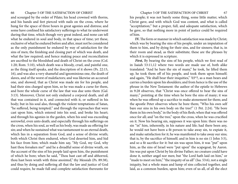and scourged by the order of Pilate; his head crowned with thorns, and his hands and feet pierced with nails on the cross, where he hung for the space of three hours in great agonies and distress; and some have confined his satisfactory sufferings to what tie underwent during that time, which though very great indeed, and none can tell what he endured in soul and body, in that space of time; yet these, exclusive of what he endured before and after, must not be considered as the only punishment he endured by way of satisfaction for the sins of men; the finishing and closing part of which was death, and what the law required; and hence making peace and reconciliation are ascribed to the bloodshed and death of Christ on the cross (Col. 1:20; Rom. 5:10), which death was a bloody, cruel, and painful one, as the thing itself speaks, and the description of it shows (Ps. 22:15, 16), and was also a very shameful and ignominious one, the death of slaves, and of the worst of malefactors; and was likewise an accursed one, and showed, that as Christ was made sin for his people, and had their sins charged upon him, so he was made a curse for them, and bore the whole curse of the law that was due unto them (Gal. 3:13). Moreover, Christ not only endured a corporal death, and all that was contained in it, and connected with it, or suffered in his body; but in his soul also, through the violent temptations of Satan, "he suffered, being tempted;" and through the reproaches that were cast upon him, which entered into his soul, and broke his heart; and through his agonies in the garden, when his soul was exceeding sorrowful, even unto death; and especially through his sufferings on the cross, when his soul, as well as his body, was made au offering for sin; and when he sustained what was tantamount to an eternal death, which lies in a separation from God, and a sense of divine wrath; both which Christ then endured, when God deserted him, and hid his face from him; which made him say, "My God, my God, why hast thou forsaken me!" and he a dreadful sense of divine wrath, on the account of the sins of his people laid upon him, the punishment of which he bore; when he said, "Thou hast cast off and abhorred, thou hast been wrath with thine anointed," thy Messiah (Ps. 89:38), and thus by doing and suffering all that the law and justice of God could require, he made full and complete satisfaction thereunto for

his people; it was not barely some thing, some little matter, which Christ gave, and with which God was content, and what is called "acceptilation;" but a proper, full, and adequate satisfaction, which he gave, so that nothing more in point of justice could be required of him.

**IV.** The form or manner in which satisfaction was made by Christ; which was by bearing the sins of his people, under an imputation of them to him, and by dying for their sins, and for sinners; that is, in their room and stead, as their substitute; these are the phrases by which it is expressed in scripture.

*First*, By bearing the sins of his people, which we first read of in Isaiah 53:11,12 where two words are made use of, both alike translated: "And he bare the sin of many," he took, he lifted them up, he took them off of his people, and took them upon himself; and again, "He shall bear their iniquities," '03\*?, as a man bears and carries a burden upon his shoulders; and from hence is the use of the phrase in the New Testament: the author of the epistle to Hebrews in 9:28 observes, that "Christ was once offered to bear the sins of many;" pointing at the time when he bore the sins of many; it was when he was offered up a sacrifice to make atonement for them; and the apostle Peter observes where he bore them; "Who his own self bare our sins in his own body on the tree!" (1 Pet. 2:24). "He bore them in his own body," in the body of his flesh; when that was offered once for all; and "on the tree," upon the cross, when he was crucified on it. Now his bearing sin, supposes it was upon him: there was no sin "in" him, inherently, in his nature and life; had there been any, he would not have been a fit person to take away sin, to expiate it, and make satisfaction for it; he was manifested to take away our sins; that is, by the sacrifice of himself; and in him is no sin (1 John 3:5), and so a fit sacrifice for it: but sin was upon him, it was "put" upon him, as the sins of Israel were "put upon" the scapegoat, by Aaron. Sin was put upon Christ by his divine Father; no creature could have done it, neither angel nor men; but "the Lord hath laid on him," or "made to meet on him," "the iniquity of us all" (Isa. 53:6), not a single iniquity, but a whole mass and lump of sins collected together, and laid, as a common burden, upon him; even of us all, of all the elect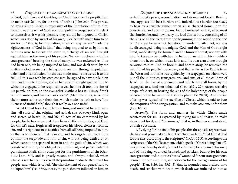of God, both Jews and Gentiles; for Christ became the propitiation, or made satisfaction, for the sins of both (1 John 2:2). This phrase, of laying sin on Christ, is expressive of the imputation of it to him; for as it was the will of God, not to impute the trespasses of his elect to themselves; it was his pleasure they should be imputed to Christ, which was done by an act of his own; "For he hath made him to be sin for us;" that is, by imputation, in which way we are "made the righteousness of God in him;" that being imputed to us by him, as our sins were to Christ: the sense is, a charge of sin was brought against him, as the surety of his people; "he was numbered with the transgressors;" bearing the sins of many, he was reckoned as if he had been one, sin being imputed to him; and was dealt with, by the justice of God, as such; sin being found on him, through imputation, a demand of satisfaction for sin was made; and he answered it to the full. All this was with his own consent; he agreed to have sin laid on him, and imputed to him, and a charge of it brought against him, to which he engaged to be responsible; yea, he himself took the sins of his people on him; so the evangelist Matthew has it: "Himself took our infirmities, and bare our sicknesses" (Matthew 8:17), as he took their nature, so he took their sins, which made his flesh to have "the likeness of sinful flesh," though it really was not sinful.

What Christ bore, being laid on him, and imputed to him, were sins, all sorts of sin, original and actual; sins of every kind, open and secret, of heart, lip, and life; all acts of sin committed by his people; for he has redeemed them from all their iniquities; and God, for Christ's sake, forgives all trespasses; his blood cleanses from all sin, and his righteousness justifies from all; all being imputed to him, as that is to them: all that is in sin, and belongs to sin, were bore by him; the turpitude and filth of sin, without being defiled by it, which cannot be separated from it; and the guilt of sin, which was transferred to him, and obliged to punishment; and particularly the punishment itself, sin is often put for the punishment of sin (Gen. 4:13; Lam. 5:7), and is greatly meant, and always included, when Christ is said to bear it; even all the punishment due to the sins of his people: and which is called, "the chastisement of our peace," said to be "upon him" (Isa. 53:5), that is, the punishment inflicted on him, in

order to make peace, reconciliation, and atonement for sin. Bearing sin, supposes it to be a burden; and, indeed, it is a burden too heavy to bear by a sensible sinner: when sin is charged home upon the conscience, and a saint groans, being burdened with it, what must that burden be, and how heavy the load Christ bore, consisting of all the sins of all the elect; from the beginning of the world to the end of it? and yet he sunk not, but stood up under it, failed not, nor was he discouraged, being the mighty God, and the Man of God's right hand, made strong for himself: and he himself bore it; not any with him, to take any part with him, to help and assist him; his shoulders alone bore it, on which it was laid; and his own arm alone brought salvation to him. And he bore it, and bore it away; he removed the iniquity of his people in one day; and that as far as the East is from the West: and in this he was typified by the scapegoat, on whom were put all the iniquities, transgressions, and sins, of all the children of Israel, on the day of atonement, and which were all borne by the scapegoat to a land not inhabited (Lev. 16:21, 22). Aaron was also a type of Christ, in bearing the sins of the holy things of the people of Israel, when he went into the holy place (Ex. 28:38). And the sin offering was typical of the sacrifice of Christ, which is said to bear the iniquities of the congregation, and to make atonement for them (Lev. 10:17).

*Secondly*, The form and manner in which Christ made satisfaction for sin, is expressed by "dying for sin," that is, to make atonement for it; and "for sinners;" that is, in their room and stead, as their substitute.

**1.** By dying for the sins of his people; this the apostle represents as the first and principal article of the Christian faith, "that Christ died for our sins, according to the scriptures" (1 Cor. 15:3), according to the scriptures of the Old Testament, which speak of Christ being "cut off," in a judicial way, by death, but not for himself, for any sin of his own; and of his being wounded, bruised, and stricken, but not for his own transgressions and iniquities; but as "wounded for our transgressions, bruised for our iniquities, and stricken for the transgressions of his people" (Dan. 9:26; Isa. 53:5, 8), that is, wounded and bruised unto death, and stricken with death; which death was inflicted on him as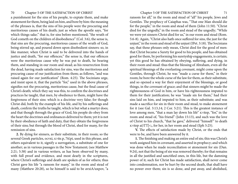a punishment for the sins of his people, to expiate them, and make atonement for them, being laid on him, and bore by him: the meaning of the phrases is, that the sins of his people were the procuring and meritorious causes of his death; just as when the apostle says, "for which things sake;" that is, for sins before mentioned; "the wrath of God cometh on the children of disobedience" (Col. 3:6), the sense is, that sins are the procuring, meritorious causes of the wrath of God, being stirred up, and poured down upon disobedient sinners: so, in like manner, when Christ is said to be delivered into the hands of justice and death, "for our offences;" the sense is, that our offences were the meritorious cause why he was put to death, he bearing them, and standing in our room and stead; as his resurrection from the dead, having made satisfaction for sins, was the meritorious and procuring cause of our justification from them; as follows, "and was raised again for our justification" (Rom. 4:25). The Socinians urge, and insist upon it, that the particle "for," used in the above phrases, signifies not the procuring, meritorious cause, but the final cause of Christ's death; which they say was this, to confirm the doctrines and practices he taught, that men, by obedience to them, might have the forgiveness of their sins: which is a doctrine very false; for though Christ did, both by the example of his life, and by his sufferings and death, confirm the truths he taught, which is but what a martyr does; and that though through the grace of God, his people do obey from the heart the doctrines and ordinances delivered to them; yet it is not by their obedience of faith and duty, that they obtain the forgiveness of their sins; but through the blood of Christ, shed for many, for the remission of sins.

**2.** By dying for sinners, as their substitute, in their room; so the several Greek particles, ocvxi, x>ite.p, 7t£pi, used in this phrase, and others equivalent to it, signify a surrogation, a substitute of one for another; as in various passages in the New Testament; (see Matthew 2:21; 5:38) and in various writers, as has been observed by many, with full proof and evidence, and most dearly in the scriptures, where Christ's sufferings and death are spoken of as for others; thus Christ gave his life "a ransom for many," in the room and stead of many (Matthew 20:28), so he himself is said to be avxiA/uxpov, "a

ransom for all," in the room and stead of "all" his people, Jews and Gentiles. The prophecy of Caiaphas was, "That one Man should die for the people," in the room and stead of them (John 11:50). "Christ died for the ungodly," in the room and stead of the ungodly; "While we were yet sinners Christ died for us," in our room and stead (Rom. 5:6-8). Again, "Christ also hath once suffered for sins, the just for the unjust," in the room and stead of the unjust (IPet. 3:18). The Socinians say, that these phrases only mean, Christ died for the good of men: that Christ became a Surety for good to his people, and has obtained good for them, by performing his suretyship engagements, is certain; yet this good he has obtained by obeying, suffering, and dying, in their room and stead: thus that the blessing of Abraham, even all the spiritual blessings of the everlasting covenant, might come upon the Gentiles, through Christ, he was "made a curse for them," in their room; he bore the whole curse of the law for them, as their substitute, and so opened a way for their enjoyment of the blessings, or good things, in the covenant of grace; and that sinners might be made the righteousness of God in him, or have his righteousness imputed to them for their justification; he was "made sin for them," had their sins laid on him, and imputed to him, as their substitute; and was made a sacrifice for sin in their room and stead, to make atonement for it (see Gal. 3:13,14; 2 Cor. 5:21). This is the greatest instance of love among men, "that a man lay down his life" x>itep, "for," in the room and stead of, "his friend" (John 15:13), and such was the love of Christ to his church, "that he gave," delivered "himself" to death x>itep ai)TT|<;, for her, in her room and stead (Eph 5:25).

**V.** The effects of satisfaction made by Christ, or the ends that were to be, and have been answered by it.

**1.** The finishing and making an entire end of sin; this was Christ's work assigned him in covenant, and asserted in prophecy; and which was done when he made reconciliation or atonement for sin (Dan. 9:24), not that the being of sin was removed thereby; for that remains in all the justified and sanctified ones, in this life, but the damning power of it; such for Christ has made satisfaction, shall never come into condemnation, nor be hurt by the second death, that shall have no power over them; sin is so done, and put away, and abolished,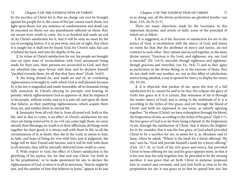### 72 Chapter 5 OF THE SATISFACTION OF CHRIST Chapter 5 OF THE SATISFACTION OF CHRIST 73

by the sacrifice of Christ for it, that no charge can ever be brought against his people for it; the curse of the law cannot reach them, nor light upon them; nor any sentence of condemnation and death can be executed on them; nor any punishment inflicted on them; they are secure from wrath to come. Sin is so finished and made an end of, by Christ's satisfaction for it, that it will be seen no more by the eye of avenging Justice; it is so put away, and out of sight, that when it is sought for, it shall not be found; God, for Christ's sake, has cast it behind his back, and into the depths of the sea.

**2.** In virtue of Christ's satisfaction for sin, his people are brought into an open state of reconciliation with God; atonement being made for their sins, their persons are reconciled to God, and they are admitted into open favour with him; and he declares himself "pacified towards them, for all that they have done" (Ezek. 16:63).

**3.** Sin being atoned for, and made an end of, an everlasting righteousness is brought in, with which God is well pleased; because by it his law is magnified and made honorable; all its demands being fully answered, by Christ's obeying its precepts, and bearing its penalty; which righteousness God so approves of, that he imputes it to his people, without works; and so it is unto all, and upon all, them that believe, as their justifying righteousness; which acquits them from sin, and entitles them to eternal life.

**4.** Immunity from all evil; that is, from all penal evil, both in this life, and in that to come, is an effect of Christ's satisfaction for sin; since sin being removed by it, no evil can come nigh them; no curse attends their blessings; no wrath is in their afflictions; all things work together for their good; it is always well with them in life, in all the circumstances of it; at death, they die in the Lord, in union to him, in faith, and hope of being for ever with him; and at judgment, the Judge will be their Friend and Saviour, and it will be well with them to all eternity; they will be eternally delivered from wrath to come.

**5.** With respect to God, the effect of Christ's satisfaction is the glorifying of his justice; for, for that end was Christ "set forth to be the propitiation," or to make atonement for sin; to declare the righteousness of God, to show it in all its strictness, "that he might be just, and the justifier of him that believes in Jesus;" appear to be just

in so doing; yea, all the divine perfections are glorified hereby; (see Rom. 3:25, 26; Ps 21:5).

There are many objections made by the Socinians, to this important doctrine, and article of faith; some of the principal of which are as follow:

**l.** It is suggested, as if the doctrine of satisfaction for sin to the justice of God, is inconsistent with the mercy of God, and leaves no room for that. But the attributes of mercy and justice, are not contrary to each other. They subsist and accord together, in the same divine nature; "Gracious is the Lord, and righteous; yea, our God is merciful" (Ps. 116:5), merciful, though righteous; and righteous, though gracious and merciful; (see Ex. 34:6, 7) and as they agree as perfections in the divine Being; so in the exercise of them, they do not clash with one another, no, not in this affair of satisfaction; justice being satisfied, a way is opened for mercy to display her stores (Ps. 85:10).

**2.** It is objected, that pardon of sin, upon the foot of a full satisfaction for it, cannot be said to be free; but eclipses the glory of God's free grace in it: it is certain, that remission of sin is through the tender mercy of God, and is owing to the multitude of it; it is according to the riches of free grace, and yet through the blood of Christ: and both are expressed in one verse, as entirely agreeing together; "In whom (Christ) we have redemption through his blood, the forgiveness of sins, according to the riches of his grace" (Eph 1:7), the free grace of God is so far from being eclipsed, in the forgiveness of sin, through the satisfaction of Christ, that it shines the brighter for it; for consider, that it was the free grace of God which provided Christ to be a sacrifice for sin, to atone for it; as Abraham said to Isaac, when he asked, "Where is the lamb for a burnt offering? My son," says he, "God will provide himself a lamb for a burnt offering" (Gen. 22:7, 8), so God, of his rich grace and mercy, has provided Christ to bean offering for sin; and his grace appears more, in that it is his own Son, his only begotten Son, he provided to be the atoning sacrifice; it was grace that set forth Christ in purpose, proposed him in council and covenant, and sent him forth in time to be the propitiation for sin: it was grace to us that he spared him not, but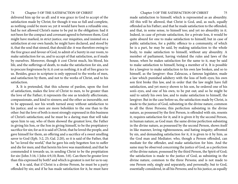## 74 Chapter 5 OF THE SATISFACTION OF CHRIST Chapter 5 OF THE SATISFACTION OF CHRIST 75

delivered him up for us all: and it was grace in God to accept of the satisfaction made by Christ; for though it was so full and complete, as nothing could be more so; yet it would have been a refusable one, had he not allowed Christ's name to be put in the obligation: had it not been for the compact and covenant agreed to between them, God might have marked, in strict justice, our iniquities, and insisted on a satisfaction at our own hands; he might have declared, and stood by it, that the soul that sinned, that should die: it was therefore owing to the free grace and favour of God, to admit of a Surety in our room, to make satisfaction for us, and to accept of that satisfaction, as if made by ourselves. Moreover, though it cost Christ much, his blood, his life, and the sufferings of death, to make the satisfaction for sin, and to procure forgiveness by it; it cost us nothing; it is all of free grace to us. Besides, grace in scripture is only opposed to the works of men, and satisfaction by them, and not to the works of Christ, and to his satisfaction.

**3.** It is pretended, that this scheme of pardon, upon the foot of satisfaction, makes the love of Christ to men, to be greater than the love of the Father; it represents the one as tenderly affectionate, compassionate, and kind to sinners; and the other as inexorable, not to be appeased, nor his wrath turned away without satisfaction to his justice; and so men are more beholden to the one than to the other: but the love of both is most strongly expressed in this business of Christ's satisfaction; and he must be a daring man that will take upon him to say, who of them showed the greatest love, the Father in giving his Son, or the Son in giving himself, to be the propitiatory sacrifice for sin; for as it is said of Christ, that he loved the people, and gave himself for them, an offering and a sacrifice of a sweet smelling savor to God (Eph. 5:2, 25; Gal. 2:20), so it is said of the Father, that he "so loved the world," that he gave his only begotten Son to suffer and die for men; and that herein his love was manifested; and that he commended it towards us, in sending Christ to be the propitiation for sin (John 3:16; 1 John 4:9,10; Rom. 5:8). Can there be greater love than this expressed by both? and which is greatest is not for us to say.

**4.** It is said, that if Christ is a divine Person, he must be a party offended by sin; and if he has made satisfaction for it, he must have

made satisfaction to himself; which is represented as an absurdity. All this will be allowed, that Christ is God, and, as such, equally offended as his Father; and that he made satisfaction to the offended, and that, in some sense, to himself too; and yet no absurdity in it. Indeed, in case of private satisfaction, for a private loss, it would be quite absurd for one to make satisfaction to himself; but in case of public satisfaction, for a public offence to a community, of which he is a part, he may be said, by making satisfaction to the whole body, to make satisfaction to himself, without any absurdity. A member of parliament, having violated the rules and laws of the house, when he makes satisfaction for the same to it, may be said to make satisfaction to himself, being a member of it. It is possible for a lawgiver to make satisfaction to his own law broken, and so to himself, as the lawgiver: thus Zaleucus, a famous legislator, made a law which punished adultery with the loss of both eyes; his own son first broke this law, and in order that the law might have full satisfaction, and yet mercy shown to his son, he ordered one of his son's eyes, and one of his own, to be put out; and so he might be said to satisfy his own law, and to make satisfaction to himself, the lawgiver. But in the case before us, the satisfaction made by Christ, is made to the justice of God, subsisting in the divine nature, common to all the three Persons; this perfection subsisting in the divine nature, as possessed by the first Person, is offended with sin, resents it, requires satisfaction for it; and it is given it by the second Person, in human nature, as God man: the same divine perfection subsisting in the divine nature, as possessed by the second Person, shows itself in like manner, loving righteousness, and hating iniquity; affronted by sin, and demanding satisfaction for it, it is given to it by him, as the God man and Mediator; who, though a Person offended, can mediate for the offender, and make satisfaction for him. And the same may be observed concerning the justice of God, as a perfection of the divine nature, possessed by the third Person, the Spirit of God; the satisfaction is made to the justice of God, as subsisting in the divine nature, common to the three Persons; and is not made to one Person only, singly and separately, and personally; but to God, essentially considered, in all his Persons; and to his justice, as equally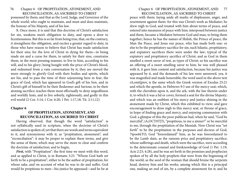possessed by them; and that as the Lord, Judge, and Governor of the whole world; who ought to maintain, and must and does maintain, the honour of his Majesty, and of his law.

**5.** Once more, it is said that this doctrine of Christ's satisfaction for sin, weakens men's obligation to duty, and opens a door to licentiousness. But this is so far from being true, that, on the contrary, it strengthens the obligation, and excites a greater regard to duty, in those who have reason to believe that Christ has made satisfaction for their sins; for the love of Christ in dying for them—in being made sin and a curse for them, to satisfy for their sins, constrains them, in the most pressing manner, to live to him, according to his will, and to his glory; being bought with the price of Christ's blood, and redeemed from a vain conversation by it; they are moved the more strongly to glorify God with their bodies and spirits, which are his, and to pass the time of their sojourning here in fear; the grace of God, which has appeared in God's gift of his Son, and in Christ's gift of himself to be their Redeemer and Saviour, to be their atoning sacrifice; teaches them most effectually to deny ungodliness and worldly lusts, and to live soberly, righteously, and godly in this evil world (2 Cor. 5:14; 1 Cor. 6:20; 1 Pet. 1:17,18; Tit. 2:11,12)

## **Chapter 6**

## **OF PROPITIATION, ATONEMENT, AND RECONCILIATION, AS ASCRIBED TO CHRIST**

Having observed, that though the word "satisfaction" is not syllabically used in scripture, when the doctrine of Christ's satisfaction is spoken of; yet that there are words and terms equivalent to it, and synonymous with it; as "propitiation, atonement", and "reconciliation": it may be proper to explain these terms, and give the sense of them; which may serve the more to clear and confirm the doctrine of satisfaction; and to begin,

*First,* with "Propitiation": the first time we meet with this word, and as applied to Christ, is in Romans 3:25. "Whom God hath set forth to be a propitiation"; either to be the author of propitiation; for whose sake, and on account of what he was to do and suffer, God would be propitious to men—his justice be appeased—and he be at

# Chapter 6 OF PROPITIATION, ATONEMENT, AND 77 RECONCILIATION, AS ASCRIBED TO CHRIST

peace with them; laying aside all marks of displeasure, anger, and resentment against them: for this was Christ's work as Mediator; he drew nigh to God, and treated with him about terms of peace, and entered into measures of peace with him; interposed between justice and them, became a Mediator between God and man, to bring them together; hence he has the names of Shiloh, the Prince of peace, the Man the Peace, and Jesus our peace, who has made both one: or else to be the propitiatory sacrifice for sin; such hilastic, propitiatory, and expiatory sacrifices there were under the law; typical of the expiatory and propitiatory sacrifice of Christ; and as God in them smelled a sweet savor of rest, as types of Christ; so his sacrifice was an offering of a sweet smelling savor to him; he was well pleased with it, it gave him content and satisfaction, because his justice was appeased by it, and the demands of his law were answered, yea, it was magnified and made honorable; the word used in the above text iA,omt|piov, is the same which the Greek version of Exodus 25:21 and which the apostle, in Hebrews 9:5 use of the mercy seat; which, with the cherubim upon it, and the ark, with the law therein under it, to which it was a lid or cover, formed a seat for the divine Majesty; and which was an emblem of his mercy and justice shining in the atonement made by Christ, which this exhibited to view; and gave encouragement to draw nigh to this mercy seat, or throne of grace, in hope of finding grace and mercy, and enjoying communion with God: a glimpse of this the poor publican had, when he said, "God be merciful", iA,OCT0T|Ti, "propitious, to me a sinner!" or be merciful to me, through the propitiation of the Messiah. Now Christ was "set forth" to be the propitiation in the purposes and decrees of God, 7tpoe6£TO, God "foreordained" him, as he was foreordained to be the Lamb slain, as the ransom price and propitiatory sacrifice; whose sufferings and death, which were the sacrifice, were according to the determinate counsel and foreknowledge of God (1 Pet. 1:19; Acts 2:23; 4:28), and he was set forth in the promises and prophecies spoken of by all the holy prophets that were from the beginning of the world; as the seed of the woman that should bruise the serpents head, destroy him and his works, among which this is a principal one, making an end of sin, by a complete atonement for it; and he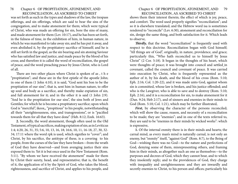was set forth as such in the types and shadows of the law, the trespass offerings, and sin offerings, which are said to bear the sins of the congregation, and to make atonement for them; which were typical of Christ, who was made an offering for sin, bore the sins of many, and made atonement for them (Lev. 10:17), and he has been set forth, in the fulness of time, in the exhibition of him, in human nature, in which he was manifested to take away sin; and he has put it away, and even abolished it, by the propitiatory sacrifice of himself; and he is still set forth in the gospel, as the sin bearing and sin atoning Saviour who has satisfied law and justice, and made peace by the blood of his cross; and therefore it is called the word of reconciliation, the gospel of peace, and the word preaching peace by Jesus Christ, who is Lord of all.

There are two other places where Christ is spoken of as , t h e "propitiation"; and these are in the first epistle of the apostle John; in one of them (1 John 4:10), it is said, "God sent his Son to be the propitiation of our sins"; that is, sent him in human nature, to offer up soul and body as a sacrifice, and thereby make expiation of sin, and full atonement for it; and in the other it is said (1 John 2:9). "And he is the propitiation for our sins", the sins both of Jews and Gentiles; for which he is become a propitiatory sacrifice; upon which God is "merciful", ikeox,, "propitious" to his people, notwithstanding all their "unrighteousness, sins, and transgressions", or is "pacified towards them for all that they have done" (Heb. 8:12; Ezek. 16:63).

**2.** Secondly, the word atonement, though often used in the Old Testament, of typical sacrifices, making expiation of sin; as in Leviticus 1:4; 4:20, 26, 31, 35; 5:6, 10, 13, 16, 18; 16:6, 10, 11, 16-18, 27, 30, 32- 34; 17:11 where the word rpk is used, which signifies to "cover"; and Christ, by his sacrifice, the antitype of these, is a covering to his people, from the curses of the law they have broken—from the wrath of God they have deserved—and from avenging justice their sins exposed them to. Yet it is but once used in the New Testament (Rom. 5:11). "By whom we have received the atonement" made for them by Christ their surety, head, and representative; that is, the benefit of it, the application of it by the Spirit of God, who takes the blood, righteousness, and sacrifice of Christ, and applies to his people, and

# Chapter 6 OF PROPITIATION, ATONEMENT, AND 79 RECONCILIATION, AS ASCRIBED TO CHRIST

shows them their interest therein; the effect of which is joy, peace, and comfort. The word used properly signifies "reconciliation"; and so it is elsewhere translated; and the Hebrew word isa is sometimes rendered to "reconcile" (Lev. 6:30), atonement and reconciliation for sin, design the same thing, and both satisfaction for it. Which leads to observe,

**Thirdly**, that the word "reconciliation" is frequently used with respect to this doctrine. Reconciliation began with God himself; "All things are of God", originally, in nature, providence, and grace; particularly this, "Who hath reconciled us to himself by Jesus Christ" (2 Cor. 5:18). It began in the thoughts of his heart, which were thoughts of peace; it was brought into council and settled in covenant, called the council and covenant of peace. It was carried into execution by Christ, who is frequently represented as the author of it, by his death, and the blood of his cross (Rom. 5:10; Eph. 2:16; Col. 1:20-22), and it was made unto God, against whom sin is committed, whose law is broken, and his justice offended; and who is the Lawgiver, who is able to save and to destroy (Rom. 5:10; Eph. 2:16), and it is a reconciliation for sin, to make atonement for it (Dan. 9:24; Heb 2:17), and of sinners and enemies in their minds to God (Rom. 5:10; Col. 1:21), which may be further illustrated,

First, by observing the character of the persons reconciled; which will show the cause, reason, and necessity of a reconciliation to be made; they are "enemies"; and in one of the texts referred to, they are said to be "enemies in their minds by wicked works": which is expressive,

**1.** Of the internal enmity there is in their minds and hearts; the carnal mind, as every man's mind is naturally carnal, is not only an enemy, but "enmity" itself, "against God" (Rom. 8:7), to the Being of God—wishing there was no God—to the nature and perfections of God, denying some of them, misrepresenting others, and framing him in their minds, as altogether such an one as themselves—to the purposes and decrees of God, which they cannot bear, and to which they insolently reply; and to the providences of God, they charge with inequality and unrighteousness: and they are inwardly and secretly enemies to Christ, to his person and offices; particularly his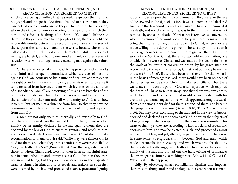kingly office, being unwilling that he should reign over them; and to his gospel, and the special doctrines of it; and to his ordinances, they care not to be subject unto: and so they are to the Spirit, to his Person, whom they know not, nor can receive; to his operations, which they deride and ridicule; the things of the Spirit of God are foolishness to them: and they are enemies to the people of God, there is an old and implacable enmity between the seed of the woman and the seed of the serpent; the saints are hated by the world, because chosen and called out of the world; God's elect themselves, while in a state of nature, are hateful, and hating one another; Paul, a chosen vessel of salvation, was, while unregenerate, exceeding mad against the saints. But

**2.** There is an external enmity, which appears by wicked works and sinful actions openly committed: which are acts of hostility against God, are contrary to his nature and will are abominable in his sight provoke the eyes of his glory, excite his wrath, and cause it to be revealed from heaven, and for which it comes on the children of disobedience; and all are deserving of it: sins are breaches of the law of God, render men liable to the curses of it, and to death itself, the sanction of it; they not only all with enmity to God, and show it to him, but set men at a distance from him; so that they have no communion with him, are far off, are without him, and separate from him. But,

**3.** Men are not only enemies internally, and externally to God, but there is an enmity on the part of God to them; there is a law enmity, or an enmity declared in the law against them; they are declared by the law of God as enemies; traitors, and rebels to him; and as such God's elect were considered, when Christ died to make reconciliation for them; for it is said, "while they were sinners Christ died for them, and when they were enemies they were reconciled to God, the death of his Son" (Rom. 5:8, 10). Now the far greater part of those for whom Christ died, were not then in an actual sinful state, nor in actual rebellion and enmity against God; for then they were not in actual being; but they were considered as in their apostate head, as sinners in him, and so as rebels and traitors; as such they were deemed by the law, and proceeded against, proclaimed guilty,

# Chapter 6 OF PROPITIATION, ATONEMENT, AND 81 RECONCILIATION, AS ASCRIBED TO CHRIST

judgment came upon them to condemnation; they were, in the eye of the law, and in the sight of justice, viewed as enemies, and declared such: and this law enmity is what was slain by Christ, and removed at his death; and not that enmity that was in their minds; that was not removed by and at the death of Christ; that is removed at conversion, when the arrows of the word become sharp in these enemies, which bring them to fall under, and be subject to Christ; when they are made willing in the day of his power, to be saved by him, to submit to his righteousness, and to have him to reign over them: this is the work of the Spirit of Christ: there is a two fold reconciliation, one of which is the work of Christ, and was made at his death: the other the work of his Spirit, at conversion; when, by his grace, men are reconciled to the way of salvation by Christ; and both may be seen in one text (Rom. 5:10). If there had been no other enmity than what is in the hearts of men against God, there would have been no need of the sufferings and death of Christ to make reconciliation; but there was a law enmity on the part of God, and his justice, which required the death of Christ to take it away. Not that there was any enmity in the heart of God to his elect; that would be inconsistent with his everlasting and unchangeable love, which appeared strongly towards them at the time Christ died for them, reconciled them, and became the propitiation for their sins (Rom. 5:8,10; Titus 3:3, 4; 1 John 4:10). But they were, according to the law, and in the view of justice, deemed and declared as the enemies of God. So when the subjects of a king rise up in rebellion against him, there may be no enmity in his heart to them; yet they are, according to law, proclaimed rebels, and enemies to him, and may be treated as such, and proceeded against in due form of law; and yet, after all, be pardoned by him. There was, in some sense, a reciprocal enmity between God and men, which made a reconciliation necessary; and which was brought about by the bloodshed, sufferings, and death of Christ, when he slew the enmity of the law, and blotted out the handwriting of ordinances that were against sinners, so making peace (Eph. 2:14-16; Col. 2:14). Which will further appear,

**2dly,** By observing what reconciliation signifies and imports: there is something similar and analogous in a case when it is made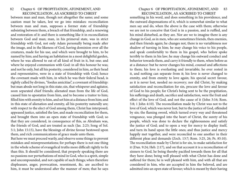between man and man, though not altogether the same; and some caution must be taken, lest we go into mistakes: reconciliation between man and man, supposes a former state of friendship subsisting between them, a breach of that friendship, and a renewing and restoration of it: and there is something like it in reconciliation between God and man; man, in his primeval state, was in strict friendship with God, not only Adam personally being made after the image, and in the likeness of God, having dominion over all the creatures, made for his use, and which were brought to him, to be named by him; and having an habitation in a most delightful garden, where he was allowed to eat of all kind of fruit in it, but one; and where he enjoyed communion with God: in all this honour he was; and not he only, but all his posterity, considered in him, as their head and representative, were in a state of friendship with God; hence the covenant made with him, in which he was their federal head, is rightly called by divines, "foedus amicitiae", a covenant of friendship: but man abode not long in this state; sin, that whisperer and agitator, soon separated chief friends; alienated man from the life of God, caused him to apostatize from him, and to become a traitor to him; filled him with enmity to him, and set him at a distance from him; and in this state of alienation and enmity, all his posterity naturally are; with respect to the elect of God among them, Christ has interposed, appeased justice, satisfied the law, and made reconciliation for them, and brought them into an open state of friendship with God; so that they are considered, in consequence of this, as Abraham was, the friends of God, and are treated as such (Jas. 2:23; Song of Sol. 5:1; John 15:15), have the blessings of divine favour bestowed upon them, and rich communications of grace made unto them.

But here we must proceed warily, and observe some things to prevent mistakes and misrepresentations; for perhaps there is not one thing in the whole scheme of evangelical truths more difficult rightly to fix than this. It should be considered, that properly speaking there are no passions nor perturbations of mind in God, who is a spirit, simple and uncompounded, and not capable of such things; when therefore displeasure, anger, provocation, resentment, &c. are ascribed to him, it must be understood after the manner of men; that he says

## Chapter 6 OF PROPITIATION, ATONEMENT, AND 83 RECONCILIATION, AS ASCRIBED TO CHRIST

something in his word, and does something in his providence, and the outward dispensations of it, which is somewhat similar to what men say and do, when the above is the case with them; otherwise we are not to conceive that God is in a passion, and is ruffled, and his mind disturbed, as they are. Nor are we to imagine there is any change in God, as in men, who are sometimes friends, then enemies, and then friends again; he changes not, there is no variableness nor shadow of turning in him; he may change his voice to his people, and speak comfortably to them in his gospel, who before spoke terribly to them in his law; he may change his outward conduct and behavior towards them, and carry it friendly to them, when before as at a distance: but he never changes his mind, counsel and affections to them; his love is everlasting and invariable; he ever rested in it, and nothing can separate from it; his love is never changed to enmity, and from enmity to love again; his special secret favour, as it is never lost, needed no recovery; nor did Christ, by making satisfaction and reconciliation for sin, procure the love and favour of God to his people; for Christ's being sent to be the propitiation, his sufferings and death, sacrifice and satisfaction, were the fruit and effect of the love of God, and not the cause of it (John 3:16; Rom. 5:8; 1 John 4:10). The reconciliation made by Christ was not to the love of God, which was never lost, but to the justice of God, offended by sin; the flaming sword, which turned every way and threatened vengeance, was plunged into the heart of Christ, the surety of his people, which was done to declare the righteousness and satisfy the justice of God; and to open a way for mercy to display itself, and turn its hand upon the little ones; and thus justice and mercy happily met together, and were reconciled to one another in their different pleas and demands (Zech. 13:7; Rom. 3:25, 26; Ps. 85:10). The reconciliation made by Christ is for sin, to make satisfaction for it (Dan. 9:24; Heb. 2:17), and on that account it is a reconciliation of sinners to God, he being thereby pacified towards them for all that they have done; being well pleased with what Christ has done and suffered for them; he is well pleased with him, and with all that are considered in him, who are accepted in him the beloved, and are admitted into an open state of favour; which is meant by their having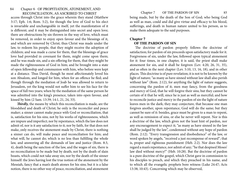access through Christ into the grace wherein they stand (Matthew 3:17; Eph. 1:6; Rom. 5:2), for though the love of God to his elect is invariable and unchangeable in itself, yet the manifestation of it is different; and it may be distinguished into secret and open love; there are obstructions by sin thrown in the way of love, which must be removed, in order to enjoy open favour and the blessings of it, and which are removed by Christ; thus Christ was made under the law, to redeem his people, that they might receive the adoption of children; and was made a curse for them, that the blessings of grace love had provided in covenant for them, might come upon them; and he was made sin, and a sin offering for them, that they might be made the righteousness of God in him; and be brought into a state of open fellowship and communion with him, who before were kept at a distance. Thus David, though he most affectionately loved his son Absalom, and longed for him, when for an offence he fled; and though through the mediation of Joab he was allowed to return to Jerusalem, yet the king would not suffer him to see his face for the space of full two years; when by the mediation of the same person he was admitted into the king's presence, taken into open favour, and kissed by him (2 Sam. 13:39; 14:1, 21, 24, 33).

*Thirdly,* the means by which this reconciliation is made, are the bloodshed and death of Christ; he only is the reconciler and peace maker; a sinner cannot make peace with God or reconciliation, that is, satisfaction for his sins; not by his works of righteousness, which are impure and imperfect; nor by repentance, which the law does not admit of, nor is it any satisfaction to it; nor by faith, for that does not make, only receives the atonement made by Christ; there is nothing a sinner can do, will make peace and reconciliation for him; and what will, he cannot do; which is no less than fulfilling the whole law, and answering all the demands of law and justice (Rom. 8:3, 4), death being the sanction of the law, and the wages of sin, there is no reconciliation to be made but by death; not by the death of slain beasts, which could not take away sin; nor by the death of the sinner himself: the Jews having lost the true notion of the atonement by the Messiah, fancy that a man's death atones for his sins; but it is a false notion, there is no other way of peace, reconciliation, and atonement

Chapter 7 OF THE PARDON OF SIN 85 being made, but by the death of the Son of God; who being God as well as man, could and did give virtue and efficacy to his blood, sufferings, and death in human nature united to his person, as to make them adequate to the said purposes.

# **Chapter 7**

## **OF THE PARDON OF SIN**

The doctrine of pardon properly follows the doctrine of satisfaction; for pardon of sin proceeds upon satisfactory made for it. Forgiveness of sin, under the law, followed upon typical atonement for it: four times, in one chapter, it is said, the priest shall make atonement for sin, and it shall be forgiven (Lev. 4:20, 26, 31, 35), and as often in the next chapter (Lev. 5:10, 13, 16, 18), and in other places. This doctrine is of pure revelation; it is not to be known by the light of nature; "as many as have sinned without law shall also perish without law" (Rom. 2:12), for anything the light of nature suggests, concerning the pardon of it; men may fancy, from the goodness and mercy of God, that he will forgive their sins; but they cannot be certain of it that he will, since he is just as well as merciful; and how to reconcile justice and mercy in the pardon of sin the light of nature leaves men in the dark; they may conjecture, that because one man forgives another, upon repentance, God will do the same; but they cannot be sure of it: besides, grace must be given to a man to repent, as well as remission of sins, or else he never will repent. Nor is this a doctrine of the law, which gives not the least hint of pardon, nor any encouragement to expect it; "as many as have sinned in the law shall be judged by the law", condemned without any hope of pardon (Rom. 2:12). "Every transgression and disobedience" of the law, or word spoken by angels, "received a just recompense of reward"; that is, proper and righteous punishment (Heb. 2:2). Nor does the law regard a man's repentance, nor admit of any; "he that despised Moses' law died without mercy!" (Heb. 10:28). But the doctrine of pardon is a pure doctrine of the gospel, which Christ gave in commission to his disciples to preach, and which they preached in his name, and to which all the evangelic prophets bore witness (Luke 24:47; Acts 13:38; 10:43). Concerning which may be observed,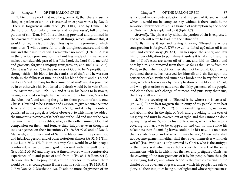**1.** First, The proof that may be given of it, that there is such a thing as pardon of sin: this is asserted in express words by David; "There is forgiveness with thee" (Ps. 130:4), and by Daniel, "To the Lord our God belong mercies and forgivenesses", full and free pardon of sin (Dan. 9:9). It is a blessing provided and promised in the covenant of grace, ordered in all things, which, without this, it would not be; this is a principal blessing in it; the promise of which runs thus; "I will be merciful to their unrighteousnesses, and their sins and their iniquities will I remember no more" (Heb. 8:12. It is in the gracious proclamation the Lord has made of his name, and makes a considerable part of it as "the Lord, the Lord God, merciful and gracious, forgiving iniquity, transgression, and sin!" (Ex. 34:7). Christ was "set forth", in the purposes of God, to be "a propitiation, through faith in his blood, for the remission of sins"; and he was sent forth, in the fullness of time, to shed his blood for it; and his blood has been "shed for many for the remission of sins!" and it is procured by it; or otherwise his bloodshed and death would be in vain (Rom. 3:25; Matthew 26:28; Eph. 1:7), and it is in his hands to bestow it; having ascended on high, he has received gifts for men, "even for the rebellious"; and among the gifts for them pardon of sin is one; Christ is "exalted to be a Prince and a Savior, to give repentance unto Israel and forgiveness of sins" (Acts 5:31), and it is by his orders, published in the gospel, as before observed; to which may be added, the numerous instances of it, both under the Old and under the New Testament; as of the Israelites, who, as they often sinned, God had compassion on them, and forgave their iniquities; even though he took vengeance on their inventions, (Ps. 78:38; 99:8) and of David, Manasseh, and others, and of Saul the blasphemer, the persecutor, and injurious person; and of other notorious sinners (Ps 32:5; 1 Tim. 1:13; Luke 7:37, 47). It is in this way God would have his people comforted, when burdened grid distressed with the guilt of sin, (Isa. 40:1,2 Mt 9:2 and they are, at times, favored with a comfortable experience of it, and peace of soul from it (Ps. 85:1-3; Rom. 5:11), they are directed to pray for it, anti do pray for it; to which there would be no encouragement if there was no such thing (Ps 32:5; 51:1, 2, 7-9; Dan. 9:19; Matthew 6:12). To add no more, forgiveness of sin

is included in complete salvation, and is a part of it, and without which it would not be complete; nay, without it there could be no salvation; forgiveness of sin is a branch of redemption by the blood of Christ, which is explained by it (Eph. 1:7).

*Secondly,* The phrases by which the pardon of sin is expressed, and which will serve to lead into the nature of it.

**1.** By lifting it up, and taking it away; "Blessed he whose transgression is forgiven", J7W (ywvn) is "lifted up", taken off from him, and carried away (Ps 32:1). Sin lies upon the sinner, and lays him under obligation to punishment, unless it is taken off; and the sins of God's elect are taken off of them, and laid on Christ, and bore by him, and removed from them, as far as the East is from the West; so that when sought for they shall not be found, God having pardoned those he has reserved for himself: and sin lies upon the conscience of an awakened sinner as a burden too heavy for him to bear; which is taken away by the application of the blood of Christ; and who gives orders to take away the filthy garments of his people, and clothe them with change of raiment, and puts away their sins, that they shall not die.

**2.** By the covering of it; "Blessed is he whose sin is covered" (Ps. 32:1). "Thou hast forgiven the iniquity of thy people; thou hast covered all their sin" (Ps. 85:2). Sin is something impure, nauseous, and abominable, in the sight of God, and provoking to the eyes of his glory, and must be covered out of sight; and this cannot be done by anything of man's; not by his righteousness, which is but rags, a covering too narrow to be wrapped in, and can no more hide his nakedness than Adam's fig leaves could hide his; nay, it is no better than a spider's web; and of which it may be said, "Their webs shall not become garments, neither shall they cover themselves with their works" (Isa.. 59:6), sin is only covered by Christ, who is the antitype of the mercy seat which was a lid or cover to the ark of the same dimensions with it, in which was the law, and prefigured Christ, as the covering of the transgressions of it by his people, from the sight of avenging Justice; and whose blood is the purple covering in the chariot of the covenant of grace, under which his people ride safe to glory; all their iniquities being out of sight; and whose righteousness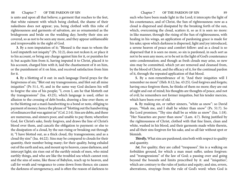is unto and upon all that believe; a garment that reaches to the feet, that white raiment with which being clothed, the shame of their nakedness does not appear; yea, being clothed with this robe of righteousness and garments of salvation, are as ornamented as the bridegroom and bride on the wedding day; hereby their sins are covered, so as not to be seen any more, and they appear unblameable and irreproveable in the sight of God.

**3.** By a non-imputation of it; "Blessed is the man to whom the Lord imputeth not iniquity" (Ps. 32:2), does not reckon it, or place it to his account, or bring any charge against him for it, or punishes for it; but acquits him from it, having imputed it to Christ, placed it to his account, charged him with it, laid the chastisement of it on him, or the punishment of it on him, and received satisfaction from him for it.

**4.** By a blotting of it out: in such language David prays for the forgiveness of sin; "Blot out my transgressions, and blot out all mine iniquities" (Ps 51:1, 9), and in the same way God declares his will to forgive the sins of his people; "I, even I, am he that blotteth out thy transgressions" (Isa. 43:25), which language is used, either in allusion to the crossing of debt books, drawing a line over them; or to the blotting out a man's handwriting to a bond or note, obliging to payment of money; hence the phrase of "blotting out the handwriting of ordinances that was against us" (Col. 2:14). Sins are debts, and these are numerous, and sinners poor, and unable to pay them; wherefore God, for Christ's sake, freely forgives, and draws the line of Christ's blood over them, and cancels the obligation to payment: or else to the dissipation of a cloud, by the sun rising or breaking out through it; "I have blotted out, as a thick cloud, thy transgressions; and as a cloud thy sins" (Isa. 44:22). Sins may be compared to clouds for their quantity, their number being many; for their quality, being exhaled out of the earth and sea, and mount up to heaven, cause darkness, and intercept light; sin rises out of the earthly minds of men, who mind earthly things, and who are like the troubled sea which cannot rest; and the sins of some, like those of Babylon, reach up to heaven, and call for wrath and vengeance to come down from thence; sin causes the darkness of unregeneracy, and is often the reason of darkness to

such who have been made light in the Lord; it intercepts the light of his countenance, and of Christ, the Sun of righteousness: now as a cloud is dispersed and dissipated by the breaking forth of the sun, which, overcoming the cloud, scatters it, so as it is seen no more: in like manner, through the rising of the Sun of righteousness, with healing in his wings, an application of pardoning grace is made for his sake; upon which darkness is dispersed, light and joy introduced, a serene heaven of peace and comfort follow: and as a cloud is so dispersed that it is seen no more, so sin is pardoned, in such sort as not to be seen any more, or to be set in the light of God's countenance unto condemnation; and though as fresh clouds may arise, so new sins may be committed, which yet are removed and cleansed from, by the blood of Christ, and the efficacy of it, for the continual pardon of it, through the repeated application of that blood.

**5.** By a non-remembrance of it; "And their iniquities will I remember no more" (Heb. 8:12; Isa. 43:25). God forgives and forgets; having once forgiven them, he thinks of them no more; they are out of sight and out of mind; his thoughts are thoughts of peace, and not of evil; he remembers not former iniquities, but his tender mercies, which have been ever of old.

**6.** By making sin, or rather sinners, "white as snow": so David prays, "Wash me, and I shall be whiter than snow" (Ps. 51:7). So the Lord promises; "Thy sins shall be as white as snow" (Isa. 1:18). "Her Nazarites are purer than snow" (Lam. 4:7). Being justified by the righteousness of Christ, clothed with that fine linen, clean and white, washed in his blood, and their garments made white therein, and all their sins forgiven for his sake, and so all fair without spot or blemish.

*Thirdly,* What sins are pardoned; sins both with respect to quality and quantity.

*1st*, For quality; they are called "trespasses". Sin is a walking on forbidden ground, for which a man must suffer, unless forgiven: and "transgressions" of the law of God; a passing over and going beyond the bounds and limits prescribed by it: and "iniquities", which are contrary to the rules of justice and equity; and sins, errors, aberrations, strayings from the rule of God's word: when God is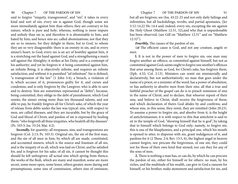said to forgive "iniquity, transgression", and "sin", it takes in every kind and sort of sin; every sin is against God, though some are more immediately against him than others; they are contrary to his nature, which is pure and holy; whereas, nothing is more impure and unholy than sin is; and therefore it is abominable to him, and hated by him; and hence sins arc called abominations; not that they are so to sinners, for they delight in them; but to God, to whom they are so very disagreeable: there is an enmity in sin, and in every sinner's heart, to God; every sin is an act of hostility against him, it is a stretching out the hand against God, and a strengthening a man's self against the Almighty; it strikes at his Deity, and is a contempt of his authority; and yet he forgives it: it being committed against him, an infinite Being, it is objectively infinite, and requires an infinite satisfaction; and without it is punished "ad infinitum". Sin is defined, "a transgression of the law" (1 John 3:4), a breach, a violation of it; which accuses of it, pronounces guilty for it, and curses and condemns; and is only forgiven by the Lawgiver, who is able to save and to destroy. Sins are sometimes represented as "debts"; because, being committed, they oblige to the debt of punishment, which God remits; the sinner owing more than ten thousand talents, and not able to pay, he frankly forgives all for Christ's sake; of which the year of release from debts under the law was typical: sins, with respect to men, are called diseases, and they are incurable, but by the grace of God and blood of Christ; and pardon of sin is expressed by healing them; "who forgiveth all thine iniquities, who healeth all thy diseases" (Ps. 103:3; Isa. 33:24; Mai. 4:2).

*Secondly,* for quantity; all trespasses, sins, and transgressions are forgiven (Col. 2:13; Ps. 103:3). Original sin, the sin of the first man, and the sin of all men in him, by which all are made, constituted, and accounted sinners; which is the source and fountain of all sin, and is the iniquity of us all, which was laid on Christ, and he satisfied for, and is forgiven for his sake; of all sin, it cannot be thought this should be left unforgiven: all actual sins which spring from thence; the works of the flesh, which are many and manifest; some are more secret, some more open, some lesser, others greater, more daring and presumptuous; some sins of commission, others sins of omission;

but all are forgiven; see (Isa. 43:22-25 and not only daily failings and infirmities, but all backslidings, revolts, and partial apostasies, (Jer 3:12-14,22 Ho 14:4 and, indeed, every sin, excepting the sin against the Holy Ghost (Matthew 12:31, 32),and why that is unpardonable has been observed, (see Gill on "Matthew 12:31" and on "Matthew 12:32").

*Fourthly,* The causes of the pardon of sin.

1*st* The efficient cause is God, and not any creature, angels or men.

**l.** It is not in the power of men to forgive sin; one man may forgive another an offence, as committed against himself, but not as committed against God; saints ought to forgive one another's offences that arise among them; as God, for Christ's sake, has forgiven them, (Eph. 4:32; Col. 2:13). Ministers can remit sin ministerially and declaratively, but not authoritatively; no man that goes under the name of a priest, or a minister of the word, has a power of absolution, or has authority to absolve men from their sins: all that a true and faithful preacher of the gospel can do is to preach remission of sins in the name of Christ; and to declare, that whoever repent of their sins, and believe in Christ, shall receive the forgiveness of them; and which declaration of theirs God abides by and confirms; and whose sins, in this sense, they remit, they are remitted (John 20:23). To assume a power to forgive sin, and absolve from it, is the height of antichristianism; it is with respect to this that antichrist is said to sit in the temple of God, "showing himself that he is god", by taking that to himself which belongs to God only; namely, to forgive sin; this is one of the blasphemies, and a principal one, which his mouth is opened to utter, to dispense with sin, grant indulgences of it, and pardons for it (2 Thess. 2:4; Rev. 13:5, 6), the highest angel in heaven cannot forgive, nor procure the forgiveness, of one sin; they could not for those of their own kind that sinned; nor can they for any of the sons of men.

**2.** There is nothing a man has, or can do, by which he can procure the pardon of sin, either for himself or for others: no man, by his riches, and the multitude of his wealth, can give to God a ransom for himself, or his brother, make atonement and satisfaction for sin, and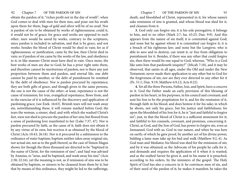obtain the pardon of it; "riches profit not in the day of wrath": when God comes to deal with men for their sins, and pour out his wrath upon them for them, bags of gold and silver will be of no avail. Nor is pardon of sin to be obtained by works of righteousness; could it, it would not be of grace; for grace and works are opposed to each other; men would be saved by works, contrary to the scriptures, since pardon is included in salvation, and that is by grace, and not works: besides the blood of Christ would be shed in vain; for as if righteousness, or justification, came by the law, then Christ died in vain; so if pardon of sin came by the works of the law, and obedience to it; in like manner Christ must have died in vain. Once more, the best works of men are due to God; he has a prior right unto them, and therefore cannot be meritorious of pardon; nor is there any just proportion between them and pardon, and eternal life; one debt cannot be paid by another, or the debt of punishment be remitted by the debt of obedience. Nor is pardon procured by repentance; they are both gifts of grace; and though given to the same persons, the one is not the cause of the other; at least, repentance is not the cause of remission; for true, evangelical repentance, flows from, and in the exercise of it is influenced by the discovery and application of pardoning grace; (see Ezek. 16:63). Brinish tears will not wash away sin, notwithstanding these, it will remain marked before God; the tears the woman, a sinner, shed, and with which she washed Christ's feet, were not shed to procure the pardon of her sins; but flowed from a sense of pardoning love manifested to her (Luke 7:37, 47). Nor is pardon procured by faith, as the cause of it; faith does not obtain it by any virtue of its own, but receives it as obtained by the blood of Christ (Acts 10:43; 26:18). Nor is it procured by a submission to the ordinance of water baptism; baptism neither takes away original sin, nor actual sin; not as to the guilt thereof, as the case of Simon Magus shows; for though the three thousand are directed to be "baptized in the name of Christ, for the remission of sins"; and Saul was advised by Ananias, to "arise, and be baptized, and wash away his sins" (Acts 2:38; 22:16), yet the meaning is not, as if remission of sins was to be obtained by baptism, or sinners to be cleansed from them by it; but that by means of this ordinance, they might be led to the sufferings,

death, and bloodshed of Christ, represented in it; for whose name's sake remission of sins is granted, and whose blood was shed for it, and cleanses from it.

**3.** God only can forgive sin; it is his sole prerogative; it belongs to him, and to no other (Mark 2:7; Isa. 43:25; Dan. 9:9). And this appears from the nature of sin itself; it is committed against God; and none but he against whom it is committed can forgive it; it is a breach of his righteous law; and none but the Lawgiver, who is able to save and to destroy, can remit it, or free from obligation to punishment for it. Besides, if there was any other that could forgive sin, then there would be one equal to God; whereas, "Who is a God like unto him that pardoneth iniquity?" (Micah 7:18), and it may be observed, that saints in all ages, under the Old and under the New Testament, never made their application to any other but to God for the forgiveness of sin; nor are they ever directed to any other for it (Ps. 51:1; Dan. 9:19; Matthew 6:9,12; Acts 8:22).

**4.** Yet all the three Persons, Father, Son, and Spirit, have a concern in it. God the Father made an early provision of this blessing of pardon in his heart, in his purposes, in his council and covenant; and sent his Son to be the propitiation for it, and for the remission of it, through faith in his blood; and does bestow it for his sake; in which he shows, not only his grace, but his justice and faithfulness; for upon the bloodshed of his Son for it, he is "just and faithful to forgive sin"; just, in that the blood of Christ is a sufficient atonement for it; and faithful to his counsels, covenant, and promises, concerning it. Christ, as God, and the Son of God, has power to forgive sin, even as Immanuel, God with us. God in our nature, and when he was here on earth; of which he gave proof, by another act of his divine power, bidding a lame man take up his bed and walk (Matthew 9:2, 6). As God man and Mediator, his blood was shed for the remission of sin; and by it was obtained; as the Advocate of his people he calls for it, and demands and requires the application of it when it is wanted; and as the exalted Savior he gives it, and in his name it is preached, according to his orders, by the ministers of the gospel. The Holy Spirit of God has also a concern in it: he convinces men of sin, and of their need of the pardon of it; he makes it manifest; he takes the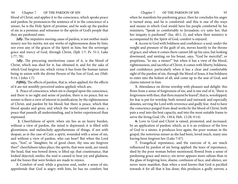blood of Christ, and applies it to the conscience, which speaks peace and pardon; he pronounces the sentence of it in the conscience of a sinner; he is the Holy Spirit of promise, and he seals up the pardon of sin in a promise; and witnesses to the spirits of God's people that they are pardoned ones.

**2***dly***.** The impulsive moving cause of pardon, is not neither man's misery nor his merits; not any works of righteousness done by him; nor even any of the graces of the Spirit in him; but the sovereign grace and mercy of God, through Christ, (Eph 1:7; Ps. 51:1; Luke 1:77, 78).

3*dly*, The procuring meritorious cause of it, is the blood of Christ, which was shed for it, has obtained it, and for the sake of which God forgives sin; which virtue it has from the human nature being in union with the divine Person of the Son of God; see (Heb. 9:14; 1 John 1:7).

*Fifthly,* The effects of pardon, that is, when applied; for the effects of it are not sensibly perceived unless applied; which are,

**1.** Peace of conscience; when sin is charged upon the conscience, and there is no sight and sense of pardon, there is no peace; but no sooner is there a view of interest in justification, by the righteousness of Christ, and pardon by his blood, but there is peace, which that blood speaks and gives; and which the world cannot take away; a peace that passeth all understanding, and is better experienced than expressed.

 **2.** Cheerfulness of spirit: when sin lies as an heavy burden, without a view of pardon, the mind is depressed; it is filled with gloominess, and melancholy apprehensions of things, if not with despair, as in the case of Cain: a spirit, wounded with a sense of sin, and without a view of pardon, who can bear? But when the Lord says, "Son", or "daughter, be of good cheer, thy sins are forgiven thee!" cheerfulness takes place; the spirits, that were sunk, are raised; the head, that was bowed down, is lifted up; that countenance, that looked dejected, smiles; the soul is caused to hear joy and gladness; and the bones that were broken are made to rejoice.

**3.** Comfort of soul: while a gracious soul, under a sense of sin, apprehends that God is angry with him, he has no comfort; but when he manifests his pardoning grace, then he concludes his anger is turned away, and he is comforted: and this is one of the ways and means in which God would have his people comforted by his ministers; "Speak ye comfortably to Jerusalem; cry unto her, that her iniquity is pardoned" (Isa. 40:1, 2), and when their ministry is accompanied by the Spirit of God, comfort is enjoyed.

**4.** Access to God with boldness and confidence: a soul, under the weight and pressure of the guilt of sin, moves heavily to the throne of grace; and when it comes there cannot lift up his eyes, but looking downward, and smiting on his breast, says, "God be merciful", or propitious, "to me, a sinner!" but when it has a view of the blood, righteousness, and sacrifice of Christ, it comes with liberty, boldness, and confidence; particularly when it has a clear and comfortable sight of the pardon of sin, through the blood of Jesus, it has boldness to enter into the holiest of all, and come up to the seat of God, and claims interest in him.

**5.** Attendance on divine worship with pleasure and delight: this flows from a sense of forgiveness of sin, and is one end of it; "there is forgiveness with thee, that thou mayest be feared", that is, worshipped; for fear is put for worship, both inward and outward; and especially denotes, serving the Lord with reverence and godly fear. And to have the conscience purged from dead works by the blood of Christ, both puts a soul into the best capacity, and into the most suitable frame to serve the living God, (Ps. 130:4; Heb. 12:28; 9:14).

**6.** Love to God and Christ is raised, promoted, and increased, by an application of pardon; which, as it is an evidence of the love of God to a sinner, it produces love again; the poor woman in the gospel, the notorious sinner as she had been, loved much, many sins having been forgiven her (Luke 7:47).

**7.** Evangelical repentance, and the exercise of it, are much influenced by pardon of sin being applied: the tears of repentance, shed by the poor woman before mentioned, flowed from a sense of pardoning grace and mercy; sin never appears more odious than in the glass of forgiving love; shame, confusion of face, and silence, are never more manifest, than when a soul knows that God is pacified towards it for all that it has done; this produces a godly sorrow, a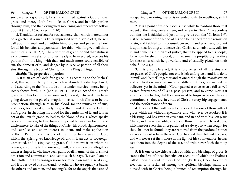sorrow after a godly sort, for sin committed against a God of love, grace, and mercy; faith first looks to Christ, and beholds pardon through him; and then evangelical mourning and repentance follow upon it (Ezek. 16:63; (Zech. 12:10).

**8.** Thankfulness of soul for such a mercy; than which there cannot be a greater: if a man is truly impressed with a sense of it, he will call upon his soul, and all within him, to bless and praise the Lord for all his benefits; and particularly for this, "who forgiveth all thine iniquities" (Ps. 103:2, 3). Think with what gratitude and thankfulness a condemned malefactor, and just ready to be executed, receives his pardon from the king! with that, and much more, souls sensible of sin, the demerit of it, and danger by it, receive pardon of all their sins, through the blood of Christ, from the King of kings.

*Sixthly,* The properties of pardon.

**1.** It is an act of God's free grace; it is according to the "riches" of it; that is, the plenty of it, which is abundantly displayed in it; and according to the "multitude of his tender mercies", mercy being richly shown forth in it, (Eph 1:7 Ps 51:1. It is an act of the Father's grace, who has found the ransom; and, upon it, delivered men from going down to the pit of corruption; has set forth Christ to be the propitiation, through faith in his blood, for the remission of sins, and does, for his sake, freely forgive them: and it is an act of the Son's grace, in shedding his blood for the remission of it: and it is an act of the Spirit's grace, to lead to the blood of Jesus, which speaks peace and pardon; to that fountain opened to wash in for sin and uncleanness; to take of the things of Christ, his blood, righteousness, and sacrifice, and show interest in them, and make application of them. Pardon of sin is one of the things freely given of God, which the Spirit gives knowledge of; and it is an act of sovereign, unmerited, and distinguishing grace. God bestows it on whom he pleases, according to his sovereign will, and on persons altogether undeserving of it, who have been guilty of all manner of sin, of sins of omission and commission; and yet to such he says, "I, even I, am he that blotteth out thy transgressions for mine own sake" (Isa. 43:25), and it is bestowed on some, and not others, who are equally as bad as the others; and on men, and not angels; for to the angels that sinned

no sparing pardoning mercy is extended; only to rebellious, sinful men.

**2.** It is a point of justice; God is just, while he pardons those that repent of their sins, confess them, and believe in Christ; "If we confess our sins, he is faithful and just to forgive us our sins" (1 John 1:9), just on account of the blood of his Son being shed for the remission of sin, and faithful to his counsel, covenant, and promises, to grant it upon that footing; and hence also Christ, as an advocate, calls for it, and demands it in right of justice; that it be applied to his people, for whom he shed his blood; and became the propitiatory sacrifice for their sins; which he powerfully and effectually pleads on their behalf, (ljo 2:1,2.

**3.** It is a complete act; it is a forgiveness of all the sins and trespasses of God's people, not one is left unforgiven; and it is done "simul" and "semel", together and at once; though the manifestation and application may be made at different times, as wanted by believers; yet in the mind of God it passed at once; even a full as well as free forgiveness of all sins, past, present, and to come. Nor is it any objection to this, that then sins must be forgiven before they are committed; so they are, in virtue of Christ's suretyship engagements, and the performance of them.

**4.** It is an act that will never be repealed; it is one of those gifts of grace which are without repentance, and will never be revoked; it is a blessing God has given in covenant, and in and with his Son Jesus Christ, and it is irreversible; it is one of those things which God does, which are for ever; sins once pardoned are always so; when sought for they shall not be found; they are removed from the pardoned sinner as far as the east is from the west; God has cast them behind his back, and will never set them more in the light of his countenance; he has cast them into the depths of the sea, and wild never fetch them up again.

**5.** It is one of the chief articles of faith, and blessings of grace; it stands the first of those benefits, on account of which the Psalmist called upon his soul to bless God for, (Ps 103:2,3 next to eternal election, it is reckoned among the spiritual blessings saints are blessed with in Christ; being a branch of redemption through his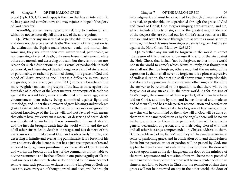blood (Eph. 1:3, 4, 7), and happy is the man that has an interest in it; he has peace and comfort now, and may rejoice in hope of the glory of God hereafter!

*Seventhly,* answer some questions relating to pardon of sin; which do not so naturally fall under any of the above points.

*Q1.* Whether any sin is venial or pardonable in its own nature, and does not deserve eternal death? The reason of this question is, the distinction the Papists make between venial and mortal sins; some sins, they say, are in their own nature venial, pardonable, or not deserving of eternal death, only some lesser chastisement, while others are mortal, and deserving of death: but there is no room nor reason for such a distinction; no sin is venial or pardonable in itself but mortal, and deserving of death; though every kind of sin is venial or pardonable, or rather is pardoned through the grace of God and blood of Christ, excepting one. There is a difference in sins, some are greater, others lesser; (see John 19:11) some are breaches of the more weightier matters, or precepts of the law, as those against the first table of it; others of the lesser matters, or precepts of it, as those against the second table; some are attended with more aggravated circumstances than others, being committed against light and knowledge, and under the enjoyment of great blessings and privileges (Luke 12:47, 48; Matthew 11:22, 24) while others are done ignorantly without knowledge of the Lord's will, and not favored with means that others have; yet every sin is mortal, or deserving of death: death was threatened to sin before it was committed, in case it should: and the first sin brought death into the world with it, and the end of all other sins is death; death is the wages and just demerit of sin; every sin is committed against God, and is objectively infinite, and deserving of infinite and everlasting punishment; it is a breach of his law, and every disobedience to that has a just recompense of reward annexed to it; righteous punishment, or the wrath of God it reveals and works; the breach of the least of the commands of it is liable to divine resentment; and he that offends in one point is guilty of all; the least sin leaves a stain which what is done or used by the sinner cannot remove; and such pollution excludes from the kingdom of God; the least sin, even every sin of thought, word, and deed, will be brought

into judgment, and must be accounted for: though all manner of sin is venial, or pardonable, or is pardoned through the grace of God and blood of Christ; God forgives iniquity, transgression, and sin, which include all sorts of sin; sins of the greatest magnitude, and of the deepest die, are blotted out for Christ's sake; such as are like crimson and scarlet become through him as white as wool, as white as snow; his blood cleanses from sin; every sin is forgiven, but the sin against the Holy Ghost (Matthew 12:31,32)

**Q2.** Whether any sin will be forgiven in the world to come? The reason of this question is, because it is said of the sin against the Holy Ghost, that it shall "not be forgiven, neither in this world nor in the world to come"; which seems to imply, that though that sin shall not then be forgiven, others may: but the meaning of the expression is, that it shall never be forgiven; it is a phrase expressive of endless duration, that that sin shall always remain unpardonable, and does not suppose anything concerning other sins; and therefore the answer to be returned to the question is, that there will be no forgiveness of any sin at all in the other world. As for the sins of God's people, the remission of them is perfect; all of them have been laid on Christ, and bore by him; and he has finished and made an end of them all; and has made perfect reconciliation and satisfaction for them; and God, Christ's sake, has forgiven all trespasses, and no new sins will he committed by them; the will of God will be done by them with the same perfection as by the angels; there will be no sin in them, and done by them, to be pardoned; there will be indeed a general declaration of pardon, and of their being blessed with that and all other blessings comprehended in Christ's address to them, "Come, ye blessed of my Father"; and they will live under a continual sense of pardoning grace, and in admiration of it, and thankfulness for it; but no particular act of pardon will be passed by God, nor applied to them for any particular sin: and as for others, the door will be shut upon them at the day judgment; the door of the ministry of the word; repentance and remission of sins will be no more preached in the name of Christ; after this there will be no repentance of sin in sinners, nor faith to believe in Christ for the remission of sins; these graces will not be bestowed on any in the other world, the door of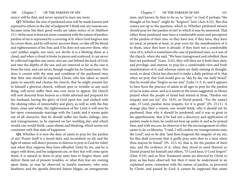100 Chapter 7 OF THE PARDON OF SIN Chapter 7 OF THE PARDON OF SIN 101 mercy will be shut, and never opened to men any more.

**Q3.** Whether the sins of pardoned ones will be made known and exposed to others in the day of judgment! I think not; my reasons are, because none but their good works are taken notice of in Matthew 25:1-46 because it does not seem consistent with the nature of pardon: pardon of sin is expressed by a covering of it; when God forgives sins he covers them, and he will never uncover them, or take off the blood and righteousness of his Son; and if he does not uncover them, who can? neither angels, nor men, nor devils: it is a blotting them as a cloud; and when a cloud is broke to pieces and scattered, it can never be collected together any more; sins are cast behind the hack of God, and into the depths of the sea; and are removed as far as the east is from the west, and can never, though sought for, be found more. Nor does it consist with the state and condition of the pardoned ones that their sins should be exposed; Christ, who has taken so much pains to sanctify and cleanse his church, that he might present her to himself a glorious church, without spot or wrinkle or any such thing, will never suffer their sins ever more to appear; the church will now descend from heaven as a bride adorned and prepared for her husband, having the glory of God upon her, and clothed with the shining robes of immortality and glory, as well as with the fine linen, clean and white, the righteousness of her Lord; it will now be her open consummate marriage with the Lamb; and it seems quite out of all character, that he should suffer her faults, failings, sins, and transgressions, to be exposed on her wedding day; and which would, one would think, cause shame and blushing, which seems not consistent with that state of happiness.

**Q4.** Whether it is now the duty of saints to pray for the pardon of sin? Prayer itself is a moral duty, and incumbent on all; and the light of nature will direct persons in distress to pray to God for relief; and when they suppose they have offended. Deity by sin, and he is angry with them, and his judgments are, or they fear will come upon them; it is natural to them to pray unto him to forgive them, and deliver them out of present troubles, or what they fear are coming upon them; as may be observed in Jonah's mariners, who were heathens; and the apostle directed Simon Magus, an unregenerate

man, and known by him to be so, to "pray" to God if perhaps "the thought of his heart" might be "forgiven" him (Acts 8:22). But this comes not up to the question, which is, Whether pardoned sinners should pray for the pardon of sin? to which it may be answered, That either these pardoned ones have a comfortable sense and perception of the pardon of their sins, or they have not; if they have, they have no need, at present at least, to pray even for the manifestation of it to them, since they have it already; if they have not a comfortable view of it, which is sometimes the case of pardoned ones, as it was of the church, when she said, "We have transgressed and rebelled, thou hast not pardoned" (Lam. 3:42), they will then see it both their duty, and privilege, and interest, to pray for a comfortable view and fresh manifestation of it: and whereas saints are daily sinning in thought, word, or deed, Christ has directed to make a daily petition of it, that when we pray that God would give us "day by day our daily bread", that he would also "forgive us our sins" (Luke 11:3, 4), and it appears to have been the practice of saints in all ages to pray for the pardon of sin in some sense, and as it seems in the sense suggested; so Moses prayed when the people of Israel had sinned at Sinai, "Pardon our iniquity and our sin" (Ex. 34:9), so David prayed, "For thy name's sake, O Lord, pardon mine iniquity, for it is great" (Ps. 25:11). A strange plea this! a reason, one would think, why it should not be pardoned, than why it should be pardoned; and it was so great in his apprehension, that if he had not a discovery and application of pardon made to him, he could not bear up under it; and as he prayed thus, and with success, he observes it for the encouragement of other saints to do so likewise; "I said, I will confess my transgressions unto the Lord", and so he did; "and thou forgavest the iniquity of my sin; for this shall everyone that is godly pray unto thee in a time when thou mayest be found" (Ps. 32:5, 6), that is, for the pardon of their sins, and the evidence of it, when they stood in need thereof; so Daniel prayed for himself and others, "O Lord hear, O Lord forgive" (Dan. 9:19), and so New Testament saints are directed by Christ to pray, as has been observed: but then it must he understood in an explained sense, consistent with the nature of pardon, as procured by Christ, and passed by God; it cannot be supposed that saints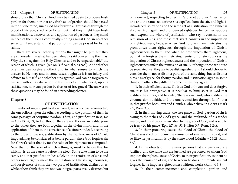should pray that Christ's blood may be shed again to procure fresh pardon for them; nor that any fresh act of pardon should be passed in the divine mind, since God has forgiven all trespasses through the blood of his Son, shed once for all; but that they might have fresh manifestations, discoveries, and application of pardon, as they stand in need of them, being continually sinning against God: in no other sense can I understand that pardon of sin can be prayed for by the saints.

There are several other questions that might be put, but they are superseded by what has been already said concerning them; as, Why the sin against the Holy Ghost is said to be unpardonable? the reason of which is given (see on "Of Actual Sins &c"). And whether one man can forgive another? and in what sense? to which the answer is, He may, and in some cases, ought; as it is an injury and offence to himself: and whether sins against God can be forgiven by himself without a satisfaction to his justice? and whether if, upon a satisfaction, how can pardon be free, or of free grace? The answer to these questions may be found in a preceding chapter.

### **Chapter 8**

## **OF JUSTIFICATION**

Pardon of sin, and justification from it, are very closely connected; the one follows upon the other; according to the position of them in some passages of scripture, pardon is first, and justification next; (as in Acts 13:38, 39; 26:18), though they are not, the one, in reality, prior to the other; they are both together in the divine mind, and in the application of them to the conscience of a sinner; indeed, according to the order of causes, justification by the righteousness of Christ, imputed, may be considered as before pardon; since God forgives sin for Christ's sake; that is, for the sake of his righteousness imputed. Now that for the sake of which a thing is, must be before that for which it is, as the cause is before the effect. Some take them to be the same, and that justification lies solely in the remission of sins; and others more rightly make the imputation of Christ's righteousness, and forgiveness of sins, the two parts of justification, distinct ones; while others think they are not two integral parts, really distinct, but only one act, respecting two terms, "a quo et ad quern"; just as by one and the same act darkness is expelled from the air, and light is introduced; so by one and the same act of justification, the sinner is absolved from guilt, and pronounced righteous; hence they suppose such express the whole of justification, who say, it consists in the remission of sins, and those that say it consists in the imputation of righteousness; because when God forgives men their sins, he pronounces them righteous, through the imputation of Christ's righteousness to them; and when he pronounces them righteous, by that he forgives them their sins; remission of sin supposes the imputation of Christ's righteousness; and the imputation of Christ's righteousness infers the remission of sin. But though these are not to be separated, yet they are to be distinguished; and I should choose to consider them, not as distinct parts of the same thing, but as distinct blessings of grace; for though pardon and justification agree in some things, in others they differ. In some things they agree.

**1.** In their efficient cause, God: as God only can and does forgive sin, it is his prerogative, it is peculiar to him; so it is God that justifies the sinner, and he only; "there is one God, who justifies the circumcision by faith, and the uncircumcision through faith"; that is, that justifies both Jews and Gentiles, who believe in Christ (Mark 2:7; Rom. 3:30).

**2.** In their moving cause, the free grace of God: pardon of sin is owing to the riches of God's grace, and the multitude of his tender mercy; and justification is ascribed to the grace of God, and is said to be freely by his grace (Eph 1:7; Ps. 51:1; Titus 3:7; Rom. 3:24).

**3.** In their procuring cause, the blood of Christ: the blood of Christ was shed to procure the remission of sins, and it is by it; and so likewise justification is by the same blood (Matthew 26:28; Rom. 5:9).

**4.** In the objects of it: the same persons that are pardoned are justified, and the same that are justified are pardoned; to whom God imputes the righteousness of Christ, to their justification, to them he gives the remission of sin; and to whom he does not impute sin, but forgives it, he imputes righteousness without works (Rom. 4:6-8).

**5.** In their commencement and completion: pardon and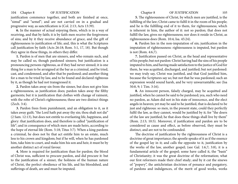justification commence together, and both are finished at once, "simul" and "semel"; and are not carried on in a gradual and progressive way, as sanctification is (Col. 2:13; Acts 13:39).

**6.** In the manner of actual enjoying them, which is in a way of receiving, and that by faith; it is by faith men receive the forgiveness of sins; and by it they receive abundance of grace, and the gift of righteousness to justification of life; and, this is what the Scriptures call justification by faith (Acts 26:18; Rom. 5:1, 17, 18). But though they agree in these things, in others they differ.

**1.** Pardon is of men that are sinners, and who remain such, and may be called so, though pardoned sinners; but justification is a pronouncing persons righteous, as if they had never sinned; it is one thing for a man to be arraigned at the bar as a criminal, and be tried, cast, and condemned, and after that be pardoned; and another thing for a man to be tried by law, and to be found and declared righteous by it, as though he had not transgressed it.

**2.** Pardon takes away sin from the sinner, but does not give him a righteousness, as justification does; pardon takes away the filthy garments; but it is justification that clothes with change of raiment, with the robe of Christ's righteousness; these are two distinct things (Zech. 3:4).

**3.** Pardon frees from punishment, and an obligation to it, as it takes away guilt; "the Lord hath put away thy sin; thou shalt not die" (2 Sam. 12:13), but does not entitle to everlasting life, happiness, and glory: that justification does, and therefore is called "justification of life"; and in consequence of which men are made heirs, according to the hope of eternal life (Rom. 5:18; Titus 3:7). When a king pardons a criminal, he does not by that act entitle him to an estate, much less to his crown and kingdom; but if he will, when he has pardoned him, take him to court, and make him his son and heir, it must be by another distinct act of royal favour.

**4.** More is required for justification than for pardon; the blood of Christ was, sufficient to procure pardon, and did procure it: but to the justification of a sinner, the holiness of the human nature of Christ, the perfect obedience of his life, and his bloodshed, and sufferings of death, are and must be imputed.

**5.** The righteousness of Christ, by which men are justified, is the fulfilling of the law; Christ came to fulfil it in the room of his people; and he is the fulfilling end of it to them, for righteousness; which is inherent in him, the author of it: not so pardon; that does not fulfill the law, gives no righteousness; nor does it reside in Christ, as righteousness does (Rom. 10:4; Isa. 45:24).

**6.** Pardon lies in the non-imputation of sin; justification in the imputation of righteousness: righteousness is imputed, but pardon is not (Rom. 4:6,7).

**7.** Justification passed on Christ, as the head and representative of his people; but not pardon: Christ having had the sins of his people imputed to him, and having made satisfaction to the justice of God for them, he was acquitted, discharged, and justified; but not pardoned: we may truly say, Christ was justified, and that God justified him, because the Scriptures say so; but not that he was pardoned; such an expression would sound harsh, and be very unwarrantable; see (Isa 50:8, 9; 1 Tim. 3:16).

**8.** An innocent person, falsely charged, may be acquitted and justified, when he cannot be said to be pardoned; yea, such who need no pardon, as Adam did not in his state of innocence, and the elect angels in heaven; yet may be said to he justified, that is declared to be just and righteous: so men, in the present state, could they perfectly fulfil the law, as they cannot, would be justified by it; for "the doers of the law are justified; he that does these things shall live by them" (Rom. 2:13; 10:5). Moreover, if justification and pardon are to be considered as cause and effect, as before observed, they must be distinct, and are not to be confounded.

The doctrine of justification by the righteousness of Christ is a doctrine of great importance; the apostle speaks of it as if the essence of the gospel lay in it; and calls the opposite to it, justification by the works of the law, another gospel; (see Gal. 1:6,7; 3:8), it is a fundamental article of the gospel; some have called it, the "basis" of Christianity; it was the great doctrine of the reformation; what our first reformers made their chief study; and by it cut the sinews of "popery", the antichristian doctrines of penance and purgatory, of pardons and indulgences, of the merit of good works, works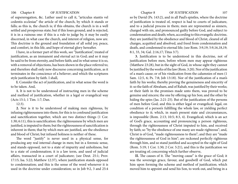of supererogation, &c. Luther used to call it, "articulus stantis vel cedentis ecclesiae" the article of the church, by which it stands or falls; as this is, the church is; if this obtains, the church is in a well settled and prosperous state; but if this loses ground, and is rejected, it is in a ruinous one: if this is a rule to judge by, it may be easily discerned, in what case the church, and interest of religion, now are. This doctrine is the ground and foundation of all solid joy, peace, and comfort, in this life, and hope of eternal glory hereafter.

I have, in a former part of this work, see "Justification", treated of justification, as an immanent and eternal act in God; and so it may be said to be from eternity, and before faith; and in what sense it is so, with a removal of objections, has been shown in the place referred to; and therefore shall only now discourse concerning justification, as it terminates in the conscience of a believer; and which the scriptures style justification by faith. I shall,

**I.** Consider the act of justification, and in what sense the word is to be taken. And,

**1.** It is not to be understood of instructing men in the scheme and method of justification, whether in a legal or evangelical way (Acts 15:1; 1 Tim. 1:7; Dan.

12:3).

**2.** Nor is it to be understood of making men righteous, by infusing righteousness into them; for this is to confound justification and sanctification together, which are two distinct things (1 Cor. 1:30; 6:11), this is sanctification: the righteousness by which men are justified, is imputed to them; but the righteousness of sanctification is inherent in them; that by which men are justified, are the obedience and blood of Christ; but infused holiness is neither of these.

The word "justify" is never used in a physical sense, for producing any real internal change in men; but in a forensic sense, and stands opposed, not to a state of impurity and unholiness, but to a state of condemnation; it is a law term, and used of judicial affairs, transacted in a court of judicature; (see Deut. 25:1; Prov. 17:15; Isa. 5:22; Matthew 12:37), where justification stands opposed to condemnation; and this is the sense of the word whenever it is used in the doctrine under consideration; so in Job 9:2, 3 and 25:4

so by David (Ps. 143:2), and in all Paul's epistles, where the doctrine of justification is treated of, respect is had to courts of judicature, and to a judicial process in them; men are represented as sinners, charged with sin, and pronounced guilty before God, and subject to condemnation and death; when, according to this evangelic doctrine, they are justified by the obedience and blood of Christ, cleared of all charges, acquitted and absolved, and freed from condemnation and death, and condemned to eternal life; (see Rom. 3:9,19; 5:9,16,18,19; 8:1, 33, 34; Gal. 2:16,17; Titus 3:7).

**3.** Justification is to be understood in this doctrine, not of justification before men, before whom men may appear righteous (Matthew 23:28), but in the sight of God, in whose sight they cannot be justified by the works of the law (Rom. 3:20). Nor of the justification of a man's cause; or of his vindication from the calumnies of men (1 Sam. 12:5, 6; Ps. 7:8; Job 13:18). Nor of the justification of a man's faith by his works; thereby proving the genuineness and sincerity of it: so the faith of Abraham, and of Rahab, was justified by their works; or their faith in the promises made unto them, was proved to be genuine and sincere; the one by offering up his Son; and the other by hiding the spies (Jas. 2:21-25). But of the justification of the persons of men before God; and this is either legal or evangelical: legal, on condition of a person's fulfilling the whole law, or yielding perfect obedience to it; which, in man's present state and circumstances, is impossible (Rom. 2:13; 10:5; 8:3, 4). Evangelical; which is an act of God's grace, accounting and pronouncing a person righteous, through the righteousness of Christ imputed to him, and received by faith; so "by the obedience of one many are made righteous"; and, Christ is of God, "made righteousness to them"; and they are "made the righteousness of God in him"; are reckoned perfectly righteous through him, and so stand justified and accepted in the sight of God (Rom. 5:19; 1 Cor. 1:30; 2 Cor. 5:21), and this is the justification we are treating of; concerning which further observe,

**II.** The causes of it. The "moving cause" is the grace of God; it was the sovereign grace, favour, and goodwill of God, which put him upon forming the scheme and method of justification; which moved him to appoint and send his Son, to work out, and bring in a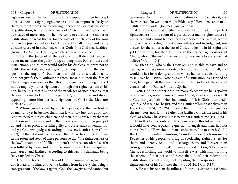righteousness for the justification of his people; and then to accept of it as their justifying righteousness, and to impute it freely to them, without works: the procuring, meritorious, or material cause of justification, is the righteousness of Christ imputed, which will be treated of more largely, when we come to consider the matter of justification; or what that is, for the sake of which, any of the sons of men are justified before God. At present I shall only attend to the efficient cause of justification, who is God; "It is God that justifies" (Rom. 8:33; 3:26, 30; Gal. 3:8), which is marvelous; since,

**1.** He is the Judge of all the earth, who will do right, and will by no means clear the guilty. Judges among men, by his orders and instructions, and as they would forfeit his displeasure, were not to justify the wicked; and yet he, who is Judge himself in the earth, "justifies the ungodly": but then it should be observed, that he does not justify them without a righteousness, but upon the foot of Christ's righteousness; so that though he justifies the ungodly, yet not as ungodly, but as righteous, through the righteousness of his Son; hence it is, that it is one of the privileges of such persons, that they can "come to God, the Judge of all", without fear and dread, appearing before him perfectly righteous in Christ the Mediator (Heb. 12:23, 24).

**2.** Whose law is the rule by which he judges, and that law broken by men, and yet he justifies them. The law is holy, just, and good, and requires perfect, sinless obedience of men, but is broken by them in ten thousand instances; and he that offends in one point, is guilty of all, and the law pronounces him guilty, and curses and condemns him; and yet God, who judges according to this law, justifies them (Rom. 2:12), but then it should be observed, that Christ has fulfilled the law, in the room and stead of these persons; so that "the righteousness of the law" is said to be "fulfilled in them"; and it is considered as if it was fulfilled by them; and on this account they are legally acquitted, discharged, and justified, according to this law; its demands being fully satisfied by Christ.

**3.** Sin, the breach of the law of God, is committed against him, and is hateful to him, and yet he justifies from it; every sin, being a transgression of the law, is against God, the Lawgiver, and cannot but

be resented by him, and be an abomination to him; he hates it, and the workers of it; well then might Bildad say, "How then can man be justified with God?" (Job 25:4), and yet he is.

**4.** It is that God that justifies, who will not admit of an imperfect righteousness, in the room of a perfect one: man's righteousness is imperfect, and cannot be reckoned as a perfect one by him, whose judgment is according to truth; nor will it stand in judgment, nor answer for the sinner at the bar of God, and justify in his sight; and yet God justifies; but then it is through the perfect righteousness of Christ, who is "the end of the law for righteousness to everyone that believes" (Rom. 10:4).

**5.** That God, who is the Lawgiver, and is able to save and to destroy, who has power to destroy both body and soul in hell, and would be just in so doing, and into whose hands it is a fearful thing to fall, yet he justifies. Now this act of justification, as ascribed to God, belongs to all the three Persons in the Godhead; they are all concerned in it, Father, Son, and Spirit.

*First,* God the Father; who, in many places where he is spoken of as a justifier, is distinguished from Christ; as where it is said, "It is God that justifieth—who shall condemn? It is Christ that died!" Again, God is said to "be just, and the justifier of him that believeth in Jesus" (Rom. 8:34; 3:25, 26), the same that justifies the head, justifies the members; now it is the Father that justified Christ, the head of his elect, of whom Christ says, He is near that justifieth me (Isa. 50:8).

**l.** God the Father contrived the scheme and method of justification; it would have been a puzzling question to angels and men, had not he resolved it; "How should man", sinful man, "be just with God?" But God, in his infinite wisdom, "found a ransom", a Ransomer, a Redeemer of his people, to bring in everlasting righteousness for them, and thereby acquit and discharge them, and "deliver them from going down to the pit" of ruin and destruction; "God was in Christ reconciling the world to himself"; was, with him, forming the scheme of their peace and reconciliation, of their redemption, justification, and salvation; "not imputing their trespasses", but the righteousness of his Son unto them (Job 33:24; 2 Cor. 5:19).

**2.** He sent his Son, in the fullness of time, to execute this scheme;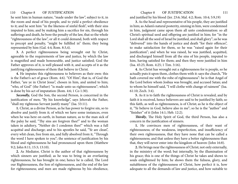he sent him in human nature, "made under the law", subject to it, in the room and stead of his people, and to yield a perfect obedience to it; and he sent him "in the likeness of sinful flesh", with their sins imputed to him; and by making him a sacrifice for sin, through his sufferings and death, he bore the penalty of the law, that so the whole "righteousness of the law", or all it could demand, both with respect to precept and penalty, "might be fulfilled in" them; they being represented by him (Gal. 4:4; Rom. 8:3,4).

**3.** A perfect righteousness being wrought out by Christ, agreeable to the requirements of law and justice, by which the law is magnified and made honourable, and justice satisfied; God the Father approves of it, is well pleased with it, and accepts of it as the justifying righteousness of them that believe in Christ.

**4.** He imputes this righteousness to believers as their own: this is the Father's act of grace (Rom. 4:6). "Of Him", that is, of God the Father, "are ye in Christ Jesus", chosen in him, and united to him; "who, of God" (the Father) "is made unto us righteousness"; which is done by his act of imputation (Rom. 4:6; 1 Co 1:30).

*Secondly,* God the Son, the second Person, is concerned in the justification of men; "By his knowledge", says Jehovah the Father, "shall my righteous Servant justify many" (Isa. 53:11).

**1.** Christ, as a divine Person, as he has power to forgive sin, so to absolve and justify from it; of which we have some instances, even when he was here on earth, in human nature, as to the man sick of the palsy he said, "Thy sins are forgiven thee!" and to the woman taken in adultery, "Neither do I condemn thee!" which was a full acquittal and discharge; and to his apostles he said, "Ye are clean", every whit clean, free from sin, and fully absolved from it, "Through the word I have spoken to you"; the sentence of justification by his blood and righteousness he had pronounced upon them (Matthew 9:2; John 8:11; 15:3; 13:10).

**2.** As Mediator, Christ is the author of that righteousness by which sinners are justified; as he was to bring in an everlasting righteousness, he has brought in one; hence he is called, The Lord our Righteousness, the Son of righteousness, and the end of the law for righteousness; and men are made righteous by his obedience,

110 Chapter 8 OF JUSTIFICATION Chapter 8 OF JUSTIFICATION 111

and justified by his blood (Jer. 23:6; Mal. 4:2; Rom. 10:4; 5:9,19)

**3.** As the head and representative of his people, they are justified in him; as Adam's natural posterity, sinning in him, were condemned in him, judgment came upon them all unto condemnation: so all Christ's spiritual seed and offspring are justified in him; for "in the Lord shall all the seed of Israel be justified, and shall glory"; as he was "delivered" into the hands of justice and death "for their offences", to make satisfaction for them, so he was "raised again for their justification"; and when he was raised, he was justified, acquitted, and discharged himself from all the sins of his people, imputed to him, having satisfied for them; and then they were justified in him (Isa. 45:25; Rom. 4:25; 1 Tim. 3:16).

**4.** As Christ has wrought out a righteousness for is people, so he actually puts it upon them, clothes them with it: says the church, "He hath covered me with the robe of righteousness": he is that Angel of the Lord before whom Joshua was brought, and accused Satan; and to whom he himself said, "I will clothe with change of raiment" (Isa. 61:10; Zech. 3:4).

**5.** As it is to faith the righteousness of Christ is revealed, and by faith it is received, hence believers are said to be justified by faith; so this faith, as well as righteousness, is of Christ; as he is the object of it, "Ye believe in God, believe also in me"; so he is the "author" and "finisher" of it (John 14:1; Heb. 12:2).

*Thirdly*, The Holy Spirit of God, the third Person, has also a concern in the justification of sinners.

**1.** He convinces men of righteousness, of their want of righteousness; of the weakness, imperfection, and insufficiency of their own righteousness, that they have none that can be called a righteousness; and that unless they have a better righteousness than that, they will never enter into the kingdom of heaven (John 16:8).

**2.** He brings near the righteousness of Christ; not only externally, in the ministry of the word; but internally, by the illumination of his grace; this is one of the things of Christ he takes and shows to souls enlightened by him; he shows them the fulness, glory, and suitableness of the righteousness of Christ, how perfect it is, how adequate to all the demands of law and justice, and how suitable to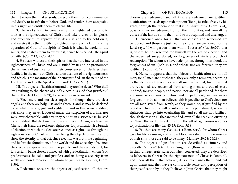them; to cover their naked souls, to secure them from condemnation and death, to justify them before God, and render them acceptable in his sight, and entitle them to eternal life.

**3.** He works faith in convinced and enlightened persons, to look at the righteousness of Christ, and take a view of its glories and excellencies; to approve of it, desire it, and to lay hold on it, and receive it as their justifying righteousness. Such a faith is of the operation of God, of the Spirit of God; it is what he works in the saints, and enables them to exercise it; hence he is called, "the Spirit of faith" (Col. 2:13; 2 Cor. 4:13).

**4.** He bears witness to their spirits, that they are interested in the righteousness of Christ, and are justified by it; and he pronounces the sentence of justification in their consciences, or declares them justified, in the name of Christ, and on account of his righteousness; and which is the meaning of their being justified "in the name of the Lord Jesus, and by the Spirit of our God" (1 Cor. 6:11).

**III.** The objects of justification; and they are the elect;. "Who shall lay anything to the charge of God's elect? It is God that justifieth!" that is, the elect (Rom. 8:33), for who else can be meant?

**1.** Elect men, and not elect angels; for though there are elect angels, and these are holy, just, and righteous; and so may be declared to be what they are, just and righteous, and in that sense justified; yet, since they never laboured under the suspicion of a crime, nor were ever chargeable with any, they cannot, in a strict sense, be said to be justified. But elect men, who are sinners in Adam, as chosen in Christ their Head, are reckoned righteous; for justification is a branch of election, in which the elect are reckoned as righteous, through the righteousness of Christ: and these being the objects of justification, show the eternity of that act, since election was from the beginning, and before the foundation, of the world; and the specialty of it, since the elect are a special and peculiar people; and the security of it, for it is certain, being closely connected with predestination, whom God predestinates, he calls and justifies; and its being a security from wrath and condemnation; for whom he justifies he glorifies, (Rom. 8:30).

**2.** Redeemed ones are the objects of justification; all that are

chosen are redeemed; and all that are redeemed are justified; justification proceeds upon redemption; "Being justified freely by his grace, through the redemption that is in Christ Jesus" (Rom. 3:24), by which they are redeemed from all their iniquities, and from all the curses of the law due unto them, and so are acquitted and discharged.

**3.** Pardoned ones; for all that are chosen and redeemed are pardoned, and those are justified: the chosen are pardoned; for the Lord says, "I will pardon them whom I reserve" (Jer. 50:20), that is, whom he has reserved for himself by the act of election: and the redeemed are pardoned; for forgiveness of sin is a branch of redemption; "In whom we have redemption, through his blood, the forgiveness of sin" (Eph 1:7), and whose sins are forgiven, they are justified, (Rom. 4:6, 7).

**4.** Hence it appears, that the objects of justification are not all men; for all men are not chosen; they are only a remnant, according to the election of grace: nor are all men redeemed; for those that are redeemed, are redeemed from among men, and out of every kindred, tongue, people, and nation: nor are all pardoned; for there are some whose sins go beforehand to judgment, and are never forgiven: nor do all men believe; faith is peculiar to God's elect: nor are all men saved from wrath, as they would be, if justified by the blood of Christ; some will go into everlasting punishment, when the righteous shall go into everlasting life: and so all are not justified; though there is an all that are justified, even all the seed and offspring of Christ, the seed of Israel on whom the gift of righteousness comes to justification of life (Isa. 45:25; Rom. 5:18).

**5.** Yet they are many (Isa. 53:11; Rom. 5:19), for whom Christ gave his life a ransom; and whose blood was shed for the remission of their sins; those are said to be many (Matthew 20:28; 26:28).

**6.** The objects of justification are described as sinners, and ungodly: "sinners" (Gal. 2:17), "ungodly" (Rom. 4:5). So they are, in their unregenerate state: but when converted, they are described as believers in Christ; for the righteousness of Christ is "unto all, and upon all them that believe"; it is applied unto them, and put upon them; and they have a comfortable sense and perception of their justification by it; they "believe in Jesus Christ, that they might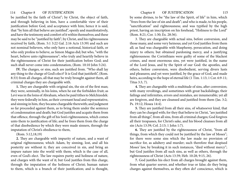be justified by the faith of Christ"; by Christ, the object of faith, and through believing in him, have a comfortable view of their justification before God, and acceptance with him; hence it is said, that "by him all that believe are justified", openly and manifestatively, and have the testimony and comfort of it within themselves; and these may be said to be "justified by faith"; by Christ, and his righteousness received by faith, (Rom. 5:1 3:22 Gal. 2:16 Acts 13:39) and such are not nominal believers, who only have a notional, historical faith, or who only profess to believe, as Simon Magus did; but who, "with the heart, believe unto righteousness"; who truly and heartily believe in the righteousness of Christ for their justification before God; and such shall never come into condemnation, (Rom. 10:10 John 5:24).

**IV.** The charges, or sins, such are justified from. "Who shall lay any thing to the charge of God's elect? It is God that justifieth", (Rom. 8:33) from all charges, all that may be truly brought against them, all criminal charges they are chargeable with.

**1.** They are chargeable with original sin, the sin of the first man; they were, seminally, in his loins, when he eat the forbidden fruit; as Levi was in the loins of Abraham, when be paid tithes to Melchizedek: they were federally in him, as their covenant head and representative, and sinning in him, they became chargeable therewith; and judgment so far proceeded against them, as to bring them under the sentence of condemnation and death; but God justifies and acquits them from that offence, through the gift of his Son's righteousness, which comes unto them to justification of life; and he frees them from the charge of that disobedience by which they were made sinners, through the imputation of Christ's obedience to them,

(Rom. 5:12,18,19)

**2.** They are chargeable with impurity of nature, and a want of original righteousness; which Adam, by sinning, lost, and all his posterity are without it; they are conceived in sin, and bring an impure nature into the world with them; which is the case of all, even of God's elect. The law requires purity and holiness of nature, and charges with the want of it; but God justifies from this charge, through the imputation of the holiness of Christ; human nature to them, which is a branch of their justification; and is thought,

by some divines, to be "the law of the Spirit, of life" in him, which "frees from the law of sin and death"; and who is made, to his people, "sanctification" and righteousness; and was typified by the high priest, having an inscription on his forehead, "Holiness to the Lord" (Rom. 8:21; Cor. 1:30; Ex. 28:36).

3. They are chargeable with actual sins, before conversion, and those many, and some very heinous; and yet God justifies from them all; as Saul was chargeable with blasphemy, persecution, and doing injury to others; but obtained pardoning mercy, and a justifying righteousness: the Corinthians were guilty of some of the blackest crimes, and most enormous sins, yet were justified, in the name of the Lord Jesus, and by the Spirit of our God: the apostles, and others, before conversion, were disobedient, serving divers lusts and pleasures; and yet were justified, by the grace of God, and made heirs, according to the hope of eternal life (1 Tim. 1:13; 1 Cor. 6:9-11; Titus 3:3, 7).

**4.** They are chargeable with a multitude of sins, after conversion; with many revoltings, and sometimes with great backslidings; their failings and infirmities, errors and mistakes, are innumerable; yet all are forgiven, and they are cleansed and justified from them (Jas. 3:2; Ps. 19:12; Hosea 14:4).

**5.** They are justified from all their sins, of whatsoever kind, that they can be charged with; for they that believe in Christ, "are justified from all things", from all sins, from all criminal charges; God forgives all their trespasses, for Christ's sake, and his blood cleanses from all sin (Acts 13:39; Col. 2:13; 1 John 1:7).

**6.** They are justified by the righteousness of Christ, "from all things, from which they could not be justified by the law of Moses"; for there were some sins which the law made no provision of sacrifice for, as adultery and murder; such therefore that despised Moses' law, by breaking it in such instances, "died without mercy"; but God justifies from all such sins, as well as others, through the righteousness of Christ (Acts 13:39; Heb. 10:28; 9:15, 26).

**7.** God justifies his elect from all charges brought against them, from what quarter soever, and whether true or false; do they bring charges against themselves, as they often do? conscience, which is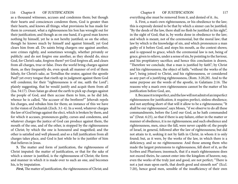as a thousand witnesses, accuses and condemns them; but though their hearts and consciences condemn them, God is greater than their hearts, and knows all things; what provisions he has made for them in covenant, what a righteousness his Son has wrought out for their justification; and though as on one hand, if a good man knows nothing by himself, yet he is not hereby justified; so on the other, though he knows much by himself and against himself, yet God clears him from all. Do saints bring chargers one against another, sore crimes rightly, and sometimes wrongly, whether privately or publicly: and do not forgive one another, as they should do, since God, for Christ's sake, forgives them? yet God forgives all, and clears from all charges, true or false. Does the world bring charges against them, as they frequently do, even speak all manner of evil of them falsely, for Christ's sake, as Tertullius the orator, against the apostle Paul? yet every tongue that riseth up in judgment against them God will condemn; for their "righteousness is of me, saith the Lord"; plainly suggesting, that he would justify and acquit them from all (Isa. 54:17). Does Satan go about the earth to pick up charges against the people of God, and then accuse them to him, as he did Job, whence he is called, "the accuser of the brethren?" Jehovah repels his charges, and rebukes him for them; an instance of this we have in the vision of Zechariah (Zech. 3:1-4). In a word, whatever charges the law of God brings against the elect, which is broken by them, and for which it accuses, pronounces guilty, curses and condemns, and whatever charges the justice of God can produce against them, the mouth of the one, and of the other, is stopped by the righteousness of Christ; by which the one is honoured and magnified; and the other is satisfied and well pleased; and so a full justification from all charges takes place, and God is Just while he is the justifier of him that believes in Jesus.

**5.** The matter and form of justification, the righteousness of Christ imputed: the matter of justification, or that for the sake of which a sinner is justified, is the righteousness of Christ; the form and manner in which it is made over to such an one, and becomes his, is by imputation.

*First,* The matter of justification, the righteousness of Christ; and

116 Chapter 8 OF JUSTIFICATION Chapter 8 OF JUSTIFICATION 117

everything else must be removed from it, and denied of it. As,

**1.** First, a man's own righteousness, or his obedience to the law; this is expressly denied to be that by which a sinner can be justified; "By the deeds of the law, there shall no flesh be justified in his sight", in the sight of God; that is, by works done in obedience to the law; and which is meant, not of the ceremonial, but the moral law; that law by which is the knowledge of sin, and which pronounces a man guilty of it before God, and stops his mouth, as the context shows; and is opposed to grace, which the ceremonial law is not, being of grace, given to relieve, under a sense of sin, by pointing to the Saviour, and his propitiatory sacrifice; and hence this conclusion is drawn, "Therefore we conclude, that a man is justified by faith"; by Christ and his righteousness, the object of faith; "without the works of the law"; being joined to Christ, and his righteousness, or considered as any part of a justifying righteousness, (Rom. 3:20,28). And to the same purpose are the words of the apostle, in Galatians 2:16. The reasons why a man's own righteousness cannot be the matter of his justification before God, are,

**1.** Because it is imperfect, and the law will not admit of an imperfect righteousness for justification; it requires perfect, sinless obedience; and not anything short of that will it allow to be a righteousness; "It shall be our righteousness", says Moses, "if we observe to do all these commandments, before the Lord our God, as he hath commanded us" (Deut. 6:25), so that if there is any failure, either in the matter or manner of obedience, it is no righteousness; and such obedience and righteousness, men, since the fall, were never capable of; the people of Israel, in general, followed after the law of righteousness; but did not attain to it, seeking it not by faith in Christ, in whom it is only found; but, as it were, by the works of the law, in which there is a deficiency, and so no righteousness: And those among them who made the largest pretensions to righteousness, fell short of it, as the Scribes and Pharisees; insomuch, that if a man's righteousness does not exceed theirs, he cannot enter into the kingdom of heaven; nay, even the works of the truly just and good, are not perfect; "There is not a just man upon earth, that doeth good and sinneth not" (Eccl. 7:20), hence good men, sensible of the insufficiency of their own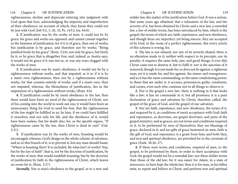righteousness, decline and deprecate entering into judgment with God upon that foot, acknowledging the impurity and imperfection of their obedience; on account of which, they know they could not be just with God (Job 9:2, 3, 20, 32; Ps. 143:2; Isa. 64:6).

**2.** If justification was by the works of men, it could not be by grace; for grace and works are opposed, and cannot consist together in the business of justification; for if it is of grace, then not of works; but justification is by grace, and therefore not by works; "Being justified freely by his grace" (Rom. 3:24), not only by grace, but freely by it; or by grace that is altogether free; and, indeed, as Austin says, it would not be grace if it was not so, or was any ways clogged with the works of men.

**3.** If justification was by man's obedience, it would not be by a righteousness without works, and that imputed, as it is; if it is by a man's own righteousness, then not by a righteousness without works, for that consists entirely of works; and if a man's own, then not imputed; whereas, the blessedness of justification, lies in the imputation of a righteousness without works, (Rom. 4:6).

**4.** If justification could be by men's obedience to the law, then there would have been no need of the righteousness of Christ, nor of his coming into the world to work out one; it would have been an unnecessary thing for God to send his Son, that the righteousness of the law might be fulfilled in us, by him, if we could have fulfilled it ourselves; and not only his life, and the obedience of it, would have been useless, but his death also; for, as the apostle argues, "If righteousness came by the law, then Christ is dead in vain" (Gal. 2:21).

**5.** If justification was by the works of men, boasting would be encouraged; whereas, God's design in the whole scheme of salvation, and so in this branch of it, is to prevent it, lest any man should boast; "Where is boasting then? It is excluded. By what law? of works? Nay, but by the law of faith"; that is, not by the doctrine of justification, by the works of men, that would establish boasting; but by the doctrine of justification by faith in the righteousness of Christ, which leaves no room for it, (Rom. 3:27).

*Secondly,* Nor is man's obedience to the gospel, as to a new and

milder law, the matter of his justification before God. It was a notion, that some years ago obtained, that a relaxation of the law, and the severity of it, has been obtained by Christ; and a new law, a remedial law, a law of milder terms, has been introduced by him, which is the gospel; the terms of which are, faith, repentance, and new obedience; and though these are imperfect, yet being sincere, they are accepted of by God, in the room of a perfect righteousness. But every article of this scheme is wrong; for,

**1.** The law is not relaxed, nor any of its severity abated; there is no alteration made in it; neither with respect to its precepts, nor its penalty; it requires the same holy, just, and good things, it ever did; Christ came not to destroy it, but to fulfil it: nor is the sanction of it removed; though it is not made for, or does not lie against, a righteous man; yet it is made for, and lies against, the sinner and transgressor; and as it has the same commanding, so the same condemning power, to them that are under it; it accuses, pronounces guilty, condemns, and curses, even such who continue not in all things to observe it.

**2.** Nor is the gospel a new law; there is nothing in it that looks like a law; it has no commands in it, but all promises; it is a pure declaration of grace and salvation by Christ; therefore called, the gospel of the grace of God, and the gospel of our salvation.

**3.** Nor are faith, repentance, and new obedience, the terms of it, and required by it, as conditions of men's acceptance with God; faith and repentance, as doctrines, are gospel doctrines, and parts of the gospel ministry; and as graces, are not terms and conditions required in it, to be performed by men of themselves; they are blessings of grace, declared in it, and are gifts of grace bestowed on men; faith is the gift of God, and repentance is a grant from him; and both they, and new and spiritual obedience, are provided for in the covenant of grace (Ezek. 36:26, 27).

**4.** If these were terms and conditions, required of men, in the gospel, to be performed by them, in order to their acceptance with God, the gospel would not be a remedial law; nor these milder terms than those of the old law; for it was easier for Adam, in a state of innocence, to have kept the whole law, than it is for man, in his fallen state, to repent and believe in Christ, and perform new and spiritual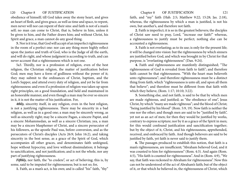obedience of himself; till God takes away the stony heart, and gives an heart of flesh, and gives grace, as well as time and space, to repent, men never will nor can repent of their sins: and faith is not of a man's self; no man can come to Christ, that is, believe in him, unless it be given to him, and the Father draws him; and without Christ, his Spirit and grace, a man cannot do any good thing.

**5.** Nor is it true, that God will accept of an imperfect righteousness in the room of a perfect one: nor can any thing more highly reflect upon the justice and truth of God, who is the Judge of all the earth, and will do right, and whose judgment is according to truth, and can never account that a righteousness which is not one.

5a3. Thirdly, nor is a profession of religion, even of the best religion, the Christian religion, the matter of justification before God; men may have a form of godliness without the power of it; they may submit to the ordinances of Christ, baptism, and the Lord's Supper, and attend every duty of religion, and yet be far from righteousness: and even if a profession of religion was taken up upon right principles, on a good foundation, and held and maintained in an honorable manner, and even though a man may be ever so sincere in it, it is not the matter of his justification. For,

*4thly,* sincerity itself, in any religion, even in the best religion, is not a justifying righteousness. There may be sincerity in a bad religion, as well as in a good one; a man may be sincerely wrong, as well as sincerely right; may be a sincere Pagan, a sincere Papist, and a sincere Mohammedan, as well as a sincere Christian; yea, a man may be a sincere blasphemer of Christ, and a sincere persecutor of his followers, as the apostle Paul was, before conversion, and as the persecutors of Christ's disciples (Acts 26:9; John 16:2), and taking sincerity in the best sense, as a grace of the Spirit of God, which accompanies all other graces, and denominates faith unfeigned, hope without hypocrisy, and love without dissimulation; it belongs to sanctification, and not justification; and is not the whole, nor any part of justifying righteousness.

*Fifthly*, nor faith, the "to credere", or act of believing; this is, by some, said to be imputed for righteousness; but is not so; for,

**1.** Faith, as a man's act, is his own; and is called "his" faith, "thy"

faith, and "my" faith (Hab. 2:5; Matthew 9:22; 15:28; Jas. 2:18), whereas, the righteousness by which a man is justified, is not his own, but another's, and therefore not faith.

**2.** Faith is imperfect; it is so in the greatest believers; the disciples of Christ saw need to pray, Lord, "increase our faith!" whereas, a righteousness to justify must be perfect; nothing else can be accounted a righteousness.

**3.** Faith is not everlasting; as to its use; is only for the present life; it will be changed into vision: but the righteousness by which sinners are justified before God, and which was brought in by Christ for that purpose, is "everlasting righteousness" (Dan. 9:24).

**4.** Faith and righteousness are manifestly distinguished; "The righteousness of God is revealed from faith to faith"; and therefore faith cannot be that righteousness. "With the heart man believeth unto righteousness"; and therefore righteousness must be a distinct thing from faith; which "righteousness is unto all, and upon all them that believe"; and therefore must be different from that faith with which they believe, (Rom. 1:17; 10:10; 3:22).

**5.** Something else, and not faith, is said to be that by which men are made righteous, and justified; as "the obedience of one", Jesus Christ, by which "many are made righteous"; and the blood of Christ; "being justified by his blood" (Rom. 5:9, 19). Now faith is neither the one nor the other; and though men are said to be "justified by faith", yet not as an act of men; for then they would be justified by works, contrary to express scripture; nor by it as a grace of the Spirit in men; for this would confound justification and sanctification together; but by the object of it, Christ, and his righteousness, apprehended, received, and embraced by faith. And though believers are said to be justified by faith, yet faith is never said to justify them.

**6.** The passages produced to establish this notion, that faith is a man's righteousness, are insufficient; "Abraham believed God, and it was counted to him for righteousness" (Rom. 4:3). And again (Rom. 4:5), "His faith is counted for righteousness". And in (Rom. 4:9), "We say, that faith was reckoned to Abraham for righteousness". Now this can not be understood of the act of Abraham's faith; but of the object of it, or that which he believed in, the righteousness of Christ, which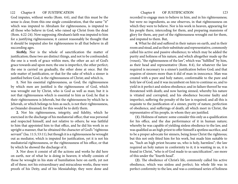God imputes, without works (Rom. 4:6), and that this must be the sense is clear, from this one single consideration, that the same "it" which was imputed to Abraham for righteousness, is imputed to all those who believe in God, who raised up Christ from the dead (Rom. 4:22-24). Now supposing Abraham's faith was imputed to him for a justifying righteousness; it cannot reasonably be thought that it should be imputed also for righteousness to all that believe in all succeeding ages.

Sixthly, Nor is the whole of sanctification the matter of justification; these two are distinct things, and not to be confounded; the one is a work of grace within men, the other an act of God's grace towards and upon men; the one is imperfect, the other perfect; the one is carried on gradually, the other done at once. But the sole matter of justification, or that for the sake of which a sinner is justified before God, is the righteousness of Christ; and which is,

**1.** Not his essential righteousness, as God; the righteousness by which men are justified is the righteousness of God, which was wrought out by Christ, who is God as well as man; but it is not that righteousness which is essential to him as God; he that is their righteousness is Jehovah, but the righteousness by which he is Jehovah, or which belongs to him as such, is not their righteousness, as Osiander dreamed; for this would be to deify them.

**2.** Nor his righteousness, integrity, and fidelity, which he exercised in the discharge of his mediatorial office; that was personal and respected himself, and not relative to others; he was faithful to him that appointed him to that office, and he did his work in so upright a manner, that he obtained the character of God's "righteous servant" (Isa. 11:5; 53:11), but though it is a righteousness he wrought out as mediator, which is imputed for justification, yet it is not his mediatorial righteousness, or the righteousness of his office, or that by which he showed the discharge of it.

**3.** Nor does it consist of all the actions and works he did here on earth, nor of what he is doing in heaven; it wholly consists of those he wrought in his state of humiliation here on earth, yet not all of these; not his extraordinary and miraculous works, these were proofs of his Deity, and of his Messiahship; they were done and

recorded to engage men to believe in him, and in his righteousness; but were no ingredients, as one observes, in that righteousness on which they were to believe. Nor is his work in heaven, appearing for his people there, interceding for them, and preparing mansions of glory for them, any part of the righteousness wrought out for them, and imputed to them. But,

**4.** What he did and suffered in their nature on earth, and in their room and stead, and as their substitute and representative, commonly called his active and passive obedience; to which may be added the purity and holiness of his nature, and which altogether made up the (vouoi), "the righteousness of the law", which was "fulfilled" by him, as their head and representative (Rom. 8:4), for whatever the law required is necessary to a sinner's justification before God; and that requires of sinners more than it did of man in innocence. Man was created with a pure and holy nature, conformable to the pure and holy law of God; and it was incumbent on him to continue so, and to yield in it perfect and sinless obedience; and in failure thereof he was threatened with death; and now having sinned, whereby his nature is vitiated and corrupted, and his obedience become faulty and imperfect, suffering the penalty of the law is required; and all this is requisite to the justification of a sinner, purity of nature, perfection of obedience, and sufferings of death; all which meet in Christ, the representative of his people, in whom they are justified.

**(1).** Holiness of nature: some consider this only as a qualification for his office, and the due performance of it in human nature; whereby he was capable of yielding sinless obedience to the law, and was qualified as an high priest to offer himself a spotless sacrifice, and to be a proper advocate for sinners, being Jesus Christ the righteous; but this not only fitted him for his work, but made him suitable to us, "Such an high priest became us, who is holy, harmless"; the law required an holy nature in conformity to it; it is wanting in us, it is found in Christ, "who is of God made to us sanctification"; see more of this under the "fourth head".

**(2).** The obedience of Christ's life, commonly called his active obedience, which was sinless and perfect; his whole life was in perfect conformity to the law, and was a continued series of holiness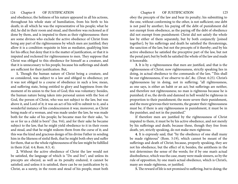and obedience; the holiness of his nature appeared in all his actions, throughout his whole state of humiliation, from his birth to his death; in all which he was the representative of his people; what he did, he did in their room and stead, and therefore was reckoned as if done by them, and is imputed to them as their righteousness: there are some divines who exclude the active obedience of Christ from being any part of the righteousness by which men are justified; they allow it is a condition requisite in him as mediator, qualifying him for his office; but deny that it is the matter of justification, or that it is imputed and reckoned for righteousness to men. They suppose that Christ was obliged to this obedience for himself as a creature, and that it is unnecessary to his people, because his sufferings and death are sufficient for their justification. But,

**1.** Though the human nature of Christ being a creature, and so considered, was subject to a law and obliged to obedience; yet it was not obliged to a course of obedience in such a low, mean, and suffering state, being entitled to glory and happiness from the moment of its union to the Son of God; this was voluntary: besides, the human nature being taken into personal union with the Son of God, the person of Christ, who was not subject to the law, but was above it, and Lord of it; it was an act of his will to submit to it, and a wonderful instance of his condescension it was; moreover, as Christ being made of a woman, and was made under the law, he was made both for the sake of his people; he became man for their sake, "to us or for us a child is born" (Isa. 9:6), and for their sake he became subject to the law, that he might yield obedience to it in their room and stead, and that he might redeem them from the curse of it; and this was the kind and gracious design of his divine Father in sending him in the likeness of sinful flesh, that he might both obey and suffer for them, that so the whole righteousness of the law might be fulfilled in them (Gal. 4:4; Rom. 8:3, 4).

**2.** Without the active obedience of Christ the law would not be satisfied, the language of which is "Do and live"; and unless its precepts are obeyed, as well as its penalty endured, it cannot be satisfied; and unless it is satisfied, there can be no justification by it; Christ, as a surety, in the room and stead of his people, must both

obey the precepts of the law and bear its penalty; his submitting to the one, without conforming to the other, is not sufficient; one debt is not paid by another; his paying off the debt of punishment did not exempt from obedience, as the paying off the debt of obedience did not exempt from punishment: Christ did not satisfy the whole law by either of them separately, but by both conjunctly [joined together]; by his sufferings and death he satisfied the threatenings, the sanction of the law, but not the precepts of it thereby; and by his active obedience he satisfied the preceptive part of the law, but not the penal part; but by both he satisfied the whole of the law and made it honorable.

**3.** It is by a righteousness that men are justified, and that is the righteousness of Christ; now righteousness, strictly speaking lies in doing, in actual obedience to the commands of the law, "This shall be our righteousness, if we observe to do", &c. (Deut. 6:25). Christ's righteousness lay in doing, not in suffering; "all righteousness, as one says, is either an habit or an act; but sufferings are neither, and therefore not righteousness; no man is righteous because he is punished; if so, the devils and damned in hell would be righteous in proportion to their punishment; the more severe their punishment, and the more grievous their torments, the greater their righteousness must be; if there is any righteousness in punishment, it must be in the punisher, and not in the punished."

If therefore men are justified by the righteousness of Christ imputed to them, it must be by his active obedience, and not merely by his sufferings and death; because these, though they free from death, yet, strictly speaking, do not make men righteous.

**4.** It is expressly said, that "by the obedience of one shall many be made righteous" (Rom. 5:19), which cannot be meant of the sufferings and death of Christ; because, properly speaking, they are not his obedience, but the effect of it; besides, the antithesis in the text determines the sense of the words; for if by one man's actual disobedience, which was the case, many were made sinners, so by the rule of opposition, by one man's actual obedience, which is Christ's, many are made righteous, or justified.

**5.** The reward of life is not promised to suffering, but to doing; the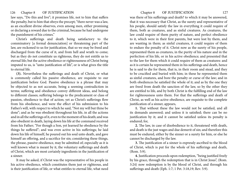law says, "Do this and live"; it promises life, not to him that suffers the penalty, but to him that obeys the precept; "there never was a law, as an excellent divine observes, even among men, either promising or declaring a reward due to the criminal, because he had undergone the punishment of his crimes."

Christ's sufferings and death being satisfactory to the comminatory [a formal denunciation] or threatening part of the law, are reckoned to us for justification, that so we may be freed and discharged from the curse of it, and from hell and wrath to come; but as they do not constitute us righteous, they do not entitle us to eternal life; but the active obedience or righteousness of Christ being imputed to us, is "unto justification of life", or is what gives the title to eternal life.

**(3).** Nevertheless the sufferings and death of Christ, or what is commonly called his passive obedience, are requisite to our justification before God. Passive obedience is a phrase that may be objected to as not accurate, being a seeming contradiction in terms; suffering and obedience convey different ideas, and belong to different classes; suffering belongs to the predicament or class of passion, obedience to that of action; yet as Christ's sufferings flow from his obedience, and were the effect of his submission to his Father's will, with respect to which he said, "Not my will but thine be done"; and as he was obedient throughout his life, in all the actions and in all the sufferings of it, even to the moment of his death; and was also obedient in death, laying down his life at the command received from his Father; "For though a Son, yet learned he obedience by the things he suffered"; and was even active in his sufferings; he laid down his life of himself, he poured out his soul unto death, and gave himself an offering, and a sacrifice for sin; considering these things, the phrase, passive obedience, may be admitted of; especially as it is well known what is meant by it, the voluntary sufferings and death of Christ, which are most certainly ingredients in the justification of a sinner.

It may be asked, if Christ was the representative of his people in his active obedience, which constitutes them just or righteous, and is their justification of life, or what entitles to eternal life, what need was there of his sufferings and death? to which it may be answered, that it was necessary that Christ, as the surety and representative of his people, should satisfy the law in everything it could require of them, both as creatures, and as sinful creatures. As creatures, the law could require of them purity of nature, and perfect obedience to it, which were in their first parents, but were lost by them, and are wanting in them; as sinful creatures, it could require of them to endure the penalty of it. Christ now as the surety of his people, represented them as creatures, in the purity of his nature and in the perfection of his life, or in his active obedience; and presented that to the law for them which it could require of them as creatures: and as it is certain he represented them in his sufferings and death, hence he is said to die for them, that is, in their room and stead, and they to be crucified and buried with him; in these he represented them as sinful creatures, and bore the penalty or curse of the law; and in both obediences he satisfied the whole of it; and as by the one they are freed from death the sanction of the law, so by the other they are entitled to life, and by both Christ is the fulfilling end of the law for righteousness unto them. For that the sufferings and death of Christ, as well as his active obedience, are requisite to the complete justification of a sinner, appears,

**1.** That without these the law would not be satisfied, and all its demands answered; and unless it is satisfied; there can be no justification by it; and it cannot be satisfied unless its penalty is endured; for,

**2.** The law, in case of disobedience to it, threatened with death, and death is the just wages and due demerit of sin; and therefore this must be endured, either by the sinner or a surety for him, or else he cannot be discharged by the law.

**3.** The justification of a sinner is expressly ascribed to the blood of Christ, which is put for the whole of his sufferings and death, (Rom. 5:9).

**4.** Justification proceeds upon redemption, "being justified freely by his grace, through the redemption that is in Christ Jesus", (Rom. 3:24) now redemption is by the blood of Christ, and through his sufferings and death (Eph. 1:7; 1 Pet. 3:18,19; Rev. 5:9).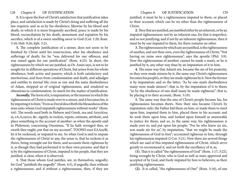**5.** It is upon the foot of Christ's satisfaction that justification takes place, and satisfaction is made by Christ's doing and suffering all the law requires; and so as by his obedience, likewise by his blood and death, to which it is more frequently ascribed, peace is made by his blood, reconciliation by his death, atonement and expiation by his sacrifice, which is of a sweet smelling savor to God (Col. 1:20; Rom. 5:10; Heb. 9:26; Eph. 5:2).

**5.** The complete justification of a sinner, does not seem to be finished by Christ until his resurrection, after his obedience and sufferings of death; for he "was delivered for our offences, and was raised again for our justification" (Rom. 4:25). In short, the righteousness by which we are justified, as Dr. Ames says, is not to be sought for in different operations of Christ, but arises from his whole obedience, both active and passive; which is both satisfactory and meritorious, and frees from condemnation and death, and adjudges and entitles to eternal life; even as one and the same disobedience of Adam, stripped us of original righteousness, and rendered us obnoxious to condemnation. So much for the matter of justification.

Secondly, The form of it, is imputation; or the manner in which the righteousness of Christ is made over to a sinner, and it becomes his, is by imputing it to him; "Even as David describeth the blessedness of the man unto whom God imputeth righteousness without works" (Rom. 4:6). The words used both in Hebrew and Greek, ma and Axyyi£ou. ai, eA,A,oyeco, &c. signify, to reckon, repute, estimate, attribute, and place something to the account of another: as when the apostle said to Philemon, concerning Onesimus, "If he hath wronged thee, or oweth thee ought, put that on my account", TOOHO euoi EAAoyBi, let it be reckoned, or imputed to me. So when God is said to impute the righteousness of Christ to any, the sense is, that he reckons it as theirs, being wrought out for them, and accounts them righteous by it, as though they had performed it in their own persons: and that it is by the righteousness of Christ, imputed to his people, that they are justified, is clear, when it is observed,

**1.** That those whom God justifies, are, in themselves, ungodly; for God "justifieth the ungodly" (Rom. 4:5), if ungodly, then without a righteousness; and if without a righteousness, then, if they are justified, it must be by a righteousness imputed to them, or placed to their account; which can be no other than the righteousness of Christ.

**2.** They that are justified, are justified either by an inherent, or by an imputed righteousness: not by an inherent one, for that is imperfect, and so not justifying; and if not by an inherent righteousness, then it must be by one imputed to them, for there remains no other.

**3.** The righteousness by which any are justified, is the righteousness of another, and not their own, even the righteousness of Christ; "Not having on mine own righteousness", says the apostle (Phil. 3:9). Now the righteousness of another, cannot be made a man's, or he is justified by it, any other way than by an imputation of it to him.

**4.** The same way that Adam's sin, became the sin of his posterity, or they were made sinners by it, the same way Christ's righteousness becomes his people's, or they are made righteous by it. Now the former is by imputation; and so the latter; "As by one man's disobedience many were made sinners"; that is, by the imputation of it to them; "so by the obedience of one shall many be made righteous"; that is, by placing it to their account, (Rom. 5:19).

**5.** The same way that the sins of Christ's people became his, his righteousness becomes theirs. Now their sins became Christ's by imputation only; the Father hid them on him, or made them to meet upon him, imputed them to him, placed them to his account; and he took them upon him, and looked upon himself as answerable to justice for them; and so, in the same way, his righteousness is made over to, and put upon his people; "For he who knew no sin, was made sin for us", by imputation, "that we might be made the righteousness of God in him"; accounted righteous in him, through his righteousness imputed (2 Cor. 5:21). Now there are several things which are said of this imputed righteousness of Christ, which serve greatly to recommend it, and set forth the excellency of it; as,

**(1).** That it is called "the righteousness of God" (Rom. 1:17; 3:22), being wrought by Christ, who is God as well as man; approved and accepted of by God, and freely imputed by him to believers, as their justifying righteousness.

**(2).** It is called, "the righteousness of One" (Rom. 5:18), of one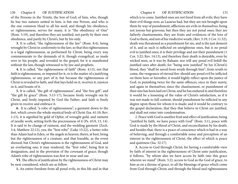of the Persons in the Trinity, the Son of God; of him, who, though he has two natures united in him, is but one Person, and who is the one common Head to all his seed; and though his obedience, or righteousness, serves for many, it is "the obedience of One" (Rom. 5:19), and therefore they are justified, not partly by their own obedience, and partly by Christ's, but by his only.

**3.** It is called, "the righteousness of the law" (Rom. 8:4), being wrought by Christ in conformity to the law; so that this righteousness is a legal righteousness, as performed by Christ, being every way commensurate to the demands of it; though evangelical, as made over to his people, and revealed in the gospel; for it is manifested without the law, though witnessed to by law and prophets.

**4.** It is called, "the righteousness of faith" (Rom. 4:13), not that faith is righteousness, or imputed for it, or is the matter of a justifying righteousness, or any part of it; but because the righteousness of Christ is revealed to faith, and that lays hold on it, receives it, rejoices in it, and boasts of it.

**5.** It is called, "the gift of righteousness", and "the free gift", and "the gift by grace" (Rom. 5:15-17), because freely wrought out by Christ, and freely imputed by God the Father; and faith is freely given to receive and embrace it.

**6.** It is called, "a robe of righteousness", a garment down to the feet, which covers the whole mystical body of Christ (Isa. 61:10; Rev. 1:13), it is signified by gold of Ophir, of wrought gold, and raiment of needle work; setting forth the preciousness of it (Ps. 45:9, 13, 14). It is said to be change of raiment, and the wedding garment (Zech. 3:4; Matthew 22:12), yea, the "best robe" (Luke 15:22), a better robe than Adam had in Eden, or the angels in heaven; theirs, at best, being but the righteousness of a creature, and that loseable, as the event showed; but Christ's righteousness is the righteousness of God, and an everlasting one; it may rendered, the "first robe", being first in designation, and in the provision of the covenant of grace; though Adam's robe of righteousness was first in wear and use.

**VI.** The effects of justification by the righteousness of Christ may be next considered, which are as follow.

**1.** An entire freedom from all penal evils, in this life and in that

which is to come. Justified ones are not freed from all evils; they have their evil things now, as Lazarus had, but they are not brought upon them by way of punishment; afflictions are evils in themselves, being not joyous but grievous; but then they are not penal ones; they are fatherly chastisements, they are fruits and evidences of the love of God to them, and not of his vindictive wrath, (Rev. 3:19; 1 Cor. 11:32), death was threatened as a punishment for sin, and is the just demerit of it, and as such is inflicted on unrighteous ones, but is no penal evil to justified ones; it is their privilege and not their punishment (1 Cor. 3:22; Rev. 14:13), and therefore their death is desirable, even by wicked men, as it was by Balaam: nor will any penal evil befall the justified ones after death; for "being now justified" by his (Christ's) blood, they "shall be saved from wrath through him"; from wrath to come, the vengeance of eternal fire: should any penal evil be inflicted on them here or hereafter, it would highly reflect upon the justice of God, in punishing twice for the same offences, once in their surety, and again in themselves; since the chastisement, or punishment of their sins has been laid on Christ, and he has endured it; and therefore it would be a lessening of the value of Christ's satisfaction, as if it was not made to full content, should punishment be inflicted in any degree upon those for whom it is made; and it would be contrary to the gospel declaration, that they that believe in Christ are justified, and shall not enter into condemnation.

2. Peace with God is another fruit and effect of justification; being "justified by faith, we have peace with God" (Rom. 5:1), peace with God is made by the blood of Christ, and reconciliation by his death; and besides that, there is a peace of conscience which is had in a way of believing, and through a comfortable sense and perception of an interest in the righteousness of Christ, the effect of which is peace and quietness (Isa. 32:17).

**3.** Access to God through Christ; for having a comfortable view by faith of interest in the righteousness of Christ unto justification, it follows, "by whom also we have access by faith into this grace wherein we stand" (Rom. 5:2), access to God as the God of grace, to him as on a throne of grace, to all the blessings of grace which come from God through Christ; and through the blood and righteousness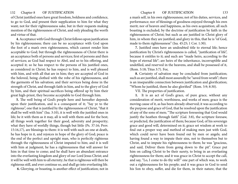of Christ justified ones have great freedom, boldness and confidence, to go to God, and present their supplication to him for what they want; not for their righteousness sake, but in their requests making mention of the righteousness of Christ, and only pleading the worth and virtue of that.

**4.** Acceptance with God through Christ follows upon justification by his righteousness; there can be no acceptance with God upon the foot of a man's own righteousness, which cannot render him acceptable to God; but through the righteousness of Christ there is an acceptance both of persons and services; first of persons and then of services; as God had respect to Abel, and so to his offering, and accepted it; so he has respect to the persons of his justified ones, as considered in Christ; he has respect to him, and is well pleased with him, and with all that are in him; they are accepted of God in the beloved, being clothed with the robe of his righteousness, and the garments of his salvation; and their services being done in the strength of Christ, and through faith in him, and to the glory of God by him, and their spiritual sacrifices being offered up by him their great high-priest, they become acceptable to God through him.

**5.** The well being of God's people here and hereafter depends upon their justification, and is a consequent of it; "Say ye to the righteous", one that is justified by the righteousness of Christ, "that it shall be well with him" (Isa. 3:10), it is well with the justified ones in life; be it with them as it may, all is well with them and for the best; all things work together for their good, adversity and prosperity; what they have of worldly things, though but little (Ps. 37:16; Prov. 15:16,17), are blessings to them: it is well with such an one at death, he has hope in it, and rejoices in hope of the glory of God; peace is the end of the perfect and upright man, who is perfectly righteous through the righteousness of Christ imputed to him; and it is well with him at judgment, he has a righteousness that will answer for him in that time to come; and he shall have an abundant entrance into the everlasting kingdom and glory of our Lord Jesus Christ; and it will be well with him to all eternity; he that is righteous will then be righteous still, and ever continue so, and shall go into everlasting life.

 **6.** Glorying, or boasting, is another effect of justification; not in

a man's self, in his own righteousness; not of his duties, services, and performance; nor of blessings of goodness enjoyed through his own merit; nor of heaven and happiness, as his own acquisition; all such boasting is excluded, by the doctrine of justification by faith in the righteousness of Christ; but such as are justified in Christ glory of him, in whom they are justified; and glory in this, that he is "of God, made to them righteousness" (Isa. 45:25; 1 Cor. 1:30).

**7.** Justified ones have an undoubted title to eternal life; hence justification by Christ's righteousness is called, "justification of life", because it entitles to it; and such are "made heirs, according to the hope of eternal life"; are heirs of the inheritance, incorruptible and undefiled, and reserved in the heavens, and shall be possessed of it, (Rom. 5:18; Titus 3:7). For,

**8.** Certainty of salvation may be concluded from justification; such as are justified, shall most assuredly be "saved from wrath"; there is an inseparable connection between justification and glorification; "Whom he justified, them he also glorified" (Rom. 5:9; 8:30).

VII. The properties of justification.

**1.** It is an act of God's grace, of pure grace, without any consideration of merit, worthiness, and works of men; grace is the moving cause of it, as has been already observed; it was according to the purpose and grace of God, that he resolved upon the justification of any of the sons of men; "The scripture foreseeing that God would justify the heathen through faith" (Gal. 3:8), the scripture foresaw, or predicted, the justification of them; because God, of his sovereign grace and good will, determined on it; grace set wisdom at work to find out a proper way and method of making men just with God, which could never have been found out by men or angels; and having found a way to impute their sins, not to themselves but to Christ, and to impute his righteousness to them; he was "gracious, and said, Deliver them from going down to the pit". Grace put him on calling Christ to be their surety, to bring in an everlasting righteousness for them; and it was grace in Christ to accept the call, and say, "Lo, I come to do thy will!" one part of which was, to work out a righteousness for his people; and it was grace in God to send his Son to obey, suffer, and die for them, in their nature, that the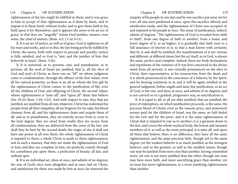righteousness of the law might be fulfilled in them; and it was grace in him to accept of that righteousness as if done by them, and to impute it to them freely without works, and to give them faith to lay hold upon it for themselves; and it appears the more to be an act of grace, in that they are "ungodly" whom God justifies, sinners, even some, the chief of sinners, (Rom. 4:5; 1 Cor. 6:11).

**2.** It is an act of justice, as well as of grace: God is righteous in all his ways and works, and so in this; the law being perfectly fulfilled by Christ, the surety, both with respect to precept and penalty; justice is fully satisfied, and so God is "just, and the justifier of him that believeth in Jesus", (Rom. 3:26).

**3.** It is universal, as to persons, sins, and punishment: as to persons, all the seed of Israel are justified; that is, all the elect of God and seed of Christ; as there was an "all" on whom judgment came to condemnation, through the offence of the first Adam, even all his natural posterity; so there is an all on whom the free gift by the righteousness of Christ comes, to the justification of life; even all the children of God, and offspring of Christ, the second Adam, whose righteousness is "unto all", and "upon all" them that believe (Isa. 45:25; Rom. 5:18; 3:22). And with respect to sins, they that are justified, are justified from all sins whatever; Christ has redeemed his people from all their iniquities; all are forgiven for his sake; his blood cleanses from all, and his righteousness clears and acquits them of all: and as to punishment, they are entirely secure from it, even to the least degree; they are saved from wrath; they are secure from all condemnation; they are delivered from the curse of the law; nor shall they be hurt by the second death, the wages of sin; it shall not have any power at all over them: the whole righteousness of Christ is imputed to them; a whole Christ is made to them righteousness; and in such a manner, that they are made the righteousness of God in him; and they are complete in him, are perfectly comely through his comeliness put upon them, a perfection of beauty, all fair, and without spot.

**4.** It is an individual act, done at once, and admits of no degrees; the sins of God's elect were altogether and at once laid on Christ, and satisfaction for them was made by him at once; he removed the

iniquity of his people in one day, and by one sacrifice put away sin for ever; all sins were pardoned at once, upon this sacrifice offered, and satisfaction made; and the righteousness of Christ was accepted of, and imputed to his people at once. The sense of justification, indeed, admits of degrees; "The righteousness of God is revealed from faith to faith"; from one degree of faith to another; from a lesser, and lower degree of it, to an higher; it is gradually that faith rises to a full assurance of interest in it, so that a man knows with certainty, that he is and shall be justified; the manifestations of it are various and different, at different times; but the act itself, as in God, is always the same, perfect and complete. Indeed, there are fresh declarations and repetitions of the sentence of it was first conceived in the divine mind from all eternity; it was virtually pronounced on the elect in Christ, their representative, at his resurrection from the dead; and it is afresh pronounced in the conscience of a believer, by the Spirit, and he bearing testimony to it; and it will be again notified at the general judgment, before angels and men; but justification, as an act of God, is but one, and done at once, and admits of no degrees; and is not carried on in a gradual, progressive way, as sanctification is.

**5.** It is equal to all, or all are alike justified, that are justified; the price of redemption, on which justification proceeds, is the same, the precious blood of Christ; even as the ransom price, and atonement money paid for the children of Israel, was the same, an half shekel for the rich and for the poor: and it is the same righteousness of Christ that is imputed to one as to another; it is a garment down to the feet, and covers the whole mystical body, the lowest and meanest members of it, as well as the more principal; it is unto all, and upon all them that believe; there is no difference, they have all the same righteousness, and the same precious faith, though not to the same degree; yet the weakest believer is as much justified, as the strongest believer; and so the greatest, as well as the smallest sinner, though one may be justified from more sins than another, having committed more: yet one is not more justified than the other; though one man may have more faith, and more sanctifying grace than another, yet no man has more righteousness, or a more justifying righteousness than another.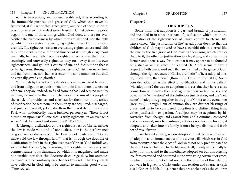# 136 Chapter 8 OF JUSTIFICATION Chapter 9 OF ADOPTION 137

**6.** It is irreversible, and an unalterable act; it is according to the immutable purpose and grace of God, which can never be frustrated; it is part of that grace given, and one of those spiritual blessings wherewith the elect were blessed in Christ before the world began; it is one of those things which God does, and are for ever. Neither the righteousness by which they are justified, nor the faith by which they receive the justifying righteousness from the Lord, ever fail. The righteousness is an everlasting righteousness; and faith fails not; Christ is the author and finisher of it. Though a righteous man falls, he never falls from his righteousness: a man that is only seemingly and outwardly righteous, may turn away from his own righteousness, and go into a course of sin, and die; but one that is truly righteous, through the righteousness of Christ, can never turn and fall from that, nor shall ever enter into condemnation; but shall be eternally saved and glorified.

**7.** Though by the act of justification, persons are freed from sin, and from obligation to punishment for it, sin is not thereby taken out of them. They are, indeed, so freed from it, that God sees no iniquity in them, to condemn them for it; he sees all the sins of his people in the article of providence, and chastises for them; but in the article of justification he sees none in them; they are acquitted, discharged, and justified from all; yet sin dwells in them, as it did in the apostle Paul, who, undoubtedly, was a justified person; yea, "There is not a just man upon earth"; one that is truly righteous, in an evangelic sense, "that doth good and sinneth not" (Eccl. 7:20).

**8.** Through justification by the righteousness of Christ, neither the law is made void and of none effect, nor is the performance of good works discouraged. The Law is not made void; "Do we make void the law through faith?" that is, through the doctrine of justification by faith in the righteousness of Christ; "God forbid! yea, we establish the law"; by presenting to it a righteousness every way commensurate to its demands, by which it is magnified and made honourable: nor does this doctrine discourage duty, but animates to it; and is to be constantly preached for this end, "That they which have believed in God, might be careful to maintain good works" (Titus 3:7, 8).

## **Chapter 9**

## **OF ADOPTION**

Some think that adoption is a part and branch of justification, and included in it; since that part of justification which lies in the imputation of the righteousness of Christ entitles to eternal life, hence called, "the justification of life", as adoption does; so that the children of God may be said to have a twofold title to eternal life; the one by the free grace of God making them sons, which entitles them to it; the other by justification in a legal way, and confirms the former, and opens a way for it; or that it may appear to be founded on justice as well as grace: the learned Dr. Ames seems to have a respect to both these. And such that are justified by the grace of God, through the righteousness of Christ, are "heirs" of it, as adopted ones be; "if children, then heirs" (Rom. 5:18; Titus 3:7; Rom. 8:17). Some consider adoption as the effect of justification; and Junius calls it, "via adoptionis", the way to adoption: it is certain, they have a close connection with each other, and agree in their author, causes, and objects; the "white stone" of absolution, or justification, and the "new name" of adoption, go together in the gift of Christ to the overcomer (Rev. 2:17). Though I am of opinion they are distinct blessings of grace, and so to be considered: adoption is a distinct thing from either justification or pardon. A subject may be acquitted by his sovereign from charges laid against him; and a criminal, convicted and condemned, may be pardoned, yet does not become his son; if adopted, and taken into his family, it must be by a distinct and fresh act of royal favour.

I have treated already, see on Adoption in vil. book ii. chapter 5 of adoption as an immanent act of the divine will, which was in God from eternity; hence the elect of God were not only predestinated to the adoption of children, to the blessing itself, openly and actually to enjoy it in time, and to the inheritance adopted to; but this blessing itself was provided and bestowed in the everlasting covenant of grace, in which the elect of God had not only the promise of this relation, but were in it given to Christ under this relation and character (Eph 1:5; 2 Cor. 6:18; Heb. 2:13), hence they are spoken of as the children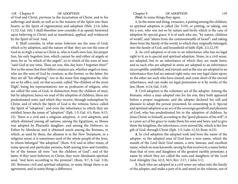of God and Christ, previous to the incarnation of Christ, and to his sufferings and death; as well as to the mission of the Spirit into their hearts, as the Spirit of regeneration and adoption (Heb. 2:14; John 11:52; Gal. 4:6). I shall therefore now consider it as openly bestowed upon believing in Christ, and as manifested, applied, and evidenced by the Spirit of God. And,

**I.** Shall consider, in what sense believers are the sons of God; which is by adoption, and the nature of that: they are not the sons of God in so high a sense as Christ is, who is God's own Son, his proper Son, his only begotten Son; which cannot be said either of angels or men; for as "to which of the angels", so to which of the sons of men "said God at any time, Thou art son, this day have I begotten thee?" Nor in the sense that their fellow creatures are, whether angels or men, who are the sons of God by creation, as the former, so the latter; for they are all "his offspring": nor in the sense that magistrates be, who are so by office, and, on that account, called "the children of the most High", being his representatives: nor as professors of religion, who are called the sons of God, in distinction from the children of men; but by adoption; hence we read of the adoption of children, these are predestinated unto, and which they receive, through redemption by Christ, and of which the Spirit of God is the witness; hence called the Spirit of "adoption": and even the inheritance to which they are entitled, bears the name of "adoption" (Eph. 1:5; Gal. 4:5; Rom. 8:15, 23). There is a civil and a religious adoption. A civil adoption, and which obtained among all nations; among the Egyptians, so Moses was adopted by Pharaoh's daughter; and among the Hebrews, so Esther by Mordecai; and it obtained much among the Romans, to which, as used by them, the allusion is in the New Testament, in a religious sense; it is sometimes used of the whole people of the Jews, to whom belonged "the adoption" (Rom. 9:4) and at other times, of some special and particular persons, both among Jews and Gentiles; for of the former all were "not the children of God"; and of the latter, if they were believers in Christ, they were Abraham's spiritual seed, "and heirs according to the promise", (Rom. 9:7, 8; Gal. 3:26, 29). Between civil and spiritual adoption, in some things there is an agreement, and in some things a difference.

138 Chapter 9 **OF ADOPTION** Chapter 9 OF ADOPTION 139

*First*, In some things they agree.

**1.** In the name and thing, vioseoioc, a putting among the children; so spiritual adoption is called (Jer 3:19), or putting, or taking, one for a son, who was not so by nature and birth; which is the case of adoption by special grace; it is of such who are, "by nature, children of wrath", and "aliens from the commonwealth of Israel"; and taking these from the family of the world, to which they originally belonged, into the family of God, and household of faith (Eph. 2:3,12,19)

**2.** As civil adoption is of one to an inheritance who has no legal right to it; so is special and spiritual adoption. None, in a civil sense, are adopted, but to an inheritance of which they are made heirs; and so such who are adopted in sense are adopted to an inheritance incorruptible, undefiled, and eternal; and as the one are adopted to an inheritance they had no natural right unto, nor any legal claim upon; so the other are such who have sinned, and come short of the eternal inheritance, and can make no legal pretension to it by works of the law, (Rom. 4:14; Gal. 3:18).

**3.** Civil adoption is the voluntary act of the adopter. Among the Romans, when a man adopted one for his son, they both appeared before a proper magistrate, and the adopter declared his will and pleasure to adopt the person presented, he consenting to it. Special and spiritual adoption is an act of the sovereign goodwill and pleasure of God, who has predestinated his to the adoption of children, by Jesus Christ, to himself, according to the "good pleasure of his will"; it is a pure act of his grace to make them his sons and heirs, and to give them the kingdom, the inheritance, even eternal life, which is the free gift of God, through Christ (Eph. 1:5; Luke 12:32; Rom. 6:23).

**4.** In civil adoption the adopted took and bore the name of the adopter: so the adopted sons of God have a new name, which the mouth of the Lord their God names, a new, famous, and excellent name, which no man knoweth, saving he that receives it; a name better than that of sons and daughters of the greatest earthly potentate; a name by which they are called the sons and daughters of the Lord God Almighty (Isa. 62:2; 56:5; Rev. 2:17; 1 John 3:1).

**5.** Such who are adopted in a civil sense are taken into the family of the adopter, and make a part of it; and stand in the relation, not of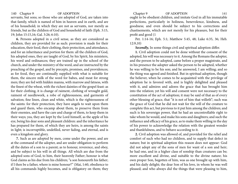servants, but sons; so those who are adopted of God, are taken into that family, which is named of him in heaven and in earth, and are of his household; in which they are not as servants, nor merely as friends, but as the children of God and household of faith (Eph. 3:15, 19; John 15:15,16; Gal. 3:26; 6:10).

**6.** Persons adopted in a civil sense, as they are considered as children, they are provided for as such: provision is made for their education, their food, their clothing, their protection, and attendance, and for an inheritance and portion for them: all the children of God, his adopted ones, they are taught of God, by his Spirit, his ministers, his word and ordinances; they are trained up in the school of the church, and under the ministry of the word, and are instructed by the preaching of the gospel, and by precepts, promises, and providences; as for food, they are continually supplied with what is suitable for them, the sincere milk of the word for babes, and meat for strong men; they are fed with hidden manna, with marrow and fatness, with the finest of the wheat, with the richest dainties of the gospel feast: as for their clothing, it is change of raiment, clothing of wrought gold, raiment of needlework, a robe of righteousness, and garments of salvation; fine linen, clean and white, which is the righteousness of the saints: for their protection, they have angels to wait upon them and guard them, who encamp about them, to preserve them from their enemies, and have the care and charge of them, to keep them in their ways; yea, they are kept by the Lord himself, as the apple of his eye, being his dear sons and pleasant children: and the inheritance he has prepared for them, of which they are heirs, is among the saints in light; is incorruptible, undefiled, never fading, and eternal, and is even a kingdom and glory.

**7.** Such as are adopted by men, come under the power, and are at the command of the adopter, and are under obligation to perform all the duties of a son to a parent; as to honour, reverence, and obey, and be subject to his will in all things. All which are due from the adopted sons of God, to him, their heavenly Father; honour is what God claims as his due from his children; "a son honoureth his father; if I then be a father, where is mine honour?" (Mai, 1:60, obedience to all his commands highly becomes, and is obligatory on them; they

140 Chapter 9 OF ADOPTION Chapter 9 OF ADOPTION 141 ought to be obedient children, and imitate God in all his immutable perfections, particularly in holiness, benevolence, kindness, and goodness; and even should be subject to his corrections and chastisements, which are not merely for his pleasure, but for their profit and good (1

> Pet. 1:14-16; Eph. 5:1; Matthew 5:45, 48; Luke 6:35, 36; Heb. 12:9,10)

*Secondly,* In some things civil and spiritual adoption differ.

**1.** Civil adoption could not be done without the consent of the adopted, his will was necessary to it. Among the Romans the adopter, and the person to be adopted, came before a proper magistrate, and in his presence the adopter asked the person to be adopted, whether he was willing to be his son; and he answered, I am willing; and so the thing was agreed and finished. But in spiritual adoption, though the believer, when he comes to be acquainted with the privilege of adoption he is favored with, and is highly delighted and pleased with it, and admires and adores the grace that has brought him into the relation; yet his will and consent were not necessary to the constitution of the act of adoption; it may be said of that as of every other blessing of grace, that "it is not of him that willeth"; such was the grace of God that he did not wait for the will of the creature to complete this act, but previous to it put him among the children; and such is his sovereign power, that he had an uncontrollable right to take whom he would, and make his sons and daughters; and such the influence and efficacy of his grace, as to make them willing in the day of his power to acknowledge the relation with the greatest wonder and thankfulness, and to behave according to it.

**2.** Civil adoption was allowed of, and provided for the relief and comfort of such who had no children, and to supply that defect in nature; but in spiritual adoption this reason does not appear: God did not adopt any of the sons of men for want of a son and heir; he had one, and in a higher class of sonship than creatures can be; more excellent and divine, and suitable to the divine nature; his own proper Son, begotten of him, was as one brought up with him, and his daily delight; the dear Son of his love, in whom he was well pleased; and who always did the things that were pleasing to him,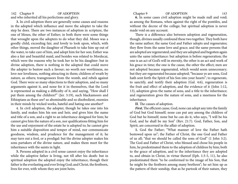142 Chapter 9 OF ADOPTION Chapter 9 OF ADOPTION 143 and who inherited all his perfections and glory.

**3.** In civil adoption there are generally some causes and reasons in the adopted which influence and move the adopter to take the step he does. There are two instances of adoption in scripture, the one of Moses, the other of Esther; in both there were some things that wrought upon the adopters to do what they did. Moses was a goodly child, exceeding fair, and lovely to look upon, which, with other things, moved the daughter of Pharaoh to take him up out of the water, to take care of him, and adopt him for her son; Esther was also a fair and beautiful maid, and besides was related to Mordecai, which were the reasons why he took her to be his daughter: but in divine adoption, there is nothing in the adopted that could move the adopter to bestow such a favour; no worth nor worthiness, no love nor loveliness, nothing attracting in them; children of wrath by nature, as others; transgressors from the womb, and rebels against God. There were so many objections to their adoption, and so many arguments against it, and none for it in themselves, that the Lord is represented as making a difficulty of it, and saying, "How shall I put them among the children?" (Jer. 3:19), such blackamoors and Ethiopians as these are? so abominable and so disobedient, enemies in their minds by wicked works, hateful and hating one another?

4. In civil adoption, the adopter, though he takes one into his family, and makes him his son and heir, and gives him the name and title of a son, and a right to an inheritance designed for him; he cannot give him the nature of a son, nor qualifications fitting him for the use and enjoyment of the estate he is adopted to; he cannot give him a suitable disposition and temper of mind, nor communicate goodness, wisdom, and prudence for the management of it; he may turn out a fool, or a prodigal: but the divine adopter makes his sons partakers of the divine nature, and makes them meet for the inheritance with the saints in light.

**5.** Persons adopted in a civil sense cannot enjoy the inheritance while the adoptive father is living, not till after his death: but in spiritual adoption the adopted enjoy the inheritance, though their father is the everlasting and ever living God; and Christ, the firstborn, lives for ever, with whom they are joint heirs.

**6.** In some cases civil adoption might be made null and void; as among the Romans, when against the right of the pontifex, and without the decree of the college; but spiritual adoption is never made void on any account.

There is a difference also between adoption and regeneration, though, divines usually confound these two together. They both have the same author; the same God and Father adopts and regenerates; they flow from the same love and grace; and the same persons that are adopted are regenerated; and they are adopted and begotten again unto the same inheritance: but adoption is before regeneration; the one is an act of God's will in eternity, the other is an act and work of his grace in time; the one is the cause, the other the effect; men are not adopted because regenerated, which would seem unnecessary; but they are regenerated because adopted; "because ye are sons, God hath sent forth the Spirit of his Son into your hearts"; to regenerate, to sanctify, and testify their adoption (Gal. 4:6), regeneration is the fruit and effect of adoption, and the evidence of it (John 1:12, 13), adoption gives the name of sons, and a title to the inheritance; and regeneration gives the nature of sons, and a meetness for the inheritance.

**II**. The causes of adoption.

*First*, The efficient cause, God; none can adopt any into the family of God but God himself; none can put any among the children of God but he himself; none but he can do it, who says, "I will be his God, and he shall be my Son" (Rev. 21:7). God, Father, Son, and Spirit, are concerned in the affair of adoption.

**1.** God the Father; "What manner of love the Father hath bestowed upon us"; the Father of Christ, the one God and Father of us all; "that we should be called the sons of God" (1 John 3:2). The God and Father of Christ, who blessed and chose his people in him, he predestinated them to the adoption of children by him; both to the grace of adoption, and to the inheritance they are adopted to, and obtain in Christ, in virtue thereof (Eph. 1:3-5, 11), he also predestinated them "to be conformed to the image of his Son, that he might be the firstborn among many brethren"; he set him up as the pattern of their sonship, that as he partook of their nature, they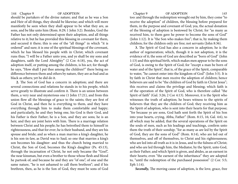should be partakers of the divine nature; and that as he was a Son and Heir of all things, they should be likewise; and which will more manifestly be seen when they shall appear to be what they are, as sons, and be like unto him (Rom. 8:29; 1 John 3:2). Besides, God the Father has not only determined upon their adoption, and all things relative to it; but he has provided this blessing in covenant for them, and secured it there; this is one of the "all things" in which "it is ordered" and sure; it is one of the spiritual blessings of the covenant, which he has blessed his people with in Christ; which covenant runs thus; "I will be a Father unto you, and ye shall be my sons and daughters, saith the Lord Almighty" (2 Cor. 6:18), yea, the act of adoption itself, or putting among the children, is his act; for though he says, "How shall I put thee among the children?" there being no difference between them and others by nature, they are as bad and as black as others; yet he did do it.

**2.** The Son of God has a concern in adoption; and there are several connections and relations he stands in to his people, which serve greatly to illustrate and confirm it. There is an union between them, a very near and mysterious one (1 John 17:21), and from this union flow all the blessings of grace to the saints; they are first of God in Christ, and then he is everything to them, and they have everything through him to make them comfortable and happy; and particularly, he and they being one, his God is their God, and his Father is their Father; he is a Son, and they are sons; he is an heir, and they are joint heirs with him. There is a marriage relation between Christ and his people; he has betrothed them to himself in righteousness, and that for ever; he is their husband, and they are his spouse and bride; and as when a man marries a king's daughter, he is his son-in-law, as David was to Saul; so one that marries a king's son becomes his daughter: and thus the church being married to Christ, the Son of God, becomes the King's daughter (Ps. 45:13), through the incarnation of Christ, he not only became the "Goel", the near kinsman, but even a brother to those whose flesh and blood he partook of; and because he and they are "of one", of one and the same nature, "he is not ashamed to call them brethren"; and if his brethren, then, as he is the Son of God, they must be sons of God

144 Chapter 9 OF ADOPTION Chapter 9 OF ADOPTION 145 too: and through the redemption wrought out by him, they come "to receive the adoption" of children, the blessing before prepared for them, in the purpose and covenant of God; yea, the actual donation of the blessing of adoption is bestowed by Christ; for "as many as received him, to them gave he power to become the sons of God" (John 1:12). It is "the Son who makes free"; that is, by making them children; for the children only are free; not servants (John 8:36).

> **3.** The Spirit of God has also a concern in adoption; he is the author of regeneration; which, though it is not adoption, it is the evidence of it; the sons of God are described as "born of God" (John 1:13) and this spiritual birth, which makes men appear to be the sons of God, is owing to the Spirit of God; for "except a man be born of water and of the Spirit", that is, of the grace of the Spirit, comparable to water, "he cannot enter into the kingdom of God" (John 3:5). It is by faith in Christ that men receive the adoption of children; hence believers are said to be "the children of God by faith in Christ Jesus"; this receives and claims the privilege and blessing; which faith is of the operation of the Spirit of God, who is therefore called "the Spirit of faith" (Gal. 3:26; 2 Cor 4:13). Moreover, it is the Spirit who witnesses the truth of adoption; he bears witness to the spirits of believers that they are the children of God; they receiving him as the Spirit of adoption, who is sent into their hearts for that purpose; "for because ye are sons, God hath sent forth the Spirit of his Son into your hearts, crying, Abba, Father" (Rom. 8:15, 16; Gal. 4:6), to all which may be added, that the several operations of the Spirit on the souls of men, such as his leadings and teachings, confirm unto them the truth of their sonship; "for as many as are led by the Spirit of God, they are the sons of God" (Rom. 8:14), who are led out of themselves, and off of themselves, to Christ and his righteousness; who are led into all truth as it is in Jesus, and to the fulness of Christ; and who are led through him, the Mediator, by the Spirit, unto God, as their Father; and which Spirit is given, and abides, as an earnest in their hearts; even "the earnest of the inheritance" they are adopted to, "until the redemption of the purchased possession" (2 Cor. 5:5; Eph 1:14).

*Secondly,* The moving cause of adoption, is the love, grace, free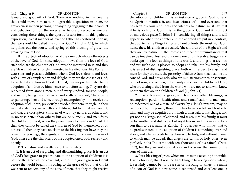favour, and goodwill of God. There was nothing in the creature that could move him to it; no agreeable disposition in them, no amiableness in their persons, nor anything engaging in their conduct and behavior; but all the reverse, as before observed: wherefore, considering these things, the apostle breaks forth in this pathetic expression, "What manner of love the Father has bestowed upon us, that we should be called the sons of God" (1 John 3:1), in which he points out the source and spring of this blessing of grace, the amazing love of God.

**III.** The objects of adoption. And they are such who are the objects of the love of God; for since adoption flows from the love of God, such who are the children of God must be interested in it; and they are "dear children", strongly interested in his affections, like Ephraim, dear sons and pleasant children, whom God loves dearly, and loves with a love of complacency and delight; they are the chosen of God; for such that are chosen of God in Christ, they are predestinated to the adoption of children by him; hence sons before calling. They are also redeemed from among men, out of every kindred, tongue, people, and nation, being the children of God scattered abroad, Christ came to gather together; and who, through redemption by him, receive the adoption of children, previously provided for them; though, in their natural state, they are rebellious children, children that are corrupt, and that are corrupters; children of wrath by nature, as others, and in no wise better than others; but are only openly and manifestly the children of God, when they commence believers in Christ: till then they cannot be called the children of God by themselves, or by others; till then they have no claim to the blessing, nor have they the power, the privilege, the dignity, and honour, to become the sons of God. These are the characters of the adopted ones, both secretly and openly.

**IV.** The nature and excellency of this privilege.

**1.** It is an act of surprising and distinguishing grace; it is an act of God's free grace to predestinate to the adoption of children; it is part of the grace of the covenant, and of the grace given in Christ before the world began; it is owing to the grace of God that Christ was sent to redeem any of the sons of men, that they might receive

146 Chapter 9 OF ADOPTION Chapter 9 OF ADOPTION 147 the adoption of children: it is an instance of grace in God to send his Spirit to manifest it, and bear witness of it; and everyone that has seen his own sinfulness and vileness by nature, must say, that if he is a child of God, it is by the grace of God: and it is an act of marvelous grace (1 John 3:1), considering all things; and it will appear so, when the adopter and the adopted are put in a contrast; the adopter is the King of kings and Lord of lords, the most high God; hence these his children are called, "the children of the Highest"; and they are, by nature, in the lowest and meanest circumstances that can be imagined; lost and undone, poor and miserable, beggars and bankrupts, the foolish things of this world, and things that are not; and yet such God is pleased to adopt and take into his family: and it is an act of distinguishing grace, both with respect to angels and men; for they are men, the posterity of fallen Adam, that become the sons of God; and not angels, who are ministering spirits, or servants, but not sons; and of men, not all, only some, are the children of God; who are distinguished from the world who are not so, and who know not them that are the children of God (1 John 3:1).

**2.** It is a blessing of grace, which exceeds other blessings; as redemption, pardon, justification, and sanctification; a man may be redeemed out of a state of slavery by a king's ransom, may be pardoned by his prince, though he has been a rebel and traitor to him, and may be acquitted from high crimes laid to his charge, and yet not be a king's son; if adopted, and taken into his family, it must be by another and distinct act of royal favour and it is more to be a son than to be a saint, as Zanchy [3] observes; who thinks, that to be predestinated to the adoption of children is something over and above, and what exceeds being chosen to be holy, and without blame: to which may be added, that angels are saints, or holy ones, even perfectly holy; "he came with ten thousands of his saints" (Deut. 33:2), but they are not sons, at least in the sense that some of the sons of men are.

**3.** It is a blessing of grace, which makes men exceeding honorable. David observed, that it was "no light thing to be a king's son-in-law"; it certainly cannot be, to be a son of the King of kings; the name of a son of God is a new name, a renowned and excellent one; a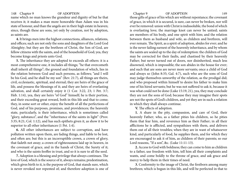name which no man knows the grandeur and dignity of but he that receives it; it makes a man more honorable than Adam was in his state of honour, and than the angels are in their high estate in heaven; since, though these are sons, yet only by creation, not by adoption, as saints are.

**4.** It brings men into the highest connections, alliances, relations, and offices; such are not only the sons and daughters of the Lord God Almighty; but they are the brethren of Christ, the Son of God, are fellow citizens with the saints, and of the household of God; yea, they become kings and priests unto God.

**5.** The inheritance they are adopted to exceeds all others: it is a most comprehensive one, it includes all things; "he that overcometh shall inherit all things"; the ground and foundation of which, lies in the relation between God and such persons, as follows; "and I will be his God, and he shall be my son" (Rev. 21:7), all things are theirs, civil, ecclesiastic, spiritual, and eternal; they are heirs of the grace of life, and possess the blessings of it; and they are heirs of everlasting salvation, and shall certainly enjoy it (1 Cor. 3:22, 23; 1 Pet. 3:7; Heb. 1:14), yea, they are heirs "of God" himself; he is their portion, and their exceeding great reward, both in this life and that to come; they, in some sort or other, enjoy the benefit of all the perfections of God, and of his purposes, promises, and providences; the heavenly state, particularly, is their inheritance, which is sometimes called "glory, substance", and the "inheritance of the saints in light" (Prov. 3:35; 8:21; Col. 1:12), and has such epithets given it, as show it to be superior to all other inheritances (1 Pet. 1:4).

**6.** All other inheritances are subject to corruption, and have pollution written upon them, are fading things, and liable to be lost, and often are; but this is an incorruptible crown, a crown of glory, that fadeth not away; a crown of righteousness laid up in heaven, in the covenant of grace, and in the hands of Christ, the Surety of it; and who is the saints feoffee in trust, and so it is sure to all the seed.

**7.** Adoption is a blessing and privilege that always continues. The love of God, which is the source of it, always remains; predestination, which gives birth to it, is the purpose of God, that stands sure, which is never revoked nor repented of; and therefore adoption is one of

148 Chapter 9 OF ADOPTION Chapter 9 OF ADOPTION 149 those gifts of grace of his which are without repentance; the covenant of grace, in which it is secured, is sure, can never be broken, nor will ever be removed: union with Christ is indissoluble, the bond of which is everlasting love; the marriage knot can never be untied; saints are members of his body, and one spirit with him; and the relation between them as husband and wife, as children and brethren, will ever remain. The Spirit, as a spirit of adoption, abides for ever; and he is the never failing earnest of the heavenly inheritance, and by whom the saints are sealed up to the day of redemption: the children of God may be corrected for their faults, and chastised by their heavenly Father; but never turned out of doors, nor disinherited, much less disowned, which is impossible; the son abides in the house for ever; and such that are sons are never more servants; once a child of God and always so (John 8:35; Gal. 4:7), such who are the sons of God may judge themselves unworthy of the relation, as the prodigal did; and who proposed within himself to desire his father to make him one of his hired servants; but he was not suffered to ask it, because it was what could not be done (Luke 15:19, 21), yea, they may conclude they are not the sons of God; because they may imagine their spots are not the spots of God's children, and yet they are in such a relation in which they shall always continue.

**V.** The effects of adoption.

**1.** A share in the pity, compassion, and care of God, their heavenly Father; who, as a father pities his children, so he pities them that fear him, and reverence him as their Father; in all their afflictions he is afflicted, and sympathizes with them, and delivers them out of all their troubles; when they are in want of whatsoever kind, and particularly of food, he supplies them, and for which they are encouraged to ask it of him, as children of their parents; so our Lord reasons, "If a son", &c. (Luke 11:11-13).

**2.** Access to God with boldness; they can come to him as children to a father, use freedom with him, tell him all their complaints and wants, and come boldly to the throne of grace, and ask grace and mercy to help them in their times of need.

**3.** Conformity to the image of Christ, the firstborn among many brethren; which is begun in this life, and will be perfected in that to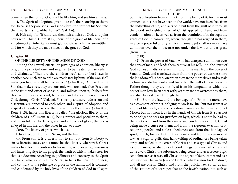come; when the sons of God shall be like him, and see him as he is.

**4.** The Spirit of adoption, given to testify their sonship to them; for "because they are sons, God sends forth the Spirit of his Son into their hearts, crying, Abba, Father" (Gal. 4:6).

**5.** Heirship; for "if children, then heirs, heirs of God, and joint heirs with Christ" (Rom. 8:17), heirs of the grace of life, heirs of a kingdom, of an inheritance most glorious, to which they are entitled, and for which they are made meet by the grace of God.

## **Chapter 10**

### **OF THE LIBERTY OF THE SONS OF GOD**

Among the several effects, or privileges of adoption, liberty is one, and a principal one; and requires to be treated of particularly and distinctly. "Then are the children free", as our Lord says in another case; such are so, who are made free by him; "If the Son shall make you free, ye shall be free indeed" (John 8:36). And as it is the Son that makes free, they are sons only who are made free. Freedom is the fruit and effect of sonship, and follows upon it; "Wherefore thou art no more a servant, but a son; and if a son, then an heir of God, through Christ" (Gal. 4:6, 7), sonship and servitude, a son and a servant, are opposed to each other, and a spirit of adoption and a spirit of bondage; where the one is, the other is not (John 8:35; Rom. 8:15), hence this liberty is called, "the glorious liberty of the children of God" (Rom. 8:21), being proper and peculiar to them; and is twofold, a liberty of grace, and a liberty of glory; the one is enjoyed in this life, and the other in that to come.

*First*, The liberty of grace; which lies,

**l.** In a freedom from sin, Satan, and the law.

**(l).** From sin; it is a liberty not to sin, but from it; liberty to sin is licentiousness, and cannot be that liberty wherewith Christ makes free; for it is contrary to his nature, who loves righteousness and hates iniquity; to his gospel, the truth of which makes free, for that is a doctrine according to godliness; and contrary to the Spirit of Christ, who, as he is a free Spirit, so he is the Spirit of holiness; and contrary to the principle of grace in the saints, and is confuted and condemned by the holy lives of the children of God in all ages:

but it is a freedom from sin; not from the being of it; for the most eminent saints that have been in the world, have not been free from the indwelling of sin, and acts of it; but from the guilt of it, through the blood and righteousness of Christ applied to them; and from condemnation by it, as well as from the dominion of it, through the grace of God in conversion; when, though sin has reigned in them, in a very powerful and tyrannical manner; yet shall no more have dominion over them, because not under the law, but under grace (Rom. 6:14,

17,18)

**(2).** From the power of Satan, who has usurped a dominion over the sons of men, and leads them captive at his will, until the Spirit of God comes and dispossesses him, and turns men from the power of Satan to God, and translates them from the power of darkness into the kingdom of his dear Son; when they are no more slaves and vassals to him, nor do his works and lusts; but the will of their heavenly Father: though they are not freed from his temptations, which the best of men have been beset with; yet they are not overcome by them, nor shall be destroyed through them.

**(3).** From the law, and the bondage of it. From the moral law, as a covenant of works, obliging to work for life; but not from it as a rule of life, walk, and conversation; from it as the ministration of Moses; but not from it as in the hands of Christ: from it, so as not to be obliged to seek for justification by it, which is not to be had by the works of it; and from the curses and condemnation of it, Christ being made a curse for them; and from the rigorous exaction of it, requiring perfect and sinless obedience; and from that bondage of spirit, which, for want of it, it leads into: and from the ceremonial law, as a sign of guilt, that handwriting of ordinances being taken away, and nailed to the cross of Christ; and as a type of Christ, and its ordinances, as shadows of good things to come; which are all done away, Christ, the substance, being come; and as a severe, rigid schoolmaster, as it was, till Christ, the object of faith, came; and as a partition wall between Jew and Gentile, which is now broken down, and all are one in Christ: and from the judicial law, so far as any of the statutes of it were peculiar to the Jewish nation; but such as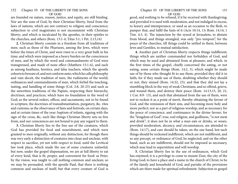are founded on nature, reason, justice, and equity, are still binding. Nor are the sons of God, by their Christian liberty, freed from the laws of nations, which are not contrary to religion and conscience; subjection to civil magistrates is not inconsistent with Christian liberty; and which is inculcated by the apostles, in their epistles to the churches, and others (Rom. 13:1-4; Titus 3:1; 1 Pet. 2:13,14)

**2.** Christian liberty consists in a freedom from all traditions of men; such as those of the Pharisees, among the Jews, which were before the times of Christ, and were risen to a very great bulk in his time; and which were imposed as a heavy burden on the consciences of men, and by which the word and commandments of God were transgressed, and made of none effect (Matthew 15:1-6), and such as among heathens, heretics, and false teachers, which the apostle exhorts to beware of, and not conform unto; which he calls philosophy and vain deceit, the tradition of men, the rudiments of the world; ordinances and commandments of men, which forbid the touching, tasting, and handling of some things (Col. 2:8, 20-23) and such as the unwritten traditions of the Papists, respecting their hierarchy, doctrines, and practices, which have no foundation in the word of God; as the several orders, offices, and sacraments, not to be found in scripture, the doctrines of transubstantiation, purgatory, &c. rites and customs, as the observance of fasts and festivals, on certain days, and at certain times of the year; baptism of infants, signing with the sign of the cross, &c, such like things Christian liberty sets us free from, and our consciences are not bound to pay any regard to them.

**3.** Christian liberty lies in the free use of the creatures, which God has provided for food and nourishment, and which were granted to men originally, without any distinction; for though there was very early a distinction of creatures into clean and unclean, with respect to sacrifice, yet not with respect to food, until the Levitical law took place, which made the use of some creatures unlawful; but now, under the gospel dispensation, we are at full liberty to eat of every kind, that is fit, proper, and convenient for food: as Peter, by the vision, was taught to call nothing common and unclean; so we may be persuaded, with the apostle Paul, that there is nothing common and unclean of itself; but that every creature of God is

good, and nothing to be refused, if it be received with thanksgiving; and provided it is used with moderation, and not indulged to excess, to luxury and intemperance; or used as an occasion to the flesh, to pamper that, and fulfil the lusts of it (Acts 10:14, 15; Rom. 14:14; 1 Tim. 4:3, 4). The injunction by the synod at Jerusalem, to abstain from blood, and things strangled, was only "pro tempore", for the peace of the churches, till things could be settled in them, between Jews and Gentiles, to mutual satisfaction.

**4.** Another part of Christian liberty respects things indifferent; things which are neither commanded nor forbidden of God, and which may be used and abstained from at pleasure; and which, in the first times of the gospel, chiefly concerned the eating, or not eating, some certain things (Rom. 14:2, 3), which might be made use of by those who thought fit to use them, provided they did it in faith; for if they made use of them, doubting whether they should or not, they sinned (Rom. 14:22, 23), and that they did not lay a stumbling block in the way of weak Christians, and so offend, grieve, and wound them, and destroy their peace (Rom. 14:13,15, 20, 21; 1 Cor. 8:9- 13), and such that abstained from the use of them, were not to reckon it as a point of merit, thereby obtaining the favour of God, and the remission of their sins, and becoming more holy and more perfect; nor as a part of religious worship, and as necessary for the peace of conscience, and continuance in the divine favour; for the "kingdom of God", true, real religion, and godliness, "is not meat and drink"; it does not lie in what a man eats or drinks, or wears, provided moderation, decency, and circumstances, are attended to (Rom. 14:17), and care should be taken, on the one hand, lest such things should be reckoned indifferent, which are not indifferent, and so any precept, or ordinance of God, be neglected; and on the other hand, such as are indifferent, should not be imposed as necessary, which may lead to superstition and will worship.

**5.** Christian liberty lies in the use of ordinances, which God has enjoined; it is a privilege to come to mount Zion, the city of the living God; to have a place and a name in the church of Christ; to be of the family and household of God, and partake of the provisions which are there made for spiritual refreshment. Subjection to gospel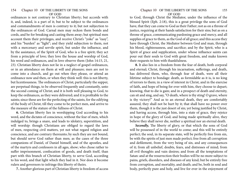ordinances is not contrary to Christian liberty; but accords with it, and, indeed, is a part of it; but to be subject to the ordinances and commandments of men is contrary to it; but not subjection to the ordinances of God. Carnal men may reckon them bonds and cords, and be for breaking and casting them away; but spiritual men account them their privileges, and receive Christ's "yoke" as "easy", and his "burden" as "light"; and they yield subjection to them, not with a mercenary and servile spirit, but under the influence, and by the assistance, of the Spirit of God, who is a free spirit; they act from a principle of love; they love the house and worship of God, his word and ordinances, and in love observe them (John 14:15, 21, 23). Christian liberty does not lie in a neglect of gospel ordinances, or in an attendance on them at will and pleasure; men are not to come into a church, and go out when they please, or attend an ordinance now and then, or when they think well: this is not liberty, but licentiousness. The ordinances of Christ, particularly the supper, are perpetual things, to be observed frequently and constantly, unto the second coming of Christ; and it is both well pleasing to God, to keep the ordinances, as they were delivered; and it is profitable to the saints; since these are for the perfecting of the saints, for the edifying of the body of Christ, till they come to be perfect men, and arrive to the measure of the stature of the fullness of Christ.

**6.** Christian liberty lies in worshipping God according to his word, and the dictates of conscience, without the fear of men, which indulged to, brings a snare, and leads to idolatry, superstition, and will worship: though Christians are obliged to regard the laws of men, respecting civil matters, yet not what regard religion and conscience, and are contrary thereunto; by such they are not bound, but should serve God rather than men; as the cases of the three companions of Daniel, of Daniel himself, and of the apostles, and of the martyrs and confessors in all ages, show; who chose rather to suffer imprisonment, confiscation of goods, and death itself, than part with this branch of Christian liberty, to serve God, according to his word, and that light which they had in it. Nor does it become rulers and governors to infringe this liberty of theirs.

**7.** Another glorious part of Christian liberty is freedom of access

## Chapter 10 OF THE LIBERTY OF THE SONS 155 OF GOD

to God, through Christ the Mediator, under the influence of the blessed Spirit (Eph. 2:18), this is a great privilege the sons of God have, that they can come to God as their Father; not as on a throne of justice, requiring at their hands satisfaction for their sins; but as on a throne of grace, communicating pardoning grace and mercy, and all supplies of grace to them, as the God of all grace; and this access they have through Christ, the Mediator between God and man, through his blood, righteousness, and sacrifice; and by the Spirit, who is a Spirit of grace and supplication, under whose influence saints can pour out their souls to God with great freedom, and make known their requests to him with thankfulness.

**8.** It also lies in a freedom from the fear of death, both corporal and eternal; Christ, through his incarnation, sufferings, and death, has delivered them, who, through fear of death, were all their lifetime subject to bondage: death, as formidable as it is, is no king of terrors to them; in a view of interest in Christ, and in the exercise of faith, and hope of being for ever with him, they choose to depart; knowing, that to die is gain; and in a prospect of death and eternity, can sit and sing, and say, "O death, where is thy sting! O grave, where is thy victory!" And as to an eternal death, they are comfortably assured, they shall not be hurt by it; that shall have no power over them, though it is the just desert of sin; yet being justified by Christ, and having access, through him, into a state of grace, they rejoice in hope of the glory of God; and being made spiritually alive, they believe they shall never die, neither a spiritual nor an eternal death.

*Secondly,* The liberty of glory, or that which the sons of God will be possessed of in the world to come; and this will be entirely perfect; the soul, in its separate state, will be perfectly free from sin, be with the spirits of just men made perfect; free from all corruption and defilement, from the very being of sin, and any consequences of it; from all unbelief, doubts, fears, and distresses of mind; from all evil thoughts and vain desires; and from all the temptations of Satan: and at the resurrection their bodies will be no more subject to pains, griefs, disorders, and diseases of any kind; but be entirely free from corruption, and mortality, and death; and be, both in soul and body, perfectly pure and holy, and live for ever in the enjoyment of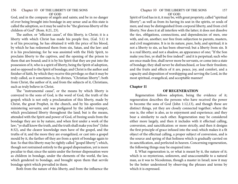God, and in the company of angels and saints; and be in no danger of ever being brought into bondage in any sense: and as this state is called the adoption, so it may be said to be "the glorious liberty of the children of God" (Rom. 8:21, 23).

The author, or "efficient cause", of this liberty, is Christ; it is a liberty with which Christ has made his people free, (Gal. 5:1) it is of his procuring, he has obtained it with the price of his blood, by which he has redeemed them from sin, Satan, and the law: and it is his proclaiming; for he was anointed with the Holy Spirit, to proclaim liberty to the captives, and the opening of the prison to them that are bound; and it is by his Spirit that they are put into the possession of it, who is a spirit of liberty, being the Spirit of adoption, and so opposed to the Spirit of bondage; and Christ is the author and finisher of faith, by which they receive this privilege; so that it may be truly called, as it sometimes is, by divines, "Christian liberty"; both from Christ, the author of it, and from the subjects of it, Christians, such as truly believe in Christ.

The "instrumental cause", or the means by which liberty is conveyed to the sons of God, is the word of God, the truth of the gospel; which is not only a proclamation of this liberty, made by Christ, the great Prophet, in the church, and by his apostles and ministering servants; and was prefigured by the jubilee trumpet, which proclaimed liberty throughout the land; but is the means, attended with the Spirit and power of God, of freeing souls from the bondage they are in by nature, and when first under a work of the law; "ye shall know the truth, and the truth shall make you free" (John 8:32), and the clearer knowledge men have of the gospel, and the truths of it; and the more they are evangelized, or cast into a gospel mould by it, the farther off they are from a spirit of bondage again to fear. So that this liberty may be rightly called "gospel liberty"; which, though not restrained entirely to the gospel dispensation, yet is more peculiar to that; since the saints under the former dispensation were as children in bondage, under the elements of the world, the law, which gendered to bondage, and brought upon them that servile bondage spirit which prevailed in them.

Both from the nature of this liberty, and from the influence the

## Chapter 10 OF THE LIBERTY OF THE SONS 157 OF GOD

Spirit of God has in it, it may be, with great propriety, called "spiritual liberty"; as well as from its having its seat in the spirits, or souls of men; and may be distinguished from corporal liberty, and from civil liberty. Nor does it at all interfere with the latter; it does not dissolve the ties, obligations, connections, and dependencies of men, one with, and on, another; nor free from subjection to parents, masters, and civil magistrates. It is in its nature, pure, holy, and spiritual; it is not a liberty to sin, as has been observed; but a liberty from sin. It is a real liberty, and not a shadow, an appearance of one; "If the Son make you free, ye shall be free indeed": and it is perpetual; such who are once made free, shall never more be servants, or come into a state of bondage; they shall never be disfranchised, or lose their freedom; and the fruits and effects of it are, peace, joy, and comfort, and a capacity and disposition of worshipping and serving the Lord, in the most spiritual, evangelical, and acceptable manner!

## **Chapter 11**

## **OF REGENERATION**

Regeneration follows adoption, being the evidence of it; regeneration describes the persons who have received the power to become the sons of God (John 1:12,13), and though these are distinct things, yet they are closely connected together; where the one is, the other is also, as to enjoyment and experience; and they bear a similarity to each other. Regeneration may be considered either more largely, and then it includes with it effectual calling, conversion, and sanctification: or more strictly, and then it designs the first principle of grace infused into the soul; which makes it a fit object of the effectual calling, a proper subject of conversion, and is the source and spring of that holiness which is gradually carried on in sanctification, and perfected in heaven. Concerning regeneration, the following things may be enquired into:

**I.** What regeneration is, or what is meant by it, the nature of it; which is so mysterious, unknown, and unaccountable to a natural man, as it was to Nicodemus, though a master in Israel; now it may be the better understood by observing the phrases and terms by which it is expressed.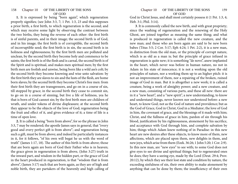**1.** It is expressed by being "born again", which regeneration properly signifies; (see John 3:3, 7; 1 Pet. 1:3, 23 and this supposes a prior birth, a first birth, to which regeneration is the second; and which may receive some light by observing the contrast between the two births, they being the reverse of each other: the first birth is of sinful parents, and in their image; the second birth is of God, and in his image; the first birth is of corruptible, the second birth of incorruptible seed; the first birth is in sin, the second birth is in holiness and righteousness; by the first birth men are polluted and unclean, by the second birth they become holy and commence to be saints; the first birth is of the flesh and is carnal, the second birth is of the Spirit and is spiritual, and makes men spiritual men; by the first birth men are foolish and unwise, being born like a wild ass's colt; by the second birth they become knowing and wise unto salvation: by the first birth they are slaves to sin and the lusts of the flesh, are home born slaves; by the second birth they become Christ's free men: from their first birth they are transgressors, and go on in a course of sin, till stopped by grace; in the second birth they cease to commit sin, to go on in a course of sinning, but live a life of holiness, yea he that is born of God cannot sin; by the first birth men are children of wrath, and under tokens of divine displeasure; at the second birth they appear to be the objects of the love of God; regeneration being the fruit and effect of it, and gives evidence of it; a time of life is a time of open love.

**2.** It is called a being "born from above", for so the phrase in John 3:3, 7 may be rendered; the apostle James says in general, that "every good and every perfect gift is from above"; and regeneration being such a gift, must be from above; and indeed he particularly instances in it, for it follows, "of his own will begat he us with the word of truth" (James 1:17, 18). The author of this birth is from above; those that are born again are born of God their Father who is in heaven; the grace given in regeneration is from above, (John 3:27) truth in the inward part, and wisdom in the hidden part, or the grace of God in the heart produced in regeneration, is that "wisdom that is from above", (James 3:17) such that are born again, as they are of high and noble birth, they are partakers of the heavenly and high calling of

God in Christ Jesus, and shall most certainly possess it (1 Pet. 1:3, 4; Heb. 3:1; Phil. 3:14).

**3**. It is commonly called the new birth, and with great propriety; since the washing of regeneration and the renewing of the Holy Ghost, are joined together as meaning the same thing; and what is produced in regeneration is called the new creature, and the new man; and those who are born again are said to be new born babes (Titus 3:5; 2 Cor. 5:17; Eph 4:24; 1 Pet. 2:2), it is a new man, in distinction from the old man, or the principle of corrupt nature, which is as old as a man is; but the principle of grace infused in regeneration is quite new; it is something "de novo", anew implanted in the heart, which never was before in human nature, no not in Adam in his state of innocence; it is not a working upon the old principles of nature, nor a working them up to an higher pitch: it is not an improvement of them, nor a repairing of the broken, ruined image of God in man. But it is altogether a new work; it is called a creature, being a work of almighty power; and a new creature, and a new man, consisting of various parts, and these all new: there are in it a "new heart", and a "new spirit", a new understanding, to know and understand things, never known nor understood before: a new heart, to know God; not as the God of nature and providence; but as the God of Grace, God in Christ, God in a Mediator; the love of God in him, the covenant of grace, and the blessings of it made with him; Christ, and the fullness of grace in him, pardon of sin through his blood, justification by his righteousness, atonement by his sacrifice, and acceptance with God through him, and complete salvation by him; things which Adam knew nothing of in Paradise: in this new heart are new desires after these objects, to know more of them, new affections, which are placed upon them, new delights in them, and new joys, which arise from them (Ezek. 36:26; 1 John 5:20; 1 Cor. 2:9). In this new man, are "new eyes" to see with; to some God does not give eyes to see divine and spiritual things; but to regenerated ones he does; they have a seeing eye, made by the Lord (Deut. 29:4; Prov. 20:12), by which they see their lost state and condition by nature, the exceeding sinfulness of sin, their own ability to make atonement by anything that can be done by them; the insufficiency of their own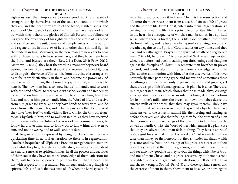righteousness; their impotence to every good work, and want of strength to help themselves out of the state and condition in which they are, and the need they are in of the blood, righteousness, and sacrifice of Christ, and of salvation by him. They have the eye of faith, by which they behold the glories of Christ's Person, the fullness of his grace, the excellency of his righteousness, the virtue of his blood and sacrifice, and the suitableness and completeness of his salvation: and regeneration, in this view of it, is no other than spiritual light in the understanding. Moreover, in the new man are new ears to hear with; all have not ears to hear; some have, and they have them from the Lord, and blessed are they! (Rev. 2:11; Deut. 29:4; Prov. 20:12; Matthew 13:16,17), they hear the word in a manner they never heard before; they hear it as to understand it, and receive the love of it; so as to distinguish the voice of Christ in it, from the voice of a stranger; so as to feel it work effectually in them, and become the power of God unto salvation to them; they know the joyful sound, and rejoice to hear it. The new man has also "new hands", to handle and to work with; the hand of faith, to receive Christ as the Saviour and Redeemer, to lay hold on him for life and salvation, to embrace him, hold him fast, and not let him go; to handle him, the Word of life, and receive from him grace for grace: and they have hands to work with, and do work from better principles, and to better purposes than before. And they have "new feet" to walk with, to flee to Christ, the City of refuge; to walk by faith in him; and to walk on in him, as they have received him; to run with cheerfulness the ways of his commandments; to follow hard after him, and to follow on to know him; and even to run, and not be weary, and to walk, and not faint.

**4.** Regeneration is expressed by being quickened. As there is a quickening time in natural generation; so there is in regeneration; "You hath he quickened" (Eph. 2:1). Previous to regeneration, men are dead while they live; though corporally alive, are morally dead, dead in a moral sense, as to spiritual things, in all the powers and faculties of their souls; they have no more knowledge of them, affection for them, will to them, or power to perform them, than a dead man has with respect to things natural; but in regeneration, a principle of spiritual life is infused; that is a time of life when the Lord speaks life

### Chapter 10 OF THE LIBERTY OF THE SONS 161 OF GOD

into them, and produces it in them. Christ is the resurrection and life unto them, or raises them from a death of sin to a life of grace; and the spirit of life, from Christ, enters into them. Regeneration is a passing from death to life; it is a principle of spiritual life implanted in the heart; in consequence of which, a man breathes, in a spiritual sense; where there is breath, there is life. God breathed into Adam the breath of life, and he became a living soul, or a living person, and breathed again: so the Spirit of God breathes on dry bones, and they live, and breathe again. Prayer is the spiritual breath of a regenerate man; "Behold, he prayeth!" is observed of Saul when regenerated; who, just before, had been breathing out threatenings and slaughter against the disciples of Christ. A regenerate man breathes in prayer to God, and pants after him; after more knowledge of him in Christ, after communion with him, after the discoveries of his love; particularly after pardoning grace and mercy: and sometimes these breathings and desires are only expressed by sighs and groans, yet these are a sign of life; if a man groans, it is plain he is alive. There are, in a regenerated man, which shows that he is made alive, cravings after spiritual food: as soon as an infant is born, it shows motions for its mother's milk, after the breast: so newborn babes desire the sincere milk of the word, that they may grow thereby. They have their spiritual senses exercised about spiritual objects; they have what answer to the senses in animal life, their seeing and hearing, as before observed, and also their feeling; they feel the burden of sin on their consciences; the workings of the Spirit of God in their hearts; as well as handle Christ, the Word of life; which makes it a plain case that they are alive; a dead man feels nothing. They have a spiritual taste, a gust for spiritual things; the word of Christ is sweeter to their taste than honey, or the honeycomb; they sit under his shadow with pleasure, and his fruit, the blessings of his grace, are sweet unto their taste; they taste that the Lord is gracious, and invite others to taste and see also how good he is; they savour the things which be of God, and not of men; Christ, and his grace, are savoury to them; his robe of righteousness, and garments of salvation, smell delightfully as myrrh, &c. (Song of Sol. 1:3; Ps. 45:8) and these spiritual senses, and the exercise of them in them, show them to be alive, or born again;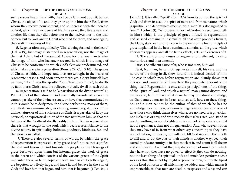such persons live a life of faith; they live by faith; not upon it, but on Christ, the object of it; and they grow up into him their Head, from whom they receive nourishment; and so increase with the increase of God; which is an evidence of life. In a word, they live a new and another life than they did before; not to themselves, nor to the lusts of men; but to God, and to Christ who died for them, and rose again; they walk in newness of life.

**5.** Regeneration is signified by "Christ being formed in the heart" (Gal. 4:19), his image is stamped in regeneration; not the image of the first Adam, but of the second Adam; for the new man is after the image of him who has anew created it, which is the image of Christ; to be conformed to which God's elect are predestinated, and which takes place in regeneration (Rom. 8:29; Col. 3:10). The graces of Christ, as faith, and hope, and love, are wrought in the hearts of regenerate persons, and soon appear there; yea, Christ himself lives in them; "Not I", says the apostle, "but Christ lives in me"; he dwells by faith there; Christ, and the believer, mutually dwell in each other.

**6.** Regeneration is said to be "a partaking of the divine nature" (2 Pet. 1:4), not of the nature of God essentially considered: a creature cannot partake of the divine essence, or have that communicated to it; this would be to deify men: the divine perfections, many of them, are utterly incommunicable, as eternity, immensity, &c. nor of the divine nature, or of it in such sense as Christ is a partaker of it, by the personal, or hypostatical union of the two natures in him; so that the fullness of the Godhead dwells bodily in him. But in regeneration there is that wrought in the soul, which bears a resemblance to the divine nature, in spirituality, holiness, goodness, kindness, &c. and therefore is so called.

**7.** There are also several terms, or words, by which the grace of regeneration is expressed; as by grace itself; not as that signifies the love and favour of God towards his people, or the blessings of grace bestowed upon them; but internal grace, the work of grace in the heart; and which consists of the various graces of the Spirit implanted there; as faith, hope, and love: such as are begotten again, are begotten to a lively hope, and have it, and believe in the Son of God; and love him that begot, and him that is begotten (1 Pet. 1:3; 1

John 5:1). It is called "spirit" (John 3:6) from its author, the Spirit of God; and from its seat, the spirit of man; and from its nature, which is spiritual, and denominates men spiritual men. It is also signified by "seed" (1 John 3:9). "Whosoever is born of God—his seed remaineth in him"; which is the principle of grace infused in regeneration; and as seed contains in it virtually, all that after proceeds from it, the blade, stalk, ear, and full corn in the ear; so the first principle of grace implanted in the heart, seminally contains all the grace which afterwards appears, and all the fruits, effects, acts, and exercises of it.

**II.** The springs and causes of regeneration; efficient, moving, meritorious, and instrumental.

First, The efficient cause of it; who is not man, but God.

*First,* Not man; he cannot regenerate himself; his case, and the nature of the thing itself, show it; and it is indeed denied of him. The case in which men before regeneration are, plainly shows that it is not, and cannot be of themselves; they are quite ignorant of the thing itself. Regeneration is one, and a principal one, of the things of the Spirit of God, and which a natural man cannot discern and understand; let him have what share he may of natural knowledge; as Nicodemus, a master in Israel, and yet said, how can these things be? and a man cannot be the author of that of which he has no knowledge: nor do men, previous to regeneration, see any need of it; as those who think themselves whole, see no need of a physician, nor make use of any; and who reckon themselves rich, and stand in need of nothing; as not of righteousness, so not of repentance; and if not of repentance, then not of regeneration. And whatsoever notion they may have of it, from what others say concerning it; they have no inclination, nor desire, nor will to it, till God works in them both to will and to do; the bias of their minds is another way; yea, their carnal minds are enmity to it; they mock at it, and count it all dream and enthusiasm. And had they any disposition of mind to it, which they have not, they have no power to effect it; they can do nothing, not the least thing of a spiritual kind; and much less perform such a work as this: this is not by might or power of men, but by the Spirit of the Lord of hosts; to all which may be added, and which makes it impracticable, is, that men are dead in trespasses and sins; and can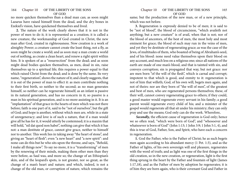no more quicken themselves than a dead man can; as soon might Lazarus have raised himself from the dead, and the dry bones in Ezekiel's vision, have quickened themselves and lived.

**2.** The nature of the work clearly shows that it is not in the power of men to do it; it is represented as a creation; it is called a new creature, the workmanship of God created in Christ, the new man after God, created in righteousness. Now creation is a work of almighty Power; a creature cannot create the least thing, not a fly, as soon might he create a world; and as soon may a man create a world out of nothing, as create a clean heart, and renew a right spirit within him. It is spoken of as a "resurrection" from the dead; and as soon might dead bodies quicken themselves, as men, dead in sin, raise themselves up to a spiritual life; this requires a power equal to that which raised Christ from the dead; and is done by the same. Its very name, "regeneration", shows the nature of it; and clearly suggests, that it is out of the power of man to effect it: as men contribute nothing to their first birth, so neither to the second; as no man generates himself, so neither can he regenerate himself; as an infant is passive in its natural generation, and has no concern in it; so passive is a man in his spiritual generation, and is no more assisting in it. It is an "implantation" of that grace in the hearts of men which was not there before; faith is one part of it, said to be "not of ourselves", but the gift of God; and hope is another, without which men are, while in a state of unregeneracy; and love is of such a nature, that if a man would give all he has for it, it would utterly be contemned; it is a maxim that will hold, "nil dat quod non habet", nothing can give that which it has not: a man destitute of grace, cannot give grace, neither to himself nor to another. This work lies in taking away "the heart of stone", and giving an "heart of flesh"; even "a new heart" and "a new spirit": and none can do this but he who sits upon the throne, and says, "Behold, I make all things new". To say no more, it is a "transforming" of men by the renewing of their minds, making them other men than they were before, as Saul was, and more so; the change of an Ethiopian's skin, and of the leopard's spots, is not greater, nor so great, as the change of a man's heart and nature; and which, indeed, is not a change of the old man, or corruption of nature, which remains the

same; but the production of the new man, or of a new principle, which was not before.

**3.** Regeneration is expressly denied to be of men; it is said to be "not of blood", the blood of circumcision, "which availeth not anything; but a new creature" is of avail, when that is not; nor of the blood of ancestors, of the best of men, the most holy and most eminent for grace; the blood of such may run in the veins of men, and yet they be destitute of regenerating grace; as was the case of the Jews, of multitudes of them, who boasted of being of Abraham's seed, and of his blood: none need value themselves upon their blood on any account, and much less on a religious one; since all nations of the earth are made of one man's blood, and that is tainted with sin, and conveys corruption; sin is propagated that way, but not grace: nor are men born "of the will of the flesh", which is carnal and corrupt; impotent to that which is good, and enmity to it: regeneration is not of him that willeth; God, of his own will, begets men again, and not of theirs: nor are they born of "the will of men", of the greatest and best of men, who are regenerated persons themselves; these, of their will, cannot convey regenerating grace to others; if they could, a good master would regenerate every servant in his family; a good parent would regenerate every child of his; and a minister of the gospel would regenerate all that sit under his ministry; they can only pray and use the means; God only can do the work. Wherefore,

 *Secondly,* the efficient cause of regeneration is God only; hence we so often read, "which were born of God", and "whosoever and whatsoever is born of God" (John 1:13; 1 John 3:9; 1 John 5:1, 4), and this is true of God, Father, Son, and Spirit, who have each a concern in regeneration.

**1.** God the Father, who is the Father of Christ; he as such begets men again according to his abundant mercy (1 Pet. 1:3), and as the Father of lights, of his own sovereign will and pleasure, regenerates with the word of truth; and as light was one of the first things in the old creation, so in the new creation, or regeneration, light is the first thing sprung in the heart by the Father and fountain of light (James 1:17,18), and as the Father of men by adoption he regenerates; it is of him they are born again, who is their covenant God and Father in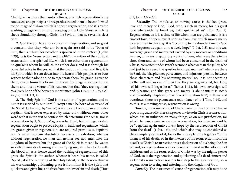Christ; he has chose them unto holiness, of which regeneration is the root, seed, and principle; he has predestinated them to be conformed to the image of his Son, which is done in regeneration; and it is by the washing of regeneration, and renewing of the Holy Ghost, which he sheds abundantly through Christ the Saviour, that he saves his elect ones.

**2.** God the Son has also a concern in regeneration, and so great a concern, that they who am born again are said to be "born of him", that is, Christ; for no other is spoken of in the context (1 John 2:29), he is the "resurrection and the life"; the author of the spiritual resurrection to a spiritual life, which is no other than regeneration; he quickens whom he will, as the Father does; and it is through his powerful voice in the gospel, that the dead in sin hear and live; it is his Spirit which is sent down into the hearts of his people, as to bear witness to their adoption, so to regenerate them; his grace is given to them, yea he himself is formed in them; his image is stamped upon them; and it is by virtue of his resurrection that "they are begotten" to a lively hope of the heavenly inheritance (John 11:25; 5:21, 25; Gal. 4:6,19; 1 Pet. 1:3, 4).

**3.** The Holy Spirit of God is the author of regeneration, and to him it is ascribed by our Lord; "Except a man be born of water and of the Spirit" (John 3:5), by "water", is not meant the ordinance of water baptism, that is never expressed by water only, without some other word with it in the text or context which determines the sense; nor is regeneration by it; Simon Magus was baptized, but not regenerated: regeneration ought to precede baptism; faith and repentance, which are graces given in regeneration, are required previous to baptism; nor is water baptism absolutely necessary to salvation; whereas without regeneration no man can neither see nor enter into the kingdom of heaven; but the grace of the Spirit is meant by water, so called from its cleansing and purifying use, as it has to do with the blood of Jesus, hence called the washing of regeneration; of this grace the Spirit is the author, whence it bears his name, is called "Spirit"; it is the renewing of the Holy Ghost, or the new creature is his workmanship; quickening grace is from him; it is the Spirit that quickens and gives life, and frees from the law of sin and death (Titus

3:5; John 3:6; 6:63).

 *Secondly,* The impulsive, or moving cause, is the free grace, love and mercy of God; "God, who is rich in mercy, for his great love wherewith he loved us, hath quickened us" (Eph 2:4, 5). Regeneration, as it is a time of life when men are quickened, it is a time of love, of open love; it springs from love, which moves mercy to exert itself in this way; it is "according to his abundant mercy God hath begotten us again unto a lively hope" (1 Pet. 1:3), and this was sovereign grace and mercy, not excited by any motives or conditions in men, or by any preparatory works in them; what were there in the three thousand, some of whom had been concerned in the death of Christ, converted under Peter's sermon? what were in the jailor, who had just before used the apostles in a cruel manner? what were there in Saul, the blasphemer, persecutor, and injurious person, between these characters and his obtaining mercy? no, it is not according to the will and works, of men that they are regenerated, but God, "of his own will begat he us" (James 1:18), his own sovereign will and pleasure; and this grace and mercy is abundant; it is richly and plentifully displayed; it is "exceeding abundant", it flows and overflows; there is a pleonasm, a redundancy of it (1 Tim. 1:14), and to this, as a moving cause, regeneration is owing.

*Thirdly*, the resurrection of Christ from the dead is the virtual or procuring cause of it; there is a power or virtue in Christ's resurrection, which has an influence on many things; as on our justification, for which he rose again, so on our regeneration; for men are said to be "begotten again unto a lively hope by the resurrection of Christ from the dead" (1 Pet. 1:3), and which also may be considered as the exemplary cause of it; for as there is a planting together "in the likeness of his death, so in the likeness of his resurrection from the dead"; as Christ's resurrection was a declaration of his being the Son of God, so regeneration is an evidence of interest in the adoption of children; and as the resurrection of Christ was by the mighty power of God, so is the regeneration and quickening of a dead sinner; and as Christ's resurrection was his first step to his glorification, so is regeneration to seeing and entering into the kingdom of God.

*Fourthly,* The instrumental cause of regeneration, if it may be so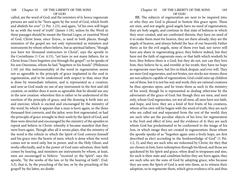called, are the word of God, and the ministers of it; hence regenerate persons are said to be "born again by the word of God, which liveth and abideth for ever" (1 Pet. 1:23), and again, "of his own will begat he us with the word of truth" (James 1:18), unless by the Word in these passages should be meant the Eternal Logos, or essential Word of God, Christ Jesus, since Xoyoc, is used in both places; though ministers of the gospel are not only represented as ministers and instruments by whom others believe, but as spiritual fathers; "though you have ten thousand instructors in Christ", says the apostle to the Corinthians (1 Cor. 4:15), "yet have ye not many fathers, for in Christ Jesus I have begotten you through the gospel"; so he speaks of his son Onesimus, whom he had "begotten in his bonds" (Philemon 1:10) yet this instrumentality of the word in regeneration seems not so agreeable to the principle of grace implanted in the soul in regeneration, and to be understood with respect to that; since that is done by immediate infusion, and is represented as a creation; and now as God made no use of any instrument in the first and old creation, so neither does it seem so agreeable that he should use any in the new creation: wherefore this is rather to be understood of the exertion of the principle of grace, and the drawing it forth into act and exercise; which is excited and encouraged by the ministry of the word, by which it appears that a man is born again; so the three thousand first converts, and the jailor, were first regenerated, or had the principle of grace wrought in their souls by the Spirit of God, and then were directed and encouraged by the ministry of the apostles to repent and believe in Christ: whereby it became manifest that they were born again. Though after all it seems plain, that the ministry of the word is the vehicle in which the Spirit of God conveys himself and his grace into the hearts of men; which is done when the word comes not in word only, but in power, and in the Holy Ghost; and works effectually, and is the power of God unto salvation; then faith comes by hearing, and ministers are instruments by whom, at least, men are encouraged to believe: "received ye the Spirit", says the apostle, "by the works of the law, or by the hearing of faith": (Gal. 3:2), that is, by the preaching of the law, or by the preaching of the gospel? by the latter, no doubt.

### Chapter 10 OF THE LIBERTY OF THE SONS 169 OF GOD

**III.** The subjects of regeneration are next to be inquired into, or who they are God is pleased to bestow this grace upon. These are men, and not angels; good angels have no need of regeneration; they are holy angels, and continue in that state of holiness in which they were created, and are confirmed therein; they have no need of it to make them meet for heaven, they are there already; they are the angels of heaven, and always behold the face of our heavenly Father there: as for the evil angels, none of them ever had, nor never will have any share in regenerating grace; they believe indeed, but they have not the faith of regenerate ones, or that faith which worketh by love; they believe there is a God, but they do not, nor can they love him; they believe he is, and tremble at his wrath; they have no hope as regenerate ones have, but live in black despair, and ever will. They are men God regenerates, and not brutes, nor stocks nor stones; these are not subjects capable of regeneration; God could raise up children out of these, but it is not his way and work; they are rational creatures he thus operates upon, and he treats them as such in the ministry of his word; though he is represented as dealing otherwise by the adversaries of the grace of God: but though they are men, and men only, whom God regenerates, yet not all men; all men have not faith, and hope, and love; they are a kind of first fruits of his creatures, whom of his own will he begets with the word of truth; they are such who are called out and separated from the rest of the world; they are such who are the peculiar objects of his love; for regeneration is the fruit and effect of love, and the evidence of it; they are such whom God has predestinated to be conformed to the image of his Son, in which image they are created in regeneration; those whom the apostle speaks of as "begotten again unto a lively hope, are first described as elect according to the foreknowledge of God" (1 Pet. 1:2, 3), and they are such who are redeemed by Christ, for they that are chosen in him, have redemption through his blood; and those are quickened by his Spirit and grace, when dead in trespasses and sins, for such is their state and condition before they are born again; they are such who are the sons of God by adopting grace, who because they are sons the Spirit of God is sent into them, as to witness their adoption, so to regenerate them, which gives evidence of it; and thus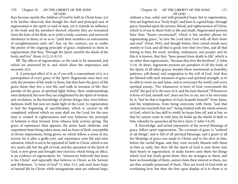they become openly the children of God by faith in Christ Jesus. Let it be further observed, that though the chief and principal seat of regeneration is the spirit or soul of man, yet it extends its influence to the body and the member's thereof; whereby they are restrained from the lusts of the flesh, as to yield a ready, constant, and universal obedience to them; or so as to "yield their members as instruments of unrighteousness unto sin"; but, on the contrary, are so under the power of the reigning principle of grace, implanted in them in regeneration, that they, "through the Spirit, mortify the deeds of the body, and live" (Rom. 6:12,13; 8:13).

**IV.** The effects of regeneration, or the ends to be answered, and which are answered by it, and which show the importance and necessity of it.

**1**. A principal effect of it; or, if you will, a concomitant of it, is a participation of every grace of the Spirit. Regenerate ones have not only the promise of life made to them, but they have the grace of life given them; they live a new life, and walk in newness of life: they partake of the grace of spiritual light; before, their understandings were darkened; but now they are enlightened by the Spirit of wisdom and revelation, in the knowledge of divine things; they were before, darkness itself; but now are made light in the Lord. In regeneration is laid the beginning of sanctification, which is carried on till completed, without which no man shall see the Lord; for the new man is created in righteousness and true holiness; the principle of holiness is then formed, from whence holy actions spring. The grace of repentance then appears; the stony, hard, obdurate, and impenitent heart being taken away, and an heart of flesh, susceptible of divine impressions, being given; on which follow, a sense of sin, sorrow for it after a godly sort, and repentance unto life and unto salvation, which is not to be repented of: faith in Christ, which is not of a man's self, but the gift of God, and the operation of the Spirit of God, is now given and brought into exercise; which being an effect, is an evidence of regeneration; for "whosoever believeth that Jesus is the Christ", and especially that believes in Christ, as his Saviour and Redeemer, "is born of God" (1 John 5:1), and such have hope of eternal life by Christ; while unregenerate men are without hope,

without a true, solid, and well grounded hope; but in regeneration, they are begotten to a "lively hope", and have it; a good hope, through grace, founded upon the person, blood, and righteousness of Christ, which is of use to them both in life and death. Regenerated persons have their "hearts circumcised", which is but another phrase for regenerating grace, "to love the Lord their God with all their heart and soul" (Deut. 30:6), and though before, their carnal minds were enmity to God, and all that is good; now they love him, and all that belong to him, his word, worship, ordinances, and people; and by this it is known, that they "have passed from death to life", which is no other than regeneration, "because they love the brethren" (1 John 3:14). In short, regenerate persons are partakers of all the fruits of the Spirit; of all other graces, besides those mentioned; as humility, patience, self-denial, and resignation to the will of God. And they are blessed with such measures of grace and spiritual strength, as to be able to resist sin and Satan, and to overcome the world, and every spiritual enemy; "For whatsoever is born of God, overcometh the world", the god of it, the men in it, and the lusts thereof; "Whosoever is born of God, sinneth not", does not live in sin, nor is he overcome by it; "but he that is begotten of God, keepeth himself" from Satan, and his temptations, from being overcome with them; "and that wicked one toucheth him not": being clothed with the whole armour of God, which he has skill to wield; he keeps him off, and at bay, so that he cannot come in with him; he holds up the shield of faith to him, whereby he quenches all his fiery darts (1 John 5:4,18)

**2.** Knowledge, and actual enjoyment of the several blessings of grace, follow upon regeneration. The covenant of grace is "ordered in all things", and is full of all spiritual blessings; and a grant of all the blessings of grace was made to Christ, and to the elect in him, before the world began, and they were secretly blessed with them in him as early; but then till the Spirit of God is sent down into their hearts in regeneration, to make known unto them the things which God has freely given them, they are strangers to them, and have no knowledge of them, cannot claim their interest in them, nor are they actually possessed of them. They are loved of God with an everlasting love; but then the first open display of it to them is in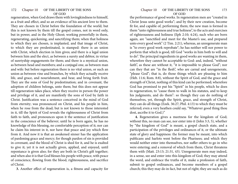regeneration, when God draws them with lovingkindness to himself, as a fruit and effect, and so an evidence of his ancient love to them. They are chosen in Christ before the foundation of the world; but this is not known by them till the gospel comes, not in word only, but in power, and in the Holy Ghost; working powerfully in them, regenerating, quickening, and sanctifying them; when that holiness to which they are chosen, is implanted, and that image of Christ, to which they are predestinated, is stamped: there is an union with Christ, which election in him gives; and there is a legal union between him and the elect, as between a surety and debtor, in virtue of suretyship engagements for them; and there is a mystical union, as between head and members; and a conjugal one, as between man and wife: but before regeneration there is no vital union, or such an union as between vine and branches, by which they actually receive life, and grace, and nourishment, and bear, and bring forth fruit. They are the sons of God by predestination; and in covenant, the adoption of children belongs, unto them; but this does not appear till regeneration takes place, when they receive in person the power and privilege of it, and are manifestly the sons of God by faith in Christ. Justification was a sentence conceived in the mind of God from eternity; was pronounced on Christ, and his people in him, when he rose from the dead; but is not known to those interested in it, till the Spirit of God reveals the righteousness of Christ from faith to faith, and pronounces upon it the sentence of justification in the conscience of the believer; until he is born again, he has no knowledge of this blessing, no comfortable perception of it; nor can he claim his interest in it, nor have that peace and joy which flow from it. And now it is that an awakened sinner has the application of pardoning grace and mercy; for though pardon of sin is provided in covenant, and the blood of Christ is shed for it, and he is exalted to give it; yet it is not actually given, applied, and enjoyed, until repentance is given also; for they are both in Christ's gift together; and when also it is that God blesses his people with peace, with peace of conscience, flowing from the blood, righteousness, and sacrifice of Christ.

**3.** Another effect of regeneration is, a fitness and capacity for

### Chapter 10 OF THE LIBERTY OF THE SONS 173 OF GOD

the performance of good works. In regeneration men are "created in Christ Jesus unto good works"; and by their new creation, become fit for, and capable of, performing them; the new man is formed in them "unto righteousness and true holiness", to the acts and exercises of righteousness and holiness (Eph 2:10; 4:24), such who are born again, are "sanctified and meet for the Master's use, and prepared unto every good work" (2 Tim. 2:21), whereas, an unregenerate man is "to every good work reprobate"; he has neither will nor power to perform that which is good, till God "works in him both to will and to do". The principal ingredients in good works are wanting in them, wherefore they cannot be acceptable to God: and, indeed, "without faith", as these are without it, "it is impossible to please God"; nor can they that are "in the flesh", who are carnal and unregenerate, "please God"; that is, do those things which are pleasing to him (Heb. 11:6; Rom. 8:8), without the Spirit of God, and the grace and strength of Christ, nothing of this kind can he performed; wherefore God has promised to put his "Spirit" in his people, which he does in regeneration, to "cause them to walk in his statutes, and to keep his judgments, and do them": so though they can do nothing of themselves, yet, through the Spirit, grace, and strength of Christ, they can do all things (Ezek. 36:27; Phil. 4:13) to which they must be referred; even a very heathen could say, "Whatever good thing thou dost, ascribe it to God.)''

**4.** Regeneration gives a meetness for the kingdom of God; without this, no man can see, nor enter into it (John 3:3, 5), whether by "the kingdom of God" is meant, a gospel church state, and a participation of the privileges and ordinances of it, or the ultimate state of glory and happiness: the former may be meant, into which publicans and harlots went before the Pharisees; and which they would neither enter into themselves, nor suffer others to go in who were entering; and a removal of which from them, Christ threatens them with (Matt. 23:13; 21:31, 43). Unregenerate men may indeed, in a sense, see and enter into this kingdom of God; they may attend the word, and embrace the truths of it, make a profession of faith, submit to gospel ordinances, and become members of a gospel church; this they may do in fact, but not of right; they are such as do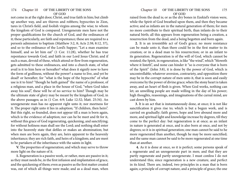not come in at the right door, Christ, and true faith in him; but climb up another way, and are thieves and robbers; hypocrites in Zion, tares in Christ's field, and foolish virgins among the wise; to whom the kingdom of God is compared. Unregenerate men have not the proper qualifications for the church of God, and the ordinances of it; these particularly, are faith and repentance; these are required to a person's admission to baptism (Matthew 3:2, 8; Acts 2:38; 8:12, 37), and so to the ordinance of the Lord's Supper; "Let a man examine himself, and so let him eat" (1 Cor. 11:28), whether he has true repentance towards God, and faith in our Lord Jesus Christ; and if such a man, devoid of these, which attend or flow from regeneration, gets admitted to these ordinances, and into a church state, of what avail is it to him here or hereafter? what does it signify now to have the form of godliness, without the power? a name to live, and yet be dead? or hereafter; for "what is the hope of the hypocrite" of what use is it to him? "though he hath gained" the name of a professor, of a religious man, and a place in the house of God, "when God takes away his soul", these will be of no service to him? Though may be the ultimate state of glory may be meant by the kingdom of God, in the above passages; as in (1 Cor. 6:9; Luke 12:32; Matt. 25:34). An unregenerate man has no apparent right unto it; nor meetness for it. The proper right unto it lies in adoption; "If children, then heirs". But this right, so founded, does not appear till a man is born again, which is the evidence of adoption; nor can he be meet and fit for it, without this grace of God regenerating, quickening, and sanctifying; for without holiness man shall see the Lord; and nothing shall enter into the heavenly state that defiles or makes an abomination; but when men are born again, they are, heirs apparent to the heavenly inheritance; they are rich faith, and heirs of a kingdom; and are meet to be partakers of the inheritance with the saints in light.

**V.** The properties of regeneration; and which may serve to throw more light on the nature of it.

**1.** Regeneration is a passive work, or rather, men are passive in it; as they must needs be, in the first infusion and implantation of grace, and the quickening of them; even as passive as the first matter created was, out of which all things were made; and as a dead man, when

## Chapter 10 OF THE LIBERTY OF THE SONS 175 OF GOD

raised from the dead is; or as the dry bones in Ezekiel's vision were, while the Spirit of God breathed upon them, and then they became active; and as infants are in the natural generation of them; for men no more contribute to their spiritual birth, than infants do to their natural birth; all this appears from regeneration being a creation, a resurrection from the dead, and a being begotten and born again.

**2.** It is an irresistible act of God's grace; no more resistance can be made unto it, than there could be in the first matter to its creation; or in a dead man to his resurrection; or in an infant to its generation. Regeneration is of the will of God, which cannot be resisted; the Spirit, in regeneration, is like "the wind", which "bloweth where it listeth", and none can hinder it "so is everyone that is born of the Spirit" (John 3:8), it is done by the power of God, which is uncontrollable; whatever aversion, contrariety, and opposition there may be in the corrupt nature of men unto it, that is soon and easily overcome by the power of divine grace; when the stony heart is taken away, and an heart of flesh is given. When God works, nothing can let; an unwilling people are made willing in the day of his power; high thoughts, reasonings, and imaginations of the carnal mind, are cast down by him.

**3.** It is an act that is instantaneously done, at once; it is not like sanctification it gives rise to; which is but a begun work, and is carried on gradually; faith grows, hope and love abound more and more, and spiritual light and knowledge increase by degrees, till they come to the perfect day: but regeneration is at once; as an infant in nature is generated at once, and is also born at once, and not by degrees; so it is in spiritual generation; one man cannot be said to he more regenerated than another, though he may be more sanctified; and the same man cannot be said to be more regenerated at one time than at another.

**4.** As it is done at once, so it is perfect; some persons speak of a regenerate and an unregenerate part in men; and that they are partly regenerate and partly unregenerate. I must confess I do not understand this; since regeneration is a new creature, and perfect in its kind. There are, indeed, two principles in a man that is born again; a principle of corrupt nature, and a principle of grace; the one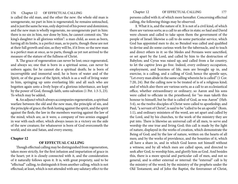is called the old man, and the other the new: the whole old man is unregenerate, no part in him is regenerated; he remains untouched, and is just the same he was, only deprived of his power and dominion; and the new man is wholly regenerate, no unregenerate part in him: there is no sin in him, nor done by him, he cannot commit sin; "the king's daughter is all glorious within": a man child, as soon as born, having all its limbs, is a perfect man, as to parts, though these are not at their full growth and size, as they will be, if it lives: so the new man is a perfect man at once, as to parts, though as yet not arrived to the measure of the stature of the fullness of Christ.

**5.** The grace of regeneration can never be lost; once regenerated, and always so; one that is born in a spiritual sense, can never be unborn again; for he cannot die a spiritual death; he is born of incorruptible and immortal seed; he is born of water and of the Spirit, or of the grace of the Spirit, which is as a well of living water in him, springing up unto everlasting life: and all such who are begotten again unto a lively hope of a glorious inheritance, are kept by the power of God, through faith, unto salvation (1 Pet. 1:3-5, 23). To which may be added,

**6.** An adjunct which always accompanies regeneration, a spiritual warfare between the old and the new man, the principle of sin, and the principle of grace; the flesh lusting against the spirit, and the spirit against the flesh; the law in the members warring against the law of the mind; which are, as it were, a company of two armies engaged in war with each other, which always issues in a victory on the side of the new creature; for whatsoever is born of God overcometh the world; and sin and Satan, and every enemy,

## **Chapter 12**

## **OF EFFECTUAL CALLING**

Though effectual calling may be distinguished from regeneration, taken more strictly, for the first infusion and impartation of grace in the heart; yet it is closely connected with it, and the consideration of it naturally follows upon it. It is, with great propriety, said to be "effectual" calling, to distinguish it from another calling, which is not effectual; at least, which is not attended with any salutary effect to the persons called with it; of which more hereafter. Concerning effectual calling, the following things may be observed.

**1**. What it is, and the nature of it. It is not of a civil kind, of which there are various sorts; as a call to an office in state; so Saul and David were chosen and called to take upon them the government of the people of Israel: likewise a call to do some particular service, which God has appointed men to do; so Bezaleel was called and qualified to devise and do some curious work for the tabernacle, and to teach and direct others in it: so the Medes and Persians were sanctified, or set apart by the Lord, and called by him to the destruction of Babylon; and Cyrus was raised up, and called from a far country, to let the captive Jews go free. Indeed, every ordinary occupation, employment, and business of life, men are brought up in, and exercise, is a calling, and a calling of God; hence the apostle says, "Let every man abide in the same calling wherein he is called" (1 Cor. 7:20, 24). But the calling now to be treated of is of a religious kind; and of which also there are various sorts; as a call to an ecclesiastical office, whether extraordinary or ordinary; so Aaron and his sons were called to officiate in the priesthood; for "no man taketh this honour to himself, but he that is called of God, as was Aaron" (Heb. 5:4), so the twelve disciples of Christ were called to apostleship; and Paul, "a servant of Christ", is said to be "called to be an apostle" (Rom. 1:1), and ordinary ministers of the word, are set apart and called by the Lord, and by his churches, to the work of the ministry they are put into. There is likewise an universal call of all men, to serve and worship the one true and living God; this call is made by the light of nature, displayed in the works of creation, which demonstrate the Being of God; and by the law of nature, written on the hearts of all men; and by the works of providence, and the bounties of it, which all have a share in, and in which God leaves not himself without a witness; and by all which men are called upon, and directed to seek after God, to worship him, and glorify him as God. And besides this, there is a more special and particular call of men, and not so general, and is either external or internal: the "external" call is by the ministry of the word; by the ministry of the prophets under the Old Testament; and of John the Baptist, the forerunner of Christ,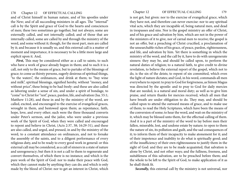and of Christ himself in human nature, and of his apostles under the New; and of all succeeding ministers in all ages. The "internal" call is by the Spirit and grace of God to the hearts and consciences of men; these two sometimes go together, but not always; some are externally called, and not internally called; and of those that are internally called, some are called by and through the ministry of the word, and some without it; though, for the most part, men are called by it; and because it is usually so, and this external call is a matter of moment and importance, it is necessary to be a little more large and explicit upon it. And,

*First,* This may be considered either as a call to saints, to such who have a work of grace already begun in them; and to such it is a call, not only to the means of grace, but to partake of the blessings of grace; to come as thirsty persons, eagerly desirous of spiritual things, "to the waters", the ordinances, and drink at them; to "buy wine and milk", spiritual blessings, signified hereby, without "money, and without price", these being to be had freely: and these are also called as laboring under a sense of sin, and under a spirit of bondage, to "come" to Christ for "rest", peace, pardon, life, and salvation (Isa. 55:1; Matthew 11:28), and these in and by the ministry of the word, are called, excited, and encouraged to the exercise of evangelical graces, wrought in them, and bestowed upon them; as repentance, faith, hope, love, and every other; such were the three thousand converts under Peter's sermon, and the jailor, who were under a previous work of the Spirit of God, when they were called and encouraged to repent and believe in Christ, (Acts 2:37, 38; 16:29-31), and these are also called, and urged, and pressed, in and by the ministry of the word, to a constant attendance on ordinances, and not to forsake the assembly of the saints, and to a diligent performance of every religious duty, and to be ready to every good work in general: or this external call may be considered, as a call of sinners in a state of nature and unregeneracy; but then it is not a call to them to regenerate and convert themselves, of which there is no instance; and which is the pure work of the Spirit of God: nor to make their peace with God, which they cannot make by anything they can do; and which is only made by the blood of Christ: nor to get an interest in Christ, which

is not got, but given: nor to the exercise of evangelical grace, which they have not, and therefore can never exercise: nor to any spiritual vital acts, which they are incapable of, being natural men, and dead in trespasses and sins. Nor is the gospel ministry an offer of Christ, and of his grace and salvation by him, which are not in the power of the ministers of it to give, nor of carnal men to receive; the gospel is not an offer, but a preaching of Christ crucified, a proclamation of the unsearchable riches of his grace, of peace, pardon, righteousness, and life, and salvation by him. Yet there is something in which the ministry of the word, and the call by it, have to do with unregenerate sinners: they may be, and should be called upon, to perform the natural duties of religion; to a natural faith, to give credit to divine revelation, to believe the external report of the gospel, which not to do, is the sin of the deists; to repent of sin committed, which even the light of nature dictates; and God, in his word, commands all men everywhere to repent: to pray to God for forgiveness, as Simon Magus was directed by the apostle: and to pray to God for daily mercies that are needed, is a natural and moral duty; as well as to give him praise, and return thanks for mercies received, which all men that have breath are under obligation to do. They may, and should be called upon to attend the outward means of grace, and to make use of them; to read the Holy Scriptures, which have been the means of the conversion of some; to hear the word, and wait on the ministry of it, which may be blessed unto them, for the effectual calling of them. And it is a part of the ministry of the word to lay before men their fallen, miserable, lost, and undone estate by nature; to open to them the nature of sin, its pollution and guilt, and the sad consequences of it; to inform them of their incapacity to make atonement for it; and of their impotence and inability to do what is spiritually good; and of the insufficiency of their own righteousness to justify them in the sight of God: and they are to be made acquainted, that salvation is alone by Christ, and not other ways; and the fullness, freeness, and suitableness of this salvation, are to be preached before them; and the whole to be left to the Spirit of God, to make application of it as he shall think fit.

*Secondly,* this external call by the ministry is not universal, nor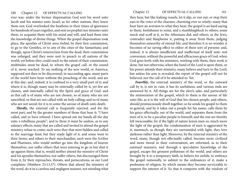ever was: under the former dispensation God sent his word unto Jacob and his statutes unto Israel; as for other nations, they knew them not; God overlooked the heathens in their times of ignorance for hundreds of years together, and sent no prophet nor minister unto them, to acquaint them with his mind and will, and lead them into the knowledge of divine things. When the gospel dispensation took place, the apostles of Christ were forbid, by their first commission, to go to the Gentiles, or to any of the cities of the Samaritans; and though, upon Christ's resurrection from the dead, their commission was enlarged, and they were sent to preach to all nations of the world; yet before they could reach to the extent of their commission, multitudes must be dead, to whom the gospel call, or the sound of it, never reached. To say nothing of the new world, or America, supposed not then to be discovered; in succeeding ages, many parts of the world have been without the preaching of the word, and are at this day; and, indeed, it is confined to a very small part of it; and where it is, though many may be externally called by it, yet few are chosen, and internally called by the Spirit and grace of God: and as this call is of many who are not chosen, so of many who are not sanctified, or that are not called with an holy calling; and so of many who are not saved; for it is to some the savour of death unto death.

*Thirdly,* the external call is frequently rejected, and for the most part, and by the greater numbers of those that hear it; "I have called, and ye have refused: I have spread out my hands all the day unto a rebellious people"; and to these it must be useless, as to any salutary effects; many that are called and invited to attend the gospel ministry refuse to come; such were they that were bidden and called to the marriage feast; but they made light of it, and some went to their farms, and others to their merchandise; such were the Scribes and Pharisees, who would neither go into the kingdom of heaven themselves, nor suffer others that were entering to go in but shut it up against them; that is, would neither attend the ministry of Christ and his apostles themselves, nor suffer others, but discouraged them from it, by their reproaches, threats, and persecutions, as our Lord complains (Matthew 23:13,37). Others that attend the ministry of the word, do it in a careless and negligent manner, not minding what

they hear, but like leaking vessels, let it slip, or run out; or stop their ears to the voice of the charmer, charming ever so wisely; many that hear have an aversion to what they hear; the gospel is an hard saying to them, foolishness to some, and a stumblingblock to others; some mock and scoff at it, as the Athenians did; and others, as the Jews, contradict and blaspheme it, putting it away from them, judging themselves unworthy of eternal life; and therefore it is no wonder it becomes of no saving effect to either of these sort of persons: and, indeed, it is always insufficient and ineffectual of itself unto real conversion, without the powerful and efficacious grace of God; when God goes forth with his ministers, working with them, then work is done, but not otherwise; when the hand of the Lord is upon them, or his power attends their ministry, many believe and turn to the Lord; but unless his arm is revealed, the report of the gospel will not be believed, nor the call of it be attended to. Yet,

*Fourthly*, the external ministry of the word, or the outward call by it, is not in vain; it has its usefulness, and various ends are answered by it. All things are for the elect's sake, and particularly the ministration of the gospel, which to them is the savour of life unto life; as it is the will of God that his chosen people, and others, should promiscuously dwell together, so he sends his gospel to them in general, and by it takes out a people for his name; calls them by his grace effectually, out of the world, and separates them from the men of it, to be a peculiar people to himself; and the rest are thereby left inexcusable; for if the light of nature leaves men so, much more the light of the gospel; the condemnation of men is aggravated by it; inasmuch, as though they are surrounded with light, they love darkness rather than light. Moreover, by the external ministry of the word, many, though not effectually called, become more civilized and more moral in their conversation; are reformed, as to their outward manners; and through a speculative knowledge of the gospel, escape the grossest pollutions of the world: and others are brought by it to a temporary faith, to believe for awhile, to embrace the gospel notionally, to submit to the ordinances of it, make a profession of religion, by which means they become serviceable to support the interest of it. So that it comports with the wisdom of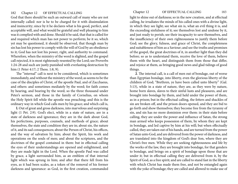God that there should be such an outward call of many who are not internally called: nor is he to be charged for it with dissimulation and insincerity; since by it he declares what is his good, perfect, and acceptable will, and what would be grateful and well pleasing to him was it complied with and done. Should it be said, that that is called for and required which man has not power to perform; be it so, which yet may be questioned, it should be observed, that though man by sin has lost his power to comply with the will of God by an obedience to it; God has not lost his power, right, and authority to command. Wherefore, when the ministry of the word is slighted, and the gospel call rejected, it is most righteously resented by the Lord; see Proverbs 1:24-28 and such are justly punished with everlasting destruction by him (1 Peter 4:17; 2 Thess. 1:8, 9).

The "internal" call is next to be considered, which is sometimes immediately, and without the ministry of the word; as seems to be the case of the disciples of Christ, of the apostle Paul, and of Zacchaeus, and others: and sometimes mediately by the word; for faith comes by hearing, and bearing by the word; so the three thousand under Peter's sermon, and those in the family of Cornelius, on whom the Holy Spirit fell while the apostle was preaching; and this is the ordinary way in which God calls men by his grace; and which call is,

**l.** Out of great and gross darkness, into marvelous and surprising light (1 Pet. 2:9). God's elect, while in a state of nature, are in a state of darkness and ignorance; they are in the dark about God, his perfections, purposes, counsels, and methods of grace; about themselves, the state and condition they are in; about sin, the nature of it, and its sad consequences; about the Person of Christ, his offices, and the way of salvation by him; about the Spirit, his work and operations on the souls of men; and about the scriptures, and the doctrines of the gospel contained in them: but in effectual calling the eyes of their understandings are opened and enlightened, and they are made light in the Lord. When the apostle Paul was called by grace, a light surrounded him, as an emblem of that internal light which was sprung in him; and after that there fell from his eyes, as it had been scales, as a token of the removal of his former darkness and ignorance: as God, in the first creation, commanded

light to shine out of darkness; so in the new creation, and at effectual calling, he irradiates the minds of his called ones with a divine light, in which they see light; see what sin is, what an evil thing it is, and the exceeding sinfulness of it; see themselves lost and undone by it, and just ready to perish; see their incapacity to save themselves, and the insufficiency of their own righteousness to justify them before God; see the glory, fulness, and grace of Christ, the completeness and suitableness of him as a Saviour; and see the truths and promises of the gospel, the great doctrines of it, in another light than they did before; so as to understand them, receive the love of them, believe them with the heart, and distinguish them from those that differ, and rejoice at them, as bringing good news and glad tidings of good things.

**2**. The internal call, is a call of men out of bondage, out of worse than Egyptian bondage, into liberty, even the glorious liberty of the children of God; "Brethren, ye have been called unto liberty" (Gal. 5:13), while in a state of nature, they are, as they were by nature, home born slaves, slaves to their sinful lusts and pleasures, and are brought into bondage by them, and held under the power of them, as in a prison; but in the effectual calling, the fetters and shackles of sin are broken off, and the prison doors opened, and they are bid to go forth and show themselves; they become free from the tyranny of sin, and sin has no more dominion over them: in their state before calling, they are under the power and influence of Satan, the strong man armed who keeps possession of them, by whom they are kept in bondage, and led captive by him at his will; but when effectually called, they are taken out of his hands, and are turned from the power of Satan unto God, and are delivered from the power of darkness, and are translated into the kingdom of God's dear Son, where they are Christ's free men. While they are seeking righteousness and life by the works of the law, they are brought into bondage, for that genders to bondage, and brings on a spirit of bondage upon those that are under it; but in effectual calling they are delivered from it, by the Spirit of God, as a free spirit; and are called to stand fast in the liberty with which Christ has made them free, and not be entangled again with the yoke of bondage; they are called and allowed to make use of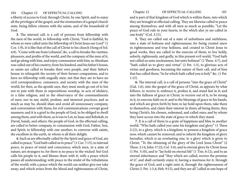a liberty of access to God, through Christ, by one Spirit, and to enjoy all the privileges of the gospel, and the immunities of a gospel church state, being fellow citizens with the saints, and of the household of God.

**3.** The internal call, is a call of persons from fellowship with the men of the world, to fellowship with Christ; "God is faithful, by whom ye were called unto the fellowship of Christ Jesus our Lord" (1 Cor. 1:9), it is like that of the call of Christ to his church (Song of Sol. 4:8). "Come with me from Lebanon", &c. a call to forsake the vanities, pleasures, and profits of the world, and the company of the men of it, and go along with him, and enjoy communion with him: as Abraham was called out of his country, from his kindred, and his father's house; so saints are called to forsake their own people, and their father's house; to relinquish the society of their former companions, and to have no fellowship with ungodly men: not that they are to have no civil correspondence, commerce, and society with the men of the world; for then, as the apostle says, they must needs go out of it; but not to join with them in superstitious worship, in acts of idolatry, in a false religion, and in the observance of the commandments of men; nor in any sinful, profane, and immoral practices; and as much as may be, should shun and avoid all unnecessary company, and conversation with them; for evil communications corrupt good manners; and it is a grief to the people of God, to be obliged to dwell among them, and with them, as it was to Lot, to Isaac and Rebekah, to David, Isaiah, and others: the people of God, in the effectual calling, are called to better company, to communion with God, Father, Son, and Spirit; to fellowship with one another; to converse with saints, the excellent in the earth, in whom is all their delight.

**4.** Such as are effectually called by the Spirit and grace of God, are called to peace; "God hath called us to peace" (1 Cor. 7:15), to internal peace, to peace of mind and conscience; which men, in a state of nature, are strangers to; for there is no peace to the wicked: but God calls his people to it, and blesses them with it; with a peace which passes all understanding; with peace in the midst of the tribulations of the world; with a peace which the world can neither give nor take away; and which arises from the blood and righteousness of Christ,

184 Chapter 12 OF EFFECTUAL CALLING Chapter 12 OF EFFECTUAL CALLING 185

and is part of that kingdom of God which is within them, into which they are brought at effectual calling. They are likewise called to peace among themselves, and with all men as much as possible; "Let the peace of God rule in your hearts, to the which also ye are called in one body" (Col. 3:15).

**5.** They are called out of a state of unholiness and sinfulness, into a state of holiness and righteousness; for being created anew in righteousness and true holiness, and created in Christ Jesus to good works, they are called to the exercise of them; to live holily, soberly, righteously, and godly, in this present evil world; "God hath not called us unto uncleanness, but unto holiness" (1 Thess. 4:7), and "hath called us to glory and virtue" (2 Pet. 1:3), to glorious acts of virtue and goodness, becoming the nature of their call, and of him that has called them; "As he which hath called you is holy" &c. (1 Pet. 1:15).

**6.** The internal call, is a call of persons "into the grace of Christ" (Gal. 1:6), into the gospel of the grace of Christ, as appears by what follows, to receive it, embrace it, profess it, and stand fast in it; and into the fullness of grace in Christ, to receive out of it, to be strong in it, to exercise faith on it: and to the blessings of grace in his hands, and which are given forth by him; to lay hold upon them, take them to themselves, and claim their interest in them; all being theirs, they being Christ's, his chosen, redeemed, and called ones; and by whom they have access into the state of grace in which they stand.

**7**. It is a call of them to a grate of happiness and bliss in another world; "Who hath called you unto his kingdom and glory" (1 Thess 2:12), to a glory, which is a kingdom; to possess a kingdom of grace now, which cannot be removed; and to inherit the kingdom of glory hereafter, which is au everlasting one; to a glory which is given to Christ; "To the obtaining of the glory of the Lord Jesus Christ" (2 Thess. 2:14; John 17:22; Col. 3:4), and to eternal glory by Christ Jesus (1 Pet. 5:10), and to "lay hold on eternal life" (1 Tim. 6:12), and to an eternal inheritance; and "they which are called, receive the promise of it", and shall certainly enjoy it; having a meetness for it, through the grace of God, and a right unto it, through the righteousness of Christ (1 Pet. 1:3,4; Heb. 9:15), and they are all "called in one hope of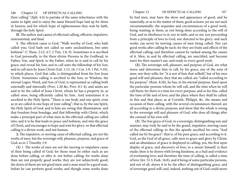their calling" (Eph. 4:4) to partake of the same inheritance with the saints in light; and to enjoy the same blessed hope laid up for them in heaven; and for which hope of righteousness they wait by faith, through the holy Spirit.

**II.** The author and causes of effectual calling, efficient, impulsive, instrumental, and final.

**1.** The efficient cause is God; "Walk worthy of God, who hath called you; God hath not called us unto uncleanliness, but unto holiness" (1 Thess. 2:12; 4:7; 2 Tim. 1:8, 9). Sometimes it is ascribed to God personally, to the three divine Persons in the Godhead, to Father, Son, and Spirit; to the Father, when he is said to call by his grace, and reveal his Son; and to call unto the fellowship of his Son; and to call men by Jesus Christ (Gal. 1:15, 16; 1 Cor. 1:9; 1 Pet. 5:10), in which places, God that calls, is distinguished from his Son Jesus Christ. Sometimes calling is ascribed to the Son; so Wisdom, the eternal Logos, Word, and Son of God, is represented as calling both externally and internally (Prov. 1:20 &c; Prov. 8:1-4), and saints are said to be the called of Jesus Christ, whom he has a property in, as called ones, being efficiently called by him. And sometimes it is ascribed to the Holy Spirit; "There is one body and one spirit, even as ye are called in one hope of your calling"; that is, by the one Spirit, the Holy Spirit of God; and to him are owing that illumination, and that freedom from bondage, and that fellowship with Christ, which make a principal part of what men in the effectual calling are called into; and it is he that leads to peace and holiness, and into the grace of Christ, and encourages to hope and wait for glory: so that effectual calling is a divine work, and not human.

**2.** The impulsive, or moving cause of effectual calling, are not the works of men, but the sovereign will, pleasure, purpose, and grace of God; as in 2 Timothy 1:9.

**(1)** 1. The works of men are not the moving or impulsive cause of their being called of God; for those must be either such as are done before calling, or after it: not before calling; for works done then are not properly good works; they are not subjectively good; the doers of them are not good men; and a man must be a good man, before he can perform good works; and though some works done

by bad men, may have the show and appearance of good, and be materially, or as to the matter of them, good actions; yet are not such circumstantially: the requisites and circumstances of a good work, being wanting in them; as riot being done according to the will of God, and in obedience to it; nor in faith, and so sin; nor proceeding from a principle of love to God, nor directed to his glory: and such works can never be moving causes of men being called. Nor can good works after calling be such; for they are fruits and effects of the effectual calling; and therefore cannot be ranked among the causes of it. Men, in and by effectual calling, are sanctified, and become meet for their master's use, and ready to every good work.

**(2).** The sovereign will, pleasure, and purpose of God, are what move and determine him to call, by his grace, any of the sons of men: not their wills; for "it is not of him that willeth", but of his own good will and pleasure; they that are called, are "called according to his purpose" (Rom. 8:28), he has, in his eternal purpose, fixed upon the particular persons whom he will call, and the time when he will call them; for there is a time for every purpose, and so for this, called the time of life and of love; and the place where they shall be called; in this and that place; as at Corinth, Philippi, &c. the means and occasion of their calling, with the several circumstances thereof, are all according to a divine purpose; and show that the whole is owing to the sovereign will and pleasure of God, who does all things after the counsel of his own will.

**(3)**. The free grace of God, in a sovereign, distinguishing way and manner, may truly be said to be the grand, impulsive, moving cause of the effectual calling; to this the apostle ascribed his own; "And called me by his grace": that is, of his pure grace, and according to it. God, as the God of all grace, calls men to grace and glory by Christ; and an abundance of grace is displayed in calling; yea, the first open display of grace, and discovery of love, to a sinner himself, is then made; then is he drawn with loving kindness, as a frail and evidence of everlasting love; and therefore the time of calling, is called a time of love (Jer. 31:3; Ezek. 16:8), and it being of some particular persons, and not of all, shows it to be the effect of distinguishing grace, and of sovereign good will; and, indeed, nothing out of God could move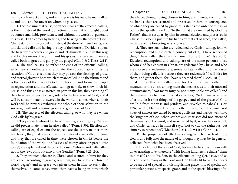him to such an act as this; and as his grace is his own, he may call by it, and to it, and bestow it on whom he pleases.

**3.** The instrumental cause, or rather means of the effectual calling, is the ministry of the word. Sometimes, indeed, it is brought about by some remarkable providence, and without the word; but generally it is by it; "Faith comes by hearing, and hearing by the word of God". Christ stands in the gospel ministry, at the door of men's hearts, and knocks and calls; and having the key of the house of David, he opens the heart by his power and grace, and lets himself in; and in this way, and by this means, the Spirit, and his graces, are received; men are called both to grace and glory by the gospel (Gal. 1:6; 2 Thess. 2:14).

**4.** The final causes, or rather the ends of the effectual calling, which are subordinate and ultimate: the subordinate end, is the salvation of God's elect, that they may possess the blessings of grace, and eternal glory; to both which they are called. And the ultimate end is the glory of the grace of God; for this end God forms his people in regeneration and the effectual calling; namely, to show forth his praise: and this end is answered, in part, in this life, they ascribing all they have, and expect to have, solely to the free grace of God; and it will be consummately answered in the world to come, when all their work will be praise; attributing the whole of their salvation to the sovereign will and pleasure, grace and goodness, of God.

**III.** The subjects of the effectual calling, or who they are whom God calls by his grace.

**1.** They are such whom God has chosen to grace and glory; "Whom he did predestinate, them he also called" (Rom. 8:30). Election and calling are of equal extent; the objects are the same, neither more nor fewer; they that were chosen from eternity, are called in time; and they that are called in time, were chosen in Christ before the foundation of the world; the "vessels of mercy, afore prepared unto glory", are explained and described by such "whom God hath called; not of the Jews only, but also of the Gentiles" (Rom. 9:23, 24).

**2.** They are such who are in Christ, and secured in him; for they are "called according to grace given them, in Christ Jesus before the world began"; and as grace was given them in him so early, they themselves, in some sense, must then have a being in him; which

they have, through being chosen in him, and thereby coming into his hands, they are secured and preserved in him, in consequence of which they are called by grace; thus stands the order of things, as put by the apostle Jude 1:1. "To them that are sanctified by God the Father"; that is, set apart by him in eternal election; and preserved in Christ Jesus, being put into his hands by that act of grace; and called, in virtue of the foregoing acts of grace.

**3.** They are such who are redeemed by Christ; calling, follows redemption, and is the certain consequent of it; "I have redeemed thee; I have called thee by thy name; thou art mine" (Isa. 43:1). Election, redemption, and calling, are of the same persons; those whom God has chosen in Christ, are redeemed by Christ; and who are chosen and redeemed, are, sooner or later, called; and the reason of their being called, is because they are redeemed; "I will hiss for them, and gather them; for I have redeemed them" (Zech. 10:8).

**4.** Those that are called, are, for the most part, either the meanest, or the vilest, among men; the meanest, as to their outward circumstances; "Not many mighty, not many noble are called"; and the meanest, as to their internal capacities; "Not many wise men after the flesh"; the things of the gospel, and of the grace of God, are "hid from the wise and prudent, and revealed to babes" (1 Cor. 1:26; Jas. 2:5; Matthew 11:25), and oftentimes some of the worst arid vilest of sinners are called by grace; publicans and harlots went into the kingdom of God, when scribes and Pharisees did not; attended the ministry of the word, and were called by it, when they were not; and Christ came, as he himself says, "not to call the righteous, but sinners, to repentance", (Matthew 21:31, 32; 9:13; 1 Cor 6:11).

**IV.** The properties of effectual calling; which may lead more clearly and fully into the nature of it; though they may be, in general, collected from what has been observed.

**1**. It is a fruit of the love of God; because he has loved them with an everlasting love, therefore "with loving kindness he draws" them to himself, and to his Son, in the effectual calling (Jer. 31:3), and as it is only of as many as the Lord our God thinks fit to call, it appears to be an act of special and distinguishing grace; it is of special and particular persons, by special grace, and to the special blessings of it.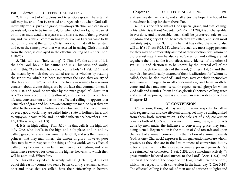**2.** It is an act of efficacious and irresistible grace. The external call may be, and often is, resisted and rejected; but when God calls internally by his Spirit and grace, it is always effectual, and can never be resisted, so as to be ineffectual; for when God works, none can let or hinder; men, dead in trespasses and sins, rise out of their graves of sin, and live, at his all commanding voice; even as Lazarus came forth out of his grave at the call of Christ; nor could that call be resisted; and even the same power that was exerted in raising Christ himself from the dead, is displayed in the effectual calling of a sinner (Eph. 1:18-20).

**3.** This call is an "holy calling" (2 Tim. 1:9), the author of it is the holy God; holy in his nature, and in all his ways and works, and in this; "As he that has called you is holy" (1 Pet. 1:15), and the means by which they are called are holy; whether by reading the scriptures, which has been sometimes the case, they are styled "the holy scriptures"; or whether the first awakenings to a serious concern about divine things, are by the law; that commandment is holy, just, and good; or whether by the pure gospel of Christ; that is a "doctrine according to godliness", and teaches to live an holy life and conversation: and as in the effectual calling, it appears that principles of grace and holiness are wrought in men; so by it they are called to the exercise of holiness and virtue, and of the performance of every good work; they are called into a state of holiness here, and to enjoy an incorruptible and undefiled inheritance hereafter (Rom. 1:7; 1 Thess. 4:7; 2 Pet. 1:3).

**4.** It is an high calling (Phil. 3:14), he that calls is the high and lofty One, who dwells in the high and holy place; and in and by calling grace, he raises men from the dunghill, and sets them among princes, that they may inherit the throne of glory; however poor they may be with respect to the things of this world, yet by effectual calling they become rich in faith, and heirs of a kingdom, and of an inheritance reserved for them in the highest heavens, to which they will be admitted. Wherefore,

**5.** This call is styled an "heavenly calling" (Heb. 3:1), it is a call out of this earthly country, to seek a better country, even an heavenly one; and those that are called, have their citizenship in heaven, and are free denizens of it; and shall enjoy the hope, the hoped for blessedness laid up for them there. For,

**6.** This is one of the gifts of God's special grace, and that "calling" of his, which is without "repentance" (Rom. 11:29), it is unchangeable, irreversible, and irrevocable; such shall be preserved safe to the kingdom and glory of God, to which they are called, and shall most certainly enjoy it; for "faithful is he that has called them, who also will do it" (1 Thess. 5:23, 24), wherefore such are most happy persons; for they may be comfortably assured of their election; for "whom he did predestinate, them he also called": election and calling are put together; the one as the fruit, effect, and evidence, of the other (2 Pet. 1:10), and election is to be known by the internal call of the Spirit, through the ministry of the word; (1 Thess. 1:4, 5), and they may also be comfortably assured of their justification; for "whom he called, them he also justified"; and such may conclude themselves safe from all charges, from all condemnation, and from wrath to come: and they may most certainly expect eternal glory; for whom God calls and justifies, "them he also glorifies": between calling grace and eternal happiness, there is a sure and an inseparable connection **Chapter 13**

### **OF CONVERSION**

Conversion, though it may seem, in some respects, to fall in with regeneration and the effectual calling, yet may be distinguished from them both. Regeneration is the sole act of God; conversion consists both of God's act upon men, in turning them, and of acts done by men under the influence of converting grace; they turn, being turned. Regeneration is the motion of God towards and upon the heart of a sinner; conversion is the motion of a sinner towards God, as one (Charnock) expresses it. In regeneration men are wholly passive, as they also are in the first moment of conversion; but by it become active: it is therefore sometimes expressed passively; "ye are returned", or converted (1 Pet. 2:25), and sometimes actively; "a great number believed and turned to the Lord" (Acts 11:21), and "when it", the body of the people of the Jews, "shall turn to the Lord", which has respect to their conversion in the latter day (2 Cor 3:16). The effectual calling is the call of men out of darkness to light; and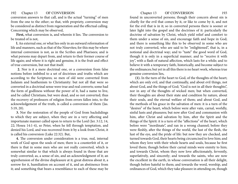### 192 Chapter 13 OF CONVERSION 193

conversion answers to that call, and is the actual "turning" of men from the one to the other; so that, with propriety, conversion may be considered as distinct from regeneration and the effectual calling. Concerning which may be observed,

**First,** what conversion is, and wherein it lies. The conversion to be treated of is not,

**l.** An external one, or what lies only in an outward reformation of life and manners, such as that of the Ninevites; for this may be where internal conversion is not, as in the Scribes and Pharisees; and is what persons may depart from, and return to their former course of life again; and where it is right and genuine, it is the fruit and effect of true conversion, but not that itself.

**2.** Nor is it a mere doctrinal one, or a conversion from false notions before imbibed to a set of doctrines and truths which are according to the Scriptures; so men of old were converted from Judaism and heathenism to Christianity: but not all that were so converted in a doctrinal sense were true and real converts; some had the form of godliness without the power of it, had a name to live, and be called Christians, but were dead, and so not converted; thus the recovery of professors of religion from errors fallen into, to the acknowledgement of the truth, is called a conversion of them (Jas. 5:19, 20).

**3.** Nor the restoration of the people of God from backslidings to which they are subject, when they are in a very affecting and importunate manner called upon to return to the Lord (Jer. 3:12, 14, 22; Hosea 14:1-4), so Peter, when he fell through temptation, and denied his Lord, and was recovered from it by a look from Christ, it is called his conversion (Luke 22:32). But,

**4.** The conversion under consideration is a true, real, internal work of God upon the souls of men; there is a counterfeit of it, or there is that in some men who are not really converted, which is somewhat similar to that which is always found in those that are truly converted; as, a sense of sin, and an acknowledgment of it; an apprehension of the divine displeasure at it; great distress about it, a sorrow for it, humiliation on account of it, and an abstinence from it; and something that bears a resemblance to each of these may be

found in unconverted persons; though their concern about sin is chiefly for the evil that comes by it, or like to come by it, and not for the evil that is in it; so in converted persons there is sooner or later light into the gospel and the doctrines of it: particularly the doctrine of salvation by Christ, which yield relief and comfort to them under a sense of sin, and encourage faith and hope in God; and there is something like this to be observed in some who are not truly converted, who are said to be "enlightened", that is, in a notional and doctrinal way; and to "taste" the good word of God, though it is only in a superficial manner; and to "receive it with joy", with a flash of natural affection, which lasts for a while; and to believe it with a temporary faith, historically, and become subject to the ordinances; but yet in all this there is no heart work, whereas true genuine conversion lies,

**(1).** In the turn of the heart to God, of the thoughts of the heart; which are only evil, and that continually, and about evil things, not about God, and the things of God; "God is not in all their thoughts", nor in any of the thoughts of wicked men; but when converted, their thoughts are about their state and condition by nature, about their souls, and the eternal welfare of them; and about God, and the methods of his grace in the salvation of men: it is a turn of the "desires" of the heart, which before were after vain, carnal, worldly, sinful lusts and pleasures; but now after God and communion with him, after Christ and salvation by him, after the Spirit and the things of the Spirit: it is a turn of the "affections" of the heart, which before were "inordinate", and ran in a wrong channel; before they were fleshly, after the things of the world, the lust of the flesh, the lust of the eye, and the pride of life: but now they are checked, and turned towards God, their hearts being circumcised to love him; and whom they love with their whole hearts and souls, because he first loved them; though before their carnal minds were enmity to him; and towards Christ, whom they now love affectionately, fervently, superlatively, and sincerely; and towards the saints, who are now the excellent in the earth, in whose conversation is all their delight, though before hateful to them; and towards the word, worship, and ordinances of God, which they take pleasure in attending on, though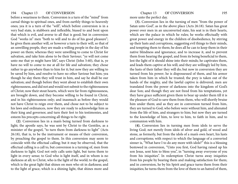before a weariness to them. Conversion is a turn of the "mind" from carnal things to spiritual ones, and from earthly things to heavenly ones; yea it is a turn of the "will", which before conversion is in a very bad state, is stubborn and inflexible, biased to and bent upon that which is evil, and averse to all that is good; but in conversion God "works in" men "both to will and to do of his good pleasure"; he gives them another will, or however a turn to their will, so that of an unwilling people, they are made a willing people in the day of his power on them; whereas they were unwilling to come to Christ for salvation, and take him alone to be their Saviour; "ye will not come unto me that ye might have life", says Christ (John 5:40), that is, ye have no will to come to me at all for life and salvation; they chose rather to go anywhere than to him for it; but now they are willing to be saved by him, and resolve to have no other Saviour but him; yea though he slay them they will trust in him, and say he shall be our salvation; and though before they went about to establish their own righteousness, and did not and would not submit to the righteousness of Christ; now their stout hearts, which were far from righteousness, are brought down, and they become willing to be found in Christ, and in his righteousness only; and inasmuch as before they would not have Christ to reign over them, and chose not to be subject to his laws and ordinances, now they are ready to acknowledge him as their king and governor, and turn their feet to his testimonies, and esteem his precepts concerning all things to be right.

**(2)**. Conversion lies in a man's being turned from darkness to light; the apostle says, he was sent by Christ to the Gentiles, as a minister of the gospel, "to turn them from darkness to light" (Acts 26:18), that is, to be the instrument or means of their conversion, by preaching the gospel to them. In this conversion may seem to coincide with the effectual calling; but it may be observed, that the effectual calling is a call to, but conversion is a turning of, men from darkness to light; God not only calls unto light, but turns them to light in every sense; to God who is light itself, and in whom is no darkness at all; to Christ, who is the light of the world; to the gospel, which is the great light that shines on men who sit in darkness; and to the light of grace, which is a shining light, that shines more and

## 194 Chapter 13 OF CONVERSION Chapter 13 OF CONVERSION 195 more unto the perfect day.

**(3).** Conversion lies in the turning of men "from the power of Satan unto God", as in the above place (Acts 26:18). Satan has great power over men in an unconverted state, his seat is in their hearts, which are the palace in which he rules; he works effectually with great power and energy in the children of disobedience, by stirring up their lusts and corruptions, suggesting evil things to their minds, and tempting them to them; he does all he can to keep them in their native blindness and ignorance, and to increase it, and to prevent them from hearing the gospel, and from its being beneficial to them, lest the light of it should shine into their minds; he captivates them, and leads them captive at his will; and they are willingly led by him, the lusts of their father they will do; but now in conversion they are turned from his power; he is dispossessed of them, and his armor taken from him in which he trusted; the prey is taken out of the hands of the mighty, and the lawful captive is delivered; men are translated from the power of darkness into the kingdom of God's dear Son; and though they are not freed from his temptations, yet they have grace sufficient given them to bear up under them till it is the pleasure of God to save them from them, who will shortly bruise him under them; and as they are in conversion turned from him, they are turned to God; who before were without him, and alienated from the life of him, and strangers to him; but now they are turned to the knowledge of him, to love to him, to faith in him, and to communion with him.

**(4).** Conversion lies in turning men from idols to serve the living God; not merely from idols of silver and gold, of wood and stone, as formerly, but from the idols of a man's own heart, his lusts and corruptions; with respect to which the language of a converted sinner is, "What have I to do any more with idols?" this is a blessing bestowed in conversion, "Unto you first, God having raised up his son Jesus, sent him to bless you", in "turning away everyone of you from his iniquities". In redemption Christ turns away iniquities from his people by bearing them and making satisfaction for them; and in conversion, he by his Spirit and grace turns them from their iniquities; he turns them from the love of them to an hatred of them,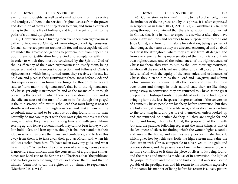### 196 Chapter 13 OF CONVERSION Chapter 13 OF CONVERSION 197

even of vain thoughts, as well as of sinful actions; from the service and drudgery of them to the service of righteousness; from the power and dominion of them and subjection to them, and from a course of living in them to a life of holiness; and from the paths of sin to the paths of truth and uprightness.

**(5).** Conversion lies in turning men from their own righteousness to the righteousness of Christ; not from doing works of righteousness, for such converted persons are most fit for, and most capable of, and are under the greatest obligations to perform; but from depending upon them for justification before God and acceptance with him; in order to which they must be convinced by the Spirit of God of the insufficiency of their own righteousness to justify them, being imperfect; and of the necessity, perfection, and fullness of Christ's righteousness, which being turned unto, they receive, embrace, lay hold on, and plead as their justifying righteousness before God; and this requires more than human teachings: for though ministers are said to "turn many to righteousness", that is, to the righteousness of Christ, yet only instrumentally, and as the means of it, through preaching the gospel, in which there is a revelation of it; for God is the efficient cause of the turn of them to it; for though the gospel is the ministration of it, yet it is the Lord that must bring it near to stouthearted ones far from righteousness, and make them willing to submit unto it, and to be desirous of being found in it; for men naturally do not care to part with their own righteousness; it is their own, and what they have been a long time and with great labour rearing up, and to have it demolished, they cannot bear it; they would fain hold it fast, and lean upon it, though it shall not stand; it is their idol, in which they place their trust and confidence, and to take this away from them is to take away their god; as Micah said, when his idol was stolen from him, "Ye have taken away my gods, and what have I more?" Wherefore the conversion of a self-righteous person is more rare and difficult than the conversion of a profligate sinner; hence our Lord says to the Scribes and Pharisees, that "the publicans and harlots go into the kingdom of God before them"; and that he himself "came not to call the righteous, but sinners to repentance" (Matthew 21:31; 9:13).

(**6).** Conversion lies in a man's turning to the Lord actively, under the influence of divine grace; and by this phrase it is often expressed in scripture, as in Isaiah 10:21; Acts 11:21; 2 Corinthians 3:16, men being thoroughly convinced that there is salvation in no other but in Christ, that it is in vain to expect it elsewhere; after they have made many inquiries and searches to no purpose, turn to the Lord Jesus Christ, and look to him alone for salvation; being apprized of their danger, they turn as they are directed, encouraged and enabled to Christ the stronghold, where they are safe from all danger, and from every enemy; being made sensible of the insufficiency of their own righteousness and of the suitableness of the righteousness of Christ for them, they turn to him as the Lord their righteousness, in whom all the seed of Israel are justified and shall glory; and being fully satisfied with the equity of the laws, rules, and ordinances of Christ, they turn to him as their Lord and Lawgiver, and submit to his commands, renouncing all other lords and their dominion over them; and though in their natural state they are like sheep going astray, in conversion they are returned to Christ, as the great Shepherd and bishop of souls: the parable of seeking and finding, and bringing home the lost sheep, is a fit representation of the conversion of a sinner: Christ's people are his sheep before conversion, but they are lost sheep, straying in the wilderness; and as sheep never return to the fold, shepherd and pasture of themselves, unless looked up and are returned; so neither do they, till they are sought for and found, and brought home by Christ, the proprietor of them, with joy; and the parables following represent the same thing; as that of the lost piece of silver, for finding which the woman lights a candle and sweeps the house, and searches every corner till she finds it, which gives her joy; this sets forth the high esteem and value the elect are in with Christ, comparable to silver, yea to line gold and precious stones; and the passiveness of men in first conversion, who no more contribute to it than the piece of silver to its being found; and the means and methods made use of in conversion, the light of the gospel ministry, and the stir and bustle on that occasion: so the parable of the prodigal son, and his return to his father, is expressive of the same; his manner of living before his return is a lively picture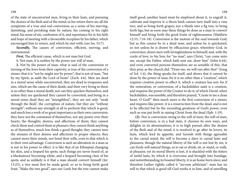### 198 199

of the state of unconverted men, living in their lusts, and pursuing the desires of the flesh and of the mind; in his return there are all the symptoms of a true and real conversion; as a sense of his starving, famishing, and perishing state by nature; his coming to his right mind, his sense of sin, confession of it, and repentance for it; his faith and hope of meeting with a favourable reception by his father, which encouraged him to return, and which he met with; (see Isa. 55:7).

*Secondly,* The causes of conversion, efficient, moving, and instrumental.

*First,* The efficient cause, which is not man but God.

**1.** Not man, it is neither by the power nor will of man.

**2.** Not by the power of man; what is said of the conversion or turning of the Jews from their captivity, is true of the conversion of a sinner, that it is "not by might nor by power", that is not of man, "but by my Spirit, as saith the Lord of hosts" (Zech. 4:6). Men are dead in a moral sense while unconverted, they are dead in trespasses and sins, which are the cause of their death; and their very living in them is no other than a moral death; nor can they quicken themselves, and unless they are quickened they cannot be converted; and being in a moral sense dead they are "strengthless"; they are not only "weak through the flesh", the corruption of nature, but they are "without strength"; without any strength at all to perform that which is good, and much less a work of so great importance as their own conversion; they have not the command of themselves, nor any power over their hearts, the thoughts, desires, and affections of them; they cannot check them and control them at pleasure; they cannot think anything as of themselves, much less think a good thought; they cannot turn the streams of their desires and affections to proper objects; they cannot move their minds, nor bend their wills, even to that which is to their own advantage. Conversion is such an alteration in a man as is not in his power to effect: it is like that of an Ethiopian changing his skin, and a leopard his spots; such things are never heard of, as a blackamoor becoming white, and a leopard becoming clear of his spots; and as unlikely is it that a man should convert himself (Jer. 13:23), a tree must first be made good, so as to bring forth good fruit; "Make the tree good", says our Lord; but the tree cannot make itself good; another hand must be employed about it, to engraft it, cultivate and improve it: a thorn bush cannot turn itself into a vine tree, and so bring forth grapes; nor a thistle into a fig tree, to bring forth figs; but as soon may these things be done as a man to convert himself and bring forth the good fruits of righteousness (Matthew 12:33; 7:16-18). Conversion is the motion of the soul towards God; but as this cannot be in a dead man, and unless he is quickened, so not unless he is drawn by efficacious grace; wherefore God, in conversion, draws men with lovingkindness to himself; and, with the cords of love, to his Son; for "no man", says Christ, "can come unto me, except the Father, which hath sent me, draw him" (John 6:44), and even converted persons themselves are so sensible of this, that they pray, as the church did, "Draw me, we will run after thee" (Song of Sol. 1:4), the thing speaks for itself, and shows that it cannot be done by the power of man; for it is no other than a "creation", which requires creation power to effect it, which a creature has not; for if the restoration, or conversion, of a backslidden saint is a creation, and requires the power of the Creator to do it; of which David, when backslidden, was sensible, and therefore prayed, "Create in me a clean heart, O God!" then much more is the first conversion of a sinner, and requires like power; it is a resurrection from the dead, and is not to be effected but by the exceeding greatness of God's power, even such as was put forth in raising Christ from the dead (Eph. 1:19).

**(2).** Nor is conversion owing to the will of men; the will of man, before conversion, is in a bad state, it chooses its own ways, and delights in its abominations; it is in high pursuit after the desires of the flesh and of the mind; it is resolved to go after its lovers, its lusts, which feed its appetite, and furnish with things agreeable to the carnal mind; the will is become a slave to carnal lusts and pleasures; though the natural liberty of the will is not lost by sin, it can freely will natural things, as to eat or drink, sit, or stand, or walk, at pleasure; yet its moral liberty is lost, it is shackled with the fetters of sinful lusts, by which it is overcome and brought into bondage; and notwithstanding its boasted liberty, it is an home born slave; and therefore Luther rightly called it "servum arbitrium": man has no will to that which is good till God works it in him, and of unwilling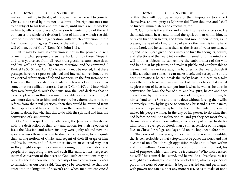### 200 Chapter 13 OF CONVERSION 201

makes him willing in the day of his power: he has no will to come to Christ, to be saved by him; nor to submit to his righteousness; nor to be subject to his laws and ordinances, until such a will is worked in him by efficacious grace. Conversion is denied to be of the will of men; as the whole of salvation is "not of him that willeth"; so this part of it in particular, regeneration, with which conversion, in the first moment of it, agrees; "is not of the will of the flesh, nor of the will of man, but of God" (Rom. 9:16; John 1:13).

But it may be said, if conversion is not in the power and will of men, to what purpose are such exhortations as these; "Repent, and turn yourselves from all your transgressions; turn yourselves, and live ye?" and again, "Repent ye therefore, and be converted?" Ezekiel 18:30, 32 and Acts 3:19 to which it may be replied, That these passages have no respect to spiritual and internal conversion, but to an external reformation of life and manners. In the first instance the Jews were then in a state of captivity, which was a kind of death, as sometimes sore afflictions are said to be (2 Cor. 1:10), and into which they were brought through their sins: now the Lord declares, that he took no pleasure in this their uncomfortable state and condition; it was more desirable to him, and therefore he exhorts them to it, to reform from their evil practices; then they would be returned from their captivity, and live comfortably in their own land, as they had formerly done. But what has this to do with the spiritual and internal conversion of a sinner unto

God? with respect to the latter case, the Jews were threatened with the destruction of their city and nation, for their rejection of Jesus the Messiah, and other sins they were guilty of; and now the apostle advises those to whom he directs his discourse, to relinquish their wrong notions of Christ, and repent of their ill usage of him and his followers, and of their other sins, in an external way, that so they might escape the calamities coming upon their nation and people. But supposing these, and such like exhortations, respected internal conversion of the heart to God; such exhortations may be only designed to show men the necessity of such conversion in order to salvation; as our Lord said, "Except ye be converted, ye shall not enter into the kingdom of heaven"; and when men are convinced

of this, they will soon be sensible of their impotence to convert themselves, and will pray, as Ephraim did "Turn thou me, and I shall be turned", immediately and effectually; for,

**2.** God only is the author and efficient cause of conversion. He that made man's heart, and formed the spirit of man within him, he only can turn their hearts, and frame and mould their spirits, as he pleases; the heart of a king, and so of every other man, is in the hand of the Lord, and he can turn them as the rivers of water are turned; he, and he only, can give a check unto, and turn the thoughts, desires, and affections of the heart into another channel, and the mind and will to other objects; he can remove the stubbornness of the will, and bend it at his pleasure, and make it pliable and conformable to his own will; he can take away the hardness of the heart, though it is like an adamant stone, he can make it soft, and susceptible of the best impressions; he can break the rocky heart in pieces; yea, take away the stony heart, and give an heart of flesh; as he can take what he pleases out of it, so he can put into it what he will, as he does in conversion, his laws, the fear of him, and his Spirit; he can and does draw them, by the powerful influence of his grace upon them, to himself and to his Son; and this he does without forcing their wills; he sweetly allures, by his grace, to come to Christ and his ordinances; he powerfully persuades Japheth to dwell in the tents of Shem; he makes his people willing, in the day of his power, to do what they had before no will nor inclination to; and yet they act most freely; the manslayer did not more willingly flee to a city of refuge, to shelter him from the avenger of blood, than a sinner, sensible of his danger, flees to Christ for refuge, and lays hold on the hope set before him.

The power of divine grace, put forth in conversion, is irresistible; that is, so irresistible, as that a stop cannot be put to the work, and that become of no effect, through opposition made unto it from within and from without. Conversion is according to the will of God, his will of purpose, which can never be frustrated; "Who hath resisted his will?" his counsel shall stand, and he will do all his pleasure; it is wrought by his almighty power; the work of faith, which is a principal part of the work of conversion, is begun, carried on, and performed with power; nor can a sinner any more resist, so as to make of none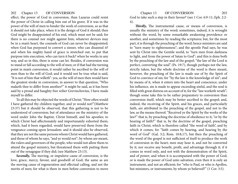effect, the power of God in conversion, than Lazarus could resist the power of Christ in calling him out of his grave. If it was in the power of the will of men to hinder the work of conversion, so as that it should not take place, when it is the design of God it should; then God might be disappointed of his end, which must not be said; for there is no counsel nor might against him; whatever devices may be in a man's heart, the counsels of God can never be disappointed; when God has purposed to convert a sinner, who can disannul it? and when his mighty hand of grace is stretched out, to put that purpose into execution, who can turn it back? when he works in any way, and so in this, there is none can let. Besides, if conversion was to stand or fall according to the will of men; or if that had the turning point in man's conversion, it would rather he ascribed to the will of men than to the will of God; and it would not be true what is said, "It is not of him that willeth": yea, as the will of men then would have the greatest stroke in conversion, in answer to that question, "Who maketh thee to differ from another?" it might be said, as it has been said by a proud and haughty free wilier Grevinchovius, I have made myself to differ.

To all this may be objected the words of Christ; "How often would I have gathered thy children together, and ye would not!"(Matthew 23:37) but it should be observed, that this gathering is not to be understood of conversion; but of attendance on the ministry of the word under John the Baptist, Christ himself, and his apostles; to which Christ had affectionately and importunately exhorted them; which, had it been regarded, would have preserved them from the vengeance coming upon Jerusalem: and it should also be observed, that they are not the same persons whom Christ would have gathered, and those of whom he says, "and ye would not"; by whom are meant, the rulers and governors of the people, who would not allow them to attend the gospel ministry, but threatened them with putting them out of the synagogue if they did; (see Matthew 23:13).

*Secondly,* The moving, or impulsive cause of conversion, is the love, grace, mercy, favour, and goodwill of God; the same as are the moving cause of regeneration and effectual calling, and not the merits of men; for what is there in men before conversion to move

202 Chapter 13 OF CONVERSION 203 God to take such a step in their favour? (see 1 Cor. 6:9-11; Eph. 2:2- 4).

> *Thirdly,* The instrumental cause, or means of conversion, is usually the ministry of the word; sometimes, indeed, it is wrought without the word, by some remarkable awakening providence or another, and sometimes by reading the scriptures; but, for the most part, it is through the preaching of the word; hence ministers are said to "turn many to righteousness"; and the apostle Paul says, he was sent by Christ into the Gentile world, to "turn men from darkness to light, and from the power of Satan to God"; and this is done both by the preaching of the law and of the gospel; "the law of the Lord is perfect, converting the soul" (Ps. 19:7), though perhaps not the law, strictly taken, but the whole doctrine of the word is there meant; however, the preaching of the law is made use of by the Spirit of God to convince of sin; for "by the law is the knowledge of sin"; and by means of it, when it enters into the heart and conscience, under his influence, sin is made to appear exceeding sinful, and the soul is filled with great distress on account of it; for the "law worketh wrath"; though some take this to be rather preparatory to conversion than conversion itself, which may be better ascribed to the gospel; and, indeed, the receiving of the Spirit, and his graces, and particularly faith, are attributed to the preaching of the gospel, and not to the law, as the means thereof; "Received ye the Spirit by the works of the law?" that is, by preaching the doctrine of obedience to it; "or by the hearing of faith?" that is, by the doctrine of the gospel, preaching faith in Christ; which is therefore called "the word of faith", and by which it comes; for "faith comes by hearing, and hearing by the word of God" (Gal. 3:2; Rom. 10:8,17), but then the preaching of the word of the gospel is not sufficient of itself to produce the work of conversion in the heart; men may hear it, and not be converted by it; nor receive any benefit, profit, and advantage through it; if it comes in word only, and not with the demonstration of the Spirit, and of power; and when it is accompanied with the power of God; or is made the power of God unto salvation, even then it is only an instrument, and not an efficient; for "who is Paul, or who is Apollos, but ministers, or instruments, by whom ye believed?" (1 Cor. 3:5).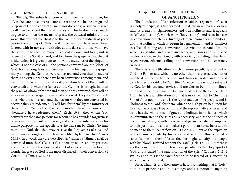# 204 Chapter 13 OF CONVERSION 205

**Thirdly,** The subjects of conversion; these are not all men, for all, in fact, are not converted; nor does it appear to be the design and purpose of God to convert all men; nor does he give sufficient grace to all men to convert themselves if they will; for he does not so much as give to all men the means of grace, the outward ministry o the word: this was not vouchsafed to the Gentiles for hundreds of years before the coming of Christ; and since, millions have never been favored with it; nor are multitudes at this day; and those who have the scripture to read, to many it is a sealed book, and to all, unless opened by the Spirit of God; and to whom the gospel is preached, it is hid, unless it is given them to know the mysteries of the kingdom, which is not the case of all; the persons converted are the "elect" of God, both among Jews and Gentiles: in the first ages of the gospel, many among the Gentiles were converted, and churches formed of them; and ever since there have been conversions among them, and even to this day, and in the latter day an abundance of them will be converted; and when the fulness of the Gentiles is brought in, then the Jews, of whom only now and then one are converted, they will be all as a nation born again, converted and saved. They are "redeemed" ones who are converted; and the reason why they are converted is, because they are redeemed; "I will hiss for them", by the ministry of the word, and "gather them", which is another phrase for conversion, "because I have redeemed them" (Zech. 10:8), they whom God converts are the same persons for whom he has provided forgiveness of sins in the covenant of his grace, and an eternal inheritance in his divine purpose; for the apostle says, he was sent by Christ "to turn men unto God, that they may receive the forgiveness of sins, and inheritance among them which are sanctified by faith in Christ" (Acts 26:18). In a word, they are described as "sinners"; "Sinners shall be converted unto thee" (Ps. 51:13), sinners by nature and by practice, and some of them the worst and chief of sinners; and therefore the wonderful grace of God is the more displayed in their conversion, (1 Cor. 6:11; 1 Tim. 1:3,14,15).

## **OF SANCTIFICATION**

The foundation of "sanctification" is laid in "regeneration"; as it is a holy principle, it is first formed in that; the new creature, or new man, is created in righteousness and true holiness; and it appears in "effectual calling", which is an "holy calling"; and is to be seen in conversion, which is a turning of men "from their iniquities": and that holiness which is begun in regeneration, and is manifest in effectual calling and conversion, is carried on in sanctification, which is a gradual and progressive work, and issues and is finished in glorification; so that it may, with propriety, be distinguished from regeneration, effectual calling, and conversion, and be separately treated of.

There is a sanctification which is more peculiarly ascribed to God the Father; and which is no other than his eternal election of men to it: under the law, persons and things separated and devoted to holy uses, are said to be "sanctified"; hence those who are set apart by God for his use and service, and are chosen by him to holiness here and hereafter, are said "to be sanctified by God the Father" (Jude 1:1). There is a sanctification also that is more peculiar to Christ the Son of God; not only as he is the representative of his people, and is "holiness to the Lord" for them; which the high priest had upon his forehead, who was a type of him, and the representative of Israel; and as he has the whole stock of grace and holiness in his hands, which is communicated to the saints as is necessary; and as the holiness of his human nature, is, with his active and passive obedience, imputed to their justification, and so makes a part of that; hence he is said to be made to them "sanctification" (1 Cor. 1:30), but as the expiation of their sins is made by his blood and sacrifice; this is called a sanctification of them; "Jesus, that he might sanctify the people with his blood, suffered without the gate" (Heb. 13:12). But there is another sanctification, which is more peculiar to the Holy Spirit of God, and is called "the sanctification of the Spirit" (2 Thess. 2:13; 1 Pet. 2:2) and this is the sanctification to be treated of. Concerning which may be inquired,

*First*, what it is, and the nature of it. It is something that is "holy", both in its principle and in its actings; and is superior to anything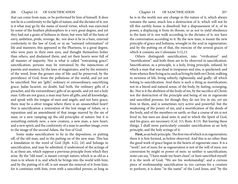that can come from man, or be performed by him of himself. It does not lie in a conformity to the light of nature, and the dictates of it; nor is it what may go by the name of moral virtue, which was exercised by some of the heathen philosophers to a very great degree, and yet they had not a grain of holiness in them; but were full of the lusts of envy, ambition, pride, revenge, &c. nor does it lie in a bare, external conformity to the law of God; or in an "outward reformation" of life and manners; this appeared in the Pharisees, to a great degree, who were pure in their own eyes, and thought themselves holier than others, and disdained them, and yet their hearts were full of all manner of impurity. Nor is what is called "restraining grace", sanctification; persons may be restrained by the injunctions of parents and masters, by the laws of magistrates, and by the ministry of the word, from the grosser sins of life; and be preserved, by the providence of God, from the pollutions of the world, and yet not be sanctified. Nor are "gifts", ordinary or extraordinary, sanctifying grace; Judas Iscariot, no doubt, had both, the ordinary gifts of a preacher, and the extraordinary gifts of an apostle, and yet not a holy man. Gifts are not grace; a man may have all gifts, and all knowledge, and speak with the tongue of men and angels, and not have grace; there may be a silver tongue where there is an unsanctified heart! Nor is sanctification a restoration of the lost image of Adam, or a reparation and an amendment of that image marred by the sin of man; or a new vamping up the old principles of nature: but it is something entirely new; a new creature, a new man, a new heart, and a new spirit; and the conformity of a man to another image, even to the image of the second Adam, the Son of God.

Some make sanctification to lie in the deposition, or putting off, of the old man, and in the putting on of the new man. This has a foundation in the word of God (Eph. 4:22, 24) and belongs to sanctification, and may be admitted, if understood of the actings of it, as these are, which suppose a previous principle from which they arise. By the "old man", is meant corrupt nature; which is as old as a man is in whom it is, and which he brings into the world with him; and by the putting of it off, is not meant the removal of it from him; for it continues with him, even with a sanctified person, as long as

he is in the world; nor any change in the nature of it, which always remains the same; much less a destruction of it, which will not be till this earthly house is dissolved: but a dispossession of it, of its power, a displacing it from its throne, so as not to yield obedience to the lusts of it; nor walk according to the dictates of it; nor have the conversation according to it. By the new man, is meant the new principle of grace and holiness, wrought in the soul in regeneration: and by the putting on of that, the exercise of the several graces of which it consists; see Colossians 3:12,13.

Others distinguish sanctification, into "vivification" and "mortification": and both these are to be observed in sanctification. Sanctification, as a principle, is a holy, living principle, infused; by which a man that was dead in trespasses and sins, is quickened; and from whence flow living acts; such as living by faith on Christ; walking in newness of life; living soberly, righteously, and godly: all which belong to sanctification. And there is such a thing as mortification; not in a literal and natural sense, of the body, by fasting, scourging, &c. Nor is it the abolition of the body of sin, by the sacrifice of Christ; nor the destruction of the principle and being of sin in regenerate and sanctified persons; for though they do not live in sin, yet sin lives in them, and is sometimes very active and powerful: but the weakening of the power of sin, and a mortification of the deeds of the body, and of the members on earth; so that a course of sin is not lived in, but men are dead unto it; and to which the Spirit of God, and his grace, are necessary (Col. 3:5; Rom. 8:13). But leaving these things, I shall more particularly consider sanctification as an holy principle, and the holy actings of it.

**First,** as an holy principle. The first rise of which is in regeneration; there it is first formed, as before observed. And this is no other than the good work of grace begun in the hearts of regenerate ones. It is a "work", not of men; for as regeneration is not of the will of men; nor conversion by might or power of men: so neither is sanctification; none can say, "I have made my heart clean", or have sanctified myself: it is the work of God; "We are his workmanship", and a curious piece of workmanship sanctification is; too curious for a creature to perform; it is done "in the name" of the Lord Jesus, and "by the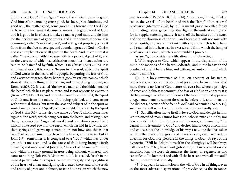Spirit of our God". It is a "good" work; the efficient cause is good, God himself; the moving cause good, his love, grace, kindness, and good will; the matter good, some good thing towards the Lord God of Israel; the instrumental cause or means, the good word of God: and it is good in its effects; it makes a man a good man, and fits him for the performance of good works, and is the source of them. It is commonly called "a work of grace", and with great propriety; since it flows from the free, sovereign, and abundant grace of God in Christ; and is an implantation of all grace in the heart. And in scripture it is called "the work of faith", because faith is a principal part of it; and in the exercise of which sanctification much lies; hence saints are said to be "sanctified by faith, which is in Christ" (Acts 26:18). It is an internal work; it is a work "begun in" the soul, which the Spirit of God works in the hearts of his people, by putting the fear of God, and every other grace, there; hence it goes by various names, which show it to be something within a man, and not anything external; see Romans 2:28, 29. It is called "the inward man, and the hidden man of the heart", which has its place there, and is not obvious to everyone (Rom. 7:22; 1 Pet. 3:4), and not only from the author of it, the Spirit of God; and from the nature of it, being spiritual, and conversant with spiritual things; but from the seat and subject of it, the spirit or soul of man; it is called "spirit", being wrought in the soul by the Spirit of God (John 3:6). It has also the name of "seed", which sometimes signifies the word; which being cast into the heart, and taking place there, becomes the "engrafted word"; and sometimes grace itself, which is like seed sown in the earth, which lies hid in it awhile, and then springs and grows up, a man knows not how; and this is that "seed" which remains in the heart of believers, and is never lost (1 John 3:9). Sometimes it is compared to a "root", which lies under ground, is not seen, and is the cause of fruit being brought forth upwards; and may be what Job calls, "the root of the matter" in him; and which the stony ground hearers being without, withered, and came to nothing (Job 19:28; Matthew 13:21). It is called, "truth in the inward parts"; which is expressive of the integrity and uprightness of the heart, of a true and right spirit created there, and of the truth and reality of grace and holiness, or true holiness, in which the new

man is created (Ps. 50:6, 10; Eph. 4:24). Once more, it is signified by "oil in the vessel" of the heart, had with the "lamp" of an external profession (Matthew 25:4), by "oil" is meant grace, so called for its illuminating nature, grace is spiritual light in the understanding; and for its supple, softening nature, it takes off the hardness of the heart, and the stubbornness of the will; and because it will not mix with other liquids, as grace will not mix with sin; and which is had, held, and retained in the heart, as in a vessel; and from which the lamp of profession is distinct, which is more visible. I proceed,

*Secondly,* To consider sanctification in its holy actings.

**l.** With respect to God; which appear in the disposition of the mind, the motions of the heart Godwards, and in the behavior and conduct of a saint before him, and with regard unto him; and which become manifest,

**(l).** In a holy reverence of him, on account of his nature, perfections, works, and blessings of goodness. In an unsanctified man, there is no fear of God before his eyes; but where a principle of grace and holiness is wrought, the fear of God soon appears; it is the beginning of wisdom; and is one of the first things that appear in a regenerate man; he cannot do what he before did, and others do; "so did not I, because of the fear of God", said Nehemiah (Neh. 5:15), such an one will serve the Lord with reverence and godly fear.

**(2).** Sanctification shows itself in love to God, and delight in him. An unsanctified man cannot love God, who is pure and holy; nor take any delight in him, in his word, his ways, and worship; "The carnal mind is enmity to God", and desires him to depart from him, and chooses not the knowledge of his ways; nay, one that has taken on him the mask of religion, and is not sincere, can have no true affection for God, nor pleasure in the things of God. Job says of the hypocrite, "Will he delight himself in the Almighty? will he always call upon God?" No, he will not (Job 27:10). But in regeneration and sanctification, the Lord circumcises the heart, or regenerates and sanctifies it, "to love the Lord with all the heart and with all the soul!" that is, sincerely and cordially.

**(3).** It appears in submission to the will of God in all things, even in the most adverse dispensations of providence; as the instances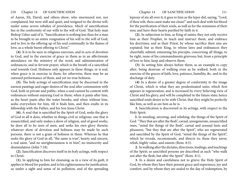of Aaron, Eli, David, and others show; who murmured not, nor complained, but were still and quiet, and resigned to the divine will, under some severe rebukes of providence. Much of sanctification lies in the conformity of our wills to the will of God. That holy man Bishop Usher said of it, "Sanctification is nothing less than for a man to be brought to an entire resignation of his will to the will of God, and to live in the offering up of his soul continually in the flames of love, as a whole burnt offering to Christ."

**(4).** It is to be seen in religious exercises, and in acts of devotion to God, and in the exercise of grace in them as in an affectionate attendance on the ministry of the word, and administration of ordinances; and in fervent prayer, which is the breath of a sanctified soul towards God. Holiness only appears in these things, or is real, when grace is in exercise in them; for otherwise, there may be an outward performance of them, and yet no true holiness.

**(5).** The holy actings of sanctification may be discerned in the earnest pantings and eager desires of the soul after communion with God, both in private and public; when a soul cannot be content with ordinances without enjoying God in them; when it pants after him, as the heart pants after the water brooks; and when without him, seeks everywhere for him, till it finds him, and then exults in its fellowship with the Father, and his Son Jesus Christ.

**(6).** A soul that is sanctified by the Spirit of God, seeks the glory of God in all it does, whether in things civil or religious: one that is unsanctified, and only makes a show of religion, and of good works, he does all to be seen of men, and seeks his own glory therein; whatever show of devotion and holiness may be made by such persons, there is not a grain of holiness in them. Whereas he that seeks the glory of God in all, "the same is true", hearty and sincere, a real saint, "and no unrighteousness is in him", no insincerity and dissimulation (John 7:18).

**(2).** Sanctification discovers itself in its holy actings, with respect to Christ.

**(1).** In applying to him for cleansing; as in a view of its guilt, it applies to blood for pardon; and to his righteousness for justification: so under a sight and sense of its pollution, and of the spreading

leprosy of sin all over it; it goes to him as the leper did, saying, "Lord, if thou wilt, thou canst make me clean!" and such deal with his blood for the purification of their souls, as well as for the remission of their sins; and have their hearts purified by faith in it.

**(2).** In subjection to him, as King of saints; they not only receive him as their Prophet, to teach and instruct them, and embrace his doctrines; and as their Priest, by whose sacrifice their sins are expiated; but as their King, to whose laws and ordinances they cheerfully submit; esteeming his precepts, concerning all things, to be right, none of his commandments grievous; but, from a principle of love to him, keep and observe them.

**(3)**. In setting him always before them, as an example to copy after; being desirous of walking even as he walked; both in the exercise of the graces of faith, love, patience, humility, &c. and in the discharge of duty.

**(4)** In a desire of a greater degree of conformity to the image of Christ, which is what they are predestinated unto; which first appears in regeneration, and is increased by every believing view of Christ and his glory, and will be completed in the future state; hence sanctified souls desire to be with Christ, that they might be perfectly like him, as well as see him as he is.

**3.** Sanctification is discovered in its actings, with respect to the Holy Spirit.

**I.** In minding, savoring, and relishing, the things of the Spirit of God. "They that are after the flesh", carnal, unregenerate, unsanctified ones, "mind the things of the flesh", carnal and sensual lusts and pleasures; "but they that are after the Spirit", who are regenerated and sanctified by the Spirit of God, "mind the things of the Spirit", which he reveals, recommends, and directs to; these they savor, relish, highly value, and esteem (Rom. 8:5).

**2.** In walking after the dictates, directions, leadings, and teachings of the Spirit; so sanctified persons are described as such "who walk not after the flesh, but after the Spirit" (Rom. 8:1).

**3.** In a desire and carefulness not to grieve the Holy Spirit of God, by whom they have their present grace and experience, joy and comfort, and by whom they are sealed to the day of redemption, by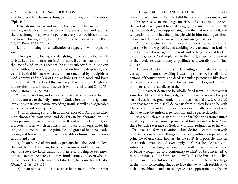any disagreeable behavior to him, to one another, and in the world (Eph. 4:30).

**4.** In a desire "to live and walk in the Spirit"; to live in a spiritual manner, under his influence, to exercise every grace, and abound therein, through his power; to perform every duty by his assistance; and to wait, through him, for the hope of righteousness by faith (Gal. 5:5, 25; Rom. 12:11; 15:13).

**4**. The holy actings of sanctification are apparent, with respect to sin.

**1.** In approving, loving, and delighting in the law of God, which forbids it, and condemns for it. An unsanctified man cannot brook the law of God on this account; he is not subjected to it; nor can he be, without efficacious grace exerted on him; he despises it, and casts it behind his back: whereas, a man sanctified by the Spirit of God, approves of the law of God, as holy, just, and good, and loves it exceedingly; "How love I thy law!" says David; and he delights in it, after the inward man, and serves it with his mind and Spirit (Ps. 119:97; Rom. 7:12, 22, 25).

**2.** In a dislike of sin, and a displicency at it; it is displeasing to him, as it is contrary to the holy nature of God, a breach of his righteous law, and is in its own nature exceeding sinful, as well as disagreeable in its effects and consequences.

**(3).** In a loathing sin, and in an abhorrence of it. An unsanctified man chooses his own ways, and delights in his abominations; he takes pleasure in committing sin himself, and in those that do it; sin is a sweet morsel, which he rolls in his mouth, and keeps under his tongue; but one that has the principle and grace of holiness, loaths his sin, and himself for it; and, with Job, abhors himself, and repents in dust and ashes.

(4). In an hatred of sin; unholy persons, hate the good and love the evil; but an holy man, loves righteousness and hates iniquity: such that love the Lord, cannot but hate evil; it being so extremely opposite to him: he hates, not only sinful actions, and even what he himself does, though he would not do them, but vain thoughts also (Rom. 7:15; Ps. 119:113).

**(5).** In an opposition to sin: a sanctified man, not only does not

make provision for the flesh, to fulfil the lusts of it; does not regard it in his heart, so as to encourage, nourish, and cherish it; but he acts the part of an antagonist to it, "striving against sin; the spirit lusteth against the flesh"; grace opposes sin, upon the first motion of it, and temptation to it; he has that principle within him that argues thus, "How can I do this great wickedness, and sin against God?"

**(6).** In an abstinence from it, even from every appearance of it, a passing by the ways of it, and avoiding every avenue that leads to it, as being what wars against the soul, and is dangerous and hurtful to it. The grace of God implanted in the heart, as well as displayed in the word, "teaches to deny ungodliness and worldly lusts"(Titus 2:11,12)

**(7).** Sanctification appears in lamenting sin, in deploring the corruption of nature, bewailing indwelling sin, as well as all sinful actions, of thought, word, and deed; sanctified persons are like doves of the valley, everyone mourning for his own iniquities, and for those of others, and the sad effects of them.

**(8).** In earnest desires to be wholly freed from sin; uneasy that vain thoughts should so long lodge within them, weary of a body of sin and death, they groan under the burden of it, and cry, O wretched men that we are! who shall deliver us from it? they long to be with Christ, and to be in heaven; for this reason greatly, among others, that they may be entirely free from sin, and be perfectly holy.

Now can such actings in the mind, and in life, spring from nature? must they not arise from a principle of holiness in the heart? can there be such reverence of God, love to him, resignation to his will, affectionate and fervent devotion to him, desires of communion with him, and a concern in all things for his glory, without a supernatural principle of grace and holiness in the soul? Is it possible, that an unsanctified man should ever apply to Christ for cleansing, be subject to him as King, be desirous of walking as he walked, and of being wrought up to a conformity to him? or be concerned to mind the things of the Spirit, and to walk after the Spirit, and to live in him, and be careful not to grieve him? can there be such actings in the mind concerning sin, as to love the law, which forbids it; to dislike sin, abhor it, and hate it; engage in an opposition to it, abstain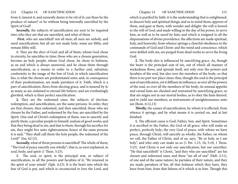from it, lament it, and earnestly desire to be rid of it; can these be the produce of nature? or be without being internally sanctified by the Spirit of God?

*Secondly,* the subjects of sanctification are next to be inquired into; who they are that are sanctified, and what of them.

*First,* who are sanctified? not all men; all men are unholy, and need sanctification; but all are not made holy; some are filthy, and remain filthy still.

**1.** They are the elect of God; and all of them, whom God chose in eternity, he sanctifies in time; those who are a chosen generation, become an holy people; whom God chose, he chose to holiness, as an end which is always answered, and he chose them through sanctification, as a means in order to a further end, salvation; conformity to the image of the Son of God, in which sanctification lies, is what the chosen are predestinated unto; and, in consequence of their predestination, are made partakers of it. Faith, which is a part of sanctification, flows from electing grace, and is insured by it; as many as are ordained to eternal life believe, and are everlastingly glorified, which is their perfect sanctification.

**2.** They are the redeemed ones; the subjects of election, redemption, and sanctification, are the same persons. In order, they are first chosen, then redeemed, and then sanctified; those who are chosen by the Father, and redeemed by the Son, are sanctified by the Spirit. One end of Christ's redemption of them, was to sanctify and purify them, a peculiar people to himself, zealous of good works; and that they being dead to sin, and that to them, through his sacrifice for sin, they might live unto righteousness; hence of the same persons it is said, "They shall call them the holy people, the redeemed of the Lord!" (Isa. 62:12).

*Secondly,* what of those persons is sanctified? The whole of them; "The God of peace sanctify you wholly"; that is, as next explained, in soul, body, and spirit (1 Thess. 5:23).

**1.** The soul, or spirit, is the principal seat, or subject of sanctification, in all the powers and faculties of it; "Be renewed in the spirit of your minds" (Eph. 4:23). It is the heart into which the fear of God is put, and which is circumcised to love the Lord, and

which is purified by faith: it is the understanding that is enlightened, to discern holy and spiritual things; and so to mind them, approve of them, and gaze at them, with wonder and delight: the will is bowed to the will of God, and made willing in the day of his power, to serve him, as well as to be saved by him; and which is resigned to all the dispensations of divine providence: the affections are made spiritual, holy, and heavenly; from whence springs a cheerful obedience to the commands of God and Christ: and the mind and conscience, which were defiled with sin, are purged from dead works to serve the living God.

**2.** The body also is influenced by sanctifying grace. As, though the heart is the principal seat of sin, out of which all manner of wickedness flows, and spreads itself, not only over the powers and faculties of the soul, but also over the members of the body; so that there is no part nor place clean: thus, though the soul is the principal seat of sanctification, yet it diffuses its influence, as over all the powers of the soul, so over all the members of the body; its sensual appetite and carnal lusts are checked and restrained by sanctifying grace; so that sin reigns not in our mortal bodies, as to obey the lusts thereof, and to yield our members, as instruments of unrighteousness, unto sin (Rom. 6:12,13)

*Thirdly,* the causes of sanctification, by whom it is effected, from whence it springs, and by what means it is carried on, and at last finished.

**1.** The efficient cause is God, Father, Son, and Spirit. Sometimes it is ascribed to the Father, the God of all grace, who will make us perfect, perfectly holy; the very God of peace, with whom we have peace, through Christ, will sanctify us wholly; the Father, on whom we call, the Father of Christ, and of us, says, "Be ye holy, as I am holy", and who only can make us so (1 Pet. 1:15, 16; 5:10; 1 Thess. 5:23). And Christ is not only our sanctification, but our sanctifier; "He that sanctifieth" is Christ, "and they who are sanctified" are his chosen and redeemed ones; and these "are all of one" (Heb. 2:11), of one and of the same nature; he partakes of their nature, and they are made partakers of his; all that holiness which they have, they have from him; from that fulness of it which is in him. Though this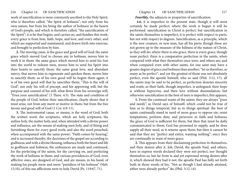## 216 Chapter 14 OF SANCTIFICATION Chapter 14 OF SANCTIFICATION 217

work of sanctification is more commonly ascribed to the Holy Spirit, who is therefore called, "the Spirit of holiness"; not only from his own nature, but from his being the author of holiness in the hearts of God's people, and which is therefore called, "the sanctification of the Spirit"; it is he that begins, and carries on, and finishes this work; every grace is from him, faith, hope, and love, and every other; and which are supported and maintained, and drawn forth into exercise, and brought to perfection by him.

**2.** The moving cause, is the grace and good will of God; the same grace which moved God to choose any to holiness, moves him to work it in them: the same grace which moved him to send his Son into the world to redeem men, moves him to send his Spirit into their hearts to sanctify them: the same great love, and abundant mercy, that moves him to regenerate and quicken them, moves him to sanctify them: as of his own good will he begets them again, it is of his own good will that he sanctifies them; "This is the will of God", not only his will of precept, and his approving will; but the purpose and counsel of his will, what flows from his sovereign will; "Even your sanctification" (1 Thess. 4:3). The state and condition of the people of God, before their sanctification, clearly shows that it must arise, not from any merit or motive in them; but from the free favour and good will of God (1 Cor. 6:9-11).

**3.** The instrumental cause, or means, is the word of God; both the written word, the scriptures, which are holy scriptures; the author holy, the matter holy, and, when attended with a divine power and influence, are the means of making men holy, and of fitting and furnishing them for every good work; and also the word preached, when accompanied with the same power; "Faith comes by hearing", and is increased thereby; the doctrines of the gospel are according to godliness; and with a divine blessing, influence both the heart and life to godliness and holiness; the ordinances are made and continued, for the perfecting of the saints, for the carrying on, and perfecting the work of holiness in them; and various providences of God, even afflictive ones, are designed of God, and are means, in his hand, of making his people more and more "partakers of his holiness" (Heb. 12:10), of this use afflictions were to holy David (Ps. 119:67, 71).

Fourthly, the adjuncts or properties of sanctification.

 **1***st,* it is imperfect in the present state, though it will most certainly be made perfect; where the work is begun it will be performed: sanctification in Christ is perfect, but sanctification in the saints themselves is imperfect; it is perfect with respect to parts, but not with respect to degrees. Sanctification, as a principle, which is the new creature, or new man, has all his parts; though these are not grown up to the measure of the fullness of the stature of Christ, as they will do; where there is one grace, there is every grace, though none perfect; there is a comparative perfection in the saints, when compared with what they themselves once were, and others are; and when compared even with other saints, for one saint may have a greater degree of grace and holiness than another; "let us therefore, as many as be perfect"; and yet the greatest of those was not absolutely perfect, even the apostle himself, who so said (Phil. 3:12, 17), all the saints may be said to be perfect, as perfection denotes sincerity and truth; so their faith, though imperfect, is unfeigned; their hope is without hypocrisy, and their love without dissimulation; but otherwise sanctification in the best of men is imperfect; this appears,

**1.** From the continual wants of the saints; they are always "poor and needy", as David says of himself; which could not be true of him as to things temporal, but as to things spiritual: the best of saints continually stand in need of more grace to oppose sin, resist temptations, perform duty, and persevere in faith and holiness; the grace of God is sufficient for them, but then that must be daily communicated to them; God has promised to supply, and he does supply all their need, as it returns upon them; but then it cannot be said that they are "perfect and entire, wanting nothing"; since they are continually in want of more grace.

**2.** This appears from their disclaiming perfection in themselves, and their desires after it. Job, David, the apostle Paul, and others, have in express words declared they were not perfect, nor thought themselves so, but far from it; and yet expressed strong desires after it, which showed they had it not; the apostle Paul has fully set forth both in those words of his, "Not as though I had already attained, either were already perfect" &c.(Phil. 3:12-14).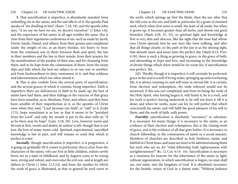## 218 Chapter 14 OF SANCTIFICATION Chapter 14 OF SANCTIFICATION 219

**3.** That sanctification is imperfect, is abundantly manifest from indwelling sin in the saints, and the sad effects of it; the apostle Paul speaks of "sin dwelling in him" (Rom. 7:18, 19), and the apostle John says, "if we say we have no sin, we deceive ourselves" (1 John 1:8), and the experience of the saints in all ages testifies the same: this is clear from their ingenuous confessions of sin, such as made by Jacob, David, Isaiah, Daniel, and others; from their groans and complaints under the weight of sin, as an heavy burden, too heavy to bear; from the continual war in them between flesh and spirit, the law in their members and the law in their minds; from their prayers for the manifestation of the pardon of their sins, and for cleansing from them, and to be kept from the commission of them; from the many slips and falls which the best are subject to in one way or another; and from backwardness to duty, remissness in it, and that coldness and lukewarmness which too often attend it.

**4.** This is also evident from the several parts of sanctification, and the several graces of which it consists, being imperfect. Faith is imperfect; there are deficiencies in faith to be made up; the best of saints have had them, and their failings in the exercise of that grace have been manifest, as in Abraham, Peter, and others; and they have been sensible of their imperfection in it, as the apostles of Christ were when they said, "Lord increase our faith", or "add" to it (Luke 17:5), hope sometimes is so low as that it seems to be "perished from the Lord", and only the mouth is put in the dust with an "if so be there may be hope" (Lam. 3:18, 29). Love, however warm and fervent at first, remits and abates; its ardour is left, though that is not lost; the love of many waxes cold. Spiritual, experimental, sanctified knowledge is but in part, and will remain so until that which is perfect is come.

*Secondly*, though sanctification is imperfect, it is progressive, it is going on gradually till it comes to perfection; this is clear from the characters of the saints, who are first as little children, infants newly born; are in a state of childhood, and by degrees come to be young men, strong and robust, and overcome the evil one, and at length are fathers in Christ (1 John 2:13,14), and from the similies by which the work of grace is illustrated; as that in general by seed sown in

the earth, which springs up first the blade, then the ear, after that the full corn in the ear; and faith in particular by a grain of mustard seed, which when first sown is small, the least of all seeds, but when it grows up, it becomes greater than all herbs, and shoots out great branches (Mark 4:28, 31, 32), so spiritual light and knowledge at first is very dim and obscure, like the sight that the man had whose eyes Christ opened; first he saw men like trees walking, and after that all things clearly; so the path of the just is as the shining light, that shineth more and more unto the perfect day (Mark 8:23; Prov. 4:18), there is such a thing as growing in grace, in the grace of faith, and abounding in hope and love, and increasing in the knowledge of divine things which there would be no room for, if sanctification was perfect. Yet,

2d3. Thirdly, though it is imperfect, it will certainly be perfected; grace in the soul is a well of living water, springing up unto everlasting life; it is always running to, and will issue in eternal life: it is certain, from election and redemption, the ends whereof would not be answered, if this was not completed; and from its being the work of the Holy Spirit, who having begun it, will finish it; he is a rock, and his work is perfect; having undertook it, he will not leave it till it is done; and when he works, none can let; he will perfect that which concerneth his saints, and will fulfil the good pleasure of his will in them, and the work of faith, with power.

Fourthly, sanctification is absolutely "necessary" to salvation. It is necessary for many things; it is necessary to the saints, as an evidence of their election and redemption; this is the closing work of grace, and is the evidence of all that goes before. It is necessary to church fellowship, to the communion of saints in a social manner. Members of churches are described as holy brethren, saints, and faithful in Christ Jesus, and none are meet to be admitted among them but such who are so; for "what fellowship hath righteousness with unrighteousness?" &c. (2 Cor. 6:14- 16). Sanctification is necessary as a meetness for heaven; for the inheritance of the saints in light; without regeneration, in which sanctification is begun, no man shall see, nor enter, into the kingdom of God. It is absolutely necessary for the beatific vision of God in a future state; "Without holiness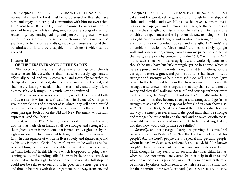220 Chapter 15 OF THE PERSEVERANCE OF THE SAINTS Chapter 15 OF THE PERSEVERANCE OF THE SAINTS 221 no man shall see the Lord"; but being possessed of that, shall see him, and enjoy uninterrupted communion with him for ever (Heb. 12:14; Matthew 5:8; Ps. 17:15). To say no more, it is necessary for the work of heaven, which is singing songs of praise, songs of electing, redeeming, regenerating, calling, and persevering grace; how can unholy persons join with the saints in such work and service as this? yea, it would be irksome and disagreeable to themselves, could they be admitted to it, and were capable of it; neither of which can be allowed.

### **Chapter 15**

### **OF THE PERSEVERANCE OF THE SAINTS**

The doctrine of the saints' final perseverance in grace to glory is next to be considered; which is, that those who are truly regenerated, effectually called, and really converted, and internally sanctified by the Spirit and grace of God, shall persevere in grace to the end, and shall be everlastingly saved; or shall never finally and totally fall, so as to perish everlastingly. This truth may be confirmed,

**1.** From various passages of scripture, which clearly hold it forth and assert it; it is written as with a sunbeam in the sacred writings; to give the whole pass of the proof of it, which they will admit, would be to transcribe great part of the Bible. I shall only therefore select some passages, both out of the Old and New Testament, which fully express it. And shall begin,

*First,* with Job 17:9. "The righteous also shall hold on his way; and he that hath clean hands shall be stronger and stronger". By the righteous man is meant one that is made truly righteous, by the righteousness of Christ imputed to him, and which he receives by faith; in consequence of which he lives soberly and righteously: and by his way is meant, Christ "the way"; in whom he walks as he has received him, as the Lord his Righteousness. And it is promised, he "shall hold on" in this his way; which is opposed to going back, turning aside, and standing still; if he went back, or apostatized, or turned either to the right hand or the left, or was at a full stop, he could not be said to go on; and if he goes on he must persevere; and though he meets with discouragement in the way, from sin, and

Satan, and the world, yet he goes on; and though he may slip, and slide, and stumble, and even fall; yet as the traveller, when this is his case, gets up again and pursues his journey; so the believer rises again in the strength of Christ, in whom he walks, and in the exercise of faith and repentance; and still goes on his way, rejoicing in Christ his righteousness and strength; and to which his going on is owing, and not to his own conduct, power, and strength. As "hands" are an emblem of action, by "clean hands" are meant, a holy, upright walk and conversation, arising from an inward principle of grace in the heart; as appears by comparing Psalm 15:1, 2 with Psalm 24:3, 4 and such a man who walks uprightly, and works righteousness, though he may have but little strength, yet he has some, which is here supposed; and as he wants more, to resist temptations, oppose corruption, exercise grace, and perform duty, he shall have more, be stronger and stronger, as here promised; God will, and does, "give power to the faint, and to them that have no might he increaseth strength, and renews their strength, so that they shall run and not be weary, and they shall walk and not faint", and consequently persevere to the end; yea, the "way" of the Lord itself is "strength" unto them; as they walk in it, they become stronger and stronger, and go "from strength to strength", till they appear before God in Zion above (Isa. 40:29, 31; Prov. 10:29; Ps. 84:5-7). Now if the righteous shall hold on his way, he must persevere; and if the good man shall be stronger and stronger, he must endure to the end, and be saved; or otherwise, he would become weaker and weaker, until he had no strength at all; and then how would this promise be fulfilled?

*Secondly*, another passage of scripture, proving the saints final perseverance, is in Psalm 94:14. "For the Lord will not cast off his people", &c. the Lord's people are his special and peculiar people, whom he has loved, chosen, redeemed, and called, his "foreknown people"; these he never casts off, casts out, nor casts away (Rom. 11:2), though he may seem to do so; and they may think he has, when he does not immediately arise for their help in distress; and when he withdraws his presence, or afflicts them, or suffers them to be afflicted by others, which seems to be their case in this Psalm; and for their comfort these words are said; (see Ps. 94:5, 6, 12, 13; 44:9,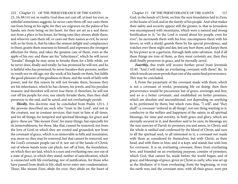222 Chapter 15 OF THE PERSEVERANCE OF THE SAINTS Chapter 15 OF THE PERSEVERANCE OF THE SAINTS 223 23, 24; 88:14) yet, in reality, God does not cast off, at least for ever, as unbelief sometimes suggests; he never casts them off, nor casts them out from being in his sight; for they are engraven on the palms of his hands; nor from being on his heart, for they are set as a seal there; nor from a place in his house, for being sons they always abide there; and whoever casts them off, or casts out their names as evil, he never will; so far from it, that he takes the utmost delight and complacency in them; grants them nearness to himself, and expresses the strongest affection for them, and takes the greatest care of them, even as the apple of his eye: and these are his "inheritance", which he will never "forsake", though he may seem to forsake them for a little while, yet he never does, finally and totally; he has promised he will not, and he is faithful who has promised; he never forsakes their persons, neither in youth nor in old age; nor the work of his hands on them, but fulfils the good pleasure of his goodness in them, and the work of faith with power; and for this reason he will not forsake them, because they are his inheritance, which he has chosen, his jewels, and his peculiar treasure; and therefore will never lose them: if, therefore, he will not cast off his people for ever, nor utterly forsake them, then they shall persevere to the end, and be saved, and not everlastingly perish.

*Thirdly,* this doctrine may be concluded from Psalm 125:1, 2 the persons described are such who "trust in the Lord", and not in the creature, nor in creature services; that trust in him at all times, and for all things; for temporal and spiritual blessings; for grace and glory: these are "like mount Zion", for many things, but especially for its immovableness; for those, like that, cannot be removed; not from the love of God, in which they are rooted and grounded; nor from the covenant of grace, which is as immovable as hills and mountains, yea, more so; they may be removed, but that cannot be removed; nor the Lord's covenant people out of it; nor out of the hands of Christ, out of whose hands none can pluck; nor off of him, the foundation, on which they are laid, which is a sure and everlasting one; nor out of a state of grace, in which they stand; neither of sanctification, which is connected with life everlasting; nor of justification, for those who have passed from death to life, shall never enter into condemnation. These, like mount Zion, abide for ever; they abide on the heart of

God, in the hands of Christ, on him the sure foundation laid in Zion; in the house of God, and in the family of his people. And what makes their safety and security appear still the greater, is, that as Jerusalem was encompassed with mountains, which were a natural and strong fortification to it; "so the Lord is round about his people, even for ever"; he surrounds them with his love, encompasses them with his favors, as with a shield, guards them by his special providence, and watches over them night and day, lest any hurt them; and keeps them by his power as in a garrison, through faith unto salvation. And if all these things are true of them, as they most certainly are, then they shall finally persevere in grace, and be eternally saved.

*Fourthly,* this truth will receive further proof from Jeremiah 32:40. "And I will make an everlasting covenant with them", &c. In which words are more proofs than one of the saints final perseverance. This may be concluded,

**l.** From the perpetuity of the covenant made with them; which is not a covenant of works, promising life on doing; then their perseverance would be precarious; but of grace, sovereign and free; and so is a better covenant, and established on better promises, which are absolute and unconditional, not depending on anything to be performed by them; but which runs thus, "I will", and "they shall"; a covenant "ordered in all things", not one thing wanting in it, conducive to the welfare and happiness of the saints; in all spiritual blessings, for time and eternity, in both grace and glory, which are eternally secured in it, and therefore said to be sure; its blessings are the sure mercies of David; its promises yea and amen, in Christ; and the whole is ratified and confirmed by the blood of Christ, and sure to all the spiritual seed, to all interested in it; a covenant not made with them as considered by themselves, but with Christ, as their head, and with them in him; and it is kept, and stands fast with him for evermore. It is an everlasting covenant, flows from everlasting love, and founded on an everlasting purpose; consists of promises, which God, that cannot lie, made before the world began; and of grace, and blessings of grace, given in Christ so early, who was set up as the Mediator of it from everlasting, from the beginning, or ever the earth was; and the covenant ones, with all their grace, were put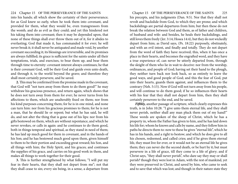224 Chapter 15 OF THE PERSEVERANCE OF THE SAINTS Chapter 15 OF THE PERSEVERANCE OF THE SAINTS 225

into his hands; all which show the certainty of their perseverance; for as God knew so early, when he took them into covenant, and provided for them, what they would be, even transgressors from the womb, and do as evil as they could; and yet this hindered not his taking them into covenant; then it may be depended upon, that none of these things shall ever throw them out of it, for it abides to everlasting; God that made it, has commanded it for ever; he will never break it; it shall never be antiquated and made void, by another covenant succeeding it; its blessings are irreversible, and its promises are always fulfilled; its grace is sufficient for the saints under all their temptations, trials, and exercises, to bear them up, and bear them through time to eternity: covenant interest always continues; he that is their covenant God, will be their God and guide even unto death, and through it, to the world beyond the grave; and therefore they shall most certainly persevere, and be saved.

**2.** This may be confirmed from the promise made in the covenant, that God will "not turn away from them to do them good!" he may withdraw his gracious presence, and return again, which shows that he does not turn away from them for ever; he never turns from his affections to them, which are unalterably fixed on them; nor from his kind purposes concerning them; for he is in one mind, and none can turn him: nor from his gracious promises to them; for he is not a man, that he should lie or repent; but what he has said, he will do, and not alter the thing that is gone out of his lips: nor from his gifts bestowed on them, which are without repentance, and which he never revokes, or calls in again: and he continues to do them good, both in things temporal and spiritual, as they stand in need of them; he has laid up much good for them in covenant, and in the hands of his Son; and he has bestowed much good upon them, given himself to them to be their portion and exceeding great reward; his Son, and all things with him; the Holy Spirit, and his graces; and continues the supplies of his grace, and carries on his good work in them, and makes all things to work together for their good.

**3.** This is further strengthened by what follows; "I will put my fear in their hearts, that they shall not depart from me"; not that they shall cease to sin; every sin being, in a sense, a departure from

his precepts, and his judgments (Dan. 9:5). Nor that they shall not revolt and backslide from God, to which they are prone; and which backslidings are partial departures from him; but then these do not break the relation between God and them, as of father and children, of husband and wife: and besides, he heals their backslidings, and still loves them freely (Jer. 3:14; Hosea 14:4), but they do not wickedly depart from him; as David says, (Ps. 18:22) purposely, obstinately, and with an evil intent, and finally and totally. They do not depart from the word of faith they have received; this, when it has once a place in their hearts, and becomes the engrafted word, and they have a true experience of, can never be utterly departed from, through the sleight of them who lie in wait to deceive: nor from the worship, ordinances, and people of God; having set their hand to the plough, they neither turn back nor look back, so as entirely to leave the good ways, and good people of God; and this the fear of God, put into their hearts, guards them against, and influences them to the contrary (Neh. 5:15). Now if God will not turn away from his people, and will continue to do them good; if he so influences their hearts with his fear that they shall not depart from him, then they shall certainly persevere to the end, and be saved.

*Fifthly,* another passage of scripture, which clearly expresses this truth, is in John 10:28. "I give unto them eternal life, and they shall never perish, neither shall any man pluck them out of my hand!" These words are spoken of the sheep of Christ, which he has a property in, whom the Father has given to him, and he has laid down his life for; whom he knows and calls by name, and they follow him in paths he directs them to: now to these he gives "eternal life", which he has in his hands, and a right to bestow; and which he does give to all his chosen, redeemed, and called cries; and if he gives them eternal life, they must live for ever, or it would not be an eternal life he gives them; they can never die the second death, or be hurt by it; but must persevere in a life of grace, till they come to a life of glory; and if Christ says, "they shall never perish", who dare say they may or shall perish? though they were lost in Adam, with the rest of mankind, yet they were preserved in Christ, and saved by him, who came to seek and to save that which was lost; and though in their nature state they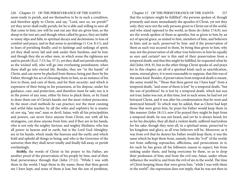226 Chapter 15 OF THE PERSEVERANCE OF THE SAINTS Chapter 15 OF THE PERSEVERANCE OF THE SAINTS 227 seem ready to perish, and see themselves to be in such a condition, and therefore apply to Christ, and say, "Lord, save us, we perish!" yet they never shall really perish; for he is able and willing to save all that come to him; nor will he east out any that are given him, as the sheep in the text are; and though when called by grace, they are liable to many slips and falls; to spiritual decays and declensions; to loss of comfort and peace, and in that sense to perishings (1 Cor. 8:11), and to fears of perishing finally; and to faintings and sinkings of spirit; yet they shall never fail and sink under their burdens, and be lost; and though they die as other men, in which sense the righteous are said to perish (Eccl. 7:15; Isa. 57:1), yet they shall not perish eternally, as the wicked will, who will go into everlasting punishment, when these shall go into eternal life. Besides, they are "in the hands" of Christ, and can never be plucked from thence; being put there by his Father, through his act of choosing them in him, as an instance of his love to them, and care of them, and for their security: and which is expressive of their being in his possession, at his dispose, under his guidance, care, and protection, and therefore must be safe; nor is it in the power of any man, either by force to pluck them, or by fraud to draw them out of Christ's hands; not the most violent persecutor, by the most cruel methods he can practice; nor the most cunning and artful false teacher, by all the wiles and sophistry he is master of; nor xiq, "any one", man or devil; Satan, with all his principalities and powers, can never force anyone from Christ; nor with all his stratagems, can draw anyone from him: and if they are in his hands, who is not only the mighty Saviour, and mighty Mediator, who has all power in heaven and in earth, but is the Lord God Almighty; are in his hands, which made the heavens and the earth; and which hold and uphold all things in being, and who is the Governor of the universe; then they shall never totally and finally fall away, or perish everlastingly.

Sixthly, the words of Christ in his prayer to his Father, are another proof of the preservation of his people by him; and of their final perseverance through that (John 17:12). "While I was with them in the world, I kept them in thy name; those that thou gavest me I have kept, and none of them is lost, but the son of perdition,

that the scripture might be fulfilled"; the persons spoken of, though primarily and more immediately the apostles of Christ, yet not they only; they were not the only persons given to Christ out of the world, and who stand opposed to the world, as these do (John 17:6,9), nor are the words spoken of them as apostles, but as given to him by an act of special grace, as united to him, members of him, and believers in him; and as such, preserved by him: and if the preservation of them as such was secured to them, by being thus given to him; why may not the preservation of all other true believers in him be equally as sure and certain? nor is this said of their preservation from a temporal death; and that this might be fulfilled, he requested what he did (John 18:8, 9), but as the other things Christ speaks of, and prays for in this chapter, are all of a spiritual kind; such as sanctification, union, eternal glory; it is most reasonable to suppose, that this was of the same kind. Besides, if preservation from temporal death is meant, the sense would be, "Those that thou gavest me I have kept" from a temporal death, "and none of them is lost" by a temporal death, "but the son of perdition", he is lost by a temporal death: which last was not true; Judas was not, at this time, lost in such sense; he had not yet betrayed Christ, and it was after his condemnation that he went and destroyed himself. To which may be added, that as Christ had kept those that were given him, he prays his Father would keep them in like manner (John 18:11); now if he prayed they might be kept from a temporal death, he was not heard, and yet he is always heard; for as for his disciples, they all died a violent death, suffered martyrdom for his sake; though they were all, in a spiritual sense, preserved to his kingdom and glory, as all true believers will be. Moreover, as it was from evil that he desires his Father would keep them, it was the same which he kept them from, namely, from the "evil" of the world; not from suffering reproaches, afflictions, and persecutions in it; for such he has given all his followers reason to expect; but from sinking under them, and being overcome by them, so as to drop their profession of him; and from the evil one, Satan, under whose influence the world is; and from the evil of sin in the world. The time of Christ keeping those that were given him, "while I was with them in the world"; the expression does not imply, that he was not then in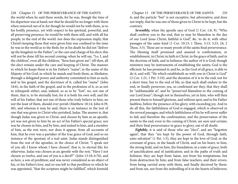the world when he said these words, for he was, though the time of his departure was at hand; nor that he should be no longer with them when removed out of it; for though he would not be with them, as to his bodily presence, yet with respect to his spiritual, powerful, and all preserving presence, he would be with them still, and with all his people, to the end of the world: nor does the expression imply, that Christ's keeping those that were given him was confined to the time he was in the world as to the flesh; for at his death he did not "deliver up the kingdom to the Father", or the care and charge of his elect; this will not be done till his second coming; when he will say, "Lo, I, and the children", even all the children, "thou hast given me"; till then, all the elect remain under the care and keeping of Christ. The manner in which he keeps them is in his Father's "name", in the name of the Majesty of his God; in which he stands and feeds them, as Mediator, through a delegated power and authority committed to him as such; and in his gospel, and the doctrines of it, called his "name" (John 18:6), in the faith of the gospel, and in the profession of it, so as not to relinquish either; and, indeed, so as to be "lost", no, not one of them, that is, to be eternally lost; for it is both his own will, and the will of his Father, that not one of those who truly believe in him, no not the least of them, should ever perish (Matthew 18:14; John 6:39, 40), and whereas it may be said, there is an instance in the text of one that was given to Christ who perished, Judas. The answer is, that though Judas was given to Christ, and chosen by him as an apostle, yet was not given to him by an act of his Father's special grace; nor was he chosen in him, and by him, and united to him, and a member of him, as the rest were; nor does it appear, from all accounts of him, that he ever was a partaker of the true grace of God; and so no instance of the apostasy of a real saint. Judas stands distinguished from the rest of the apostles, in the choice of Christ; "I speak not of you all; I know whom I have chosen", that is, to eternal life; for otherwise, Judas was chosen as an apostle with the rest; "Have I not chosen ye twelve, and one of you is a devil?" (John 13:18; 6:70), and as here, a son of perdition; and was never considered as an object of his, or his Father's love, and so was left to that perdition to which he was appointed, "that the scripture might be fulfilled", which foretold

228 Chapter 15 OF THE PERSEVERANCE OF THE SAINTS Chapter 15 OF THE PERSEVERANCE OF THE SAINTS 229 it; and the particle "but" is not exceptive, but adversative; and does not imply, that he was one of those given to Christ to be kept, but the contrary.

> *Seventhly,* when the apostle says of God (1 Cor. 1:8, 9). "Who shall confirm you to the end, that ye may be blameless in the day of our Lord Jesus Christ; faithful is God", &c. to do it; with other passages of the same kind (1 Cor. 10:13; 1 Thess. 3:13; 5:23, 24; 2 Thess. 3:3). These are so many proofs of the saints final perseverance. The blessing itself promised and assured is confirmation, or establishment, in Christ; in faith in Christ, in the grace of faith, and in the doctrine of faith, and in holiness: the author of it is God; though ministers may be instruments of establishing the saints; God is the efficient: he has promised it; and he, as the God of all grace, is able to do it, and will; "He which establisheth us with you in Christ is God" (2 Cor. 1:21; 1 Pet. 5:10), and the duration of it is to the end; not for a short time, but to the end of life; so that such shall endure to the end, or finally persevere; yea, so confirmed are they, that they shall be "unblameable at", and be "preserved blameless to the coming of our Lord Jesus"; though not in themselves, yet in him, who will then present them to himself glorious, and without spot; and to his Father faultless, before the presence of his glory, with exceeding joy. And to do all this, the faithfulness of God is engaged, which is observed in the several passages; and which faithfulness of his he will never suffer to fail; and therefore the confirmation, and the preservation of the saints to the end, even to the coming of Christ, are sure and certain; and their final perseverance in grace to glory, out of all doubt.

> *Eighthly*, it is said of those who are "elect", and are "begotten again", that they "are kept by the power of God, through faith, unto salvation" (1 Pet. 1:5), they are kept in the love of God, in the covenant of grace, in the hands of Christ, and on his heart; in him, the strong hold, and on him, the foundation; in a state of grace, both of sanctification and of justification; and in the paths of truth and holiness: they are kept from Satan, not from his temptations, but from destruction by him; and from false teachers, and their errors, from being carried away with them, and finally deceived by them: and from sin, not from the indwelling of it in the hearts of believers;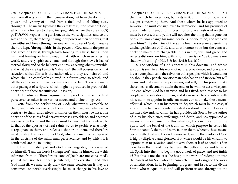230 Chapter 15 OF THE PERSEVERANCE OF THE SAINTS Chapter 15 OF THE PERSEVERANCE OF THE SAINTS 231 nor from all acts of sin in their conversation; but from the dominion, power, and tyranny of it; and from a final and total falling away through it. The means by which they are kept is, "the power of God", which is as a fortress to them, inexpugnable; where they are (|)po'i) po'i)U£VOi, kept, as in a garrison, as the word signifies, and so are safe and secure; there being no might or power of men or devils, that can withstand, break through, or weaken the power of God. Likewise they are kept, "through faith", in the power of God, and in the person and grace of Christ; through faith looking to Christ, living upon him, and leaning on him; through that faith which overcomes the world, and every spiritual enemy; and through the views it has of eternal glory; and so the believer endures, as seeing what is invisible: and what they are kept unto, is "salvation"; the full possession of that salvation which Christ is the author of, and they are heirs of; and which shall be completely enjoyed in a future state; to which, and till they come into it, their perseverance is certain. There are many other passages of scripture, which might be produced in proof of this doctrine; but these are sufficient. I pass on,

**II.** To observe those arguments in proof of the saints final perseverance, taken from various sacred and divine things. As,

*First,* from the perfections of God; whatever is agreeable to them, and made necessary by them, must be true; and whatever is contrary to them, and reflects dishonor on them, must be false. The doctrine of the saints final perseverance is agreeable to, and becomes necessary by them, and therefore must be true; but the contrary to it, that of the apostasy of real saints, so as to perish everlastingly, is repugnant to them, and reflects dishonor on them, and therefore must be false. The perfections of God, which are manifestly displayed in the doctrine of the saints final perseverance, and by which it is confirmed, are the following.

**1.** The immutability of God. God is unchangeable; this is asserted by himself, "I am the Lord; I change not": and he himself drew this inference from it, "Therefore ye sons of Jacob are not consumed"; ye that are Israelites indeed perish not, nor ever shall; and after God himself, we may safely draw the same conclusion: if they are consumed, or perish everlastingly, he must change in his love to

them, which he never does, but rests in it; and in his purposes and designs concerning them. And those whom he has appointed to salvation, he must consign over to damnation; and his promises of grace made to them, and his blessings of grace bestowed on them, must be reversed; and yet he will not alter the thing that is gone out of his lips, nor change his mind; for he is "of one mind, and who can turn him?" The doctrine of the saints final perseverance asserts the unchangeableness of God, and does honour to it; but the contrary doctrine makes him changeable in his nature, will, and grace, and reflects dishonor on him, with whom there is no "variableness nor shadow of turning" (Mai. 3:6; Job 23:13; Jas. 1:17).

**2.** The wisdom of God appears in this doctrine; and whose wisdom is seen in all his works of nature, providence, and grace; and is very conspicuous in the salvation of his people; which it would not be, should they perish. No wise man, who has an end in view, but will devise and make use of proper means; and will, if in his power, make those means effectual to attain the end, or he will not act a wise part. The end which God has in view, and has fixed, with respect to his people, is the salvation of them; and it can never be consistent with his wisdom to appoint insufficient means, or not make those means effectual, which it is in his power to do; which must be the case, if any of those he has appointed to salvation should perish. Now as he has fixed the end, salvation, he has provided his Son to be the author of it, by his obedience, sufferings, and death; and has appointed as means to the enjoyment of this salvation, the sanctification of the Spirit, and the belief of the truth; for which purpose he sends his Spirit to sanctify them, and work faith in them, whereby these means become effectual, and the end is answered; and so the wisdom of God is highly displayed and glorified. But where would be his wisdom to appoint men to salvation, and not save them at last? to send his Son to redeem them, and they be never the better for it? and to send his Spirit into them, to begin a good work of grace, and not finish it? But this is not the case, he has put the work of redemption into the hands of his Son, who has completed it; and assigned the work of sanctification, in its beginning, progress, and issue, to the divine Spirit, who is equal to it, and will perform it: and throughout the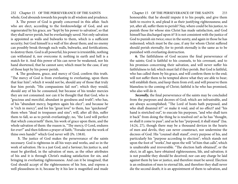232 Chapter 15 OF THE PERSEVERANCE OF THE SAINTS Chapter 15 OF THE PERSEVERANCE OF THE SAINTS 233 whole, God abounds towards his people in all wisdom and prudence.

**3.** The power of God is greatly concerned in this affair. Such who are elect, according to the foreknowledge of God, and are regenerated by his grace, are "kept by his power to salvation", so that they shall never perish, but be everlastingly saved. Not only salvation is appointed as walls and bulwarks to them, which is a sufficient security; but God himself is a wall of fire about them; and no enemy can possibly break through such walls, bulwarks, and fortifications, to destroy them. God is all powerful, his power is irresistible, nothing can withstand it, nor overcome it; nothing in earth and hell is a match for it. And this power of his can never be weakened, nor his hand shortened, that he cannot save; which must be the case, if any of those kept by his power perish.

**4.** The goodness, grace, and mercy of God, confirm this truth. "The mercy of God is from everlasting to everlasting, upon them that fear him"; which it would not be, should any of those that truly fear him perish; "His compassions fail not"; which they would, should any of his be consumed; but because of his tender mercies they are not consumed: nor can it be thought that that God, who is "gracious and merciful, abundant in goodness and truth"; who has, of his "abundant mercy, begotten again his elect"; and because he is "rich in mercy", and for his "great love" to them, has "quickened" them when "dead in trespasses and sins"; will, after all this, suffer them to fall, so as to perish everlastingly; no, "the Lord will perfect that which concerneth" them, his work of grace upon them, and the whole salvation of them: the reason is, "Thy mercy, O Lord, endures for ever!" and then follows a prayer of faith; "Forsake not the work of thine own hands!" which God never will (Ps. 138:8).

**5.** The justice of God makes the perseverance of the saints necessary. God is righteous in all his ways and works, and so in the work of salvation. He is a just God, and a Saviour; his justice is, and must be glorified, in the salvation of men, as the other attributes of his and it is through Christ's making satisfaction for sin, and bringing in everlasting righteousness. And can it be imagined, that God should accept of the righteousness of his Son, and express a well pleasedness in it, because by it his law is magnified and made

honourable; that he should impute it to his people, and give them faith to receive it, and plead it as their justifying righteousness; and yet, after all, suffer them to perish? Nay, where could be his justice, to punish those for whose sins Christ has made satisfaction, and God himself has discharged upon it? It is not consistent with the justice of God to punish sin twice; once in the surety, and again in those he has redeemed; which must be the case, if any for whom Christ suffered should perish eternally; for to perish eternally is the same as to be punished with everlasting destruction.

**6.** The faithfulness of God secures the final perseverance of the saints; God is faithful to his counsels, to his covenant, and to his promises concerning their salvation, and will never suffer his faithfulness to fail; which must fail if they perish. But God is faithful, who has called them by his grace, and will confirm them to the end; will not suffer them to be tempted above what they are able to bear; will establish them, and keep them from evil; and will preserve them blameless to the coming of Christ; faithful is he who has promised, who also will do it.

*Secondly,* the final perseverance of the saints may be concluded from the purposes and decrees of God; which are infrustrable, and are always accomplished; "The Lord of hosts hath purposed, and who shall disannul it?" or make it void, and of no effect? and "his hand is stretched out", to execute his purposes, "and who shall turn it back" from doing the thing he is resolved on? as he has "thought, so shall it come to pass"; and as he has "purposed, it shall stand" (Isa. 14:24, 27), though there may be a thousand devices in the hearts of men and devils, they can never counteract, nor undermine the decrees of God. His "counsel shall stand", every purpose of his, and particularly his "purpose according to election"; which stands not upon the foot of "works", but upon the will "of him that calls", which is unalterable and irreversible. "The election hath obtained", or the elect, in all ages, have obtained righteousness, life, and salvation; it is not possible they should be deceived; nor can any charge be laid against them by law or justice, and therefore must be saved. Election is an ordination of men to eternal life, and therefore they shall never die the second death; it is an appointment of them to salvation, and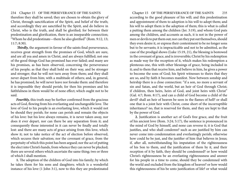234 Chapter 15 OF THE PERSEVERANCE OF THE SAINTS Chapter 15 OF THE PERSEVERANCE OF THE SAINTS 235 therefore they shall be saved; they are chosen to obtain the glory of Christ, through sanctification of the Spirit, and belief of the truth; and accordingly they are sanctified by the Spirit, and do believe in Christ, who is the truth, and shall be glorified; for between their predestination and glorification, there is an inseparable connection; "Whom he did predestinate—them he also glorified" (Rom. 9:12, 13; 11:7; 8:30).

 *Thirdly,* the argument in favour of the saints final perseverance, receives great strength from the promises of God, which are sure, and are all yea and amen in Christ, and are always fulfilled; not one of the good things God has promised has ever failed; and many are his promises, as has been observed, concerning the perseverance of his people; as that they shall hold on their way, and be stronger and stronger; that he will not turn away from them; and they shall never depart from him; with a multitude of others; and, in general, he has promised, he will never leave nor forsake them: and therefore it is impossible they should perish; for then his promises and his faithfulness in them would be of none effect; which ought not to be said.

*Fourthly,* this truth may be further confirmed from the gracious acts of God, flowing from his everlasting and unchangeable love. The love of God to his people is an everlasting love, which it would not be should they perish; for none can perish and remain the objects of his love: but his love always remains, it is never taken away, nor does it ever depart, nor can there be any separation from it; and consequently those interested in it can never be finally and totally lost: and there are many acts of grace arising from this love, which show it; not to take notice of the act of election before observed, which secures their salvation; nor the covenant of grace, from the perpetuity of which this point has been argued; nor the act of putting the elect into Christ's hands, from whence they can never be plucked; there are several others which ascertain the same thing; two or three of which I shall mention.

**1.** The adoption of the children of God into his family; by which he takes them for his sons and daughters; which is a wonderful instance of his love (1 John 3:1), now to this they are predestinated

according to the good pleasure of his will; and this predestination and appointment of them to adoption is his will to adopt them; and his will to adopt them is the adoption of them; this is what is called a putting them among the children (Jer. 3:19), and whom God puts among the children, and accounts as such, it is not in the power of men or devils to put them out; nor can they put out themselves, should they even desire it, or express their contentment to be no longer sons but to be servants; it is impracticable and not to be admitted, as the case of the prodigal shows (Luke 15:19, 21), the blessing is bestowed in the covenant of grace, and is irreversible; Christ by his redemption as made way for the reception of it, which makes his redemption a plenteous one, this with other blessings of grace, being included in it; and to them that receive him, and believe in him, he gives a power to become the sons of God; his Spirit witnesses to theirs that they are so, and by faith it becomes manifest. Now between sonship and heirship there is a close connection: "if a son, no more a servant of sin and Satan, and the world, but an heir of God through Christ; if children, then heirs, heirs of God, and joint heirs with Christ" (Gal. 4:7; Rom. 8:17), and can a child of God become a child of the devil? shall an heir of heaven be seen in the flames of hell? or shall one that is a joint heir with Christ, come short of the incorruptible inheritance? no, that is reserved for them, and they are kept to that by the power of God.

**2.** Justification is another act of God's free grace, and the fruit of his ancient love (Rom. 3:24; 5:17), the sentence is pronounced in the mind of God by himself, and none can reverse it; it is God that justifies, and who shall condemn? such as are justified by him can never come into condemnation and everlastingly perish; otherwise how could he be just, and the justifier of him that believes in Jesus; if, after all, notwithstanding his imputation of the righteousness of his Son to them, and the justification of them by it, and their reception of it by faith, they should be condemned? or how would Christ's righteousness be an everlasting righteousness and answer for his people in a time to come, should they be condemned with the world and excluded from the kingdom of heaven? or how would this righteousness of his be unto justification of life? or what would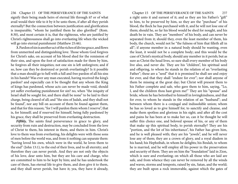236 Chapter 15 OF THE PERSEVERANCE OF THE SAINTS Chapter 15 OF THE PERSEVERANCE OF THE SAINTS 237 signify their being made heirs of eternal life through it? or of what avail would their title to it by it be unto them, if after all they perish eternally? But the connection between justification and glorification is inseparable; "whom he justified them he also glorified" (Rom. 8:30), and most certain it is, that the righteous, who are justified by Christ's righteousness shall go into everlasting life when the wicked will go into eternal punishment (Matthew 25:46).

**3.** Pardon of sin is another act of the riches of divine grace, and flows from unmerited and distinguishing love. Those whom God forgives for Christ's sake, on account of his blood shed for the remission of their sins, and upon the foot of satisfaction made for them by him, he forgives all their iniquities; not one sin is left unforgiven; and if so, how can they be destroyed or perish everlastingly? Is it possible that a man should go to hell with a full and free pardon of all his sins in his hands? Was ever any man executed, having received the king's pardon? and especially can it be thought that any whom the King of kings has pardoned, whose acts can never be made void, should yet suffer everlasting punishment for sin? no, when "the iniquity of Israel shall be sought for, and there shall be none" to be laid to their charge, being cleared of all; and "the sins of Judah, and they shall not be found", nor any bill on account of them be found against them, and that for this reason; "for I will pardon them whom I reserve", that is, for himself; and if reserved for himself, being fully pardoned by his grace, they shall be preserved from everlasting destruction.

*Fifthly,* The saints final perseverance in grace to glory, and security from ruin and destruction, may be concluded from the love of Christ to them, his interest in them, and theirs in him. Christ's love to them was from everlasting, his delights were with those sons of men before the world was, and from it nothing can separate them: "having loved his own, which were in the world, he loves them to the end" (John 13:1), to the end of their lives, and to all eternity; and therefore they can never perish. And they are not only the objects of his love, dear unto him, but they are his care and charge, who are committed to him to be kept by him; and he has undertook the care of them, has eternal life to give them, and does give it to them, and they shall never perish, but have it; yea, they have it already,

a right unto it and earnest of it; and as they are his Father's "gift" to him, to be preserved by him, so they are the "purchase" of his blood, the flock he has purchased with it, and he will not lose one of them; should he, so far his blood would be shed for nought, and his death be in vain. They are "members" of his body, and can never be separated from it; should they, even the least member of them, his body, the church, would not be "the fulness of him that filleth all in all"; if anyone member in a natural body should be wanting, even the least, it would not be a complete body; and this would be the case of Christ's mystical body, should any member in it perish; but as sure as Christ the head lives, so sure shall every member of his body live also, and never die. They are his "children", his spiritual seed and offspring, to whom he stands in the relation of an "everlasting Father"; these are a "seed" that it is promised he shall see and enjoy for ever, and that they shall "endure for ever"; nor shall anyone of them be missing at the great day; but Christ will present them to his Father complete and safe, who gave them to him, saying, "Lo, I, and the children thou hast given me!" They are his "spouse" and bride, whom he has betrothed to himself in lovingkindness, and that for ever, to whom he stands in the relation of an "husband"; and between whom there is a conjugal and indissoluble union; whom he has so loved as to give himself for, to sanctify and cleanse, and make them spotless and glorious in his sight; and after all the cost and pains he has been at to make her so, can it be thought he will suffer this choice one, and beloved spouse of his, or any of them that make up this spiritual body, to perish eternally? They are his "portion, and the lot of his inheritance", his Father has given him, and he is well pleased with; they are his "jewels", and he will never lose any of them; they are a crown of glory, and a royal diadem in his hand; his Hephzibah, in whom he delights; his Beulah, to whom he is married, and he will employ all his power in the preservation and security of them. They are on him the "foundation" laid in Zion, which is sure and everlasting; on which all those who are laid are safe, and from whence they can never be removed by all the winds and waves, storms and tempests, raised by sin, Satan, and the world; they are built upon a rock immovable, against which the gates of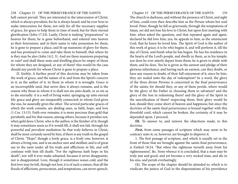238 Chapter 15 OF THE PERSEVERANCE OF THE SAINTS Chapter 15 OF THE PERSEVERANCE OF THE SAINTS 239 hell cannot prevail. They are interested in the intercession of Christ, which is always prevalent; for he is always heard; and he ever lives to make intercession for them; not only for all the necessary supplies of grace, for grace to help them in time of need; but for their eternal glorification (John 17:24). Lastly, Christ is making "preparations" in heaven for them; he is gone beforehand, and entered into heaven as their forerunner, and in their name to take possession for them; he is gone to prepare a place, and fit up mansions of glory for them; and has promised to come and take them to himself, that where he is they may be also (John 14:2, 3). And are these mansions preparing in vain? and shall these seats and dwelling places be empty of those for whom they are designed, or any of them? this would be the case should any perish for whom Christ is gone to prepare a place.

2f. Sixthly, A further proof of this doctrine may be taken from the work of grace, and the nature of it; and from the Spirit's concern in it, as the author of it, in those in whom it is wrought. Grace is an incorruptible seed, that never dies; it always remains, and is the reason why those in whom it is shall not sin unto death, or so sin as to die eternally: it is a well of living water, springing up unto eternal life: grace and glory are inseparably connected; to whom God gives the one, he assuredly gives the other. The several particular graces of which the work consists, are abiding ones, as faith, hope, and love (1 Cor. 13:13). Faith ever remains; it is more precious than gold that perisheth; and for that reason, among others, because it perishes not, when gold does; Christ, who is the author, is the finisher of it; though it may sometimes seem as if it would fill, it shall not fail, through his powerful and prevalent mediation; he that truly believes in Christ, shall be most certainly saved by him, if there is any truth in the gospel of Christ. "Hope", though a lowly grace, is a lively one; however, is always a living one, and is an anchor sure and stedfast; and is of great use to the saint under all his trials and afflictions in life, and will continue with him till death; "For the righteous hath hope in his death"; nor will it ever make ashamed, because it never disappoints, nor is disappointed. Love, though it sometimes waxes cold, and the first love may be left, though not lost; it is of such a nature, that all the floods of afflictions, persecution, and temptations, can never quench.

The church in darkness, and without the presence of Christ, and sight of him, could even then describe him as the Person whom her soul loved. Peter, though he fell so grievously, through the temptations of Satan, yet did not lose his love to Christ; but upon first meeting with him, when asked the question, and that repeated again and again, declared he did love him; yea, he appeals to him, as the omniscient God, that he knew he loved him. The Spirit of God is the author of this work of grace; it is he who begins it, and will perform it, till the day of Christ, and finish what he has begun. He has his residence in the hearts of the Lord's people, and dwells in them, as in his temple; nor does he ever utterly depart from them; he is given to abide with them, and he does. Yea he is given as the earnest and pledge of their glorious inheritance; and having such an earnest, can they doubt, or have any reason to doubt, of their full enjoyment of it, since by him, they are sealed unto the day of redemption? In a word, the glory of the three divine Persons is concerned in the final perseverance of the saints; for should they, or any of them perish, where would be the glory of the Father in choosing them to salvation? and the glory of the Son in redeeming them? and the glory of the Spirit in the sanctification of them? respecting them, their glory would be lost, should they come short of heaven and happiness; but since the doctrine of the saints final perseverance is bound together with this threefold cord, which cannot be broken, the certainty of it may be depended upon. I proceed,

**III.** To answer to, and remove the objections made, to this doctrine.

*First,* from some passages of scripture which may seem to be contrary unto it; or, however, are brought to disprove it.

1. The first passage of scripture, and which is usually set in the front of those that are brought against the saints final perseverance, is Ezekiel 18:24. "But when the righteous turneth away front his righteousness", &c. from whence it is concluded, that a man may be truly just and good, and yet become a very wicked man, and die in his sins, and perish everlastingly.

**(1).** The scope of the chapter should be attended to; which is to vindicate the justice of God in the dispensations of his providence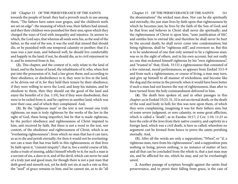240 Chapter 15 OF THE PERSEVERANCE OF THE SAINTS Chapter 15 OF THE PERSEVERANCE OF THE SAINTS 241 towards the people of Israel: they had a proverb much in use among them, "The fathers have eaten sour grapes, and the children's teeth are set on edge": the meaning of which was, their fathers had sinned, and they their children were punished for their sins; upon which they charged the ways of God with inequality and injustice. In answer to which, the Lord says, that whereas all souls were his, as the soul of the father, so the soul of the son, it was the soul that sinned that should die, or be punished with one temporal calamity or another; that if a man was a just man, and behaved well, he should live comfortably and happily in the land; if not, he should die, as to civil enjoyment in it, and be removed from it; for,

**(2).** This chapter, and the context of it, only relate to the land of Israel, and to the house of Israel, the inhabitants of it; who, when first put into the possession of it, had a law given them; and according to their obedience, or disobedience to it, they were to live in the land, or be driven out of it; for they held their tenure by their obedience; if they were willing to serve the Lord, and keep his statutes, and be obedient to them, then they should eat the good of the land and enjoy the benefits of it (Isa. 1:19), but if they were disobedient, they were to be exiled from it, and be captives in another land; which was now their case, and of which they complained. And,

**(3).** By the "righteous man" in the text is not meant one truly righteous; no man is truly righteous by the works of the law in the sight of God, these being imperfect; but he that is made righteous, by the perfect obedience and righteousness of Christ imputed to him, anti received by faith. But there is not a word in the text, nor context, of the obedience and righteousness of Christ, which is an "everlasting righteousness"; from which no man that has it can turn, so as to die and perish eternally; for then it would not be everlasting: nor can a man that has true faith in this righteousness, or that lives by faith upon it, "commit iniquity"; that is, live a sinful course of life, make a trade of sinning, addict himself wholly to it; for such a man is a servant of sin, a slave to it, and of the devil; which can never be said of a truly just and good man; for though there is not a just man that doth good and sinneth not, yet he doth not sin at such a rate as this; the "seed" of grace remains in him, and he cannot sin, as to do "all

the abominations" the wicked man does. Nor can he die spiritually and eternally; the just man lives by faith upon that righteousness by which he becomes just; he lives by the faith of the Son of God; and he that lives and believes in Christ shall never die spiritually; and the righteousness of Christ is upon him, "unto justification of life", and entitles him to eternal life; and therefore he shall never be hurt by the second death; he shall never come into condemnation; but being righteous, shall be "righteous still", and evermore so. But this is to be understood of one that only seemed to be a righteous man, was so in the sight of others, and in his own account, but not really so; one that reckoned himself righteous by his "own righteousness", and "trusted in" that; (Ezek. 33:13) a righteousness that consisted of a few external, moral performances; as appears from Ezekiel 33:5-9 and from such a righteousness, or course of living, a man may turn, and give up himself to all manner of wickedness; and become like the dog and the swine in the proverb; when it would have been better if such a man had not known the way of righteousness, than after to have turned from the holy commandment delivered to him.

**(4).** The death here spoken of, and in other passages in this chapter; as in Ezekiel 33:23, 31, 32 is not an eternal death, or the death of the soul and body in hell; for this was now upon them, of which they were complaining, imagining it was for their fathers sins; but of some severe judgment, or sore calamity, or some great affliction, which is called a "death"; as in Exodus 10:17; 2 Cor. 1:10; 11:23 so here the exile of the Jews from their native country, and captivity in a foreign land, which was a civil death, is here so called; wherefore no argument cast be formed from hence to prove the saints perishing eternally. And,

**(5).** After all the words are only a supposition; "When", or "if, a righteous man, turn from his righteousness"; and a supposition puts nothing in being, proves nothing, is no instance of matter of fact; and all that can be concluded from the whole is, that a just man may sin, and be afflicted for sin, which he may, and yet be everlastingly saved.

**2.** Another passage of scripture brought against the saints final perseverance, and to prove their falling from grace, is the case of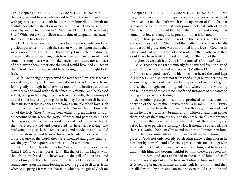the stony ground hearer; who is said to "hear the word, and anon with joy receiveth it; yet hath he not root in himself, but dureth for a while; for when tribulation or persecution ariseth because of the word, by and by he is offended" (Matthew 13:20, 21). Or as in Luke 8:13. "Which for a while believe, and in time of temptation fall away". But it should be observed,

**(1).** That those persons thus described, were not truly good and gracious persons; for though the seed, or word, fell upon them, they were a rock, stony ground still; they were yet in a state of nature, no change or alteration in them; their hearts were as hard as an adamant stone; the stony heart was not taken away from them, nor an heart of flesh given them; otherwise the word would have had a place in them, took root in them, would have sprung up, and brought forth fruit.

3a2b. And though they received the word with "joy", this is what a wicked man, a very wicked man, may do; and Herod did, who heard John "gladly", though he afterwards took off his head; such a man may receive the word with a flash of natural affection, and be pleased with it; being so far enlightened, as to see the truth, the harmony of it, and some interesting things in it; he may flatter himself he shall share in; so that this joy arises only from a principle of self-love: such do not receive it as the Thessalonians did, "in much affliction, with joy of the Holy Ghost"; having been either in great distress of soul, on account of sin, when the gospel of peace and pardon coming to them, was joyfully received as good news and glad tidings; or though they were reproached and persecuted for hearing, receiving, and professing the gospel, they rejoiced at it, and abode by it: but so did not these stony ground hearers; for when tribulation or persecution arose because of the word, they were offended and gone; their joy was the joy of the hypocrite, which is but for a moment.

 **(2).** The faith they had was but "for a while", as it is expressed (Luke 8:13), it was a temporary faith, like that of Simon Magus, who, though he professed to believe, was in the gall of bitterness, and bond of iniquity; their faith was not the faith of God's elect; for that stands sure, upon the same footing as electing grace itself does, from whence it springs; it was not that faith which is the gift of God; for

242 Chapter 15 OF THE PERSEVERANCE OF THE SAINTS Chapter 15 OF THE PERSEVERANCE OF THE SAINTS 243 his gifts of grace are without repentance, and are never revoked, but always abide: not that faith which is the operation of God; for that is maintained and performed with power: not that faith of which Christ is the author; for of that he is the finisher; and though it is sometimes low and languid, he prays for it that it fail not.

> **(3).** Those persons had no root in themselves, and therefore withered; they had not "the root of the matter" in them, as Job calls it, the truth of grace; they were not rooted in the love of God, nor in Christ, and had not the grace of God rooted in them; otherwise they would have been fruitful and established; for "the root of the

righteous yieldeth fruit", and is "not moved" (Prov. 12:3,12)

3a2e. Those persons are manifestly distinguished from the "good ground", into which the seed was received (Matthew 13:23), and from an "honest and good heart", in which they that heard the word kept it (Luke 8:15), and so were not truly good and gracious persons, on whom the good work of grace was begun; were not trees made good, and so they brought forth no good fruit: wherefore the withering and falling away of those are no proofs and instances of the saints so falling as to perish everlastingly.

**3,** Another passage of scripture produced to invalidate the doctrine of the saints final perseverance, is in John 15:2, 6. "Every branch in me that beareth not fruit he taketh away; if man abide not in me he is cast forth as a branch, and is withered, and men gather them, and cast them into the fire, and they are burned". From whence it is inferred, that men may be branches in Christ, the true vine, and yet so fall as to perish everlastingly. Now it should be observed, that there is a twofold being in Christ, and two sorts of branches in him.

**1.** There are some who are truly and really in him through the grace of God; not only secretly by electing grace, being chosen in him; but by powerful and efficacious grace in effectual calling; who are created in Christ, and are new creatures in him, and have a vital union with him, and become fruitful by him: these are rooted and built up in him, and are established in the faith of him; and shall never be rooted up, but always have an abiding in him; and these are fruit bearing branches in him; all their fruit is from him, and they are filled with it by him; and continue so even in old age, to the end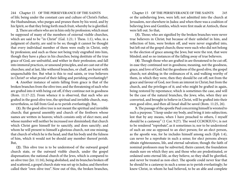244 Chapter 15 OF THE PERSEVERANCE OF THE SAINTS Chapter 15 OF THE PERSEVERANCE OF THE SAINTS 245 of life; being under the constant care and culture of Christ's Father, the Husbandman, who purges and prunes them by his word, and by his Spirit, so that they bring forth much fruit, whereby he is glorified.

**2.** There are others who are in him only by profession; which must be supposed of many of the members of external visible churches, which are said to be "in Christ" (Gal. 1:21; 1 Thess. 1:1), who, in a judgment of charity, are said to be so; though it cannot be thought that every individual member of them were really in Christ, only by profession; and such as these not being truly engrafted into him, though they have a place in his churches; being destitute of the true grace of God, are unfruitful, and wither in their profession; and fall into immoral practices, or unsound principles, and are cast out of the churches; and at last, like withered branches, or chaff, are burnt with unquenchable fire. But what is this to real saints, or true believers in Christ? or what proof of their falling and perishing everlastingly?

**4.** Another instance of saints falling from grace is that of the broken branches from the olive tree; and the threatening of such who are grafted into it with being cut off, if they continue not in goodness (Rom. 11:17-22). From whence it is observed, that such who are grafted in the good olive tree, the spiritual and invisible church, may, nevertheless, so fall from God as to perish everlastingly. But,

**(1).** By the good olive tree is not meant the spiritual and invisible church; that general assembly and church of the firstborn whose names are written in heaven; which consists only of elect men; and whose number will neither be increased nor diminished; that church which Christ gave himself for to sanctify, and does sanctify; and whom he will present to himself a glorious church, not one missing; that church of which he is the head, and that his body and the fulness of him, which it would not be should any member thereof perish. But,

**(2).** This olive tree is to be understood of the outward gospel church state, or the outward visible church, under the gospel dispensation; the national church of the Jews, which is compared to an olive tree (Jer. 11:16), being abolished, and its branches broken off and scattered, a gospel church state was set up in Judea; and therefore called their "own olive tree". Now out of this, the broken branches,

or the unbelieving Jews, were left; not admitted into the church at Jerusalem, nor elsewhere in Judea: and when there was a coalition of believing Jews and Gentiles, which were first made at Antioch, these were left out. So that,

**(3).** Those; who are signified by the broken branches were never true believers in Christ; but because of their unbelief in him, and reflection of him, were broken off, and were never engrafted into, but left out of the gospel church; these were such who did not belong to the election of grace among the Jews; but were the rest, that were blinded; and so no instances of the falling away of true believers.

**(4)**. Though those who are grafted in are threatened to be cut off, in ease they continued not in goodness; meaning, not the goodness, grace, and love of God; but the goodness of the good olive, the gospel church; not abiding in the ordinances of it, and walking worthy of them, in which they were, then they should be cut off; not from the grace and favour of God, nor from an interest in Christ; but from the church, and the privileges of it; and who might be grafted in again, being restored by repentance; which is sometimes the case, and will be the case of the natural branches, the Jews; who, when they are converted, and brought to believe in Christ, will be grafted into their own good olive, and then all Israel shall be saved (Rom. 11:25, 26).

**5.** The passage of the apostle Paul concerning himself is wrested to such a purpose; "I keep under my body, and bring it into subjection; lest that by any means, when I have preached to others, I myself should be a castaway" (1 Cor. 9:27). The word CC8OKIUO<; is not to be rendered "reprobate", as it sometimes is; nor to be understood of such an one as opposed to an elect person; for an elect person, as the apostle was, for he includes himself among such (Eph 1:4), can never be a reprobate in such a sense; for elect persons always obtain righteousness, life, and eternal salvation; though the faith of nominal professors may be subverted, theirs cannot; the foundation stands sure on which they are; and those who are predestinated, or ordained unto eternal life, as they believe, so they shall be glorified, and never be treated as non-elect. The apostle could never fear that he should be a castaway in such a sense as to perish everlastingly; he knew Christ, in whom he had believed, to be an able and complete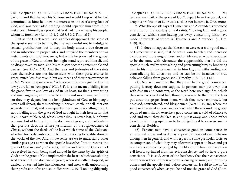246 Chapter 15 OF THE PERSEVERANCE OF THE SAINTS Chapter 15 OF THE PERSEVERANCE OF THE SAINTS 247 Saviour, and that he was his Saviour and would keep what he had committed to him; he knew his interest in the everlasting love of God, and was persuaded nothing should separate him from it: he instances in himself, as a proof that God had not cast away his people, whom he foreknew (Rom. 11:1, 2; 8:38, 39; 2 Tim. 1:12).

But as the Greek word used signifies disapproved, the sense of the apostle seems to be this, that he was careful not to indulge to sensual gratifications; but to keep his body under a due decorum and in subjection to proper rules; and not yield the members of it as instruments of unrighteousness; lest while he preached the gospel of the grace of God to others, he might stand reproved himself, and be disapproved by men, and his ministry become contemptible and useless; (see 2 Cor. 6:3). And the fears and jealousies of the saints over themselves are not inconsistent with their perseverance in grace, much less disprove it; but are means of their perseverance in it. 3a6. When the apostle says, "Whosoever of you are justified by the law, ye are fallen from grace" (Gal. 5:4), it is not meant of falling from the grace, favour, and love of God in his heart; for that is everlasting and unchangeable, as immovable as hills and mountains, and more so; they may depart, but the lovingkindness of God to his people never will depart; there is nothing in heaven, earth, or hell, that can separate from that; and consequently there can be no falling from it: nor of falling from the grace of God wrought in their hearts; for that is an incorruptible seed, which never dies, is never lost, but always remains: but of falling from the doctrine of grace; and particularly that glorious doctrine of free justification by the righteousness of Christ, without the deeds of the law; which some of the Galatians who had formerly embraced it, fell from, seeking for justification by the works of the law. And in like sense are we to understand other similar passages; as when the apostle beseeches "not to receive the grace of God in vain" (2 Cor. 6:1), the love and favour of God cannot be received in vain, being shed abroad in the heart by the Spirit of God; nor the grace of God implanted in the heart, which is an abiding seed there; but the doctrine of grace, when it is either dropped, or denied, or turned into lasciviousness, and men walk unbecoming their profession of it: and so in Hebrews 12:15. "Looking diligently,

lest any man fail of the grace of God"; depart from the gospel, and drop his profession of it, or walk as does not become it. Once more,

**7.** What the apostle says of Hymeneus and Alexander is produced as a proof of the apostasy of real saints; "holding faith and a good conscience; which some having put away, concerning faith, have made shipwreck; of whom is Hymeneus and Alexander" (1 Tim. 1:19). But,

**(1).** It does not appear that these men were ever truly good men; of Hymeneus it is said, that he was a vain babbler, and increased to more and more ungodliness: and of Alexander, who is supposed to be the same with Alexander the coppersmith, that he did the apostle much evil by reproaching and persecuting him; by hindering him in his ministry as much as in him lay, and withstanding and contradicting his doctrines; and so can be no instances of true believers falling from grace; see 2 Timothy 2:16-18; 4:14,15

**(2).** Nor is it manifest that they ever had a good conscience; putting it away does not suppose it: persons may put away that with disdain and contempt, as the word here used signifies, which they never received and had, though presented to them: so the Jews put away the gospel from them, which they never embraced, but despised, contradicted, and blasphemed (Acts 13:45, 46), where the same word is used as here: and so here, when these found the gospel required men should exercise a good conscience, void of offence to God and men; they disliked it, and put it away, and chose rather to relinquish the gospel than to be obliged by it to exercise such a conscience. Besides,

**(3).** Persons may have a conscience good in some sense, in an external show, and as it may appear by their outward behavior among men in general, and with respect to some particular facts; or in comparison of what they may afterwards appear to have: and yet not have a conscience purged by the blood of Christ; or have their evil hearts sprinkled from an evil conscience, and so have a pure conscience. It is said, even of the heathens, that their consciences bore them witness of their actions, accusing of some, and excusing others: and the apostle Paul, before conversion, is said to live in "all good conscience"; when, as yet, he had not the grace of God (Rom.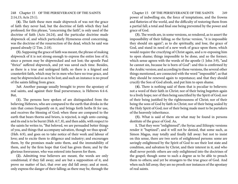2:14,15; Acts 23:1).

**(4).** The faith these men made shipwreck of was not the grace of faith they never had, but the doctrine of faith which they had professed; for this phrase, "concerning the faith", is only used of the doctrine of faith (Acts 24:24), and the particular doctrine made shipwreck of, and which particularly Hymeneus erred concerning, was the doctrine of the resurrection of the dead, which he said was passed already (2 Tim. 2:18).

**(5).** Supposing the grace of faith was meant, the phrase of making shipwreck of it is not strong enough to express the entire loss of it; since a person may be shipwrecked and not lost; the apostle Paul "thrice" suffered shipwreck, and yet was saved each time. Besides, as there is a true and unfeigned faith; so there is a feigned and counterfeit faith, which may be in men who have no true grace, and may be shipwrecked so as to be lost; and such an instance is no proof of the saints falling from grace.

3a8. Another passage usually brought to prove the apostasy of real saints, and against their final perseverance, is Hebrews 6:4-6. But,

**(1).** The persons here spoken of are distinguished from the believing Hebrews, who are compared to the earth that drinks in the rain that comes frequently on it, and brings forth herbs fit for use, and receives the blessing of God; when these are compared to the earth that bears thorns and briers, is rejected, is nigh unto cursing, and its end is to be burnt (Heb. 6:7, 8), and then adds, with respect to the saints he writes to, "But beloved, we are persuaded better things of you, and things that accompany salvation, though we thus speak" (Heb. 6:9), and goes on to take notice of their work and labour of love; and to excite them to diligence and industry; and encourages them, by the promises made unto them, and the immutability of them, and by the firm hope that God has given them; and by the glorious forerunner, who was entered into heaven for them.

**(2).** Admitting true believers are meant, the words are only conditional; if they fall away; and are but a supposition of it, and prove no matter of fact, that ever any did fall away; and at most, only express the danger of their falling; as there may be, through the

248 Chapter 15 OF THE PERSEVERANCE OF THE SAINTS Chapter 15 OF THE PERSEVERANCE OF THE SAINTS 249 power of indwelling sin, the force of temptations, and the frowns and flatteries of the world, and the difficulty of restoring them from a partial fall; a total and final one being prevented by the power and grace of God.

> **(3).** The words are, in some versions, so rendered, as to assert the impossibility of their falling; so the Syriac version, "it is impossible they should sin again"; as to die spiritually, and lose, the grace of God, and stand in need of a new work of grace upon them; which would require the crucifying of Christ again, and a re-exposing him to open shame; things impossible to be done, and so the former; which sense agrees with the words of the apostle (1 John 3:9), "and he cannot sin, because he is born of God": and this is confirmed by the Arabic version; and according to these versions, the several other things mentioned, are connected with the word "impossible"; as that they should be renewed again to repentance; and that they should crucify the Son of God afresh, and put him to open shame.

> **(4).** There is nothing said of them that is peculiar to believers: not a word of their faith in Christ; nor of their being begotten again to a lively hope; nor of then being sanctified by the Spirit of God; nor of their being justified by the righteousness of Christ; nor of their being the sons of God by faith in Christ; nor of their being sealed by the Holy Spirit of God; nor of their being made meet to be partakers of the heavenly inheritance.

> **(5).** What is said of them are what may be found in persons destitute of the grace of God. As,

> **1.** That they were "enlightened"; the Syriac and Ethiopic versions render it "baptized"; and it will not be denied, that some such, as Simon Magus, may totally and finally fall away: but not to insist on this sense, there are two sorts of enlightened persons: some are savingly enlightened by the Spirit of God to see their lost state and condition, and salvation by Christ, and their interest in it, and who shall never perish: others are only enlightened into the doctrines of the gospel; though some to such a degree as to be able to preach them to others; and yet be strangers to the true grace of God. And when such fall away, they are no proofs nor instances of the apostasy of real saints.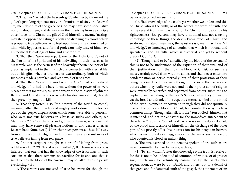**2.** That they "tasted of the heavenly gift"; whether by it is meant the gift of a justifying righteousness, or of remission of sins, or of eternal life; men destitute of the grace of God may have some speculative notions about them, and desires after them, arising from a principle of self-love: or if Christ, the gift of God himself, is meant, "tasting" may stand opposed to eating his flesh and drinking his blood; which is proper to true believers, who feed upon him and are nourished by him; while hypocrites and formal professors only taste of him, have a superficial knowledge of him, and gust for him.

**3.** That they "were made partakers of the Holy Ghost"; not of the Person of the Spirit, and of his indwelling in their hearts, as in his temple, and as the earnest of the heavenly inheritance; nor of his grace, as implanted in them, which are connected with eternal life: but of his gifts, whether ordinary or extraordinary, both of which Judas was made a partaker, and yet devoid of true grace.

**4.** That they "tasted the good word of God"; had a superficial knowledge of it, had the bare form, without the power of it; were pleased with it for awhile, as Herod was with the ministry of John the Baptist; and Christ's hearers were with his doctrines at first, though they presently sought to kill him.

**5.** That they tasted, also "the powers of the world to come"; meaning either the miracles and mighty works done in the former part of the gospel dispensation; which some were able to perform, who were not true believers in Christ, as Judas and others; see Matthew 7:22, 23 or the joys and glories of heaven; which natural men may have some self-pleasing notions of and desires after, as Balaam had (Num. 23:10). Now when such persons as these fall away from a profession of religion, and into sin, they are no instances of true believers falling from real grace.

**9.** Another scripture brought as a proof of falling from grace, is Hebrews 10:26,29. "For if we sin wilfully", &c. From whence it is inferred, that one that has the knowledge of the truth may in such sort sin as that there remains no sacrifice for it; and one that is sanctified by the blood of the covenant may so fall away as to perish everlastingly. But,

**1.** These words are not said of true believers; for though the

250 Chapter 15 OF THE PERSEVERANCE OF THE SAINTS Chapter 15 OF THE PERSEVERANCE OF THE SAINTS 251 persons described are such who,

> **(l).** Had knowledge of the truth; yet whether we understand this of Christ, who is the truth; or of the gospel, the word of truth, and of the several truths in it; as salvation by Christ, justification by his righteousness, &c. persons may have a notional and not a saving knowledge of these things; the devils know much of Christ, and so do many natural men; yea, the apostle says, men may have "all knowledge", or knowledge of all truths, that which is notional and speculative; and "all faith", which is historical, and yet be without grace (1 Cor. 13:2).

> **(2).** Though said to be "sanctified by the blood of the covenant", this is not to be understood of the expiation of their sins, and of their justification from them by the blood of Christ; for such are most certainly saved from wrath to come, and shall never enter into condemnation or perish eternally; but of their profession of their being thus sanctified; they were thought to be so by themselves and others when they really were not; and by their profession of religion were externally sanctified and separated from others, submitting to baptism, and partaking of the Lord's Supper; when they outwardly eat the bread and drank of the cup, the external symbol of the blood of the New Testament, or covenant, though they did not spiritually discern the body and blood of Christ, but counted these symbols as common things. Though after all, it is the "Son of God" himself that is intended, and not the apostate; for the immediate antecedent to the relative "he", is the "Son of God"; who was sanctified, or set apart, by the blood and sacrifice of himself, for the discharge of the other part of his priestly office, his intercession for his people in heaven; which is mentioned as an aggravation of the sin of such a person, who counted his blood an unholy thing.

> **2.** The sins ascribed to the persons spoken of are such as are never committed by true believers; such as,

> **(1).** To "sin wilfully", after the knowledge o the truth is received; for this is not to be understood of common infirmities, or of grosser sins, which may be voluntarily committed by the saints after regeneration, as were by Lot, David, and others; but of a denial of that great and fundamental truth of the gospel, the atonement of sin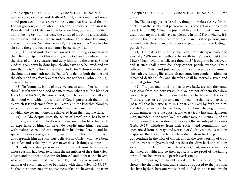252 Chapter 15 OF THE PERSEVERANCE OF THE SAINTS Chapter 15 OF THE PERSEVERANCE OF THE SAINTS 253 by the blood, sacrifice, and death of Christ, after a man has known it and professed it: this is never done by one that has tasted that the Lord is gracious, and to whom his blood is precious; nor can it be: Peter denied his Master, and that he knew him; but he did not deny him to be his Saviour; nor deny the virtue of his blood and sacrifice for the atonement of sin; when, and by whom, this is done knowingly and wilfully, there "remains no more", there is no other "sacrifice for sin"; and therefore such a man must be eternally lost.

**(2).** To "tread underfoot the Son of God"; doing as much as in them lies to strip him of his equality with God, and to reduce him to the class of a mere creature, and deny him to be the eternal Son of God: this can never be done by such who have once believed, and are sure that he is "the Son of the living God"; for "whosoever denieth the Son, the same hath not the Father"; he denies both the one and the other; and in effect says that there are neither (1 John 2:22, 23), he is antichrist.

**(3).** To "count the blood of the covenant an unholy" or "common thing"; as if it was the blood of a mere man, when it is "the blood of Jesus Christ his Son", the Son of God, "which cleanses from all sin"; that blood with which the church of God is purchased; that blood by which it is redeemed from sin, Satan, and the law; that blood by which the covenant of grace is ratified and confirmed; and by virtue of which the covenant ones are delivered from their captive state.

**(4)**. To "do despite unto the Spirit of grace", who has been a Spirit of grace and supplication to them; such who have had such an experience of him, can never do despite unto him, treat him with malice, scorn, and contempt; deny his divine Person, and his special operations of grace; nor deny him to be the Spirit of grace, and reproach him as such; true believers in Christ, who have been sanctified and sealed by him, can never do such things as these.

**3.** Truly sanctified persons are distinguished from the apostates, whose custom had been to forsake the assemblies of the saints (Heb. 10:25), and the apostle declares for himself, and other true believers, who were just men, and lived by faith, that they were not of the number of such men, and to be ranked with them (Heb. 10:38, 39). So that these apostates are no instances of true believers falling from

grace.

**l0.** The passage just referred to, though it makes clearly for the doctrine of the saints final perseverance, is brought as an objection to it (Heb. 10:38). "Now the just shall live by faith; but if any man draw back, my soul shall have no pleasure in him". From whence it is inferred, that those who live by faith, and are justified persons, may not endure to the end, may draw back to perdition, and everlastingly perish. But,

**(1)**. He that is truly a just man can never die spiritually and eternally; "Whosoever liveth and believeth in me", says Christ (John 11:26) "shall never die: believest thou this?" It ought to be believed: and if such shall never die, they cannot perish everlastingly; a believer in Christ, and justified by him, can never be condemned; "he hath everlasting life, and shah not come into condemnation, but is passed death to life"; and therefore shall be eternally saved and glorified (John 5:24).

**(2).** The just man, and he that draws back, are not the same; as is clear from the next verse; "but we are not of them that draw back unto perdition; but of them that believe to the saving the soul". There are two sorts of persons mentioned; one that were maxecoq, "of faith", that had true faith in Christ, and lived by faith on him, and did not draw back to perdition, but went on believing till saved; of this number were the apostle, and every truly just and righteous man, included in the word"we": the other were o7100x0AT|;, of the "withdrawing", or separation, who forsook the assembly of the saints (Heb. 10:25), withdrew from their society and communion, and apostatized from the ways and worship of God: by which distinction it appears, that those that truly believe do not draw back to perdition; but continue in the faith of Christ, and in the true worship of God, and are everlastingly saved; and that those that drew back to perdition were not of the faith, or true believers in Christ, nor ever just ones that lived by faith; and so their apostasy is no proof of the falling away of true believers as to perish everlastingly.

**(3).** The passage in Habakkuk 2:4 which is referred to, plainly shows who the man is that draws back, as opposed to the just man that lives by faith: be is one whose "soul is lifted tip, and is not upright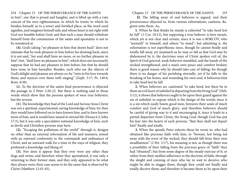in him"; one that is proud and haughty, and is lifted up with a vain conceit of his own righteousness, in which he trusts; to which he betakes himself, as to a tower and fortified place, as the word used signifies, and imagines himself safe; and whose heart is not right with God nor humble before God; and that such a man should withdraw himself from the communion of the saints and apostatize is not to be wondered at.

**(4).** God's taking "no pleasure in him that draws back" does not intimate that he took pleasure in him before his drawing back; since it is not said, "my soul shall have no more, or no further pleasure in him"; but, "shall have no pleasure in him"; which does not necessarily suppose that he had any pleasure in him before; but that he should have none in him hereafter. Besides, such who are the objects of God's delight and pleasure are always so; he "rests in his love towards them, and rejoices over them with singing" (Zeph. 3:17; Ps. 149:4; Rom. 8:38).

**11.** To the doctrine of the saints final perseverance is objected the passage in 2 Peter 2:20-22. But there is nothing said in those words which show that the persons spoken of were true believers; but the reverse.

**(1).** The knowledge they had of the Lord and Saviour Jesus Christ was not a spiritual, experimental, saving knowledge of him; for then they would have followed on to have known him, and to have known more of him, and it would have issued in eternal life (Hosea 6:3; John 17:3), but it was only a speculative notional knowledge of him, such as devils and Christless persons may have.

**(2).** "Escaping the pollutions of the world" through it, designs no other than an external reformation of life and manners, joined with an outward conformity to the commands and ordinances of Christ, and an outward walk for a time in the ways of religion, they professed a knowledge and liking of.

**(3).** Nor does it appear that they ever were any other than dogs and swine; and therefore when they apostatized, it was only a returning to their former state, and they only appeared to be what they always were; their case seems to be the same that is observed by Christ (Matthew 12:43-45).

### 254 Chapter 15 OF THE PERSEVERANCE OF THE SAINTS Chapter 15 OF THE PERSEVERANCE OF THE SAINTS 255

 **l2.** The falling away of real believers is argued, and their perseverance objected to, from various exhortations, cautions, &c. given unto them. As,

**1.** When he that thinks he stands is exhorted "to take heed lest he fall" (1 Cor. 10:12), but supposing a true believer is here meant, which yet is not clear and certain, since it is one o 8OKCOV, who "seemeth" to himself, and others "to stand"; but admitting it, the exhortation is not superfluous; since, though he cannot finally and totally fall away, yet inasmuch as he may so fall as that God may be dishonored by it, the doctrines ways of Christ spoken evil of, the Spirit of God grieved, weak believers stumbled, and the hands of the wicked strengthened, and a man's own peace and comfort broken; there is good reason why he should take care of falling; for though there is no danger of his perishing eternally; yet if he falls to the breaking of his bones, and wounding his own soul, it behooves him to take heed lest he fall.

**2.** When believers arc cautioned "to take heed, lest there be in them an evil heart of unbelief in departing from the living God" (Heb. 3:12), it shows that believers ought to be upon their guard against the sin of unbelief, to expose which is the design of the words; since it is a sin which easily besets good men, bereaves their souls of much comfort and God of much glory; and therefore believers should be careful of giving way to it and encouraging it, since it leads to a partial departure from Christ, the living God; though God has put his fear into the hearts of such persons, "that they shall not depart him" finally and totally.

**3.** When the apostle Peter exhorts those he wrote to, who had obtained like precious faith with him, to "beware, lest being led away with the error of the wicked, they should fall from their own steadfastness" (2 Pet. 3:17), his meaning is not, as though there was a possibility of their falling from the precious grace of "faith" they had "obtained"; but from some degree of the steady exercise of it; or rather from their stedfast adherence to the doctrine of faith, through the sleight and cunning of men who lay in wait to deceive; who might be able to stagger them, though they could not finally and totally deceive them; and therefore it became them to be upon their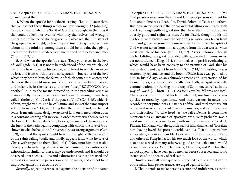guard against them.

**4.** When the apostle John exhorts, saying, "Look to yourselves, that ye lose not those things which we have wrought" (2 John 1:8), he speaks not of what the Spirit of God had wrought in them, as if that could be lost; nor even of what they themselves had wrought, under the influence of divine grace; but what we, the ministers of the gospel, had wrought, by teaching and instructing them, lest their labour in the ministry among them should be in vain, they giving heed to the doctrines of deceivers, mentioned both before and after (2 John 1:7,9,10)

**5.** And when the apostle Jude says, "Keep yourselves in the love of God" (Jude 1:21), it is not to be understood of the love which God has in his heart towards his people, an interest in which can never be lost, and from which there is no separation; but rather of the love which they bear to him, the fervour of which sometimes abates; and therefore they should make use of all means to maintain, increase, and inflame it, in themselves and others; "keep" EOUTO'UO, "one another" in it, by the means directed to in the preceding verse: or it may chiefly respect, love, peace, and concord among themselves; called "the love of God", as it is "the peace of God" (Col. 3:15), which is of him, taught by him, and he calls unto; and so is of the same import with Ephesians 4:3. Or, admitting that the love of God, in the first sense, is meant; it may design exercise of faith on it, meditation upon it, a constant keeping of it in view, in order to preserve themselves by the love of God from Satan's temptations, the snares of the world, and the lusts of the flesh; against complying with which, the love of God, shown in what he has done for his people, is a strong argument (Gen. 39:9), and that the apostle could have no thought of the possibility of the saints falling totally and finally, appears from what he says of Christ with respect to them (Jude 1:24). "Now unto him that is able to keep you from falling", &c. And in like manner other cautions and exhortations, similar to these, may be understood; and it should be observed, that such cautions and exhortations as these are used and blessed as means of the perseverance of the saints, and are not to be improved against the doctrine of it.

*Secondly*, objections are raised against the doctrine of the saints

256 Chapter 15 OF THE PERSEVERANCE OF THE SAINTS Chapter 15 OF THE PERSEVERANCE OF THE SAINTS 257 final perseverance from the sins and failures of persons eminent for faith and holiness; as Noah, Lot, David, Solomon, Peter, and others. But these are no proofs of their final and total falling away. As to Noah and Lot, though guilty of great sins, they have after this the character of truly good and righteous men. As for David, though by his fall his bones were broken, and the joy of his salvation was taken from him, and grace lay some time unexercised by him; yet the Spirit of God was not taken from him, as appears from his own words, when most sensible of his case (Ps. 51:11, 12). As for Solomon, though his backsliding was great, attended with aggravated circumstances, yet not total, see 1 Kings 11:4, 6 nor final, as to perish everlastingly; which would have been contrary to the promise of God, that his mercy should not depart from him (2 Sam. 7:14,15). Besides, he was restored by repentance; and the book of Ecclesiastes was penned by him in his old age, as an acknowledgment and retractation of his former follies; and some persons, after his death, are spoken of with commendation, for walking in the way of Solomon, as well as in the way of David (2 Chron. 11:17). As for Peter, his fall was not total; Christ prayed for him, that his faith failed not; nor final; for he was quickly restored by repentance. And these various instances are recorded in scripture, not as instances of final and total apostasy, but of the weakness of the best of men in themselves; and for our caution and instruction, "to take heed lest we fall": Demas is sometimes mentioned as an instance of apostasy; who, very probably, was a good man, since he is mentioned with such who were so (Col. 4:14; Philem. 1:24), and what the apostle says of him, that he had "forsaken him, having loved this present world", is not sufficient to prove him an apostate, any more than Mark's departure from the apostle Paul, and others at Pamphylia; for his too much love of the world, which is to be observed in many, otherwise good and valuable men, would prove them to be so. As for Hymeneus, Alexander, and Philetus, they do not appear to have been good men, as before observed; and so no instances of the apostasy of real saints.

> *Thirdly,* some ill consequences, supposed to follow the doctrine of the saints final perseverance, are urged against it. As,

**l.** That it tends to make persons secure and indifferent, as to the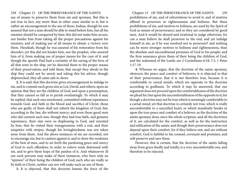258 Chapter 15 OF THE PERSEVERANCE OF THE SAINTS Chapter 15 OF THE PERSEVERANCE OF THE SAINTS 259 use of means to preserve them from sin and apostasy. But this is not true in fact, any more than in other cases similar to it; but is rather an encouragement to the use of them: Joshua, though he was assured that not a man should be able to stand before him, but all his enemies should be conquered by him; this did not make him secure, nor hinder him from taking all the proper precautions against his enemies; and of making use of all means to obtain a victory over them. Hezekiah, though he was assured of his restoration from his disorder; yet this did not hinder him, nor the prophet, who assured him of it, from making use of proper means for the cure of it: and though the apostle Paul had a certainty of the saving of the lives of all that were in the ship, yet he directed them to the proper means of their preservation; and told them, that except they abode in the ship they could not be saved; and taking this his advice, though shipwrecked, they all came safe to shore.

**2.** It is said, that this doctrine gives encouragement to indulge to sin, and to commit such gross sins as Lot, David, and others; upon an opinion that they are the children of God; and upon a presumption, that they cannot so fall as to perish everlastingly. To which it may be replied, that such sins mentioned, committed without repentance towards God, and faith in the blood and sacrifice of Christ, those who are guilty of them shall not inherit the kingdom of God; but, according to the law, die without mercy; and even those good men who did commit such sins, though they had true faith, and genuine repentance, their sins were so displeasing to God, and resented by him, that lie visited their transgressions with a rod, and their iniquities with stripes; though his lovingkindness was not taken away from them. And the above instances of sin are recorded, not to encourage sin; but to caution against it; and to show the weakness of the best of men, and to set forth the pardoning grace and mercy of God to such offenders; in order to relieve souls distressed with sin, and to give them hope of the pardon of it. And whatsoever ill use such persons may make of these instances, who have only an "opinion" of their being the children of God; such who are really so by faith in Christ, neither can nor will make such an use of them.

**3.** It is objected, that this doctrine lessens the force of the

prohibitions of sin, and of exhortations to avoid it; and of motives offered to persevere in righteousness and holiness. But these prohibitions of sin, and motives to holiness, are used by the Spirit of God as means of perseverance; and so they are considered by good men. And it would be absurd and irrational to judge otherwise; for can a man believe he shall persevere to the end, and yet indulge himself in sin, as if he was resolved not to persevere? and nothing can be more stronger motives to holiness and righteousness, than the absolute and unconditional promises of God to his people; and the firm assurance given them of their being the children of God, and the redeemed of the Lamb; see 2 Corinthians 6:18; 7:1; 1 Peter 1:17-19.

**4.** Whereas we argue, that the doctrine of the saints apostasy, obstructs the peace and comfort of believers; it is objected to that of their perseverance, that it is not therefore true, because it is comfortable to carnal minds, which are opposite to the doctrine according to godliness. To which it may be answered, that our argument does not proceed upon the comfortableness of the doctrine we plead for; but upon the uncomfortableness of the opposite to it; for though a doctrine may not be true which is seemingly comfortable to a carnal mind; yet that doctrine is certainly not true, which is really uncomfortable to a sanctified heart; or which manifestly breaks in upon the true peace and comfort of a believer; as the doctrine of the saints apostasy does; since the whole scripture, and all the doctrines of it, are calculated for the comfort, as well as for the instruction and edification of the saints: and though their perseverance does not depend upon their comfort; for if they believe not, and are without comfort, God is faithful to his counsel, covenant and promises, and will preserve and save them.

However, this is certain, that the doctrine of the saints falling away from grace finally and totally, is a very uncomfortable one, and therefore to be rejected.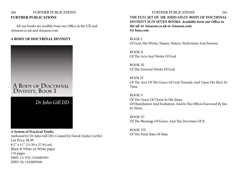# 260 FURTHER PUBLICATIONS FURTHER PUBLICATIONS 261 **FURTHER PUBLICATIONS**

All our books are availble from our Office in the UK and Amazon.co.uk and Amazon.com

# **A BODY OF DOCTRINAL DIVINITY**



**A System of Practical Truths** Authored by Dr John Gill DD, Created by David Clarke CertEd List Price: \$8.99 8.5" x 11" (21.59 x 27.94 cm) Black & White on White paper 176 pages ISBN-13: 978-1543085945 ISBN-10: 1543085946

# **THE FULL SET OF DR. JOHN GILL'S BODY OF DOCTRINAL DIVINITY IS IN SEVEN BOOKS. Available form our Office in the uK or Amazon.co.uk or Amazon.com Or Isuu.com**

BOOK I Of God, His Works, Names, Nature, Perfections And Persons.

BOOK II Of The Acts And Works Of God

BOOK III Of The External Works Of God

BOOk IV Of The Acts Of The Grace Of God Towards And Upon His Elect In Time.

BOOK V Of The Grace Of Christ In His States Of Humiliation And Exaltation, And In The Offices Exercised By Jim In Them.

BOOK VI Of The Blessings Of Grace, And The Doctrines Of It.

BOOK VII Of The Final State Of Man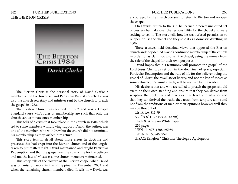# 262 FURTHER PUBLICATIONS FURTHER PUBLICATIONS 263 **THE BIERTON CRISIS**



The Bierton Crisis is the personal story of David Clarke a member of the Bierton Strict and Particular Baptist church. He was also the church secretary and minister sent by the church to preach the gospel in 1982.

The Bierton Church was formed in 1832 and was a Gospel Standard cause who's rules of membership are such that only the church can terminate ones membership.

This tells of a crisis that took place in the church in 1984, which led to some members withdrawing support. David, the author, was one of the members who withdrew but the church did not terminate his membership as they wished him return.

This story tells in detail about those errors in doctrine and practices that had crept into the Bierton church and of the lengths taken to put matters right. David maintained and taught Particular Redemption and that the gospel was the rule of life for the believer and not the law of Moses as some church members maintained.

This story tells of the closure of the Bierton chapel when David was on mission work in the Philippines in December 2002 and when the remaining church members died. It tells how David was

encouraged by the church overseer to return to Bierton and re-open the chapel.

On David's return to the UK he learned a newly unelected set of trustees had take over the responsibility for the chapel and were seeking to sell it. The story tells how he was refused permission to re open or use the chapel and they sold it as a domestic dwelling, in 2006.

These trustees held doctrinal views that opposed the Bierton church and they denied David's continued membership of the church in order to lay claim too and sell the chapel, using the money from the sale of the chapel for their own purposes.

David hopes that his testimony will promote the gospel of the Lord Jesus Christ, as set out in the doctrines of grace, especially Particular Redemption and the rule of life for the believer being the gospel of Christ, the royal law of liberty, and not the law of Moses as some reformed Calvinists teach, will be realized by the reader.

His desire is that any who are called to preach the gospel should examine their own standing and ensure that they can derive from scripture the doctrines and practices they teach and advance and that they can derived the truths they teach from scripture alone and not from the traditions of men or their opinions however well they may be thought of.

List Price: \$11.99 5.25" x 8" (13.335 x 20.32 cm) Black & White on White paper 256 pages ISBN-13: 978-1508465959 ISBN-10: 1508465959 BISAC: Religion / Christian Theology / Apologetics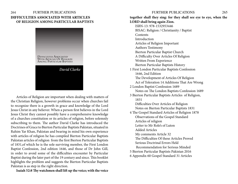# 264 FURTHER PUBLICATIONS FURTHER PUBLICATIONS 265 **DIFFICULTIES ASSOCIATED WITH ARTICLES OF RELIGION AMONG PARTICULAR BAPTISTS**



Articles of Religion are important when dealing with matters of the Christian Religion, however problems occur when churches fail to recognize there is a growth in grace and knowledge of the Lord Jesus Christ in any believer. When a person first believes in the Lord Jesus Christ they cannot possibly have a comprehensive knowledge of a churches constitution or its articles of religion, before solemnly subscribing to them. The author David Clarke has introduced the Doctrines of Grace to Bierton Particular Baptists Pakistan, situated in Rahim Yar Khan, Pakistan and bearing in mind his own experience with articles of religion he has compiled Bierton Particular Baptists Pakistan articles of religion from the first Bierton Particular Baptists of 1831,of which he is the sole surviving member, the First London Baptist Confession, 2nd edition 1646, and those of Dr John Gill, in order to avoid some of the difficulties encounter by Particular Baptist during the later part of the 19 century and since. This booklet highlights the problem and suggests the Bierton Particular Baptists Pakistan is as step in the right direction.

**Isaiah 52:8 Thy watchmen shall lift up the voice; with the voice** 

**together shall they sing: for they shall see eye to eye, when the LORD shall bring again Zion.** ISBN-13: 978-1532953446 BISAC: Religion / Christianity / Baptist **Contents** Introduction Articles of Religion Important Authors Testimony Bierton Particular Baptist Church A Difficulty Over Articles Of Religion Written From Experience Bierton Particular Baptists History 1 First London Particular Baptists Confession 1646, 2nd Edition The Development of Articles Of Religion Act of Toleration 14 Additions That Are Wrong 2 London Baptist Confession 1689 Notes on The London Baptists Confession 1689 3 Bierton Particular Baptists Articles of Religion, 1831 Difficulties Over Articles of Religion Notes on Bierton Particular Baptists 1831 4 The Gospel Standard Articles of Religion 1878 Observations of the Gospel Standard Articles of religion Letter to Mr Role's of Luton Added Articles My comments Article 32 The Difficulties Of these Articles Proved Serious Doctrinal Errors Held Recommendation for Serious Minded 5 Bierton Particular Baptists Pakistan 2016 6 Appendix 60 Gospel Standard 31 Articles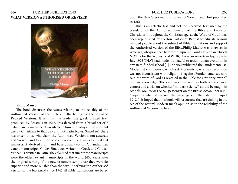# 266 FURTHER PUBLICATIONS FURTHER PUBLICATIONS 267 **WHAT VERSION AUTHORISED OR REVISED**



### **Philip Mauro**

The book discusses the issues relating to the reliably of the Authorised Version of the Bible and the failings of the so-called Revised Versions. It reminds the reader the greek printed text, produced by Erasmus in 1516, was derived from a broad set of 8 extant Greek manuscripts available to him in his day and in constant use by Christians to that day and not Latin bibles. Since1861 there has arisen those who claim the Authorised Version is not accurate and Wescott and Hort produced a new compiled Greek Printed text manuscript, derived from, and base upon, two 4th C handwritten extant manuscripts. Codex Sinaiticus, written in Greek and Codec's Vaticanus, written in Latin. They claimed that since these manuscripts were the oldest extant manuscripts in the world (400 years after the original writing of the new testament scriptures) they were far superior and more reliable than the text underlying the Authorised version of the bible.And since 1945 all Bible translations are based

upon the New Greek manuscript text of Wescott and Hort published in 1861.

This is an eclectic text and not the Received Text used by the translator of the Authorised Version of the Bible and know by Christians, throughout the Christian age, as the Word of God.It has been republished by Bierton Particular Baptist to educate serious minded people about the subject of Bible translations and support the Authorised version of the Bible.Philip Mauro was a lawyer in America, who practiced before the Supreme Court.He prepared briefs NOTES for the Scopes Trial WHICH was an American legal case in July 1925 THAT had made it unlawful to teach human evolution in any state-funded school.[1] The trial publicized the Fundamentalist-Modernist controversy, which set Modernists, who said evolution was not inconsistent with religion,[4] against Fundamentalists, who said the word of God as revealed in the Bible took priority over all human knowledge. The case was thus seen as both a theological contest and a trial on whether "modern science" should be taught in schools. Mauro was ALSO passenger on the British ocean liner RMS Carpathia when it rescued the passengers of the Titanic in April 1912. It is hoped that this book will rescue any that are sinking in the sea of the natural Modern man's opinion as to the reliability of the Authorised Version the bible.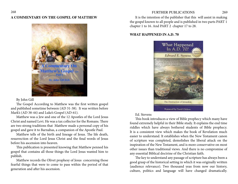## **A COMMENTARY ON THE GOSPEL OF MATTHEW**



By John Gill

The Gospel According to Matthew was the first written gospel and published sometime between (AD 31-38). It was written before Mark's (AD 38-44) and Luke's Gospel (AD-61).

Matthew was a Jew and one of the 12 Apostles of the Lord Jesus Christ and named Levi. He was a tax collector for the Romans. There are two strong traditions that Matthew made a personal copy of his gospel and gave it to Barnabas, a companion of the Apostle Paul.

Matthew tells of the birth and lineage of Jesus. The life death, resurrection of the Lord Jesus Christ and the final words of Jesus before his ascension into heaven.

This publication is presented knowing that Matthew penned his gospel that contains all those things the Lord Jesus wanted him to publish.

Matthew records the Olivet prophesy of Jesus concerning those fearful things that were to come to pass within the period of that generation and after his ascension.

# 268 FURTHER PUBLICATIONS 269

It is the intention of the publisher that this will assist in making the gospel known to all people and is published in two parts PART 1 chapter 1 to 16. And PART 2 chapter 17 to 28.

# **WHAT HAPPENED IN A.D. 70**



Ed. Stevens

This book introduces a view of Bible prophecy which many have found extremely helpful in their Bible study. It explains the end time riddles which have always bothered students of Bible prophecy. It is a consistent view which makes the book of Revelation much easier to understand. It establishes when the New Testament canon of scripture was completed, demolishes the liberal attack on the inspiration of the New Testament, and is more conservative on most other issues than traditional views. And there is no compromise of any essential Biblical doctrine of the Christian faith.

The key to understand any passage of scripture has always been a good grasp of the historical setting in which it was originally written {audience relevance). Two thousand yeas from now our history, culture, politics and language will have changed dramatically.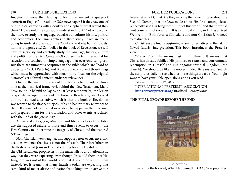## 270 FURTHER PUBLICATIONS FURTHER PUBLICATIONS 271

Imagine someone then having to learn the ancient language of "American English" to read our USA newspapers! If they saw one of our political cartoons with a donkey and elephant, what would they think? How would they go about understanding it? Not only would they have to study the language, but also our culture, history, politics and economics. The same applies to Bible study. If we are really going to understand what all the "donkeys and elephants" (beasts, harlots, dragons, etc.) Symbolize in the book of Revelation, we will have to seriously and carefully study the language, history, culture and politics of the First Century. Of course, the truths essential for salvation are couched in simple language that everyone can grasp. But there are numerous scriptures in the Bible which are "hard to understand" (cf. 2 Pet 3:16), and Bible prophecy is one of those things which must be approached with much more focus on the original historical art cultural context (audience relevance)

One of the main purposes of this book is to provide a closer look at the historical framework behind the New Testament. Many hove found it helpful to lay aside (at least temporarily) the legion of speculative opinions about the book of Revelation, and look at a more historical alternative, which is that the book of Revelation was written to the first century church and had primary relevance to them. It warned of events that were about to happen in their lifetime, and prepared them for the tribulation and other events associated with the End of the Jewish Age.

Atheists, skeptics, Jew, Muslims, and liberal critics of the bible use the supposed failure of those end times events to occur in the First Century to undermine the integrity of Christs and the inspired NT writings.

Non-Christian Jews laugh at this supposed non-occurrence, and use it as evidence that Jesus is not the Messiah. Their forefathers in the flesh rejected Jesus in His first coming because He did not fulfill the Old Testament prophecies in the materialistic and nationalistic way that they were expecting, even though Jesus told them that His Kingdom was not of this world, and that it would be within them instead. Yet it seems that many futurists today are expecting that same kind of materialistic and nationalistic kingdom to arrive at a

future return of Christ Are they making the same mistake about the Second Coming that the Jews made about His first coming? Jesus repeatedly said His Kingdom is "not of this world" and that it would "not come with observation." It is a spiritual entity, and it has arrived We live in it. Both futurist Christians and non-Christian Jews need to realize this.

Christians are finally beginning to seek alternatives to the fatally flawed futurist interpretation. This book introduces the Preterist view.

"Preterist" simply means past in fulfillment It means that Christ has already fulfilled His promise to return and consummate redemption in Himself and His ongoing spiritual kingdom (the church). We should be like the noble-minded Bereans and "search the scriptures daily to see whether these things are true'' You might want to have your Bible open alongside as you read.

Edward E. Stevens 17, 2017 INTERNATIONAL PRETERIST ASSOCIATION **<https://www.preterist.org>** Bradford, Pennsylvania

## **THE FINAL DECADE BEFORE THE END**



Ed. Stevens Ever since the booklet, **What Happened In AD 70**? was published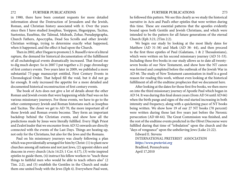### 272 FURTHER PUBLICATIONS FURTHER PUBLICATIONS 273

in 1980, there have been constant requests for more detailed information about the Destruction of Jerusalem and the Jewish, Roman, and Christian history associated with it. Over the years since then I have studied Josephus, Yosippon, Hegesippus, Tacitus, Suetonius, Eusebius, the Talmud, Midrash, Zohar, Pseudepigrapha, Church Fathers, Apocrypha, Dead Sea Scrolls and other Jewish/ Christian writings, trying to determine exactly what happened, when it happened, and the effect it had upon the Church.

Then in 2002, after I began to promote J. S. Russell's view of a literal rapture, the demand for historical documentation of the fulfillment of all eschatological events dramatically increased. That forced me to dig much deeper. So in 2007 I put together a 21-page chronology of first century events. Two years later in 2009, we published a more substantial 73-page manuscript entitled, First Century Events in Chronological Order. That helped fill the void, but it did not go far enough. It only increased the appetite for a more detailed and documented historical reconstruction of first century events.

The book of Acts does not give a lot of details about the other Roman and Jewish events that were happening while Paul was on his various missionary journeys. For those events, we have to go to the other contemporary Jewish and Roman historians such as Josephus and Tacitus. The closer we get to AD 70, the more important all of those Jewish and Roman events become. They form an important backdrop behind the Christian events, and show how all the predictions made by Jesus were literally fulfilled. Every High Priest and Zealot leader that we encounter from AD 52 onwards are directly connected with the events of the Last Days. Things are heating up, not only for the Christians, but also for the Jews and the Romans.

Paul on his missionary journeys was clearly following a plan which was providentially arranged for him by Christ: (1) to plant new churches among all nations and not just Jews, (2) appoint elders and deacons in every church (Acts 14:23; 1 Cor. 4:17), (3) write inspired epistles to guide them, (4) instruct his fellow workers to "teach these things to faithful men who would be able to teach others also" (2 Tim. 2:2), and (5) establish the Gentiles in the Church and make them one united body with the Jews (Eph 4). Everywhere Paul went,

he followed this pattern. We see this clearly as we study the historical narrative in Acts and Paul's other epistles that were written during this time. These are essential patterns that the apostles evidently bound upon both Gentile and Jewish Christians, and which were intended to be the pattern for all future generations of the eternal Church (Eph 3:21; 2Tim 2:2).

We begin our study by looking at the most likely dates for Matthew (AD 31-38) and Mark (AD 38- 44), and then proceed to the first three epistles of Paul (Galatians, 1 & 2 Thessalonians), which were written on his second missionary journey (AD 51-53). Including these five books in our study allows us to date all twentyseven books of our New Testament, and show how the NT canon was formed and completed before the outbreak of the Jewish War in AD 66. The study of New Testament canonization in itself is a good reason for reading this work, without even looking at the historical fulfillment of all of the endtime prophecies that we document here.

After looking at the dates for those first five books, we then move on into the third missionary journey of Apostle Paul which began in AD 54. It was during this final dozen years (from AD 54 until AD 66) when the birth pangs and signs of the end started increasing in both intensity and frequency, along with a quickening pace of NT books being written. We show how 19 of our 27 NT books (70 percent) were written during those last five years just before the Neronic persecution (AD 60-64). The Great Commission was finished, and the rest of the endtime events predicted in the Olivet Discourse were fulfilled during that time of "tribulation" upon the church and the "days of vengeance" upon the unbelieving Jews (Luke 21:22).

Edward E. Stevens INTERNATIONAL PRETERIST ASSOCIATION *<https://www.preterist.org>* Bradford, Pennsylvania April 17,2010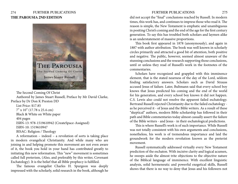# 274 FURTHER PUBLICATIONS FURTHER PUBLICATIONS 275 **THE PAROUSIA 2ND EDITION**



The Second Coming Of Christ Authored by James Stuart Russell, Preface by Mr David Clarke, Preface by Dr Don K Preston DD List Price: \$17.85 7" x 10" (17.78 x 25.4 cm) Black & White on White paper 404 pages ISBN-13: 978-1519610942 (CreateSpace-Assigned) ISBN-10: 1519610947 BISAC: Religion / Theology

A reformation – indeed – a revolution of sorts is taking place in modern evangelical Christianity. And while many who are joining in and helping promote this movement are not even aware of it, the book you hold in your hand has contributed greatly to initiating this new reformation. This "new" movement is sometimes called full preterism, (Also, and preferably by this writer, Covenant Eschatology). It is the belief that all Bible prophecy is fulfilled.

The famous evangelist Charles H. Spurgeon was deeply impressed with the scholarly, solid research in the book, although he

did not accept the "final" conclusions reached by Russell. In modern times, this work has, and continues to impress those who read it. The reason is simple, the New Testament is emphatic and unambiguous in positing Christ's coming and the end of the age for the first century generation. To say this has troubled both scholars and laymen alike is an understatement of massive proportions.

This book first appeared in 1878 (anonymously), and again in 1887 with author attribution. The book was well known in scholarly circles primarily and attracted a good bit of attention, both positive and negative. The public, however, seemed almost unaware of the stunning conclusions and the research supporting those conclusions, until or unless they read of Russell's work in the footnotes of the commentaries.

Scholars have recognized and grappled with this imminence element, that is the stated nearness of the day of the Lord, seldom finding satisfactory answers. Scholars such as David Strauss accused Jesus of failure. Later, Bultmann said that every school boy knows that Jesus predicted his coming and the end of the world for his generation, and every school boy knows it did not happen. C.S. Lewis also could not resolve the apparent failed eschatology. Bertrand Russell rejected Christianity due to the failed eschatology as he perceived it - of Jesus and the Bible writers. As a result of these "skeptical" authors, modern Bible scholarship has followed in their path and Bible commentaries today almost casually assert the failure of the Bible writers - and Jesus - in their eschatological predictions.

This is where Russell's work is of such importance. While Russell was not totally consistent with his own arguments and conclusions, nonetheless, his work is of tremendous importance and laid the groundwork for the modern revolution known as the preterist movement.

Russell systematically addressed virtually every New Testament prediction of the eschaton. With incisive clarity and logical acumen, he sweeps aside the almost trite objections to the objective nature of the Biblical language of imminence. With excellent linguistic analysis, solid hermeneutic and powerful exegetical skills, Russell shows that there is no way to deny that Jesus and his followers not